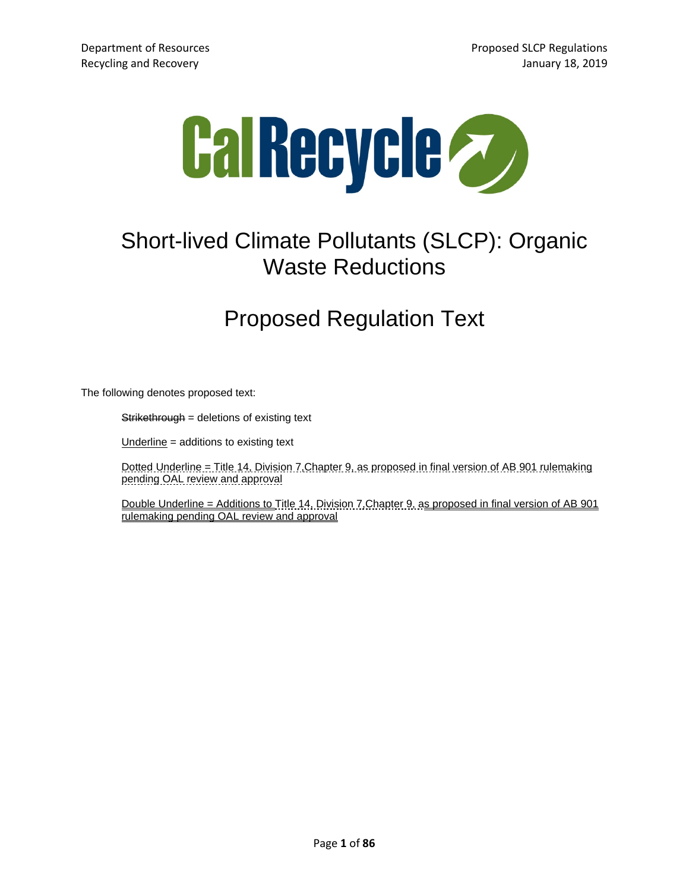

# Short-lived Climate Pollutants (SLCP): Organic Waste Reductions

## Proposed Regulation Text

The following denotes proposed text:

Strikethrough = deletions of existing text

Underline = additions to existing text

Dotted Underline = Title 14, Division 7,Chapter 9, as proposed in final version of AB 901 rulemaking pending OAL review and approval

Double Underline = Additions to Title 14, Division 7,Chapter 9, as proposed in final version of AB 901 rulemaking pending OAL review and approval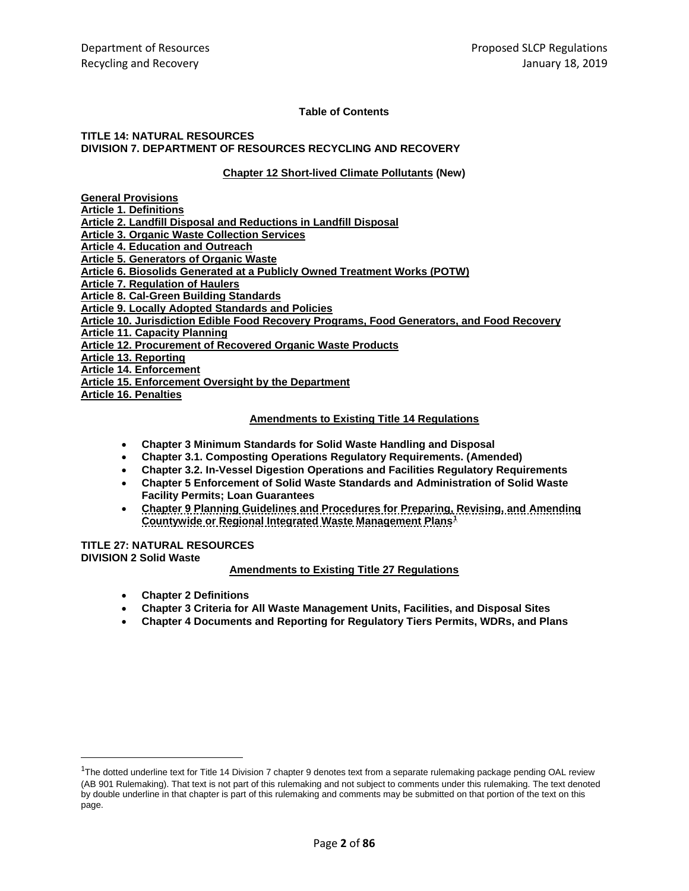### **Table of Contents**

#### **TITLE 14: NATURAL RESOURCES DIVISION 7. DEPARTMENT OF RESOURCES RECYCLING AND RECOVERY**

### **Chapter 12 Short-lived Climate Pollutants (New)**

| <b>General Provisions</b>                                                                  |
|--------------------------------------------------------------------------------------------|
| <b>Article 1. Definitions</b>                                                              |
| Article 2. Landfill Disposal and Reductions in Landfill Disposal                           |
| <b>Article 3. Organic Waste Collection Services</b>                                        |
| <b>Article 4. Education and Outreach</b>                                                   |
| <b>Article 5. Generators of Organic Waste</b>                                              |
| Article 6. Biosolids Generated at a Publicly Owned Treatment Works (POTW)                  |
| <b>Article 7. Regulation of Haulers</b>                                                    |
| Article 8. Cal-Green Building Standards                                                    |
| <b>Article 9. Locally Adopted Standards and Policies</b>                                   |
| Article 10. Jurisdiction Edible Food Recovery Programs, Food Generators, and Food Recovery |
| <b>Article 11. Capacity Planning</b>                                                       |
| <b>Article 12. Procurement of Recovered Organic Waste Products</b>                         |
| Article 13. Reporting                                                                      |
| <b>Article 14. Enforcement</b>                                                             |
| Article 15. Enforcement Oversight by the Department                                        |
| <b>Article 16. Penalties</b>                                                               |

#### **Amendments to Existing Title 14 Regulations**

- **Chapter 3 Minimum Standards for Solid Waste Handling and Disposal**
- **Chapter 3.1. Composting Operations Regulatory Requirements. (Amended)**
- **Chapter 3.2. In-Vessel Digestion Operations and Facilities Regulatory Requirements**
- **Chapter 5 Enforcement of Solid Waste Standards and Administration of Solid Waste Facility Permits; Loan Guarantees**
- **Chapter 9 Planning Guidelines and Procedures for Preparing, Revising, and Amending Countywide or Regional Integrated Waste Management Plans[1](#page-1-0)**

### **TITLE 27: NATURAL RESOURCES DIVISION 2 Solid Waste**

### **Amendments to Existing Title 27 Regulations**

- **Chapter 2 Definitions**
- **Chapter 3 Criteria for All Waste Management Units, Facilities, and Disposal Sites**
- **Chapter 4 Documents and Reporting for Regulatory Tiers Permits, WDRs, and Plans**

<span id="page-1-0"></span> $\overline{1}$ <sup>1</sup>The dotted underline text for Title 14 Division 7 chapter 9 denotes text from a separate rulemaking package pending OAL review (AB 901 Rulemaking). That text is not part of this rulemaking and not subject to comments under this rulemaking. The text denoted by double underline in that chapter is part of this rulemaking and comments may be submitted on that portion of the text on this page.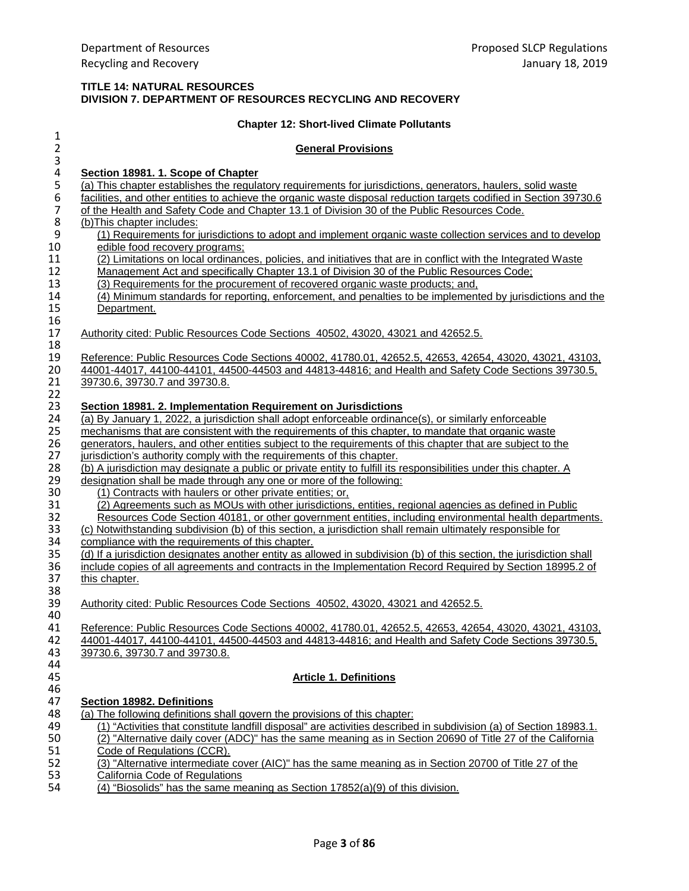## **TITLE 14: NATURAL RESOURCES DIVISION 7. DEPARTMENT OF RESOURCES RECYCLING AND RECOVERY**

|                                    | <b>Chapter 12: Short-lived Climate Pollutants</b>                                                                                                                                                                  |
|------------------------------------|--------------------------------------------------------------------------------------------------------------------------------------------------------------------------------------------------------------------|
| $\mathbf{1}$                       |                                                                                                                                                                                                                    |
| $\overline{2}$                     | <b>General Provisions</b>                                                                                                                                                                                          |
| 3                                  |                                                                                                                                                                                                                    |
| $\pmb{4}$                          | Section 18981. 1. Scope of Chapter                                                                                                                                                                                 |
| 5                                  | (a) This chapter establishes the regulatory requirements for jurisdictions, generators, haulers, solid waste                                                                                                       |
| $\boldsymbol{6}$<br>$\overline{7}$ | facilities, and other entities to achieve the organic waste disposal reduction targets codified in Section 39730.6                                                                                                 |
| $\,$ 8 $\,$                        | of the Health and Safety Code and Chapter 13.1 of Division 30 of the Public Resources Code.                                                                                                                        |
| $\boldsymbol{9}$                   | (b) This chapter includes:<br>(1) Requirements for jurisdictions to adopt and implement organic waste collection services and to develop                                                                           |
| 10                                 | edible food recovery programs;                                                                                                                                                                                     |
| 11                                 | (2) Limitations on local ordinances, policies, and initiatives that are in conflict with the Integrated Waste                                                                                                      |
| 12                                 | Management Act and specifically Chapter 13.1 of Division 30 of the Public Resources Code;                                                                                                                          |
| 13                                 | (3) Requirements for the procurement of recovered organic waste products; and,                                                                                                                                     |
| 14                                 | (4) Minimum standards for reporting, enforcement, and penalties to be implemented by jurisdictions and the                                                                                                         |
| 15                                 | Department.                                                                                                                                                                                                        |
| 16                                 |                                                                                                                                                                                                                    |
| 17                                 | Authority cited: Public Resources Code Sections 40502, 43020, 43021 and 42652.5.                                                                                                                                   |
| 18                                 |                                                                                                                                                                                                                    |
| 19                                 | Reference: Public Resources Code Sections 40002, 41780.01, 42652.5, 42653, 42654, 43020, 43021, 43103,                                                                                                             |
| 20                                 | 44001-44017, 44100-44101, 44500-44503 and 44813-44816; and Health and Safety Code Sections 39730.5,                                                                                                                |
| 21                                 | 39730.6, 39730.7 and 39730.8.                                                                                                                                                                                      |
| 22                                 |                                                                                                                                                                                                                    |
| 23                                 | Section 18981. 2. Implementation Requirement on Jurisdictions                                                                                                                                                      |
| 24                                 | (a) By January 1, 2022, a jurisdiction shall adopt enforceable ordinance(s), or similarly enforceable                                                                                                              |
| 25<br>26                           | mechanisms that are consistent with the requirements of this chapter, to mandate that organic waste<br>generators, haulers, and other entities subject to the requirements of this chapter that are subject to the |
| 27                                 | jurisdiction's authority comply with the requirements of this chapter.                                                                                                                                             |
| 28                                 | (b) A jurisdiction may designate a public or private entity to fulfill its responsibilities under this chapter. A                                                                                                  |
| 29                                 | designation shall be made through any one or more of the following:                                                                                                                                                |
| 30                                 | (1) Contracts with haulers or other private entities; or,                                                                                                                                                          |
| 31                                 | (2) Agreements such as MOUs with other jurisdictions, entities, regional agencies as defined in Public                                                                                                             |
| 32                                 | Resources Code Section 40181, or other government entities, including environmental health departments.                                                                                                            |
| 33                                 | (c) Notwithstanding subdivision (b) of this section, a jurisdiction shall remain ultimately responsible for                                                                                                        |
| 34                                 | compliance with the requirements of this chapter.                                                                                                                                                                  |
| 35                                 | (d) If a jurisdiction designates another entity as allowed in subdivision (b) of this section, the jurisdiction shall                                                                                              |
| 36                                 | include copies of all agreements and contracts in the Implementation Record Required by Section 18995.2 of                                                                                                         |
| 37                                 | this chapter.                                                                                                                                                                                                      |
| 38                                 |                                                                                                                                                                                                                    |
| 39                                 | Authority cited: Public Resources Code Sections 40502, 43020, 43021 and 42652.5.                                                                                                                                   |
| 40                                 |                                                                                                                                                                                                                    |
| 41                                 | Reference: Public Resources Code Sections 40002, 41780.01, 42652.5, 42653, 42654, 43020, 43021, 43103,                                                                                                             |
| 42                                 | 44001-44017, 44100-44101, 44500-44503 and 44813-44816; and Health and Safety Code Sections 39730.5,                                                                                                                |
| 43                                 | 39730.6, 39730.7 and 39730.8.                                                                                                                                                                                      |
| 44                                 |                                                                                                                                                                                                                    |
| 45                                 | <b>Article 1. Definitions</b>                                                                                                                                                                                      |
| 46<br>47                           | <b>Section 18982. Definitions</b>                                                                                                                                                                                  |
| 48                                 | (a) The following definitions shall govern the provisions of this chapter:                                                                                                                                         |
| 49                                 | (1) "Activities that constitute landfill disposal" are activities described in subdivision (a) of Section 18983.1.                                                                                                 |
| 50                                 | (2) "Alternative daily cover (ADC)" has the same meaning as in Section 20690 of Title 27 of the California                                                                                                         |
| 51                                 | Code of Regulations (CCR).                                                                                                                                                                                         |
| 52                                 | (3) "Alternative intermediate cover (AIC)" has the same meaning as in Section 20700 of Title 27 of the                                                                                                             |
| 53                                 | California Code of Regulations                                                                                                                                                                                     |
| 54                                 | (4) "Biosolids" has the same meaning as Section 17852(a)(9) of this division.                                                                                                                                      |
|                                    |                                                                                                                                                                                                                    |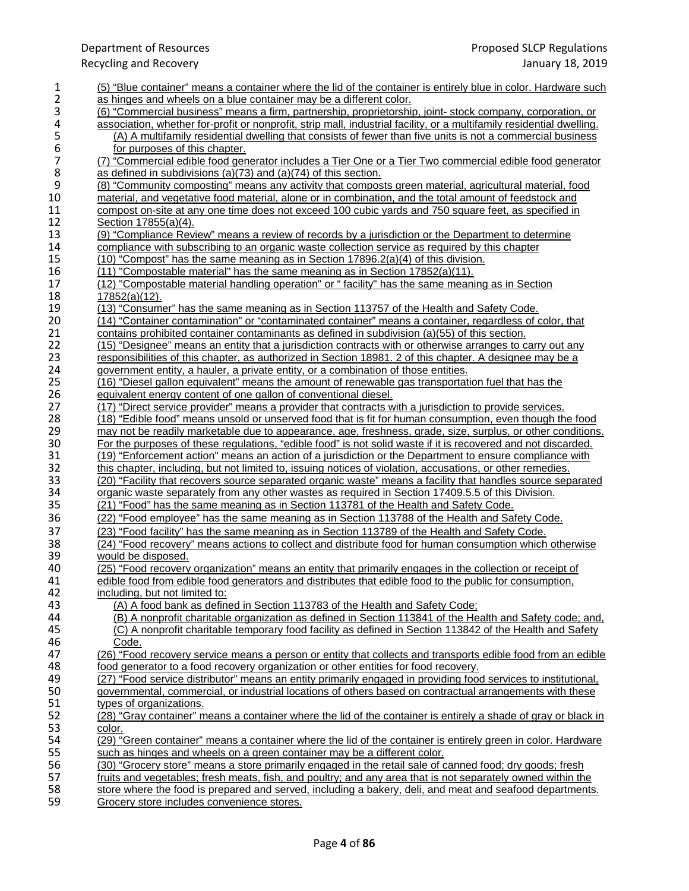| 1                                     | (5) "Blue container" means a container where the lid of the container is entirely blue in color. Hardware such        |
|---------------------------------------|-----------------------------------------------------------------------------------------------------------------------|
| 2                                     | as hinges and wheels on a blue container may be a different color.                                                    |
| 3                                     | (6) "Commercial business" means a firm, partnership, proprietorship, joint- stock company, corporation, or            |
| 4                                     | association, whether for-profit or nonprofit, strip mall, industrial facility, or a multifamily residential dwelling. |
|                                       | (A) A multifamily residential dwelling that consists of fewer than five units is not a commercial business            |
| $\begin{array}{c} 5 \\ 6 \end{array}$ | for purposes of this chapter.                                                                                         |
| $\overline{\mathcal{I}}$              | (7) "Commercial edible food generator includes a Tier One or a Tier Two commercial edible food generator              |
| 8                                     | as defined in subdivisions (a)(73) and (a)(74) of this section.                                                       |
| $\boldsymbol{9}$                      | (8) "Community composting" means any activity that composts green material, agricultural material, food               |
| 10                                    | material, and vegetative food material, alone or in combination, and the total amount of feedstock and                |
| 11                                    | compost on-site at any one time does not exceed 100 cubic yards and 750 square feet, as specified in                  |
| 12                                    | Section 17855(a)(4).                                                                                                  |
| 13                                    | (9) "Compliance Review" means a review of records by a jurisdiction or the Department to determine                    |
| 14                                    | compliance with subscribing to an organic waste collection service as required by this chapter                        |
| 15                                    | $(10)$ "Compost" has the same meaning as in Section $17896.2(a)(4)$ of this division.                                 |
| 16                                    | $(11)$ "Compostable material" has the same meaning as in Section $17852(a)(11)$ .                                     |
| 17                                    | (12) "Compostable material handling operation" or "facility" has the same meaning as in Section                       |
|                                       |                                                                                                                       |
| 18                                    | 17852(a)(12).                                                                                                         |
| 19                                    | (13) "Consumer" has the same meaning as in Section 113757 of the Health and Safety Code.                              |
| 20                                    | (14) "Container contamination" or "contaminated container" means a container, regardless of color, that               |
| 21                                    | contains prohibited container contaminants as defined in subdivision (a)(55) of this section.                         |
| 22                                    | (15) "Designee" means an entity that a jurisdiction contracts with or otherwise arranges to carry out any             |
| 23                                    | responsibilities of this chapter, as authorized in Section 18981. 2 of this chapter. A designee may be a              |
| 24                                    | government entity, a hauler, a private entity, or a combination of those entities.                                    |
| 25                                    | (16) "Diesel gallon equivalent" means the amount of renewable gas transportation fuel that has the                    |
| 26                                    | equivalent energy content of one gallon of conventional diesel.                                                       |
| 27                                    | (17) "Direct service provider" means a provider that contracts with a jurisdiction to provide services.               |
| 28                                    | (18) "Edible food" means unsold or unserved food that is fit for human consumption, even though the food              |
| 29                                    | may not be readily marketable due to appearance, age, freshness, grade, size, surplus, or other conditions.           |
| 30                                    | For the purposes of these regulations, "edible food" is not solid waste if it is recovered and not discarded.         |
| 31                                    | (19) "Enforcement action" means an action of a jurisdiction or the Department to ensure compliance with               |
| 32                                    | this chapter, including, but not limited to, issuing notices of violation, accusations, or other remedies.            |
| 33                                    | (20) "Facility that recovers source separated organic waste" means a facility that handles source separated           |
| 34                                    | organic waste separately from any other wastes as required in Section 17409.5.5 of this Division.                     |
| 35                                    | (21) "Food" has the same meaning as in Section 113781 of the Health and Safety Code.                                  |
| 36                                    | (22) "Food employee" has the same meaning as in Section 113788 of the Health and Safety Code.                         |
| 37                                    | (23) "Food facility" has the same meaning as in Section 113789 of the Health and Safety Code.                         |
| 38                                    | (24) "Food recovery" means actions to collect and distribute food for human consumption which otherwise               |
| 39                                    | would be disposed.                                                                                                    |
| 40                                    | (25) "Food recovery organization" means an entity that primarily engages in the collection or receipt of              |
| 41                                    | edible food from edible food generators and distributes that edible food to the public for consumption,               |
| 42                                    | including, but not limited to:                                                                                        |
| 43                                    | (A) A food bank as defined in Section 113783 of the Health and Safety Code;                                           |
| 44                                    | (B) A nonprofit charitable organization as defined in Section 113841 of the Health and Safety code; and,              |
| 45                                    | (C) A nonprofit charitable temporary food facility as defined in Section 113842 of the Health and Safety              |
| 46                                    | Code.                                                                                                                 |
| 47                                    | (26) "Food recovery service means a person or entity that collects and transports edible food from an edible          |
| 48                                    | food generator to a food recovery organization or other entities for food recovery.                                   |
| 49                                    | (27) "Food service distributor" means an entity primarily engaged in providing food services to institutional,        |
| 50                                    | governmental, commercial, or industrial locations of others based on contractual arrangements with these              |
|                                       |                                                                                                                       |
| 51                                    | types of organizations.                                                                                               |
| 52                                    | (28) "Gray container" means a container where the lid of the container is entirely a shade of gray or black in        |
| 53                                    | color.                                                                                                                |
| 54                                    | (29) "Green container" means a container where the lid of the container is entirely green in color. Hardware          |
| 55                                    | such as hinges and wheels on a green container may be a different color.                                              |
| 56                                    | (30) "Grocery store" means a store primarily engaged in the retail sale of canned food; dry goods; fresh              |
| 57                                    | fruits and vegetables; fresh meats, fish, and poultry; and any area that is not separately owned within the           |
| 58                                    | store where the food is prepared and served, including a bakery, deli, and meat and seafood departments.              |
| 59                                    | Grocery store includes convenience stores.                                                                            |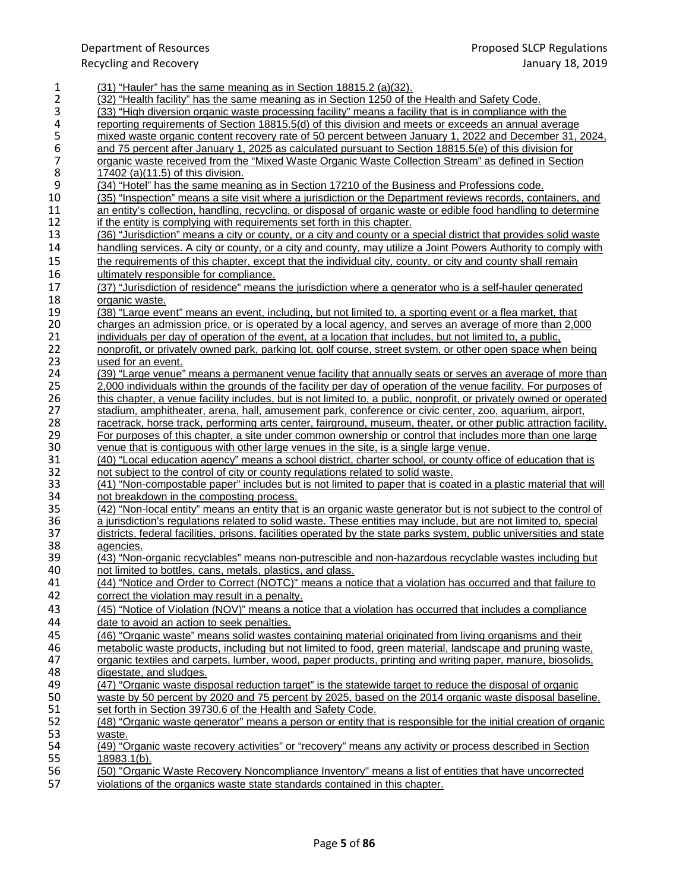| 1              | (31) "Hauler" has the same meaning as in Section 18815.2 (a)(32).                                                    |
|----------------|----------------------------------------------------------------------------------------------------------------------|
| $\overline{2}$ | (32) "Health facility" has the same meaning as in Section 1250 of the Health and Safety Code.                        |
|                |                                                                                                                      |
| 3              | (33) "High diversion organic waste processing facility" means a facility that is in compliance with the              |
| 4              | reporting requirements of Section 18815.5(d) of this division and meets or exceeds an annual average                 |
| 5              | mixed waste organic content recovery rate of 50 percent between January 1, 2022 and December 31, 2024,               |
| 6              | and 75 percent after January 1, 2025 as calculated pursuant to Section 18815.5(e) of this division for               |
| $\overline{7}$ | organic waste received from the "Mixed Waste Organic Waste Collection Stream" as defined in Section                  |
| 8              | <u>17402 (a)(11.5) of this division.</u>                                                                             |
| 9              | (34) "Hotel" has the same meaning as in Section 17210 of the Business and Professions code.                          |
| 10             | (35) "Inspection" means a site visit where a jurisdiction or the Department reviews records, containers, and         |
| 11             | an entity's collection, handling, recycling, or disposal of organic waste or edible food handling to determine       |
| 12             | <u>if the entity is complying with requirements set forth in this chapter.</u>                                       |
| 13             | (36) "Jurisdiction" means a city or county, or a city and county or a special district that provides solid waste     |
| 14             | handling services. A city or county, or a city and county, may utilize a Joint Powers Authority to comply with       |
| 15             | the requirements of this chapter, except that the individual city, county, or city and county shall remain           |
| 16             |                                                                                                                      |
|                | ultimately responsible for compliance.                                                                               |
| 17             | (37) "Jurisdiction of residence" means the jurisdiction where a generator who is a self-hauler generated             |
| 18             | organic waste.                                                                                                       |
| 19             | (38) "Large event" means an event, including, but not limited to, a sporting event or a flea market, that            |
| 20             | <u>charges an admission price, or is operated by a local agency, and serves an average of more than 2,000</u>        |
| 21             | individuals per day of operation of the event, at a location that includes, but not limited to, a public,            |
| 22             | nonprofit, or privately owned park, parking lot, golf course, street system, or other open space when being          |
| 23             | used for an event.                                                                                                   |
| 24             | (39) "Large venue" means a permanent venue facility that annually seats or serves an average of more than            |
| 25             | 2,000 individuals within the grounds of the facility per day of operation of the venue facility. For purposes of     |
| 26             | this chapter, a venue facility includes, but is not limited to, a public, nonprofit, or privately owned or operated  |
| 27             | stadium, amphitheater, arena, hall, amusement park, conference or civic center, zoo, aquarium, airport,              |
| 28             | racetrack, horse track, performing arts center, fairground, museum, theater, or other public attraction facility.    |
| 29             | For purposes of this chapter, a site under common ownership or control that includes more than one large             |
| 30             | venue that is contiguous with other large venues in the site, is a single large venue.                               |
| 31             | (40) "Local education agency" means a school district, charter school, or county office of education that is         |
| 32             | not subject to the control of city or county regulations related to solid waste.                                     |
| 33             | (41) "Non-compostable paper" includes but is not limited to paper that is coated in a plastic material that will     |
| 34             | not breakdown in the composting process.                                                                             |
| 35             | (42) "Non-local entity" means an entity that is an organic waste generator but is not subject to the control of      |
| 36             | a jurisdiction's regulations related to solid waste. These entities may include, but are not limited to, special     |
| 37             | districts, federal facilities, prisons, facilities operated by the state parks system, public universities and state |
| 38             | <u>agencies.</u>                                                                                                     |
| 39             | (43) "Non-organic recyclables" means non-putrescible and non-hazardous recyclable wastes including but               |
| 40             | not limited to bottles, cans, metals, plastics, and glass.                                                           |
| 41             | (44) "Notice and Order to Correct (NOTC)" means a notice that a violation has occurred and that failure to           |
| 42             | correct the violation may result in a penalty.                                                                       |
| 43             | (45) "Notice of Violation (NOV)" means a notice that a violation has occurred that includes a compliance             |
| 44             | date to avoid an action to seek penalties.                                                                           |
| 45             | (46) "Organic waste" means solid wastes containing material originated from living organisms and their               |
| 46             | metabolic waste products, including but not limited to food, green material, landscape and pruning waste,            |
| 47             | organic textiles and carpets, lumber, wood, paper products, printing and writing paper, manure, biosolids,           |
| 48             | digestate, and sludges.                                                                                              |
| 49             | (47) "Organic waste disposal reduction target" is the statewide target to reduce the disposal of organic             |
| 50             | waste by 50 percent by 2020 and 75 percent by 2025, based on the 2014 organic waste disposal baseline,               |
| 51             | set forth in Section 39730.6 of the Health and Safety Code.                                                          |
| 52             | (48) "Organic waste generator" means a person or entity that is responsible for the initial creation of organic      |
| 53             | waste.                                                                                                               |
| 54             | (49) "Organic waste recovery activities" or "recovery" means any activity or process described in Section            |
| 55             | $18983.1(b)$ .                                                                                                       |
| 56             | (50) "Organic Waste Recovery Noncompliance Inventory" means a list of entities that have uncorrected                 |
| 57             | violations of the organics waste state standards contained in this chapter.                                          |
|                |                                                                                                                      |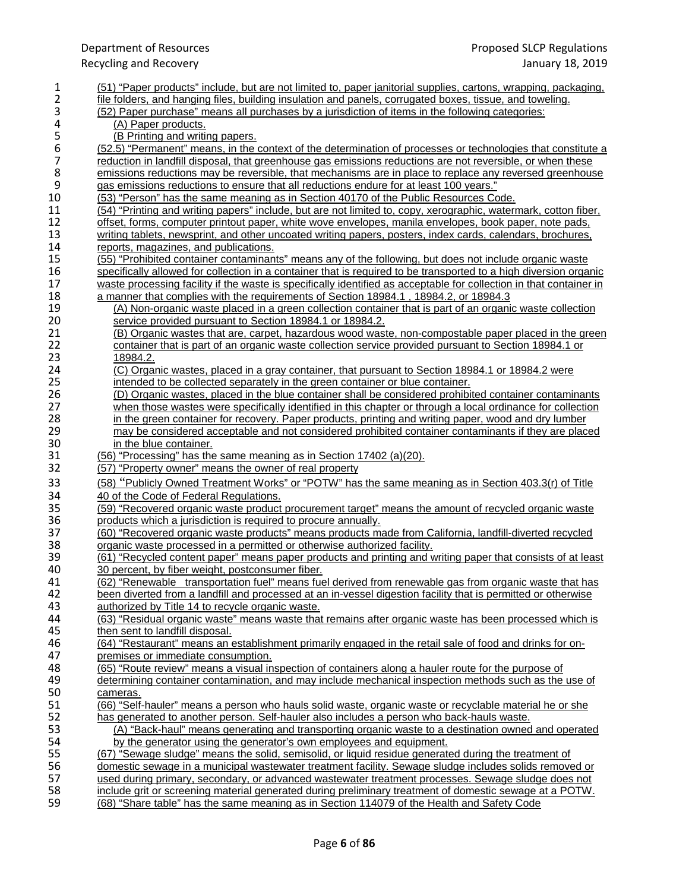| 1                | (51) "Paper products" include, but are not limited to, paper janitorial supplies, cartons, wrapping, packaging,     |
|------------------|---------------------------------------------------------------------------------------------------------------------|
| $\overline{2}$   | file folders, and hanging files, building insulation and panels, corrugated boxes, tissue, and toweling.            |
| 3                | (52) Paper purchase" means all purchases by a jurisdiction of items in the following categories:                    |
| 4                | (A) Paper products.                                                                                                 |
| 5                | (B Printing and writing papers.                                                                                     |
| $\boldsymbol{6}$ | (52.5) "Permanent" means, in the context of the determination of processes or technologies that constitute a        |
| $\overline{7}$   | reduction in landfill disposal, that greenhouse gas emissions reductions are not reversible, or when these          |
| $\bf 8$          | emissions reductions may be reversible, that mechanisms are in place to replace any reversed greenhouse             |
| $\boldsymbol{9}$ | gas emissions reductions to ensure that all reductions endure for at least 100 years."                              |
| 10               | (53) "Person" has the same meaning as in Section 40170 of the Public Resources Code.                                |
| 11               | (54) "Printing and writing papers" include, but are not limited to, copy, xerographic, watermark, cotton fiber,     |
| 12               | offset, forms, computer printout paper, white wove envelopes, manila envelopes, book paper, note pads,              |
| 13               |                                                                                                                     |
| 14               | writing tablets, newsprint, and other uncoated writing papers, posters, index cards, calendars, brochures,          |
|                  | reports, magazines, and publications.                                                                               |
| 15               | (55) "Prohibited container contaminants" means any of the following, but does not include organic waste             |
| 16               | specifically allowed for collection in a container that is required to be transported to a high diversion organic   |
| 17               | waste processing facility if the waste is specifically identified as acceptable for collection in that container in |
| 18               | a manner that complies with the requirements of Section 18984.1, 18984.2, or 18984.3                                |
| 19               | (A) Non-organic waste placed in a green collection container that is part of an organic waste collection            |
| 20               | service provided pursuant to Section 18984.1 or 18984.2.                                                            |
| 21               | (B) Organic wastes that are, carpet, hazardous wood waste, non-compostable paper placed in the green                |
| 22               | container that is part of an organic waste collection service provided pursuant to Section 18984.1 or               |
| 23               | <u>18984.2.</u>                                                                                                     |
| 24               | (C) Organic wastes, placed in a gray container, that pursuant to Section 18984.1 or 18984.2 were                    |
| 25               | intended to be collected separately in the green container or blue container.                                       |
| 26               | (D) Organic wastes, placed in the blue container shall be considered prohibited container contaminants              |
| 27               | when those wastes were specifically identified in this chapter or through a local ordinance for collection          |
| 28               | in the green container for recovery. Paper products, printing and writing paper, wood and dry lumber                |
| 29               | may be considered acceptable and not considered prohibited container contaminants if they are placed                |
|                  |                                                                                                                     |
| 30               | in the blue container.                                                                                              |
| 31               | (56) "Processing" has the same meaning as in Section 17402 (a)(20).                                                 |
| 32               | (57) "Property owner" means the owner of real property                                                              |
| 33               | (58) "Publicly Owned Treatment Works" or "POTW" has the same meaning as in Section 403.3(r) of Title                |
| 34               | 40 of the Code of Federal Regulations.                                                                              |
| 35               | (59) "Recovered organic waste product procurement target" means the amount of recycled organic waste                |
| 36               | products which a jurisdiction is required to procure annually.                                                      |
| 37               | (60) "Recovered organic waste products" means products made from California, landfill-diverted recycled             |
| 38               | organic waste processed in a permitted or otherwise authorized facility.                                            |
| 39               | (61) "Recycled content paper" means paper products and printing and writing paper that consists of at least         |
| 40               | 30 percent, by fiber weight, postconsumer fiber.                                                                    |
| 41               | (62) "Renewable transportation fuel" means fuel derived from renewable gas from organic waste that has              |
| 42               | been diverted from a landfill and processed at an in-vessel digestion facility that is permitted or otherwise       |
| 43               | authorized by Title 14 to recycle organic waste.                                                                    |
| 44               | (63) "Residual organic waste" means waste that remains after organic waste has been processed which is              |
| 45               | then sent to landfill disposal.                                                                                     |
| 46               | (64) "Restaurant" means an establishment primarily engaged in the retail sale of food and drinks for on-            |
|                  | premises or immediate consumption.                                                                                  |
| 47<br>48         | (65) "Route review" means a visual inspection of containers along a hauler route for the purpose of                 |
| 49               | determining container contamination, and may include mechanical inspection methods such as the use of               |
| 50               | cameras.                                                                                                            |
|                  | (66) "Self-hauler" means a person who hauls solid waste, organic waste or recyclable material he or she             |
| 51               | has generated to another person. Self-hauler also includes a person who back-hauls waste.                           |
| 52<br>53         | (A) "Back-haul" means generating and transporting organic waste to a destination owned and operated                 |
| 54               | by the generator using the generator's own employees and equipment.                                                 |
| 55               | (67) "Sewage sludge" means the solid, semisolid, or liquid residue generated during the treatment of                |
| 56               | domestic sewage in a municipal wastewater treatment facility. Sewage sludge includes solids removed or              |
| 57               | used during primary, secondary, or advanced wastewater treatment processes. Sewage sludge does not                  |
| 58<br>59         | include grit or screening material generated during preliminary treatment of domestic sewage at a POTW.             |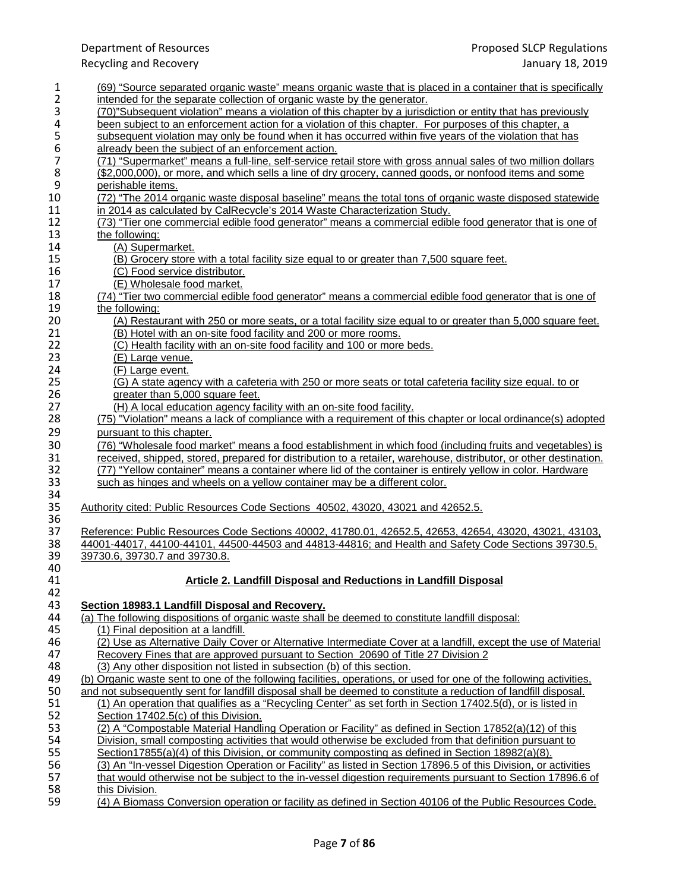| 1                                     | (69) "Source separated organic waste" means organic waste that is placed in a container that is specifically        |
|---------------------------------------|---------------------------------------------------------------------------------------------------------------------|
| $\overline{2}$                        | intended for the separate collection of organic waste by the generator.                                             |
| 3                                     | (70)"Subsequent violation" means a violation of this chapter by a jurisdiction or entity that has previously        |
| 4                                     | been subject to an enforcement action for a violation of this chapter. For purposes of this chapter, a              |
| $\begin{array}{c} 5 \\ 6 \end{array}$ | subsequent violation may only be found when it has occurred within five years of the violation that has             |
|                                       | already been the subject of an enforcement action.                                                                  |
| $\overline{7}$                        | (71) "Supermarket" means a full-line, self-service retail store with gross annual sales of two million dollars      |
| 8                                     | (\$2,000,000), or more, and which sells a line of dry grocery, canned goods, or nonfood items and some              |
| $\boldsymbol{9}$                      | perishable items.                                                                                                   |
| 10                                    | (72) "The 2014 organic waste disposal baseline" means the total tons of organic waste disposed statewide            |
| 11                                    | in 2014 as calculated by CalRecycle's 2014 Waste Characterization Study.                                            |
| 12                                    | (73) "Tier one commercial edible food generator" means a commercial edible food generator that is one of            |
| 13                                    | the following:                                                                                                      |
|                                       |                                                                                                                     |
| 14                                    | (A) Supermarket.                                                                                                    |
| 15                                    | (B) Grocery store with a total facility size equal to or greater than 7,500 square feet.                            |
| 16                                    | (C) Food service distributor.                                                                                       |
| 17                                    | (E) Wholesale food market.                                                                                          |
| 18                                    | (74) "Tier two commercial edible food generator" means a commercial edible food generator that is one of            |
| 19                                    | the following:                                                                                                      |
| 20                                    | (A) Restaurant with 250 or more seats, or a total facility size equal to or greater than 5,000 square feet.         |
| 21                                    | (B) Hotel with an on-site food facility and 200 or more rooms.                                                      |
| 22                                    | (C) Health facility with an on-site food facility and 100 or more beds.                                             |
| 23                                    | (E) Large venue.                                                                                                    |
| 24                                    | (F) Large event.                                                                                                    |
| 25                                    | (G) A state agency with a cafeteria with 250 or more seats or total cafeteria facility size equal. to or            |
| 26                                    | greater than 5,000 square feet.                                                                                     |
| 27                                    | (H) A local education agency facility with an on-site food facility.                                                |
| 28                                    | (75) "Violation" means a lack of compliance with a requirement of this chapter or local ordinance(s) adopted        |
| 29                                    | pursuant to this chapter.                                                                                           |
| 30                                    | (76) "Wholesale food market" means a food establishment in which food (including fruits and vegetables) is          |
| 31                                    |                                                                                                                     |
|                                       | received, shipped, stored, prepared for distribution to a retailer, warehouse, distributor, or other destination.   |
| 32                                    | (77) "Yellow container" means a container where lid of the container is entirely yellow in color. Hardware          |
| 33                                    | such as hinges and wheels on a yellow container may be a different color.                                           |
| 34                                    |                                                                                                                     |
| 35                                    | Authority cited: Public Resources Code Sections 40502, 43020, 43021 and 42652.5.                                    |
| 36                                    |                                                                                                                     |
| 37                                    | Reference: Public Resources Code Sections 40002, 41780.01, 42652.5, 42653, 42654, 43020, 43021, 43103,              |
| 38                                    | 44001-44017, 44100-44101, 44500-44503 and 44813-44816; and Health and Safety Code Sections 39730.5,                 |
| 39                                    | 39730.6, 39730.7 and 39730.8.                                                                                       |
| 40                                    |                                                                                                                     |
| 41                                    | Article 2. Landfill Disposal and Reductions in Landfill Disposal                                                    |
| 42                                    |                                                                                                                     |
| 43                                    | Section 18983.1 Landfill Disposal and Recovery.                                                                     |
| 44                                    | (a) The following dispositions of organic waste shall be deemed to constitute landfill disposal:                    |
| 45                                    | (1) Final deposition at a landfill.                                                                                 |
| 46                                    | (2) Use as Alternative Daily Cover or Alternative Intermediate Cover at a landfill, except the use of Material      |
| 47                                    | Recovery Fines that are approved pursuant to Section 20690 of Title 27 Division 2                                   |
| 48                                    | (3) Any other disposition not listed in subsection (b) of this section.                                             |
| 49                                    | (b) Organic waste sent to one of the following facilities, operations, or used for one of the following activities, |
| 50                                    | and not subsequently sent for landfill disposal shall be deemed to constitute a reduction of landfill disposal.     |
| 51                                    | (1) An operation that qualifies as a "Recycling Center" as set forth in Section 17402.5(d), or is listed in         |
| 52                                    | Section 17402.5(c) of this Division.                                                                                |
| 53                                    | (2) A "Compostable Material Handling Operation or Facility" as defined in Section 17852(a)(12) of this              |
| 54                                    | Division, small composting activities that would otherwise be excluded from that definition pursuant to             |
| 55                                    | Section17855(a)(4) of this Division, or community composting as defined in Section $18982(a)(8)$ .                  |
| 56                                    | (3) An "In-vessel Digestion Operation or Facility" as listed in Section 17896.5 of this Division, or activities     |
| 57                                    | that would otherwise not be subject to the in-vessel digestion requirements pursuant to Section 17896.6 of          |
| 58                                    | this Division.                                                                                                      |
| 59                                    | (4) A Biomass Conversion operation or facility as defined in Section 40106 of the Public Resources Code.            |
|                                       |                                                                                                                     |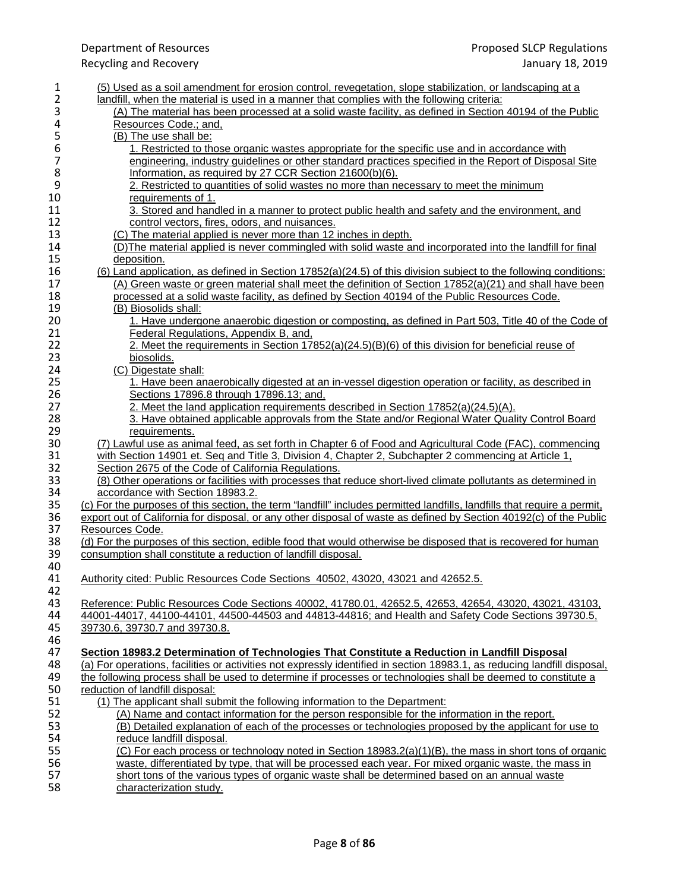| 1                                     | (5) Used as a soil amendment for erosion control, revegetation, slope stabilization, or landscaping at a                          |
|---------------------------------------|-----------------------------------------------------------------------------------------------------------------------------------|
| 2                                     | landfill, when the material is used in a manner that complies with the following criteria:                                        |
| 3                                     | (A) The material has been processed at a solid waste facility, as defined in Section 40194 of the Public                          |
| 4                                     | Resources Code.; and,                                                                                                             |
| 5                                     | (B) The use shall be:                                                                                                             |
| 6                                     | 1. Restricted to those organic wastes appropriate for the specific use and in accordance with                                     |
| $\begin{array}{c} 7 \\ 8 \end{array}$ | engineering, industry guidelines or other standard practices specified in the Report of Disposal Site                             |
|                                       | Information, as required by 27 CCR Section 21600(b)(6).                                                                           |
| 9                                     | 2. Restricted to quantities of solid wastes no more than necessary to meet the minimum                                            |
| 10                                    | requirements of 1.                                                                                                                |
| 11                                    | 3. Stored and handled in a manner to protect public health and safety and the environment, and                                    |
| 12                                    | control vectors, fires, odors, and nuisances.                                                                                     |
| 13                                    | (C) The material applied is never more than 12 inches in depth.                                                                   |
| 14                                    | (D) The material applied is never commingled with solid waste and incorporated into the landfill for final                        |
| 15                                    | deposition.                                                                                                                       |
| 16                                    | (6) Land application, as defined in Section 17852(a)(24.5) of this division subject to the following conditions:                  |
| 17                                    | (A) Green waste or green material shall meet the definition of Section 17852(a)(21) and shall have been                           |
| 18                                    | processed at a solid waste facility, as defined by Section 40194 of the Public Resources Code.                                    |
| 19                                    | (B) Biosolids shall:                                                                                                              |
| 20                                    | 1. Have undergone anaerobic digestion or composting, as defined in Part 503, Title 40 of the Code of                              |
| 21                                    | Federal Regulations, Appendix B, and,                                                                                             |
| 22                                    | 2. Meet the requirements in Section 17852(a)(24.5)(B)(6) of this division for beneficial reuse of                                 |
| 23                                    | biosolids.                                                                                                                        |
| 24                                    | (C) Digestate shall:                                                                                                              |
| 25                                    | 1. Have been anaerobically digested at an in-vessel digestion operation or facility, as described in                              |
| 26                                    | Sections 17896.8 through 17896.13; and,                                                                                           |
| 27                                    | 2. Meet the land application requirements described in Section 17852(a)(24.5)(A).                                                 |
| 28                                    | 3. Have obtained applicable approvals from the State and/or Regional Water Quality Control Board                                  |
| 29                                    | requirements.                                                                                                                     |
| 30                                    | (7) Lawful use as animal feed, as set forth in Chapter 6 of Food and Agricultural Code (FAC), commencing                          |
| 31                                    | with Section 14901 et. Seg and Title 3, Division 4, Chapter 2, Subchapter 2 commencing at Article 1,                              |
| 32                                    | Section 2675 of the Code of California Regulations.                                                                               |
| 33                                    | (8) Other operations or facilities with processes that reduce short-lived climate pollutants as determined in                     |
| 34                                    | accordance with Section 18983.2.                                                                                                  |
| 35                                    | (c) For the purposes of this section, the term "landfill" includes permitted landfills, landfills that require a permit,          |
| 36                                    | export out of California for disposal, or any other disposal of waste as defined by Section 40192(c) of the Public                |
| 37<br>38                              | Resources Code.<br>(d) For the purposes of this section, edible food that would otherwise be disposed that is recovered for human |
| 39                                    | consumption shall constitute a reduction of landfill disposal.                                                                    |
| 40                                    |                                                                                                                                   |
| 41                                    | Authority cited: Public Resources Code Sections 40502, 43020, 43021 and 42652.5.                                                  |
| 42                                    |                                                                                                                                   |
| 43                                    | Reference: Public Resources Code Sections 40002, 41780.01, 42652.5, 42653, 42654, 43020, 43021, 43103,                            |
| 44                                    | 44001-44017, 44100-44101, 44500-44503 and 44813-44816; and Health and Safety Code Sections 39730.5,                               |
| 45                                    | 39730.6, 39730.7 and 39730.8.                                                                                                     |
| 46                                    |                                                                                                                                   |
| 47                                    | Section 18983.2 Determination of Technologies That Constitute a Reduction in Landfill Disposal                                    |
| 48                                    | (a) For operations, facilities or activities not expressly identified in section 18983.1, as reducing landfill disposal,          |
| 49                                    | the following process shall be used to determine if processes or technologies shall be deemed to constitute a                     |
| 50                                    | reduction of landfill disposal:                                                                                                   |
| 51                                    | (1) The applicant shall submit the following information to the Department:                                                       |
| 52                                    | (A) Name and contact information for the person responsible for the information in the report.                                    |
| 53                                    | (B) Detailed explanation of each of the processes or technologies proposed by the applicant for use to                            |
| 54                                    | reduce landfill disposal.                                                                                                         |
| 55                                    | (C) For each process or technology noted in Section 18983.2(a)(1)(B), the mass in short tons of organic                           |
| 56                                    | waste, differentiated by type, that will be processed each year. For mixed organic waste, the mass in                             |
| 57                                    | short tons of the various types of organic waste shall be determined based on an annual waste                                     |
| 58                                    | characterization study.                                                                                                           |
|                                       |                                                                                                                                   |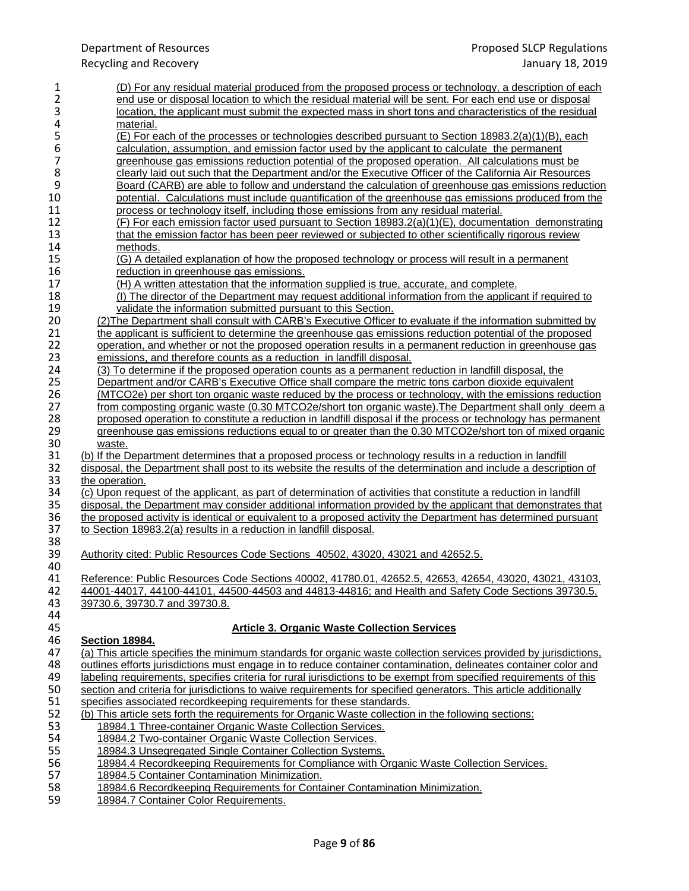| 1                | (D) For any residual material produced from the proposed process or technology, a description of each                         |
|------------------|-------------------------------------------------------------------------------------------------------------------------------|
| $\overline{2}$   | end use or disposal location to which the residual material will be sent. For each end use or disposal                        |
| 3                | location, the applicant must submit the expected mass in short tons and characteristics of the residual                       |
| 4                | material.                                                                                                                     |
| 5                | (E) For each of the processes or technologies described pursuant to Section 18983.2(a)(1)(B), each                            |
| 6                | calculation, assumption, and emission factor used by the applicant to calculate the permanent                                 |
| $\boldsymbol{7}$ | greenhouse gas emissions reduction potential of the proposed operation. All calculations must be                              |
| 8                | clearly laid out such that the Department and/or the Executive Officer of the California Air Resources                        |
| 9                | Board (CARB) are able to follow and understand the calculation of greenhouse gas emissions reduction                          |
| 10               | potential. Calculations must include quantification of the greenhouse gas emissions produced from the                         |
| 11               | process or technology itself, including those emissions from any residual material.                                           |
| 12               | (F) For each emission factor used pursuant to Section 18983.2(a)(1)(E), documentation demonstrating                           |
| 13               | that the emission factor has been peer reviewed or subjected to other scientifically rigorous review                          |
| 14               | methods.                                                                                                                      |
| 15               |                                                                                                                               |
|                  | (G) A detailed explanation of how the proposed technology or process will result in a permanent                               |
| 16               | reduction in greenhouse gas emissions.                                                                                        |
| 17               | (H) A written attestation that the information supplied is true, accurate, and complete.                                      |
| 18               | (I) The director of the Department may request additional information from the applicant if required to                       |
| 19               | validate the information submitted pursuant to this Section.                                                                  |
| 20               | (2) The Department shall consult with CARB's Executive Officer to evaluate if the information submitted by                    |
| 21               | the applicant is sufficient to determine the greenhouse gas emissions reduction potential of the proposed                     |
| 22               | operation, and whether or not the proposed operation results in a permanent reduction in greenhouse gas                       |
| 23               | emissions, and therefore counts as a reduction in landfill disposal.                                                          |
| 24               | (3) To determine if the proposed operation counts as a permanent reduction in landfill disposal, the                          |
| 25               | Department and/or CARB's Executive Office shall compare the metric tons carbon dioxide equivalent                             |
| 26               | (MTCO2e) per short ton organic waste reduced by the process or technology, with the emissions reduction                       |
| 27               | from composting organic waste (0.30 MTCO2e/short ton organic waste). The Department shall only deem a                         |
| 28               | proposed operation to constitute a reduction in landfill disposal if the process or technology has permanent                  |
| 29               | greenhouse gas emissions reductions equal to or greater than the 0.30 MTCO2e/short ton of mixed organic                       |
| 30               | waste.                                                                                                                        |
| 31               | (b) If the Department determines that a proposed process or technology results in a reduction in landfill                     |
| 32               | disposal, the Department shall post to its website the results of the determination and include a description of              |
| 33               | the operation.                                                                                                                |
| 34               | (c) Upon request of the applicant, as part of determination of activities that constitute a reduction in landfill             |
| 35               | disposal, the Department may consider additional information provided by the applicant that demonstrates that                 |
| 36               | the proposed activity is identical or equivalent to a proposed activity the Department has determined pursuant                |
| 37<br>38         | to Section 18983.2(a) results in a reduction in landfill disposal.                                                            |
| 39               | Authority cited: Public Resources Code Sections 40502, 43020, 43021 and 42652.5.                                              |
| 40               |                                                                                                                               |
| 41               | Reference: Public Resources Code Sections 40002, 41780.01, 42652.5, 42653, 42654, 43020, 43021, 43103                         |
| 42               | 44001-44017, 44100-44101, 44500-44503 and 44813-44816; and Health and Safety Code Sections 39730.5,                           |
| 43               | 39730.6, 39730.7 and 39730.8.                                                                                                 |
| 44               |                                                                                                                               |
| 45               | <b>Article 3. Organic Waste Collection Services</b>                                                                           |
| 46               | <b>Section 18984.</b>                                                                                                         |
| 47               | (a) This article specifies the minimum standards for organic waste collection services provided by jurisdictions,             |
| 48               | outlines efforts jurisdictions must engage in to reduce container contamination, delineates container color and               |
| 49               | labeling requirements, specifies criteria for rural jurisdictions to be exempt from specified requirements of this            |
| 50               | section and criteria for jurisdictions to waive requirements for specified generators. This article additionally              |
| 51               | specifies associated recordkeeping requirements for these standards.                                                          |
| 52               | (b) This article sets forth the requirements for Organic Waste collection in the following sections:                          |
| 53               | 18984.1 Three-container Organic Waste Collection Services.                                                                    |
| 54               | 18984.2 Two-container Organic Waste Collection Services.                                                                      |
| 55               | 18984.3 Unsegregated Single Container Collection Systems.                                                                     |
| 56               | 18984.4 Recordkeeping Requirements for Compliance with Organic Waste Collection Services.                                     |
| 57               |                                                                                                                               |
|                  |                                                                                                                               |
| 58               | 18984.5 Container Contamination Minimization.<br>18984.6 Recordkeeping Requirements for Container Contamination Minimization. |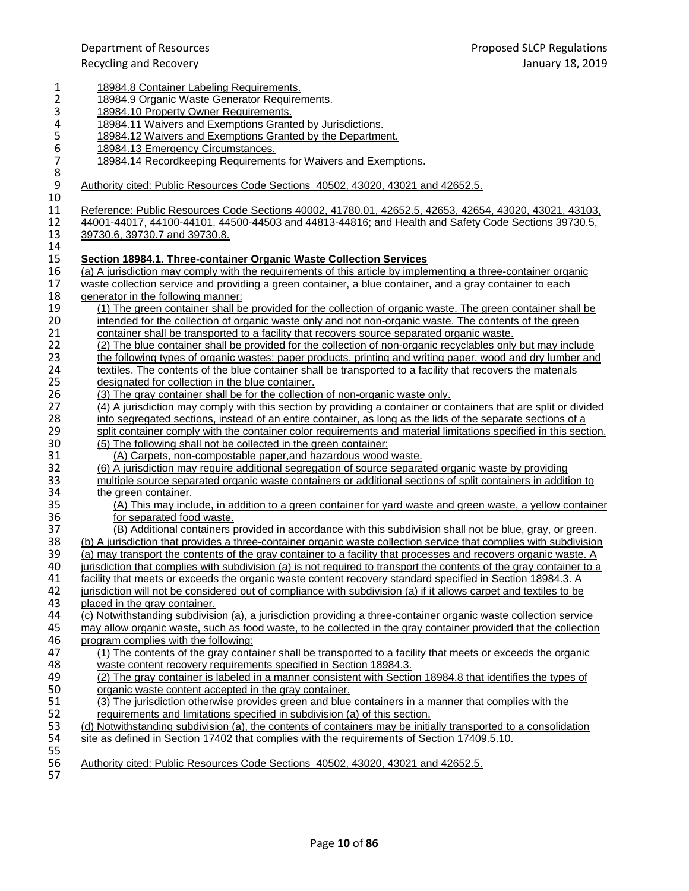| 1                                     | 18984.8 Container Labeling Requirements.                                                                                                                                        |
|---------------------------------------|---------------------------------------------------------------------------------------------------------------------------------------------------------------------------------|
| $\overline{\mathbf{c}}$               | 18984.9 Organic Waste Generator Requirements.                                                                                                                                   |
| 3                                     | 18984.10 Property Owner Requirements.                                                                                                                                           |
| 4                                     | 18984.11 Waivers and Exemptions Granted by Jurisdictions.                                                                                                                       |
| 5                                     | 18984.12 Waivers and Exemptions Granted by the Department.                                                                                                                      |
| 6                                     | 18984.13 Emergency Circumstances.                                                                                                                                               |
|                                       | 18984.14 Recordkeeping Requirements for Waivers and Exemptions.                                                                                                                 |
| $\begin{array}{c} 7 \\ 8 \end{array}$ |                                                                                                                                                                                 |
| $\boldsymbol{9}$                      | Authority cited: Public Resources Code Sections 40502, 43020, 43021 and 42652.5.                                                                                                |
| 10                                    |                                                                                                                                                                                 |
| 11                                    | Reference: Public Resources Code Sections 40002, 41780.01, 42652.5, 42653, 42654, 43020, 43021, 43103,                                                                          |
| 12                                    | 44001-44017, 44100-44101, 44500-44503 and 44813-44816; and Health and Safety Code Sections 39730.5,                                                                             |
| 13                                    | 39730.6, 39730.7 and 39730.8.                                                                                                                                                   |
| 14                                    |                                                                                                                                                                                 |
| 15                                    | Section 18984.1. Three-container Organic Waste Collection Services                                                                                                              |
| 16                                    | (a) A jurisdiction may comply with the requirements of this article by implementing a three-container organic                                                                   |
| 17                                    | waste collection service and providing a green container, a blue container, and a gray container to each                                                                        |
| 18                                    | generator in the following manner:                                                                                                                                              |
| 19                                    | (1) The green container shall be provided for the collection of organic waste. The green container shall be                                                                     |
| 20                                    | intended for the collection of organic waste only and not non-organic waste. The contents of the green                                                                          |
| 21                                    | container shall be transported to a facility that recovers source separated organic waste.                                                                                      |
| 22                                    | (2) The blue container shall be provided for the collection of non-organic recyclables only but may include                                                                     |
| 23                                    | the following types of organic wastes: paper products, printing and writing paper, wood and dry lumber and                                                                      |
| 24                                    | textiles. The contents of the blue container shall be transported to a facility that recovers the materials                                                                     |
| 25                                    | designated for collection in the blue container.                                                                                                                                |
| 26                                    | (3) The gray container shall be for the collection of non-organic waste only.                                                                                                   |
| 27                                    | (4) A jurisdiction may comply with this section by providing a container or containers that are split or divided                                                                |
| 28                                    | into segregated sections, instead of an entire container, as long as the lids of the separate sections of a                                                                     |
| 29                                    | split container comply with the container color requirements and material limitations specified in this section.                                                                |
| 30                                    | (5) The following shall not be collected in the green container:                                                                                                                |
| 31                                    | (A) Carpets, non-compostable paper, and hazardous wood waste.                                                                                                                   |
| 32                                    | (6) A jurisdiction may require additional segregation of source separated organic waste by providing                                                                            |
| 33                                    | multiple source separated organic waste containers or additional sections of split containers in addition to                                                                    |
| 34                                    | the green container.                                                                                                                                                            |
| 35                                    | (A) This may include, in addition to a green container for yard waste and green waste, a yellow container                                                                       |
| 36                                    | for separated food waste.                                                                                                                                                       |
| 37                                    | (B) Additional containers provided in accordance with this subdivision shall not be blue, gray, or green.                                                                       |
| 38                                    | (b) A jurisdiction that provides a three-container organic waste collection service that complies with subdivision                                                              |
| 39                                    | (a) may transport the contents of the gray container to a facility that processes and recovers organic waste. A                                                                 |
| 40                                    | jurisdiction that complies with subdivision (a) is not required to transport the contents of the gray container to a                                                            |
| 41                                    | facility that meets or exceeds the organic waste content recovery standard specified in Section 18984.3. A                                                                      |
| 42                                    | jurisdiction will not be considered out of compliance with subdivision (a) if it allows carpet and textiles to be                                                               |
| 43                                    | placed in the gray container.                                                                                                                                                   |
| 44                                    | (c) Notwithstanding subdivision (a), a jurisdiction providing a three-container organic waste collection service                                                                |
| 45                                    | may allow organic waste, such as food waste, to be collected in the gray container provided that the collection                                                                 |
| 46                                    | program complies with the following:                                                                                                                                            |
| 47                                    | (1) The contents of the gray container shall be transported to a facility that meets or exceeds the organic                                                                     |
| 48<br>49                              | waste content recovery requirements specified in Section 18984.3.<br>(2) The gray container is labeled in a manner consistent with Section 18984.8 that identifies the types of |
| 50                                    | organic waste content accepted in the gray container.                                                                                                                           |
| 51                                    | (3) The jurisdiction otherwise provides green and blue containers in a manner that complies with the                                                                            |
| 52                                    | requirements and limitations specified in subdivision (a) of this section.                                                                                                      |
| 53                                    | (d) Notwithstanding subdivision (a), the contents of containers may be initially transported to a consolidation                                                                 |
| 54                                    | site as defined in Section 17402 that complies with the requirements of Section 17409.5.10.                                                                                     |
| 55                                    |                                                                                                                                                                                 |
| 56                                    | Authority cited: Public Resources Code Sections 40502, 43020, 43021 and 42652.5.                                                                                                |
| 57                                    |                                                                                                                                                                                 |
|                                       |                                                                                                                                                                                 |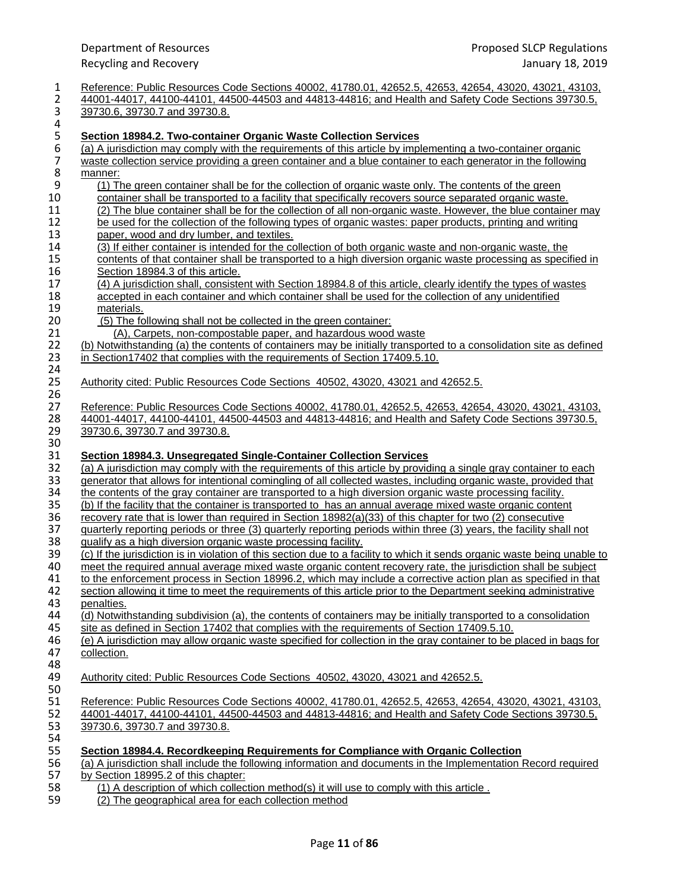| 1                | Reference: Public Resources Code Sections 40002, 41780.01, 42652.5, 42653, 42654, 43020, 43021, 43103,                                                         |
|------------------|----------------------------------------------------------------------------------------------------------------------------------------------------------------|
| $\overline{2}$   | 44001-44017, 44100-44101, 44500-44503 and 44813-44816; and Health and Safety Code Sections 39730.5,                                                            |
| 3                | 39730.6, 39730.7 and 39730.8.                                                                                                                                  |
| 4                |                                                                                                                                                                |
| 5                | <b>Section 18984.2. Two-container Organic Waste Collection Services</b>                                                                                        |
| $\boldsymbol{6}$ | (a) A jurisdiction may comply with the requirements of this article by implementing a two-container organic                                                    |
| $\overline{7}$   | waste collection service providing a green container and a blue container to each generator in the following                                                   |
| 8                | manner:                                                                                                                                                        |
| 9                | (1) The green container shall be for the collection of organic waste only. The contents of the green                                                           |
| 10               | container shall be transported to a facility that specifically recovers source separated organic waste.                                                        |
| 11               | (2) The blue container shall be for the collection of all non-organic waste. However, the blue container may                                                   |
| 12               | be used for the collection of the following types of organic wastes: paper products, printing and writing                                                      |
| 13               | paper, wood and dry lumber, and textiles.                                                                                                                      |
| 14               | (3) If either container is intended for the collection of both organic waste and non-organic waste, the                                                        |
| 15               | contents of that container shall be transported to a high diversion organic waste processing as specified in                                                   |
| 16               | Section 18984.3 of this article.                                                                                                                               |
| 17               | (4) A jurisdiction shall, consistent with Section 18984.8 of this article, clearly identify the types of wastes                                                |
| 18               | accepted in each container and which container shall be used for the collection of any unidentified                                                            |
| 19               | materials.                                                                                                                                                     |
| 20               | (5) The following shall not be collected in the green container:                                                                                               |
| 21               | (A), Carpets, non-compostable paper, and hazardous wood waste                                                                                                  |
| 22               | (b) Notwithstanding (a) the contents of containers may be initially transported to a consolidation site as defined                                             |
| 23               | in Section17402 that complies with the requirements of Section 17409.5.10.                                                                                     |
| 24               |                                                                                                                                                                |
| 25<br>26         | Authority cited: Public Resources Code Sections 40502, 43020, 43021 and 42652.5.                                                                               |
| 27               | Reference: Public Resources Code Sections 40002, 41780.01, 42652.5, 42653, 42654, 43020, 43021, 43103,                                                         |
| 28               | 44001-44017, 44100-44101, 44500-44503 and 44813-44816; and Health and Safety Code Sections 39730.5,                                                            |
| 29               | 39730.6, 39730.7 and 39730.8.                                                                                                                                  |
| 30               |                                                                                                                                                                |
| 31               | <b>Section 18984.3. Unsegregated Single-Container Collection Services</b>                                                                                      |
| 32               | (a) A jurisdiction may comply with the requirements of this article by providing a single gray container to each                                               |
| 33               | generator that allows for intentional comingling of all collected wastes, including organic waste, provided that                                               |
| 34               | the contents of the gray container are transported to a high diversion organic waste processing facility.                                                      |
| 35               | (b) If the facility that the container is transported to has an annual average mixed waste organic content                                                     |
| 36               | recovery rate that is lower than required in Section $18982(a)(33)$ of this chapter for two (2) consecutive                                                    |
| 37               | guarterly reporting periods or three (3) quarterly reporting periods within three (3) years, the facility shall not                                            |
| 38               | qualify as a high diversion organic waste processing facility.                                                                                                 |
| 39               | (c) If the jurisdiction is in violation of this section due to a facility to which it sends organic waste being unable to                                      |
| 40               | meet the required annual average mixed waste organic content recovery rate, the jurisdiction shall be subject                                                  |
| 41               | to the enforcement process in Section 18996.2, which may include a corrective action plan as specified in that                                                 |
| 42               | section allowing it time to meet the requirements of this article prior to the Department seeking administrative                                               |
| 43               | penalties.                                                                                                                                                     |
| 44               | (d) Notwithstanding subdivision (a), the contents of containers may be initially transported to a consolidation                                                |
| 45               | site as defined in Section 17402 that complies with the requirements of Section 17409.5.10.                                                                    |
| 46               | (e) A jurisdiction may allow organic waste specified for collection in the gray container to be placed in bags for                                             |
| 47               | collection.                                                                                                                                                    |
| 48               |                                                                                                                                                                |
| 49               | Authority cited: Public Resources Code Sections 40502, 43020, 43021 and 42652.5.                                                                               |
| 50               |                                                                                                                                                                |
| 51               | Reference: Public Resources Code Sections 40002, 41780.01, 42652.5, 42653, 42654, 43020, 43021, 43103,                                                         |
| 52               | 44001-44017, 44100-44101, 44500-44503 and 44813-44816; and Health and Safety Code Sections 39730.5,                                                            |
| 53               | 39730.6, 39730.7 and 39730.8.                                                                                                                                  |
| 54               |                                                                                                                                                                |
| 55               | Section 18984.4. Recordkeeping Requirements for Compliance with Organic Collection                                                                             |
| 56               | (a) A jurisdiction shall include the following information and documents in the Implementation Record required                                                 |
| 57               | by Section 18995.2 of this chapter:                                                                                                                            |
| 58<br>ΓO.        | (1) A description of which collection method(s) it will use to comply with this article.<br>$(0)$ . The group proportional group for good polloptics months of |
|                  |                                                                                                                                                                |

59 (2) The geographical area for each collection method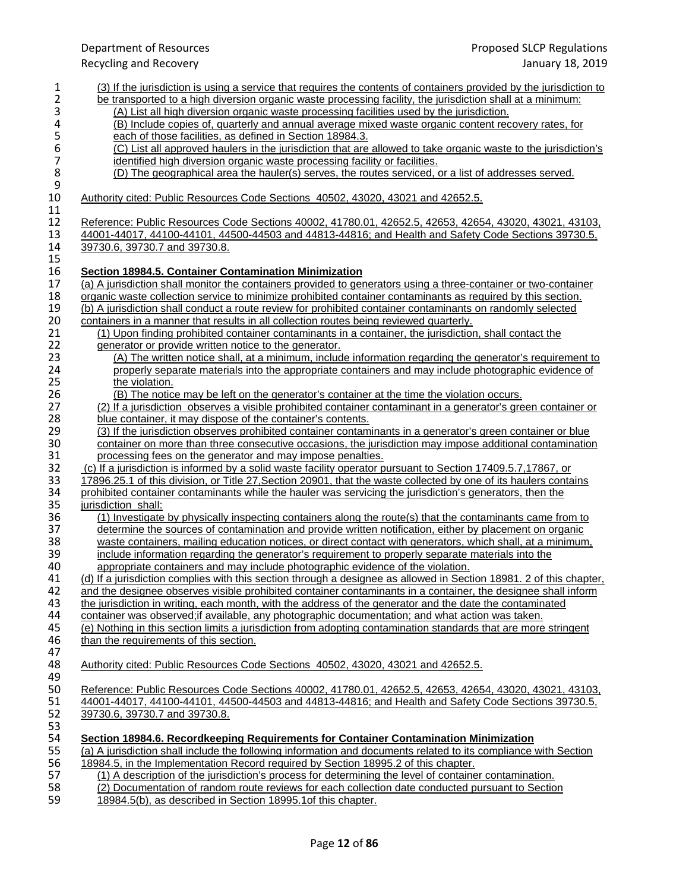Recycling and Recovery January 18, 2019 1 (3) If the jurisdiction is using a service that requires the contents of containers provided by the jurisdiction to<br>2 be transported to a high diversion organic waste processing facility, the jurisdiction shall at a mini 2 be transported to a high diversion organic waste processing facility, the jurisdiction shall at a minimum:<br>3 (A) List all high diversion organic waste processing facilities used by the jurisdiction. 3 (A) List all high diversion organic waste processing facilities used by the jurisdiction.<br>4 (B) Include copies of, quarterly and annual average mixed waste organic content rec 4 (B) Include copies of, quarterly and annual average mixed waste organic content recovery rates, for<br>5 each of those facilities, as defined in Section 18984.3. 5 each of those facilities, as defined in Section 18984.3.<br>6 (C) List all approved haulers in the jurisdiction that are 6 (C) List all approved haulers in the jurisdiction that are allowed to take organic waste to the jurisdiction's dentified high diversion organic waste processing facility or facilities. 7 identified high diversion organic waste processing facility or facilities.<br>8 (D) The geographical area the hauler(s) serves, the routes serviced, (D) The geographical area the hauler(s) serves, the routes serviced, or a list of addresses served.  $\frac{9}{10}$ Authority cited: Public Resources Code Sections 40502, 43020, 43021 and 42652.5. 11 12 Reference: Public Resources Code Sections 40002, 41780.01, 42652.5, 42653, 42654, 43020, 43021, 43103, 430<br>13 44001-44017, 44100-44101, 44500-44503 and 44813-44816; and Health and Safety Code Sections 39730.5, 13 44001-44017, 44100-44101, 44500-44503 and 44813-44816; and Health and Safety Code Sections 39730.5, 14 39730.5, 14 39730.6, 39730.7 and 39730.8.  $\frac{15}{16}$ 16 **Section 18984.5. Container Contamination Minimization**  17 (a) A jurisdiction shall monitor the containers provided to generators using a three-container or two-container<br>18 organic waste collection service to minimize prohibited container contaminants as required by this secti 18 organic waste collection service to minimize prohibited container contaminants as required by this section.<br>19 (b) A jurisdiction shall conduct a route review for prohibited container contaminants on randomly selected 19 (b) A jurisdiction shall conduct a route review for prohibited container contaminants on randomly selected<br>20 containers in a manner that results in all collection routes being reviewed quarterly. 20 containers in a manner that results in all collection routes being reviewed quarterly.<br>21 (1) Upon finding prohibited container contaminants in a container, the jurisdiction 21 (1) Upon finding prohibited container contaminants in a container, the jurisdiction, shall contact the 22 denerator or provide written notice to the generator. 22 generator or provide written notice to the generator.<br>23 (A) The written notice shall, at a minimum, include 23 (A) The written notice shall, at a minimum, include information regarding the generator's requirement to 24<br>24 **Example 20** properly separate materials into the appropriate containers and may include photographic eviden 24 properly separate materials into the appropriate containers and may include photographic evidence of 25 the violation. (B) The notice may be left on the generator's container at the time the violation occurs.<br>27 (2) If a jurisdiction observes a visible prohibited container contaminant in a generator's gre 27 (2) If a jurisdiction observes a visible prohibited container contaminant in a generator's green container or 28 blue container, it may dispose of the container's contents.<br>29 (3) If the jurisdiction observes prohibited container contam 29 (3) If the jurisdiction observes prohibited container contaminants in a generator's green container or blue<br>30 container on more than three consecutive occasions, the iurisdiction may impose additional contamination 30 container on more than three consecutive occasions, the jurisdiction may impose additional contamination<br>31 processing fees on the generator and may impose penalties. 31 processing fees on the generator and may impose penalties.<br>32 (c) If a jurisdiction is informed by a solid waste facility operator p 32 (c) If a jurisdiction is informed by a solid waste facility operator pursuant to Section 17409.5.7,17867, or<br>33 17896.25.1 of this division, or Title 27, Section 20901, that the waste collected by one of its haulers con 33 17896.25.1 of this division, or Title 27, Section 20901, that the waste collected by one of its haulers contains 34 probibited container containants while the hauler was servicing the jurisdiction's generators, then the 34 prohibited container contaminants while the hauler was servicing the jurisdiction's generators, then the 35<br>35 iurisdiction shall: 35 <u>jurisdiction shall:</u><br>36 (1) Investigate 36 (1) Investigate by physically inspecting containers along the route(s) that the contaminants came from to 37 determine the sources of contamination and provide written notification, either by placement on organic 37 determine the sources of contamination and provide written notification, either by placement on organic<br>38 waste containers, mailing education notices, or direct contact with generators, which shall, at a minimum 38 waste containers, mailing education notices, or direct contact with generators, which shall, at a minimum,<br>39 include information regarding the generator's requirement to properly separate materials into the 39 include information regarding the generator's requirement to properly separate materials into the<br>40 appropriate containers and may include photographic evidence of the violation. 40 appropriate containers and may include photographic evidence of the violation.<br>41 (d) If a jurisdiction complies with this section through a designee as allowed in Sect 41 (d) If a jurisdiction complies with this section through a designee as allowed in Section 18981. 2 of this chapter, 42 and the designee observes visible prohibited container contaminants in a container, the designee shall inform 43 the jurisdiction in writing, each month, with the address of the generator and the date the contaminated 43 the jurisdiction in writing, each month, with the address of the generator and the date the contaminated<br>44 container was observed: if available, any photographic documentation; and what action was taken. 44 container was observed; if available, any photographic documentation; and what action was taken.<br>45 (e) Nothing in this section limits a jurisdiction from adopting contamination standards that are more 45 (e) Nothing in this section limits a jurisdiction from adopting contamination standards that are more stringent 46<br>46 than the requirements of this section. than the requirements of this section. 47<br>48 48 Authority cited: Public Resources Code Sections 40502, 43020, 43021 and 42652.5. 49<br>50 50 Reference: Public Resources Code Sections 40002, 41780.01, 42652.5, 42653, 42654, 43020, 43021, 43103, 5.<br>51 44001-44017, 44100-44101, 44500-44503 and 44813-44816; and Health and Safety Code Sections 39730.5. 51 44001-44017, 44100-44101, 44500-44503 and 44813-44816; and Health and Safety Code Sections 39730.5, 39730.5, 39730.7 and 39730.8 52 39730.6, 39730.7 and 39730.8. 53<br>54 54 **Section 18984.6. Recordkeeping Requirements for Container Contamination Minimization** 55 (a) A jurisdiction shall include the following information and documents related to its compliance with Section 56 18984.5, in the Implementation Record required by Section 18995.2 of this chapter.<br>57 (1) A description of the jurisdiction's process for determining the level of containe 57 (1) A description of the jurisdiction's process for determining the level of container contamination.<br>58 (2) Documentation of random route reviews for each collection date conducted pursuant to Section 58 (2) Documentation of random route reviews for each collection date conducted pursuant to Section<br>59 18984.5(b), as described in Section 18995.1of this chapter.

Department of Resources Proposed SLCP Regulations

59 18984.5(b), as described in Section 18995.1of this chapter.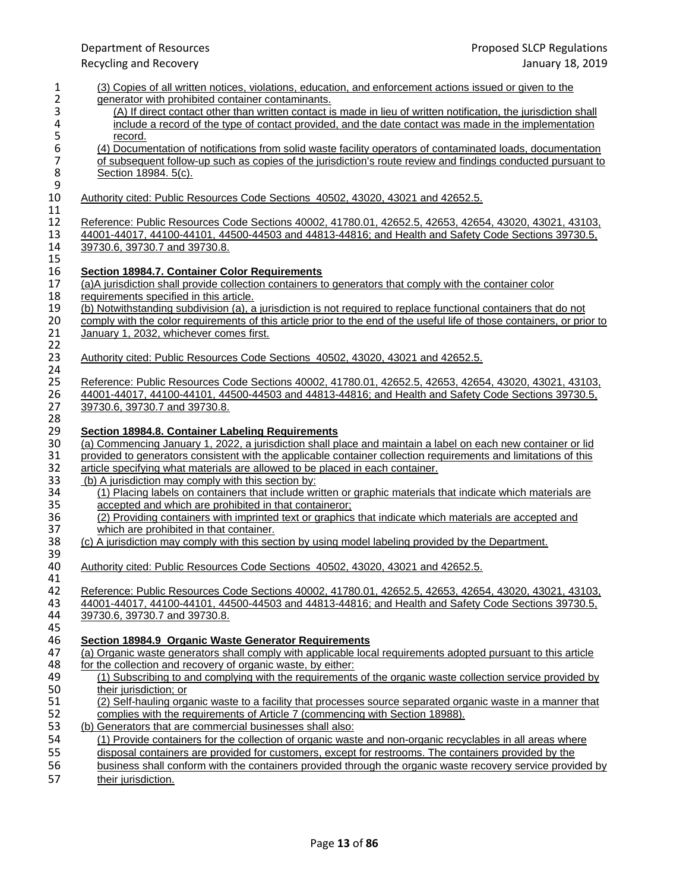| $\mathbf{1}$     | (3) Copies of all written notices, violations, education, and enforcement actions issued or given to the                |
|------------------|-------------------------------------------------------------------------------------------------------------------------|
| $\overline{2}$   | generator with prohibited container contaminants.                                                                       |
| 3                | (A) If direct contact other than written contact is made in lieu of written notification, the jurisdiction shall        |
| 4                | include a record of the type of contact provided, and the date contact was made in the implementation                   |
| $\frac{5}{6}$    | record.                                                                                                                 |
|                  | (4) Documentation of notifications from solid waste facility operators of contaminated loads, documentation             |
| $\boldsymbol{7}$ | of subsequent follow-up such as copies of the jurisdiction's route review and findings conducted pursuant to            |
| 8                | Section 18984. 5(c).                                                                                                    |
| $\mathsf 9$      |                                                                                                                         |
| 10               | Authority cited: Public Resources Code Sections 40502, 43020, 43021 and 42652.5.                                        |
| 11               |                                                                                                                         |
| 12               | Reference: Public Resources Code Sections 40002, 41780.01, 42652.5, 42653, 42654, 43020, 43021, 43103,                  |
| 13               | 44001-44017, 44100-44101, 44500-44503 and 44813-44816; and Health and Safety Code Sections 39730.5,                     |
| 14               | 39730.6, 39730.7 and 39730.8.                                                                                           |
| 15               |                                                                                                                         |
| 16               | <b>Section 18984.7. Container Color Requirements</b>                                                                    |
| 17               | (a)A jurisdiction shall provide collection containers to generators that comply with the container color                |
| 18               | requirements specified in this article.                                                                                 |
| 19               | (b) Notwithstanding subdivision (a), a jurisdiction is not required to replace functional containers that do not        |
| 20               | comply with the color requirements of this article prior to the end of the useful life of those containers, or prior to |
| 21               | January 1, 2032, whichever comes first.                                                                                 |
| 22               |                                                                                                                         |
| 23               | Authority cited: Public Resources Code Sections 40502, 43020, 43021 and 42652.5.                                        |
| 24               |                                                                                                                         |
| 25               | Reference: Public Resources Code Sections 40002, 41780.01, 42652.5, 42653, 42654, 43020, 43021, 43103,                  |
| 26               | 44001-44017, 44100-44101, 44500-44503 and 44813-44816; and Health and Safety Code Sections 39730.5,                     |
| 27               | 39730.6, 39730.7 and 39730.8.                                                                                           |
| 28               |                                                                                                                         |
| 29               | Section 18984.8. Container Labeling Requirements                                                                        |
| 30               | (a) Commencing January 1, 2022, a jurisdiction shall place and maintain a label on each new container or lid            |
| 31               | provided to generators consistent with the applicable container collection requirements and limitations of this         |
| 32               | article specifying what materials are allowed to be placed in each container.                                           |
| 33               | (b) A jurisdiction may comply with this section by:                                                                     |
| 34               | (1) Placing labels on containers that include written or graphic materials that indicate which materials are            |
| 35               | accepted and which are prohibited in that containeror;                                                                  |
| 36               | (2) Providing containers with imprinted text or graphics that indicate which materials are accepted and                 |
| 37               | which are prohibited in that container.                                                                                 |
| 38               | (c) A jurisdiction may comply with this section by using model labeling provided by the Department.                     |
| 39               |                                                                                                                         |
| 40<br>41         | Authority cited: Public Resources Code Sections 40502, 43020, 43021 and 42652.5.                                        |
| 42               | Reference: Public Resources Code Sections 40002, 41780.01, 42652.5, 42653, 42654, 43020, 43021, 43103,                  |
| 43               | 44001-44017, 44100-44101, 44500-44503 and 44813-44816; and Health and Safety Code Sections 39730.5,                     |
| 44               | 39730.6, 39730.7 and 39730.8.                                                                                           |
| 45               |                                                                                                                         |
| 46               | Section 18984.9 Organic Waste Generator Requirements                                                                    |
| 47               | (a) Organic waste generators shall comply with applicable local requirements adopted pursuant to this article           |
| 48               | for the collection and recovery of organic waste, by either:                                                            |
| 49               | (1) Subscribing to and complying with the requirements of the organic waste collection service provided by              |
| 50               | their jurisdiction; or                                                                                                  |
| 51               | (2) Self-hauling organic waste to a facility that processes source separated organic waste in a manner that             |
| 52               | complies with the requirements of Article 7 (commencing with Section 18988).                                            |
| 53               | (b) Generators that are commercial businesses shall also:                                                               |
| 54               | (1) Provide containers for the collection of organic waste and non-organic recyclables in all areas where               |
| 55               | disposal containers are provided for customers, except for restrooms. The containers provided by the                    |
| 56               | business shall conform with the containers provided through the organic waste recovery service provided by              |
| 57               | their jurisdiction.                                                                                                     |
|                  |                                                                                                                         |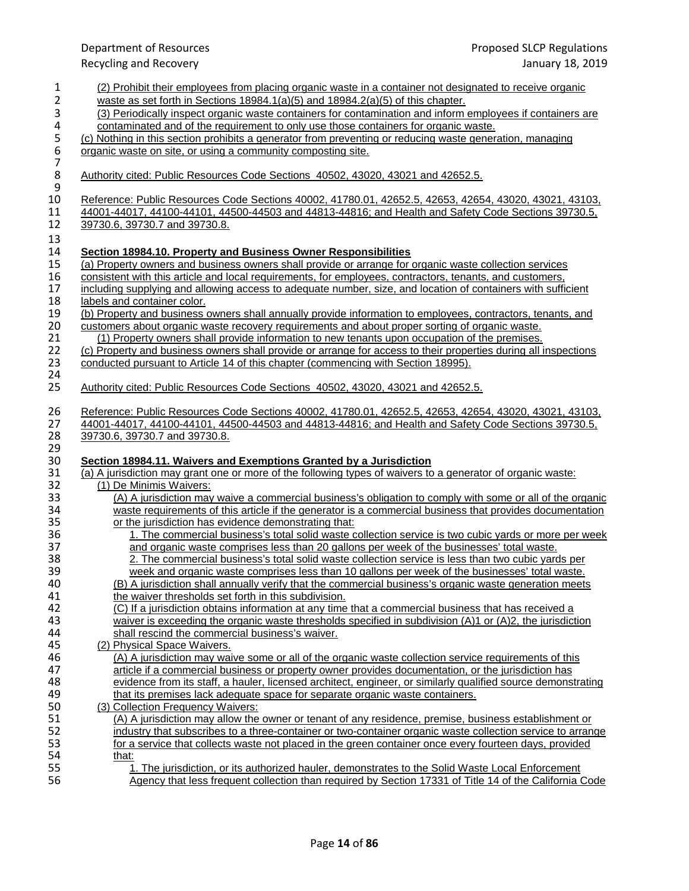1 (2) Prohibit their employees from placing organic waste in a container not designated to receive organic<br>2 waste as set forth in Sections 18984.1(a)(5) and 18984.2(a)(5) of this chapter. waste as set forth in Sections 18984.1(a)(5) and  $18984.2(a)(5)$  of this chapter. 3 (3) Periodically inspect organic waste containers for contamination and inform employees if containers are<br>4 contaminated and of the requirement to only use those containers for organic waste. 4 contaminated and of the requirement to only use those containers for organic waste.<br>5 (c) Nothing in this section prohibits a generator from preventing or reducing waste gener 5 (c) Nothing in this section prohibits a generator from preventing or reducing waste generation, managing or reducing waste on site, or using a community composting site. organic waste on site, or using a community composting site. 7 8 Authority cited: Public Resources Code Sections 40502, 43020, 43021 and 42652.5.  $\frac{9}{10}$ 10 Reference: Public Resources Code Sections 40002, 41780.01, 42652.5, 42653, 42654, 43020, 43021, 43103, 43021, 43103, 43021, 43103, 43021, 43103, 43021, 43103, 43021, 43103, 43021, 43103, 43021, 43103, 43021, 44100-44101 11 44001-44017, 44100-44101, 44500-44503 and 44813-44816; and Health and Safety Code Sections 39730.5, 12<br>12 39730.6, 39730.7 and 39730.8. 12 39730.6, 39730.7 and 39730.8. 13 14 **Section 18984.10. Property and Business Owner Responsibilities** 15 (a) Property owners and business owners shall provide or arrange for organic waste collection services<br>16 consistent with this article and local requirements, for employees, contractors, tenants, and customers, 16 consistent with this article and local requirements, for employees, contractors, tenants, and customers, 17 including supplying and allowing access to adequate number, size, and location of containers with sufficient 18 labels and container color.<br>19 (b) Property and business 19 (b) Property and business owners shall annually provide information to employees, contractors, tenants, and<br>20 customers about organic waste recovery requirements and about proper sorting of organic waste. 20 customers about organic waste recovery requirements and about proper sorting of organic waste.<br>21 (1) Property owners shall provide information to new tenants upon occupation of the premises. 21 (1) Property owners shall provide information to new tenants upon occupation of the premises. 22 (c) Property and business owners shall provide or arrange for access to their properties during all inspections <br>23 conducted pursuant to Article 14 of this chapter (commencing with Section 18995). conducted pursuant to Article 14 of this chapter (commencing with Section 18995). 24<br>25 25 Authority cited: Public Resources Code Sections 40502, 43020, 43021 and 42652.5. 26 Reference: Public Resources Code Sections 40002, 41780.01, 42652.5, 42653, 42654, 43020, 43021, 43103, 43021, 43103, 43103, 43103, 43103, 43103, 43103, 43103, 43103, 43103, 43103, 43103, 43103, 43103, 43100, 44100-44101 27 44001-44017, 44100-44101, 44500-44503 and 44813-44816; and Health and Safety Code Sections 39730.5, 28 39730.6, 39730.7 and 39730.8. 29<br>30 30 **Section 18984.11. Waivers and Exemptions Granted by a Jurisdiction** 31 (a) A jurisdiction may grant one or more of the following types of waivers to a generator of organic waste:<br>32 (1) De Minimis Waivers: 32 (1) De Minimis Waivers:<br>33 (A) A iurisdiction may 33 (A) A jurisdiction may waive a commercial business's obligation to comply with some or all of the organic<br>34 waste requirements of this article if the generator is a commercial business that provides documentation 34 waste requirements of this article if the generator is a commercial business that provides documentation<br>35 or the jurisdiction has evidence demonstrating that: 35 or the jurisdiction has evidence demonstrating that: 36 1. The commercial business's total solid waste collection service is two cubic yards or more per week 37 and organic waste comprises less than 20 gallons per week of the businesses' total waste.<br>38 38 38 38 2. The commercial business's total solid waste collection service is less than two cubic vard 38 2. The commercial business's total solid waste collection service is less than two cubic yards per 39 veek and organic waste comprises less than 10 gallons per week of the businesses' total waste. 39 week and organic waste comprises less than 10 gallons per week of the businesses' total waste.<br>40 (B) A jurisdiction shall annually verify that the commercial business's organic waste generation meets 40 (B) A jurisdiction shall annually verify that the commercial business's organic waste generation meets 41 the waiver thresholds set forth in this subdivision. 42 (C) If a jurisdiction obtains information at any time that a commercial business that has received a 43 waiver is exceeding the organic waste thresholds specified in subdivision (A)1 or (A)2, the jurisdiction 44 44 shall rescind the commercial business's waiver.<br>45 (2) Physical Space Waivers. 45 (2) Physical Space Waivers.<br>46 (A) A jurisdiction may wai 46 (A) A jurisdiction may waive some or all of the organic waste collection service requirements of this 47 extine article if a commercial business or property owner provides documentation, or the jurisdiction has article if a commercial business or property owner provides documentation, or the jurisdiction has<br>48 evidence from its staff, a hauler, licensed architect, engineer, or similarly qualified source demonsi evidence from its staff, a hauler, licensed architect, engineer, or similarly qualified source demonstrating 49 that its premises lack adequate space for separate organic waste containers.<br>50 (3) Collection Frequency Waivers: 50 (3) Collection Frequency Waivers:<br>51 (A) A jurisdiction may allow the 51 (A) A jurisdiction may allow the owner or tenant of any residence, premise, business establishment or 52 industry that subscribes to a three-container or two-container organic waste collection service to arran 52 industry that subscribes to a three-container or two-container organic waste collection service to arrange<br>53 for a service that collects waste not placed in the green container once every fourteen days, provided 53 for a service that collects waste not placed in the green container once every fourteen days, provided 54 54 that:<br>55 1

Department of Resources Proposed SLCP Regulations Recycling and Recovery January 18, 2019

55 1. The jurisdiction, or its authorized hauler, demonstrates to the Solid Waste Local Enforcement<br>56 56 1. Agency that less frequent collection than required by Section 17331 of Title 14 of the California 56 Agency that less frequent collection than required by Section 17331 of Title 14 of the California Code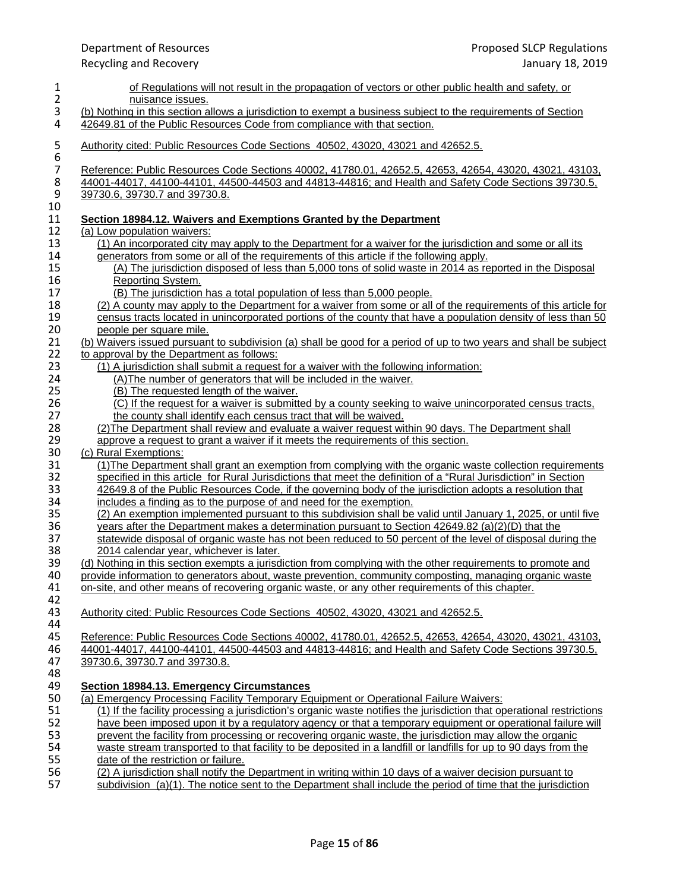| 1                        | of Regulations will not result in the propagation of vectors or other public health and safety, or                                                                                                            |
|--------------------------|---------------------------------------------------------------------------------------------------------------------------------------------------------------------------------------------------------------|
| $\overline{2}$           | nuisance issues.                                                                                                                                                                                              |
| 3                        | (b) Nothing in this section allows a jurisdiction to exempt a business subject to the requirements of Section                                                                                                 |
| 4                        | 42649.81 of the Public Resources Code from compliance with that section.                                                                                                                                      |
| 5<br>6                   | Authority cited: Public Resources Code Sections 40502, 43020, 43021 and 42652.5.                                                                                                                              |
| $\overline{\mathcal{I}}$ | Reference: Public Resources Code Sections 40002, 41780.01, 42652.5, 42653, 42654, 43020, 43021, 43103,                                                                                                        |
| 8                        | 44001-44017, 44100-44101, 44500-44503 and 44813-44816; and Health and Safety Code Sections 39730.5,                                                                                                           |
| $\boldsymbol{9}$         | 39730.6, 39730.7 and 39730.8.                                                                                                                                                                                 |
| 10                       |                                                                                                                                                                                                               |
| 11                       | Section 18984.12. Waivers and Exemptions Granted by the Department                                                                                                                                            |
| 12                       | (a) Low population waivers:                                                                                                                                                                                   |
| 13                       | (1) An incorporated city may apply to the Department for a waiver for the jurisdiction and some or all its                                                                                                    |
| 14                       | generators from some or all of the requirements of this article if the following apply.                                                                                                                       |
| 15                       | (A) The jurisdiction disposed of less than 5,000 tons of solid waste in 2014 as reported in the Disposal                                                                                                      |
| 16                       | <b>Reporting System.</b>                                                                                                                                                                                      |
| 17                       | (B) The jurisdiction has a total population of less than 5,000 people.                                                                                                                                        |
| 18                       | (2) A county may apply to the Department for a waiver from some or all of the requirements of this article for                                                                                                |
| 19                       | census tracts located in unincorporated portions of the county that have a population density of less than 50                                                                                                 |
| 20                       | people per square mile.                                                                                                                                                                                       |
| 21                       | (b) Waivers issued pursuant to subdivision (a) shall be good for a period of up to two years and shall be subject                                                                                             |
| 22                       | to approval by the Department as follows:                                                                                                                                                                     |
| 23                       | (1) A jurisdiction shall submit a request for a waiver with the following information:                                                                                                                        |
| 24<br>25                 | (A) The number of generators that will be included in the waiver.                                                                                                                                             |
| 26                       | (B) The requested length of the waiver.<br>(C) If the request for a waiver is submitted by a county seeking to waive unincorporated census tracts,                                                            |
| 27                       | the county shall identify each census tract that will be waived.                                                                                                                                              |
| 28                       | (2) The Department shall review and evaluate a waiver request within 90 days. The Department shall                                                                                                            |
| 29                       | approve a request to grant a waiver if it meets the requirements of this section.                                                                                                                             |
| 30                       | (c) Rural Exemptions:                                                                                                                                                                                         |
| 31                       | (1) The Department shall grant an exemption from complying with the organic waste collection requirements                                                                                                     |
| 32                       | specified in this article for Rural Jurisdictions that meet the definition of a "Rural Jurisdiction" in Section                                                                                               |
| 33                       | 42649.8 of the Public Resources Code, if the governing body of the jurisdiction adopts a resolution that                                                                                                      |
| 34                       | includes a finding as to the purpose of and need for the exemption.                                                                                                                                           |
| 35                       | (2) An exemption implemented pursuant to this subdivision shall be valid until January 1, 2025, or until five                                                                                                 |
| 36                       | years after the Department makes a determination pursuant to Section $42649.82$ (a)(2)(D) that the                                                                                                            |
| 37                       | statewide disposal of organic waste has not been reduced to 50 percent of the level of disposal during the                                                                                                    |
| 38                       | 2014 calendar year, whichever is later.                                                                                                                                                                       |
| 39                       | (d) Nothing in this section exempts a jurisdiction from complying with the other requirements to promote and                                                                                                  |
| 40                       | provide information to generators about, waste prevention, community composting, managing organic waste                                                                                                       |
| 41                       | on-site, and other means of recovering organic waste, or any other requirements of this chapter.                                                                                                              |
| 42                       |                                                                                                                                                                                                               |
| 43                       | Authority cited: Public Resources Code Sections 40502, 43020, 43021 and 42652.5.                                                                                                                              |
| 44                       |                                                                                                                                                                                                               |
| 45<br>46                 | Reference: Public Resources Code Sections 40002, 41780.01, 42652.5, 42653, 42654, 43020, 43021, 43103,<br>44001-44017, 44100-44101, 44500-44503 and 44813-44816; and Health and Safety Code Sections 39730.5, |
| 47                       | 39730.6, 39730.7 and 39730.8.                                                                                                                                                                                 |
| 48                       |                                                                                                                                                                                                               |
| 49                       | <b>Section 18984.13. Emergency Circumstances</b>                                                                                                                                                              |
| 50                       | (a) Emergency Processing Facility Temporary Equipment or Operational Failure Waivers:                                                                                                                         |
| 51                       | (1) If the facility processing a jurisdiction's organic waste notifies the jurisdiction that operational restrictions                                                                                         |
| 52                       | have been imposed upon it by a regulatory agency or that a temporary equipment or operational failure will                                                                                                    |
| 53                       | prevent the facility from processing or recovering organic waste, the jurisdiction may allow the organic                                                                                                      |
| 54                       | waste stream transported to that facility to be deposited in a landfill or landfills for up to 90 days from the                                                                                               |
| 55                       | date of the restriction or failure.                                                                                                                                                                           |
| 56                       | (2) A jurisdiction shall notify the Department in writing within 10 days of a waiver decision pursuant to                                                                                                     |
| 57                       | subdivision (a)(1). The notice sent to the Department shall include the period of time that the jurisdiction                                                                                                  |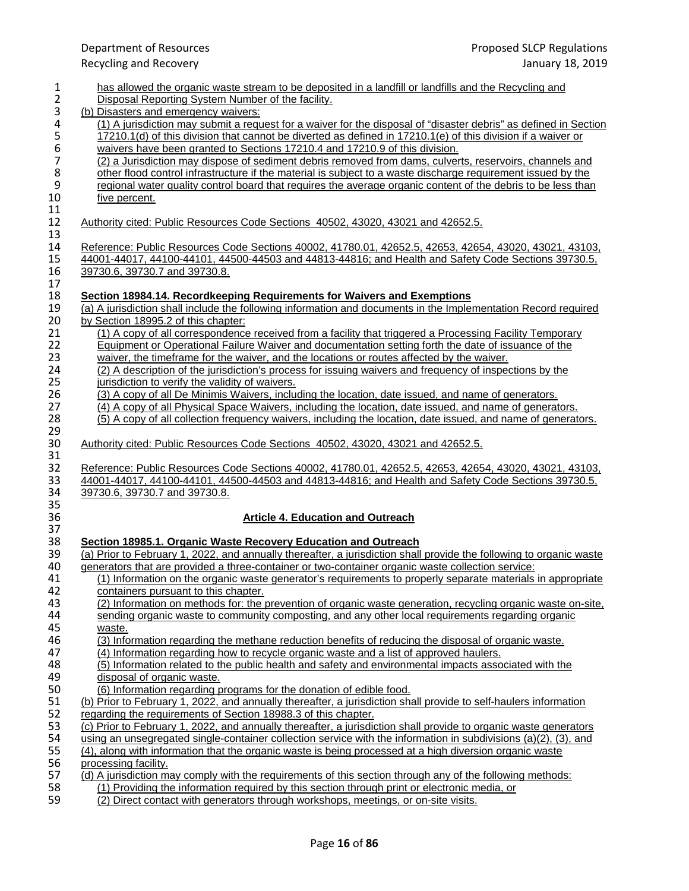| $\mathbf{1}$            | has allowed the organic waste stream to be deposited in a landfill or landfills and the Recycling and               |
|-------------------------|---------------------------------------------------------------------------------------------------------------------|
| $\overline{\mathbf{c}}$ | Disposal Reporting System Number of the facility.                                                                   |
| 3                       | (b) Disasters and emergency waivers:                                                                                |
| 4                       | (1) A jurisdiction may submit a request for a waiver for the disposal of "disaster debris" as defined in Section    |
| 5                       | 17210.1(d) of this division that cannot be diverted as defined in 17210.1(e) of this division if a waiver or        |
| 6                       | waivers have been granted to Sections 17210.4 and 17210.9 of this division.                                         |
| $\overline{7}$          | (2) a Jurisdiction may dispose of sediment debris removed from dams, culverts, reservoirs, channels and             |
| 8                       | other flood control infrastructure if the material is subject to a waste discharge requirement issued by the        |
| 9                       | regional water quality control board that requires the average organic content of the debris to be less than        |
| 10                      | five percent.                                                                                                       |
| 11                      |                                                                                                                     |
| 12                      | Authority cited: Public Resources Code Sections 40502, 43020, 43021 and 42652.5.                                    |
| 13                      |                                                                                                                     |
| 14                      | Reference: Public Resources Code Sections 40002, 41780.01, 42652.5, 42653, 42654, 43020, 43021, 43103,              |
| 15                      | 44001-44017, 44100-44101, 44500-44503 and 44813-44816; and Health and Safety Code Sections 39730.5,                 |
| 16                      | 39730.6, 39730.7 and 39730.8.                                                                                       |
| 17                      |                                                                                                                     |
| 18                      | Section 18984.14. Recordkeeping Requirements for Waivers and Exemptions                                             |
| 19                      | (a) A jurisdiction shall include the following information and documents in the Implementation Record required      |
| 20                      | by Section 18995.2 of this chapter:                                                                                 |
| 21                      | (1) A copy of all correspondence received from a facility that triggered a Processing Facility Temporary            |
| 22                      | Equipment or Operational Failure Waiver and documentation setting forth the date of issuance of the                 |
| 23                      | waiver, the timeframe for the waiver, and the locations or routes affected by the waiver.                           |
| 24                      | (2) A description of the jurisdiction's process for issuing waivers and frequency of inspections by the             |
| 25                      | jurisdiction to verify the validity of waivers.                                                                     |
| 26                      | (3) A copy of all De Minimis Waivers, including the location, date issued, and name of generators.                  |
| 27                      | (4) A copy of all Physical Space Waivers, including the location, date issued, and name of generators.              |
| 28                      | (5) A copy of all collection frequency waivers, including the location, date issued, and name of generators.        |
| 29                      |                                                                                                                     |
| 30                      | Authority cited: Public Resources Code Sections 40502, 43020, 43021 and 42652.5.                                    |
| 31                      |                                                                                                                     |
| 32                      | Reference: Public Resources Code Sections 40002, 41780.01, 42652.5, 42653, 42654, 43020, 43021, 43103,              |
| 33                      | 44001-44017, 44100-44101, 44500-44503 and 44813-44816; and Health and Safety Code Sections 39730.5,                 |
| 34                      | 39730.6, 39730.7 and 39730.8.                                                                                       |
| 35                      |                                                                                                                     |
| 36                      | <b>Article 4. Education and Outreach</b>                                                                            |
| 37                      |                                                                                                                     |
| 38                      | Section 18985.1. Organic Waste Recovery Education and Outreach                                                      |
| 39                      | (a) Prior to February 1, 2022, and annually thereafter, a jurisdiction shall provide the following to organic waste |
| 40                      | generators that are provided a three-container or two-container organic waste collection service:                   |
| 41                      | (1) Information on the organic waste generator's requirements to properly separate materials in appropriate         |
| 42                      | containers pursuant to this chapter.                                                                                |
| 43                      | (2) Information on methods for: the prevention of organic waste generation, recycling organic waste on-site,        |
| 44                      | sending organic waste to community composting, and any other local requirements regarding organic                   |
| 45                      | waste.                                                                                                              |
| 46                      | (3) Information regarding the methane reduction benefits of reducing the disposal of organic waste.                 |
| 47                      | (4) Information regarding how to recycle organic waste and a list of approved haulers.                              |
| 48                      | (5) Information related to the public health and safety and environmental impacts associated with the               |
| 49                      | disposal of organic waste.                                                                                          |
| 50                      | (6) Information regarding programs for the donation of edible food.                                                 |
| 51                      | (b) Prior to February 1, 2022, and annually thereafter, a jurisdiction shall provide to self-haulers information    |
| 52                      | regarding the requirements of Section 18988.3 of this chapter.                                                      |
| 53                      | (c) Prior to February 1, 2022, and annually thereafter, a jurisdiction shall provide to organic waste generators    |
| 54                      | using an unseqregated single-container collection service with the information in subdivisions (a)(2), (3), and     |
| 55                      | (4), along with information that the organic waste is being processed at a high diversion organic waste             |
| 56                      | processing facility.                                                                                                |
| 57                      | (d) A jurisdiction may comply with the requirements of this section through any of the following methods:           |
| 58                      | (1) Providing the information required by this section through print or electronic media, or                        |
| 59                      | (2) Direct contact with generators through workshops, meetings, or on-site visits.                                  |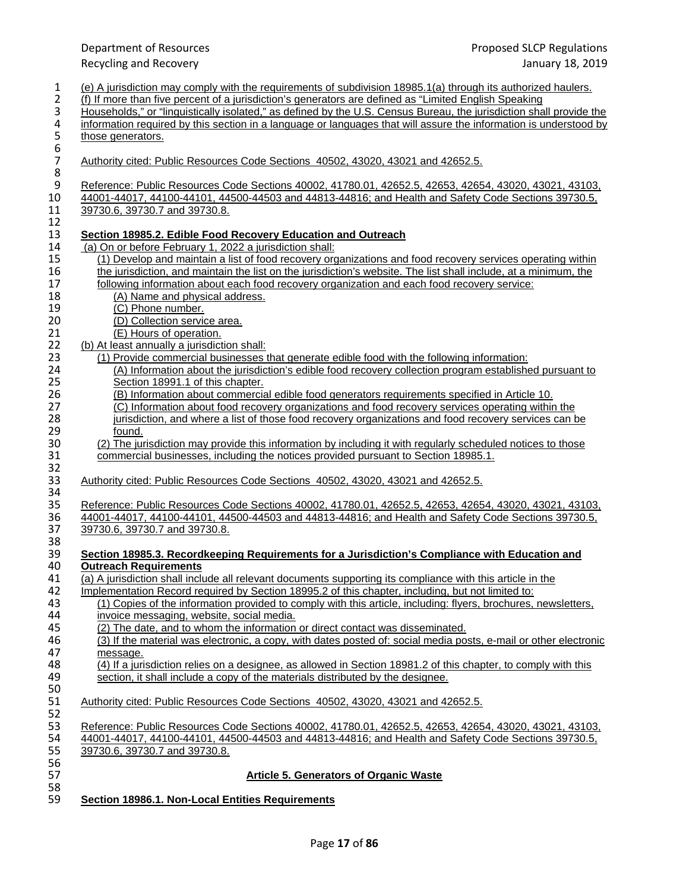| $\mathbf{1}$<br>$\overline{2}$        | (e) A jurisdiction may comply with the requirements of subdivision 18985.1(a) through its authorized haulers.<br>(f) If more than five percent of a jurisdiction's generators are defined as "Limited English Speaking |
|---------------------------------------|------------------------------------------------------------------------------------------------------------------------------------------------------------------------------------------------------------------------|
| 3                                     | Households," or "linguistically isolated," as defined by the U.S. Census Bureau, the jurisdiction shall provide the                                                                                                    |
| $\pmb{4}$                             | information required by this section in a language or languages that will assure the information is understood by                                                                                                      |
| $\begin{array}{c} 5 \\ 6 \end{array}$ | those generators.                                                                                                                                                                                                      |
| $\boldsymbol{7}$                      | Authority cited: Public Resources Code Sections 40502, 43020, 43021 and 42652.5.                                                                                                                                       |
| $\bf 8$                               |                                                                                                                                                                                                                        |
| $\boldsymbol{9}$                      | Reference: Public Resources Code Sections 40002, 41780.01, 42652.5, 42653, 42654, 43020, 43021, 43103,                                                                                                                 |
| 10                                    | 44001-44017, 44100-44101, 44500-44503 and 44813-44816; and Health and Safety Code Sections 39730.5,                                                                                                                    |
| 11                                    | 39730.6, 39730.7 and 39730.8.                                                                                                                                                                                          |
| 12                                    |                                                                                                                                                                                                                        |
| 13                                    | Section 18985.2. Edible Food Recovery Education and Outreach                                                                                                                                                           |
| 14                                    | (a) On or before February 1, 2022 a jurisdiction shall:                                                                                                                                                                |
| 15                                    | (1) Develop and maintain a list of food recovery organizations and food recovery services operating within                                                                                                             |
| 16                                    | the jurisdiction, and maintain the list on the jurisdiction's website. The list shall include, at a minimum, the                                                                                                       |
| 17                                    | following information about each food recovery organization and each food recovery service:                                                                                                                            |
| 18                                    | (A) Name and physical address.                                                                                                                                                                                         |
| 19                                    | (C) Phone number.                                                                                                                                                                                                      |
| 20<br>21                              | (D) Collection service area.                                                                                                                                                                                           |
| 22                                    | (E) Hours of operation.                                                                                                                                                                                                |
| 23                                    | (b) At least annually a jurisdiction shall:<br>(1) Provide commercial businesses that generate edible food with the following information:                                                                             |
| 24                                    | (A) Information about the jurisdiction's edible food recovery collection program established pursuant to                                                                                                               |
| 25                                    | Section 18991.1 of this chapter.                                                                                                                                                                                       |
| 26                                    | (B) Information about commercial edible food generators requirements specified in Article 10.                                                                                                                          |
| 27                                    | (C) Information about food recovery organizations and food recovery services operating within the                                                                                                                      |
| 28                                    | jurisdiction, and where a list of those food recovery organizations and food recovery services can be                                                                                                                  |
| 29                                    | found.                                                                                                                                                                                                                 |
| 30                                    | (2) The jurisdiction may provide this information by including it with regularly scheduled notices to those                                                                                                            |
| 31                                    | commercial businesses, including the notices provided pursuant to Section 18985.1.                                                                                                                                     |
| 32                                    |                                                                                                                                                                                                                        |
| 33                                    | Authority cited: Public Resources Code Sections 40502, 43020, 43021 and 42652.5.                                                                                                                                       |
| 34                                    |                                                                                                                                                                                                                        |
| 35                                    | Reference: Public Resources Code Sections 40002, 41780.01, 42652.5, 42653, 42654, 43020, 43021, 43103,                                                                                                                 |
| 36<br>37                              | 44001-44017, 44100-44101, 44500-44503 and 44813-44816; and Health and Safety Code Sections 39730.5,<br>39730.6, 39730.7 and 39730.8.                                                                                   |
| 38                                    |                                                                                                                                                                                                                        |
| 39                                    | Section 18985.3. Recordkeeping Requirements for a Jurisdiction's Compliance with Education and                                                                                                                         |
| 40                                    | <b>Outreach Requirements</b>                                                                                                                                                                                           |
| 41                                    | (a) A jurisdiction shall include all relevant documents supporting its compliance with this article in the                                                                                                             |
| 42                                    | Implementation Record required by Section 18995.2 of this chapter, including, but not limited to:                                                                                                                      |
| 43                                    | (1) Copies of the information provided to comply with this article, including: flyers, brochures, newsletters,                                                                                                         |
| 44                                    | invoice messaging, website, social media.                                                                                                                                                                              |
| 45                                    | (2) The date, and to whom the information or direct contact was disseminated.                                                                                                                                          |
| 46                                    | (3) If the material was electronic, a copy, with dates posted of: social media posts, e-mail or other electronic                                                                                                       |
| 47                                    | message.                                                                                                                                                                                                               |
| 48                                    | (4) If a jurisdiction relies on a designee, as allowed in Section 18981.2 of this chapter, to comply with this                                                                                                         |
| 49                                    | section, it shall include a copy of the materials distributed by the designee.                                                                                                                                         |
| 50                                    |                                                                                                                                                                                                                        |
| 51                                    | Authority cited: Public Resources Code Sections 40502, 43020, 43021 and 42652.5.                                                                                                                                       |
| 52<br>53                              | Reference: Public Resources Code Sections 40002, 41780.01, 42652.5, 42653, 42654, 43020, 43021, 43103,                                                                                                                 |
| 54                                    | 44001-44017, 44100-44101, 44500-44503 and 44813-44816; and Health and Safety Code Sections 39730.5,                                                                                                                    |
| 55                                    | 39730.6, 39730.7 and 39730.8.                                                                                                                                                                                          |
| 56                                    |                                                                                                                                                                                                                        |
| 57<br>58                              | <b>Article 5. Generators of Organic Waste</b>                                                                                                                                                                          |
| 59                                    | Section 18986.1. Non-Local Entities Requirements                                                                                                                                                                       |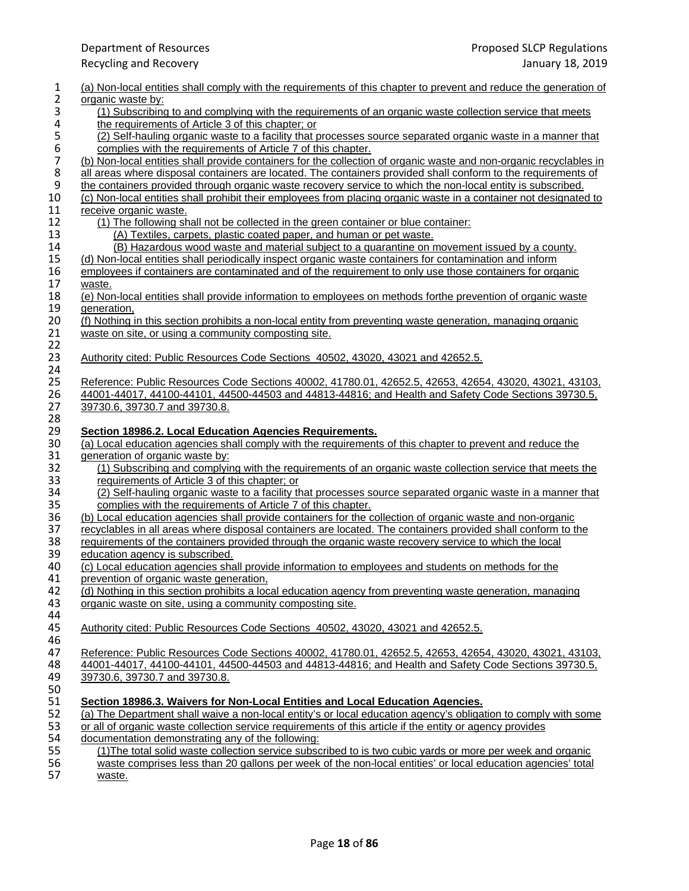| 1                                     | (a) Non-local entities shall comply with the requirements of this chapter to prevent and reduce the generation of                                                                                                         |
|---------------------------------------|---------------------------------------------------------------------------------------------------------------------------------------------------------------------------------------------------------------------------|
| $\overline{2}$                        | organic waste by:                                                                                                                                                                                                         |
| 3<br>4                                | (1) Subscribing to and complying with the requirements of an organic waste collection service that meets<br>the requirements of Article 3 of this chapter; or                                                             |
|                                       | (2) Self-hauling organic waste to a facility that processes source separated organic waste in a manner that                                                                                                               |
| $\begin{array}{c} 5 \\ 6 \end{array}$ | complies with the requirements of Article 7 of this chapter.                                                                                                                                                              |
| $\overline{\mathbf{7}}$               | (b) Non-local entities shall provide containers for the collection of organic waste and non-organic recyclables in                                                                                                        |
| 8                                     | all areas where disposal containers are located. The containers provided shall conform to the requirements of                                                                                                             |
| $\boldsymbol{9}$                      | the containers provided through organic waste recovery service to which the non-local entity is subscribed.                                                                                                               |
| 10                                    | (c) Non-local entities shall prohibit their employees from placing organic waste in a container not designated to                                                                                                         |
| 11                                    | receive organic waste.                                                                                                                                                                                                    |
| 12                                    | (1) The following shall not be collected in the green container or blue container:                                                                                                                                        |
| 13                                    | (A) Textiles, carpets, plastic coated paper, and human or pet waste.                                                                                                                                                      |
| 14                                    | (B) Hazardous wood waste and material subject to a quarantine on movement issued by a county.                                                                                                                             |
| 15                                    | (d) Non-local entities shall periodically inspect organic waste containers for contamination and inform                                                                                                                   |
| 16                                    | employees if containers are contaminated and of the requirement to only use those containers for organic                                                                                                                  |
| 17                                    | waste.                                                                                                                                                                                                                    |
| 18                                    | (e) Non-local entities shall provide information to employees on methods forthe prevention of organic waste                                                                                                               |
| 19                                    | generation,                                                                                                                                                                                                               |
| $20\,$                                | (f) Nothing in this section prohibits a non-local entity from preventing waste generation, managing organic                                                                                                               |
| 21                                    | waste on site, or using a community composting site.                                                                                                                                                                      |
| 22                                    |                                                                                                                                                                                                                           |
| 23                                    | Authority cited: Public Resources Code Sections 40502, 43020, 43021 and 42652.5.                                                                                                                                          |
| 24                                    |                                                                                                                                                                                                                           |
| 25                                    | Reference: Public Resources Code Sections 40002, 41780.01, 42652.5, 42653, 42654, 43020, 43021, 43103,                                                                                                                    |
| 26                                    | 44001-44017, 44100-44101, 44500-44503 and 44813-44816; and Health and Safety Code Sections 39730.5,                                                                                                                       |
| 27                                    | 39730.6, 39730.7 and 39730.8.                                                                                                                                                                                             |
| 28                                    |                                                                                                                                                                                                                           |
| 29<br>$30\,$                          | Section 18986.2. Local Education Agencies Requirements.<br>(a) Local education agencies shall comply with the requirements of this chapter to prevent and reduce the                                                      |
| 31                                    |                                                                                                                                                                                                                           |
| 32                                    | generation of organic waste by:<br>(1) Subscribing and complying with the requirements of an organic waste collection service that meets the                                                                              |
| 33                                    | requirements of Article 3 of this chapter; or                                                                                                                                                                             |
| 34                                    | (2) Self-hauling organic waste to a facility that processes source separated organic waste in a manner that                                                                                                               |
| 35                                    | complies with the requirements of Article 7 of this chapter.                                                                                                                                                              |
| 36                                    | (b) Local education agencies shall provide containers for the collection of organic waste and non-organic                                                                                                                 |
| 37                                    | recyclables in all areas where disposal containers are located. The containers provided shall conform to the                                                                                                              |
| 38                                    | requirements of the containers provided through the organic waste recovery service to which the local                                                                                                                     |
| 39                                    | education agency is subscribed.                                                                                                                                                                                           |
| 40                                    | (c) Local education agencies shall provide information to employees and students on methods for the                                                                                                                       |
| 41                                    | prevention of organic waste generation,                                                                                                                                                                                   |
| 42                                    | (d) Nothing in this section prohibits a local education agency from preventing waste generation, managing                                                                                                                 |
| 43                                    | organic waste on site, using a community composting site.                                                                                                                                                                 |
| 44                                    |                                                                                                                                                                                                                           |
| 45                                    | Authority cited: Public Resources Code Sections 40502, 43020, 43021 and 42652.5.                                                                                                                                          |
| 46                                    |                                                                                                                                                                                                                           |
| 47                                    | Reference: Public Resources Code Sections 40002, 41780.01, 42652.5, 42653, 42654, 43020, 43021, 43103,                                                                                                                    |
| 48                                    | 44001-44017, 44100-44101, 44500-44503 and 44813-44816; and Health and Safety Code Sections 39730.5,                                                                                                                       |
| 49                                    | 39730.6, 39730.7 and 39730.8.                                                                                                                                                                                             |
| 50                                    |                                                                                                                                                                                                                           |
| 51                                    | Section 18986.3. Waivers for Non-Local Entities and Local Education Agencies.                                                                                                                                             |
| 52                                    | (a) The Department shall waive a non-local entity's or local education agency's obligation to comply with some                                                                                                            |
| 53                                    | or all of organic waste collection service requirements of this article if the entity or agency provides                                                                                                                  |
| 54<br>55                              | documentation demonstrating any of the following:                                                                                                                                                                         |
| 56                                    | (1) The total solid waste collection service subscribed to is two cubic yards or more per week and organic<br>waste comprises less than 20 gallons per week of the non-local entities' or local education agencies' total |
| 57                                    | waste.                                                                                                                                                                                                                    |
|                                       |                                                                                                                                                                                                                           |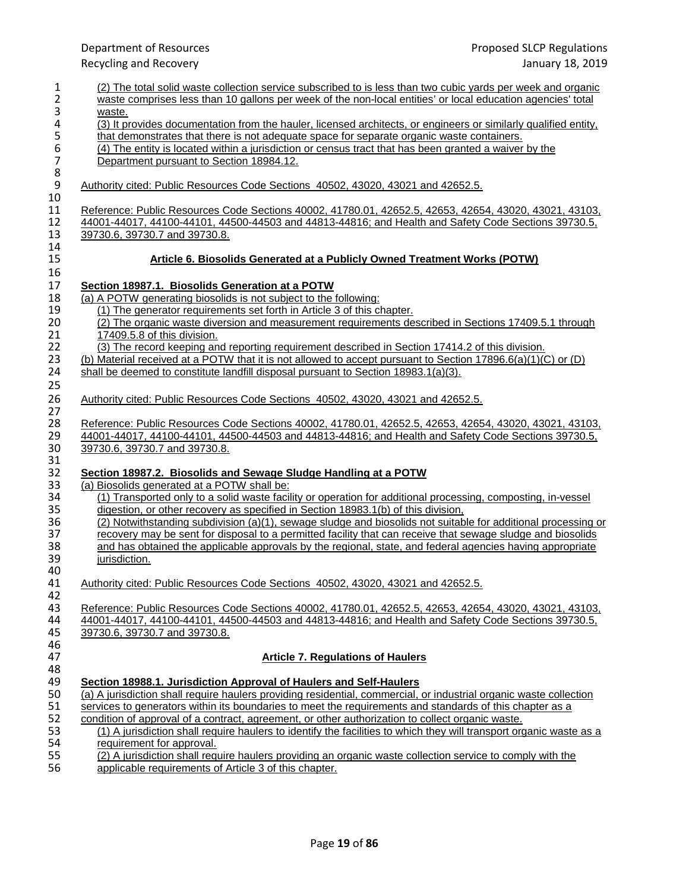| $\mathbf{1}$<br>$\overline{2}$ | (2) The total solid waste collection service subscribed to is less than two cubic yards per week and organic<br>waste comprises less than 10 gallons per week of the non-local entities' or local education agencies' total |
|--------------------------------|-----------------------------------------------------------------------------------------------------------------------------------------------------------------------------------------------------------------------------|
| 3                              | waste.                                                                                                                                                                                                                      |
| 4                              | (3) It provides documentation from the hauler, licensed architects, or engineers or similarly qualified entity,                                                                                                             |
|                                | that demonstrates that there is not adequate space for separate organic waste containers.                                                                                                                                   |
| 5<br>6<br>7                    | (4) The entity is located within a jurisdiction or census tract that has been granted a waiver by the                                                                                                                       |
|                                |                                                                                                                                                                                                                             |
|                                | Department pursuant to Section 18984.12.                                                                                                                                                                                    |
| $\bf 8$                        |                                                                                                                                                                                                                             |
| $\boldsymbol{9}$               | Authority cited: Public Resources Code Sections 40502, 43020, 43021 and 42652.5.                                                                                                                                            |
| 10                             |                                                                                                                                                                                                                             |
| 11                             | Reference: Public Resources Code Sections 40002, 41780.01, 42652.5, 42653, 42654, 43020, 43021, 43103,                                                                                                                      |
| 12                             | 44001-44017, 44100-44101, 44500-44503 and 44813-44816; and Health and Safety Code Sections 39730.5,                                                                                                                         |
| 13                             | 39730.6, 39730.7 and 39730.8.                                                                                                                                                                                               |
| 14                             |                                                                                                                                                                                                                             |
| 15                             | Article 6. Biosolids Generated at a Publicly Owned Treatment Works (POTW)                                                                                                                                                   |
| 16                             |                                                                                                                                                                                                                             |
| 17                             | Section 18987.1. Biosolids Generation at a POTW                                                                                                                                                                             |
| 18                             | (a) A POTW generating biosolids is not subject to the following:                                                                                                                                                            |
| 19                             | (1) The generator requirements set forth in Article 3 of this chapter.                                                                                                                                                      |
| 20                             | (2) The organic waste diversion and measurement requirements described in Sections 17409.5.1 through                                                                                                                        |
| 21                             | 17409.5.8 of this division.                                                                                                                                                                                                 |
| 22                             | (3) The record keeping and reporting requirement described in Section 17414.2 of this division.                                                                                                                             |
| 23                             | (b) Material received at a POTW that it is not allowed to accept pursuant to Section 17896.6(a)(1)(C) or (D)                                                                                                                |
| 24                             | shall be deemed to constitute landfill disposal pursuant to Section 18983.1(a)(3).                                                                                                                                          |
| 25                             |                                                                                                                                                                                                                             |
| 26                             | Authority cited: Public Resources Code Sections 40502, 43020, 43021 and 42652.5.                                                                                                                                            |
| 27                             |                                                                                                                                                                                                                             |
| 28                             | Reference: Public Resources Code Sections 40002, 41780.01, 42652.5, 42653, 42654, 43020, 43021, 43103,                                                                                                                      |
| 29                             | 44001-44017, 44100-44101, 44500-44503 and 44813-44816; and Health and Safety Code Sections 39730.5,                                                                                                                         |
| 30                             | 39730.6, 39730.7 and 39730.8.                                                                                                                                                                                               |
| 31                             |                                                                                                                                                                                                                             |
| 32                             | Section 18987.2. Biosolids and Sewage Sludge Handling at a POTW                                                                                                                                                             |
| 33                             | (a) Biosolids generated at a POTW shall be:                                                                                                                                                                                 |
| 34                             | (1) Transported only to a solid waste facility or operation for additional processing, composting, in-vessel                                                                                                                |
| 35                             | digestion, or other recovery as specified in Section 18983.1(b) of this division,                                                                                                                                           |
| 36                             | (2) Notwithstanding subdivision (a)(1), sewage sludge and biosolids not suitable for additional processing or                                                                                                               |
| 37                             | recovery may be sent for disposal to a permitted facility that can receive that sewage sludge and biosolids                                                                                                                 |
| 38                             | and has obtained the applicable approvals by the regional, state, and federal agencies having appropriate                                                                                                                   |
| 39                             | jurisdiction.                                                                                                                                                                                                               |
| 40                             |                                                                                                                                                                                                                             |
| 41                             | Authority cited: Public Resources Code Sections 40502, 43020, 43021 and 42652.5.                                                                                                                                            |
| 42                             |                                                                                                                                                                                                                             |
| 43                             | Reference: Public Resources Code Sections 40002, 41780.01, 42652.5, 42653, 42654, 43020, 43021, 43103,                                                                                                                      |
| 44                             | 44001-44017, 44100-44101, 44500-44503 and 44813-44816; and Health and Safety Code Sections 39730.5,                                                                                                                         |
| 45                             | 39730.6, 39730.7 and 39730.8.                                                                                                                                                                                               |
| 46                             |                                                                                                                                                                                                                             |
| 47                             | <b>Article 7. Regulations of Haulers</b>                                                                                                                                                                                    |
| 48                             |                                                                                                                                                                                                                             |
| 49                             | Section 18988.1. Jurisdiction Approval of Haulers and Self-Haulers                                                                                                                                                          |
| 50                             | (a) A jurisdiction shall require haulers providing residential, commercial, or industrial organic waste collection                                                                                                          |
| 51                             | services to generators within its boundaries to meet the requirements and standards of this chapter as a                                                                                                                    |
| 52                             | condition of approval of a contract, agreement, or other authorization to collect organic waste.                                                                                                                            |
| 53                             | (1) A jurisdiction shall require haulers to identify the facilities to which they will transport organic waste as a                                                                                                         |
| 54                             | requirement for approval.                                                                                                                                                                                                   |
| 55                             | (2) A jurisdiction shall require haulers providing an organic waste collection service to comply with the                                                                                                                   |
| 56                             | applicable requirements of Article 3 of this chapter.                                                                                                                                                                       |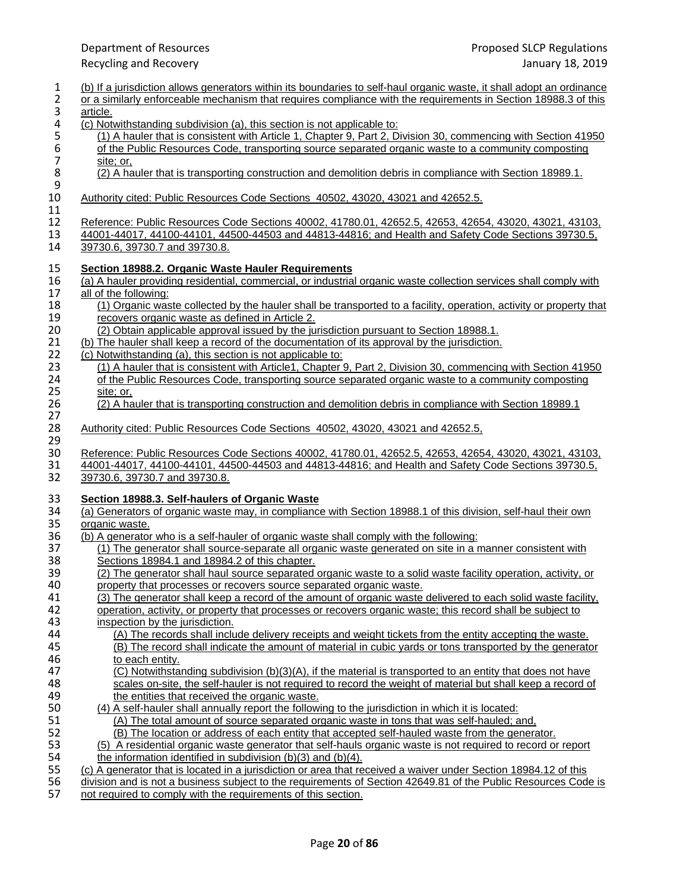- 1 (b) If a jurisdiction allows generators within its boundaries to self-haul organic waste, it shall adopt an ordinance<br>2 or a similarly enforceable mechanism that requires compliance with the requirements in Section 18988 2 or a similarly enforceable mechanism that requires compliance with the requirements in Section 18988.3 of this atticle. 3 <u>article.</u><br>4 (c) Not 4 (c) Notwithstanding subdivision (a), this section is not applicable to:<br>5 (1) A hauler that is consistent with Article 1, Chapter 9, Part 2, D 5 (1) A hauler that is consistent with Article 1, Chapter 9, Part 2, Division 30, commencing with Section 41950<br>5 of the Public Resources Code, transporting source separated organic waste to a community composting<br>5 site; of the Public Resources Code, transporting source separated organic waste to a community composting 7 <u>site; or,</u><br>8 (2) A ha (2) A hauler that is transporting construction and demolition debris in compliance with Section 18989.1.  $\frac{9}{10}$ Authority cited: Public Resources Code Sections 40502, 43020, 43021 and 42652.5. 11 12 Reference: Public Resources Code Sections 40002, 41780.01, 42652.5, 42653, 42654, 43020, 43021, 43103, 430<br>13 44001-44017, 44100-44101, 44500-44503 and 44813-44816; and Health and Safety Code Sections 39730.5, 13 44001-44017, 44100-44101, 44500-44503 and 44813-44816; and Health and Safety Code Sections 39730.5, 14 39730.5, 14 39730.6, 39730.7 and 39730.8. 15 **Section 18988.2. Organic Waste Hauler Requirements** 16 (a) A hauler providing residential, commercial, or industrial organic waste collection services shall comply with <br>17 all of the following: all of the following: 18 (1) Organic waste collected by the hauler shall be transported to a facility, operation, activity or property that 19 recovers organic waste as defined in Article 2. 19 recovers organic waste as defined in Article 2.<br>20 (2) Obtain applicable approval issued by the ju 20 (2) Obtain applicable approval issued by the jurisdiction pursuant to Section 18988.1.<br>21 (b) The hauler shall keep a record of the documentation of its approval by the jurisdiction 21 (b) The hauler shall keep a record of the documentation of its approval by the jurisdiction.<br>22 (c) Notwithstanding (a), this section is not applicable to: 22 (c) Notwithstanding (a), this section is not applicable to:<br>23 (1) A hauler that is consistent with Article1, Chapter 9 23 (1) A hauler that is consistent with Article1, Chapter 9, Part 2, Division 30, commencing with Section 41950<br>24 of the Public Resources Code, transporting source separated organic waste to a community composting 24 of the Public Resources Code, transporting source separated organic waste to a community composting<br>25 site: or. 25 <u>site; or,</u><br>26 (2) A ha 26 (2) A hauler that is transporting construction and demolition debris in compliance with Section 18989.1 27<br>28 28 Authority cited: Public Resources Code Sections 40502, 43020, 43021 and 42652.5, 29<br>30 30 Reference: Public Resources Code Sections 40002, 41780.01, 42652.5, 42653, 42654, 43020, 43021, 43103, 31<br>31 44001-44017, 44100-44101, 44500-44503 and 44813-44816; and Health and Safety Code Sections 39730.5, 31 44001-44017, 44100-44101, 44500-44503 and 44813-44816; and Health and Safety Code Sections 39730.5, 32 39730.6, 39730.7 and 39730.8. 33 **Section 18988.3. Self-haulers of Organic Waste** 34 (a) Generators of organic waste may, in compliance with Section 18988.1 of this division, self-haul their own<br>35 organic waste. organic waste. 36 (b) A generator who is a self-hauler of organic waste shall comply with the following: 37 (1) The generator shall source-separate all organic waste generated on site in a manner consistent with 38 Sections 18984.1 and 18984.2 of this chapter. 39 (2) The generator shall haul source separated organic waste to a solid waste facility operation, activity, or<br>40 organization or activity or recovers source separated organic waste. property that processes or recovers source separated organic waste. 41 (3) The generator shall keep a record of the amount of organic waste delivered to each solid waste facility,<br>42 operation, activity, or property that processes or recovers organic waste: this record shall be subject to 42 operation, activity, or property that processes or recovers organic waste; this record shall be subject to <br>43 inspection by the iurisdiction. 43 inspection by the jurisdiction.<br>44 (A) The records shall inclu 44 (A) The records shall include delivery receipts and weight tickets from the entity accepting the waste.<br>45 (B) The record shall indicate the amount of material in cubic vards or tons transported by the generate 45 (B) The record shall indicate the amount of material in cubic yards or tons transported by the generator 46 to each entity.<br>47 (C) Notwithsta 47 (C) Notwithstanding subdivision (b)(3)(A), if the material is transported to an entity that does not have<br>48 scales on-site, the self-hauler is not required to record the weight of material but shall keep a record o 48 scales on-site, the self-hauler is not required to record the weight of material but shall keep a record of 49 49 the entities that received the organic waste.<br>50 (4) A self-hauler shall annually report the follow 50 (4) A self-hauler shall annually report the following to the jurisdiction in which it is located:<br>51 (A) The total amount of source separated organic waste in tons that was self-hauled; a (A) The total amount of source separated organic waste in tons that was self-hauled; and, 52 (B) The location or address of each entity that accepted self-hauled waste from the generator. 53 (5) A residential organic waste generator that self-hauls organic waste is not required to record or report to the information identified in subdivision (b)(3) and (b)(4). 54 the information identified in subdivision (b)(3) and (b)(4).<br>55 (c) A generator that is located in a jurisdiction or area that re
- 55 (c) A generator that is located in a jurisdiction or area that received a waiver under Section 18984.12 of this<br>56 division and is not a business subject to the requirements of Section 42649.81 of the Public Resources C
- 56 division and is not a business subject to the requirements of Section 42649.81 of the Public Resources Code is not required to comply with the requirements of this section.
- not required to comply with the requirements of this section.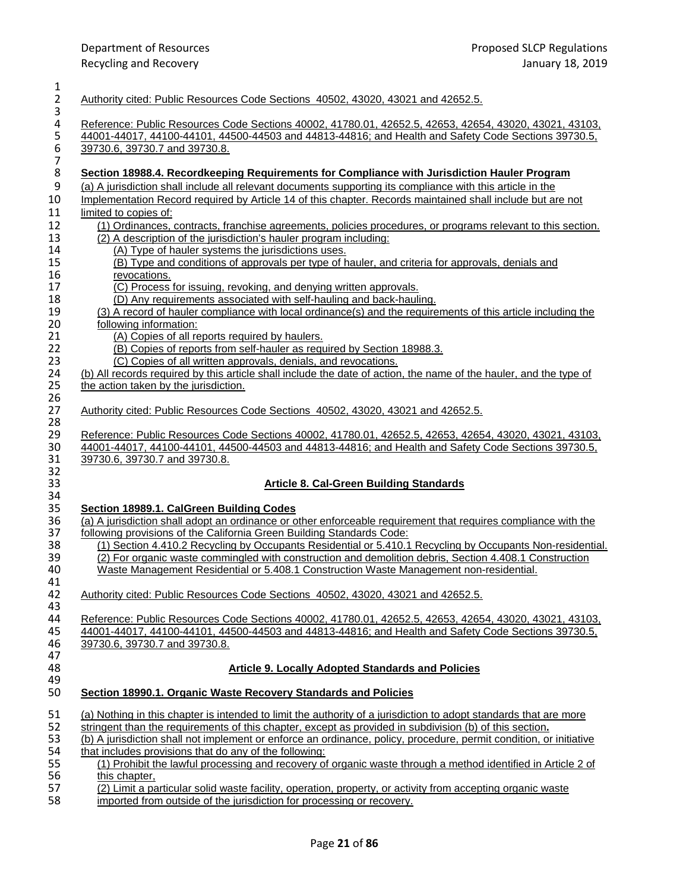| 1<br>$\overline{2}$     | Authority cited: Public Resources Code Sections 40502, 43020, 43021 and 42652.5.                                                                                                                                                               |
|-------------------------|------------------------------------------------------------------------------------------------------------------------------------------------------------------------------------------------------------------------------------------------|
| 3<br>4<br>5<br>$\,6\,$  | Reference: Public Resources Code Sections 40002, 41780.01, 42652.5, 42653, 42654, 43020, 43021, 43103,<br>44001-44017, 44100-44101, 44500-44503 and 44813-44816; and Health and Safety Code Sections 39730.5,<br>39730.6, 39730.7 and 39730.8. |
| $\overline{7}$<br>$\,8$ | Section 18988.4. Recordkeeping Requirements for Compliance with Jurisdiction Hauler Program                                                                                                                                                    |
| $\boldsymbol{9}$<br>10  | (a) A jurisdiction shall include all relevant documents supporting its compliance with this article in the<br>Implementation Record required by Article 14 of this chapter. Records maintained shall include but are not                       |
| 11                      | limited to copies of:                                                                                                                                                                                                                          |
| 12<br>13                | (1) Ordinances, contracts, franchise agreements, policies procedures, or programs relevant to this section.<br>(2) A description of the jurisdiction's hauler program including:                                                               |
| 14                      | (A) Type of hauler systems the jurisdictions uses.                                                                                                                                                                                             |
| 15                      | (B) Type and conditions of approvals per type of hauler, and criteria for approvals, denials and                                                                                                                                               |
| 16                      | revocations.                                                                                                                                                                                                                                   |
| 17                      | (C) Process for issuing, revoking, and denying written approvals.                                                                                                                                                                              |
| 18                      | (D) Any requirements associated with self-hauling and back-hauling.<br>(3) A record of hauler compliance with local ordinance(s) and the requirements of this article including the                                                            |
| 19<br>20                | following information:                                                                                                                                                                                                                         |
| 21                      | (A) Copies of all reports required by haulers.                                                                                                                                                                                                 |
| 22                      | (B) Copies of reports from self-hauler as required by Section 18988.3.                                                                                                                                                                         |
| 23                      | (C) Copies of all written approvals, denials, and revocations.                                                                                                                                                                                 |
| 24                      | (b) All records required by this article shall include the date of action, the name of the hauler, and the type of                                                                                                                             |
| 25                      | the action taken by the jurisdiction.                                                                                                                                                                                                          |
| 26<br>27                | Authority cited: Public Resources Code Sections 40502, 43020, 43021 and 42652.5.                                                                                                                                                               |
| 28                      |                                                                                                                                                                                                                                                |
| 29                      | Reference: Public Resources Code Sections 40002, 41780.01, 42652.5, 42653, 42654, 43020, 43021, 43103,                                                                                                                                         |
| 30                      | 44001-44017, 44100-44101, 44500-44503 and 44813-44816; and Health and Safety Code Sections 39730.5,                                                                                                                                            |
| 31                      | 39730.6, 39730.7 and 39730.8.                                                                                                                                                                                                                  |
| 32<br>33                | <b>Article 8. Cal-Green Building Standards</b>                                                                                                                                                                                                 |
| 34                      |                                                                                                                                                                                                                                                |
| 35                      | Section 18989.1. CalGreen Building Codes                                                                                                                                                                                                       |
| 36                      | (a) A jurisdiction shall adopt an ordinance or other enforceable requirement that requires compliance with the                                                                                                                                 |
| 37                      | following provisions of the California Green Building Standards Code:                                                                                                                                                                          |
| 38                      | (1) Section 4.410.2 Recycling by Occupants Residential or 5.410.1 Recycling by Occupants Non-residential.                                                                                                                                      |
| 39                      | (2) For organic waste commingled with construction and demolition debris, Section 4.408.1 Construction                                                                                                                                         |
| 40                      | Waste Management Residential or 5.408.1 Construction Waste Management non-residential.                                                                                                                                                         |
| 41                      |                                                                                                                                                                                                                                                |
| 42                      | Authority cited: Public Resources Code Sections 40502, 43020, 43021 and 42652.5.                                                                                                                                                               |
| 43                      |                                                                                                                                                                                                                                                |
| 44                      | Reference: Public Resources Code Sections 40002, 41780.01, 42652.5, 42653, 42654, 43020, 43021, 43103,                                                                                                                                         |
| 45<br>46                | 44001-44017, 44100-44101, 44500-44503 and 44813-44816; and Health and Safety Code Sections 39730.5,                                                                                                                                            |
|                         | 39730.6, 39730.7 and 39730.8.                                                                                                                                                                                                                  |
| 47<br>48                |                                                                                                                                                                                                                                                |
|                         | <b>Article 9. Locally Adopted Standards and Policies</b>                                                                                                                                                                                       |
| 49                      | Section 18990.1. Organic Waste Recovery Standards and Policies                                                                                                                                                                                 |
| 50                      |                                                                                                                                                                                                                                                |
| 51                      | (a) Nothing in this chapter is intended to limit the authority of a jurisdiction to adopt standards that are more                                                                                                                              |
| 52                      | stringent than the requirements of this chapter, except as provided in subdivision (b) of this section.                                                                                                                                        |
| 53                      | (b) A jurisdiction shall not implement or enforce an ordinance, policy, procedure, permit condition, or initiative                                                                                                                             |
| 54<br>55                | that includes provisions that do any of the following:                                                                                                                                                                                         |
|                         | (1) Prohibit the lawful processing and recovery of organic waste through a method identified in Article 2 of                                                                                                                                   |
|                         | this chapter,                                                                                                                                                                                                                                  |
|                         | (2) Limit a particular solid waste facility, operation, property, or activity from accepting organic waste                                                                                                                                     |
| 58                      | imported from outside of the jurisdiction for processing or recovery.                                                                                                                                                                          |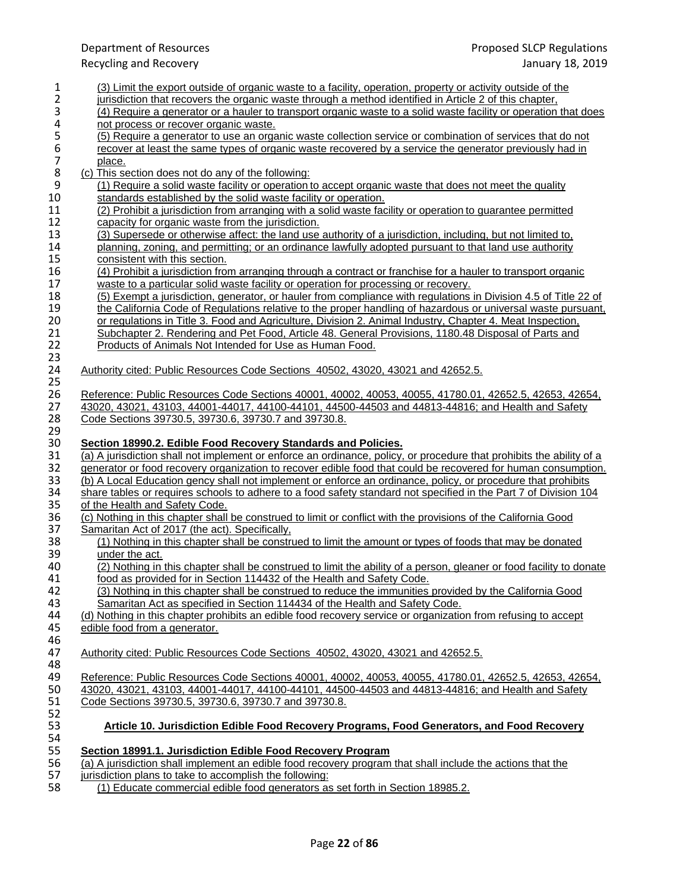### Department of Resources Proposed SLCP Regulations Recycling and Recovery January 18, 2019 1 (3) Limit the export outside of organic waste to a facility, operation, property or activity outside of the<br>2 iurisdiction that recovers the organic waste through a method identified in Article 2 of this chapter. 2 jurisdiction that recovers the organic waste through a method identified in Article 2 of this chapter,<br>(4) Require a generator or a hauler to transport organic waste to a solid waste facility or operation 3 (4) Require a generator or a hauler to transport organic waste to a solid waste facility or operation that does <br>4 on the process or recover organic waste. 4 not process or recover organic waste.<br>5 (5) Require a generator to use an orga 5 (5) Require a generator to use an organic waste collection service or combination of services that do not<br>6 recover at least the same types of organic waste recovered by a service the generator previously had in<br>7 place. recover at least the same types of organic waste recovered by a service the generator previously had in 7 place.<br>8 (c) This se 8 (c) This section does not do any of the following:<br>9 (1) Require a solid waste facility or operation t 9 (1) Require a solid waste facility or operation to accept organic waste that does not meet the quality<br>10 standards established by the solid waste facility or operation. 10 standards established by the solid waste facility or operation.<br>11 (2) Prohibit a jurisdiction from arranging with a solid waste face 11 (2) Prohibit a jurisdiction from arranging with a solid waste facility or operation to guarantee permitted<br>12 capacity for organic waste from the jurisdiction. 12 capacity for organic waste from the jurisdiction.<br>13 (3) Supersede or otherwise affect: the land use 13 (3) Supersede or otherwise affect: the land use authority of a jurisdiction, including, but not limited to,<br>14 planning, zoning, and permitting; or an ordinance lawfully adopted pursuant to that land use authority 14 planning, zoning, and permitting; or an ordinance lawfully adopted pursuant to that land use authority<br>15 consistent with this section. 15 consistent with this section.<br>16 (4) Prohibit a jurisdiction from 16 (4) Prohibit a jurisdiction from arranging through a contract or franchise for a hauler to transport organic<br>17 waste to a particular solid waste facility or operation for processing or recovery. 17 waste to a particular solid waste facility or operation for processing or recovery.<br>18 (5) Exempt a jurisdiction, generator, or hauler from compliance with regulations 18 (5) Exempt a jurisdiction, generator, or hauler from compliance with regulations in Division 4.5 of Title 22 of the California Code of Regulations relative to the proper handling of hazardous or universal waste pursuant 19 the California Code of Regulations relative to the proper handling of hazardous or universal waste pursuant,<br>20 or regulations in Title 3. Food and Agriculture, Division 2. Animal Industry, Chapter 4. Meat Inspection, 20 or regulations in Title 3. Food and Agriculture, Division 2. Animal Industry, Chapter 4. Meat Inspection, 21 Subchapter 2. Rendering and Pet Food. Article 48. General Provisions, 1180.48 Disposal of Parts and 21 Subchapter 2. Rendering and Pet Food, Article 48. General Provisions, 1180.48 Disposal of Parts and 22 Products of Animals Not Intended for Use as Human Food. Products of Animals Not Intended for Use as Human Food. 23<br>24 24 Authority cited: Public Resources Code Sections 40502, 43020, 43021 and 42652.5. 25 26 Reference: Public Resources Code Sections 40001, 40002, 40053, 40055, 41780.01, 42652.5, 42653, 42654, 27<br>27 43020, 43021, 43103, 44001-44017, 44100-44101, 44500-44503 and 44813-44816; and Health and Safety 27 43020, 43021, 43103, 44001-44017, 44100-44101, 44500-44503 and 44813-44816; and Health and Safety 28 Code Sections 39730.5, 39730.6, 39730.7 and 39730.8. 29<br>30 **Section 18990.2. Edible Food Recovery Standards and Policies.** 31 (a) A jurisdiction shall not implement or enforce an ordinance, policy, or procedure that prohibits the ability of a<br>32 enerator or food recovery organization to recover edible food that could be recovered for human con 32 generator or food recovery organization to recover edible food that could be recovered for human consumption.<br>33 (b) A Local Education gency shall not implement or enforce an ordinance, policy, or procedure that prohibi 33 (b) A Local Education gency shall not implement or enforce an ordinance, policy, or procedure that prohibits 34 share tables or requires schools to adhere to a food safety standard not specified in the Part 7 of Divisio 34 share tables or requires schools to adhere to a food safety standard not specified in the Part 7 of Division 104<br>35 of the Health and Safety Code. 35 of the Health and Safety Code.<br>36 (c) Nothing in this chapter shall 36 (c) Nothing in this chapter shall be construed to limit or conflict with the provisions of the California Good<br>37 Samaritan Act of 2017 (the act). Specifically. 37 Samaritan Act of 2017 (the act). Specifically,<br>38 (1) Nothing in this chapter shall be constru 38 (1) Nothing in this chapter shall be construed to limit the amount or types of foods that may be donated under the act. 39 under the act.<br>40 (2) Nothing in 40 (2) Nothing in this chapter shall be construed to limit the ability of a person, gleaner or food facility to donate 41 (41) food as provided for in Section 114432 of the Health and Safety Code. food as provided for in Section 114432 of the Health and Safety Code. 42 (3) Nothing in this chapter shall be construed to reduce the immunities provided by the California Good 43 Samaritan Act as specified in Section 114434 of the Health and Safety Code.<br>44 (d) Nothing in this chapter prohibits an edible food recovery service or organization 44 (d) Nothing in this chapter prohibits an edible food recovery service or organization from refusing to accept 45 edible food from a generator. edible food from a generator. 46<br>47 47 Authority cited: Public Resources Code Sections 40502, 43020, 43021 and 42652.5. 48<br>49 49 Reference: Public Resources Code Sections 40001, 40002, 40053, 40055, 41780.01, 42652.5, 42653, 42654, 42654<br>50 43020, 43021, 43103, 44001-44017, 44100-44101, 44500-44503 and 44813-44816; and Health and Safety 50 43020, 43021, 43103, 44001-44017, 44100-44101, 44500-44503 and 44813-44816; and Health and Safety<br>51 Code Sections 39730.5, 39730.6, 39730.7 and 39730.8. 51 Code Sections 39730.5, 39730.6, 39730.7 and 39730.8. 52<br>53 53 **Article 10. Jurisdiction Edible Food Recovery Programs, Food Generators, and Food Recovery** 54<br>55 55 **Section 18991.1. Jurisdiction Edible Food Recovery Program** 56 (a) A jurisdiction shall implement an edible food recovery program that shall include the actions that the 57 iurisdiction plans to take to accomplish the following:

57 jurisdiction plans to take to accomplish the following:<br>58 (1) Educate commercial edible food generators as (1) Educate commercial edible food generators as set forth in Section 18985.2.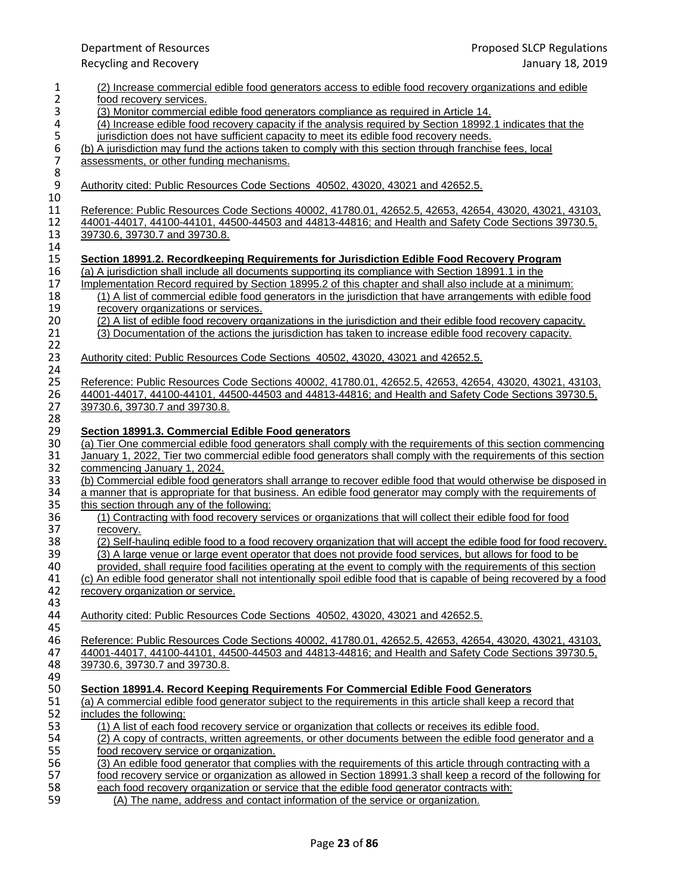|                                       | Department of Resources                                                                                                                                                                                                                                                                                                                                                                                                                                           | Proposed SLCP Regulations                                                                                                                                                                                                          |
|---------------------------------------|-------------------------------------------------------------------------------------------------------------------------------------------------------------------------------------------------------------------------------------------------------------------------------------------------------------------------------------------------------------------------------------------------------------------------------------------------------------------|------------------------------------------------------------------------------------------------------------------------------------------------------------------------------------------------------------------------------------|
|                                       | <b>Recycling and Recovery</b>                                                                                                                                                                                                                                                                                                                                                                                                                                     | January 18, 2019                                                                                                                                                                                                                   |
| $\mathbf{1}$<br>$\overline{2}$        | (2) Increase commercial edible food generators access to edible food recovery organizations and edible<br>food recovery services.                                                                                                                                                                                                                                                                                                                                 |                                                                                                                                                                                                                                    |
| 3<br>4                                | (3) Monitor commercial edible food generators compliance as required in Article 14.<br>(4) Increase edible food recovery capacity if the analysis required by Section 18992.1 indicates that the<br>jurisdiction does not have sufficient capacity to meet its edible food recovery needs.                                                                                                                                                                        |                                                                                                                                                                                                                                    |
| 5<br>6<br>$\boldsymbol{7}$<br>$\bf 8$ | (b) A jurisdiction may fund the actions taken to comply with this section through franchise fees, local<br>assessments, or other funding mechanisms.                                                                                                                                                                                                                                                                                                              |                                                                                                                                                                                                                                    |
| $\boldsymbol{9}$<br>10                | Authority cited: Public Resources Code Sections 40502, 43020, 43021 and 42652.5.                                                                                                                                                                                                                                                                                                                                                                                  |                                                                                                                                                                                                                                    |
| 11<br>12<br>13<br>14                  | Reference: Public Resources Code Sections 40002, 41780.01, 42652.5, 42653, 42654, 43020, 43021, 43103,<br>44001-44017, 44100-44101, 44500-44503 and 44813-44816; and Health and Safety Code Sections 39730.5,<br>39730.6, 39730.7 and 39730.8.                                                                                                                                                                                                                    |                                                                                                                                                                                                                                    |
| 15<br>16<br>17<br>18<br>19            | Section 18991.2. Recordkeeping Requirements for Jurisdiction Edible Food Recovery Program<br>(a) A jurisdiction shall include all documents supporting its compliance with Section 18991.1 in the<br>Implementation Record required by Section 18995.2 of this chapter and shall also include at a minimum:<br>(1) A list of commercial edible food generators in the jurisdiction that have arrangements with edible food<br>recovery organizations or services. |                                                                                                                                                                                                                                    |
| 20<br>21                              | (2) A list of edible food recovery organizations in the jurisdiction and their edible food recovery capacity.<br>(3) Documentation of the actions the jurisdiction has taken to increase edible food recovery capacity.                                                                                                                                                                                                                                           |                                                                                                                                                                                                                                    |
| 22<br>23<br>24                        | Authority cited: Public Resources Code Sections 40502, 43020, 43021 and 42652.5.                                                                                                                                                                                                                                                                                                                                                                                  |                                                                                                                                                                                                                                    |
| 25<br>26<br>27                        | Reference: Public Resources Code Sections 40002, 41780.01, 42652.5, 42653, 42654, 43020, 43021, 43103,<br>44001-44017, 44100-44101, 44500-44503 and 44813-44816; and Health and Safety Code Sections 39730.5,<br>39730.6, 39730.7 and 39730.8.                                                                                                                                                                                                                    |                                                                                                                                                                                                                                    |
| 28<br>29<br>30<br>31                  | Section 18991.3. Commercial Edible Food generators<br>(a) Tier One commercial edible food generators shall comply with the requirements of this section commencing<br>January 1, 2022, Tier two commercial edible food generators shall comply with the requirements of this section                                                                                                                                                                              |                                                                                                                                                                                                                                    |
| 32<br>33<br>34<br>35                  | commencing January 1, 2024.<br>(b) Commercial edible food generators shall arrange to recover edible food that would otherwise be disposed in<br>a manner that is appropriate for that business. An edible food generator may comply with the requirements of<br>this section through any of the following:                                                                                                                                                       |                                                                                                                                                                                                                                    |
| 36<br>37                              | (1) Contracting with food recovery services or organizations that will collect their edible food for food<br>recovery.                                                                                                                                                                                                                                                                                                                                            |                                                                                                                                                                                                                                    |
| 38<br>39<br>40<br>41<br>42            | (3) A large venue or large event operator that does not provide food services, but allows for food to be<br>(c) An edible food generator shall not intentionally spoil edible food that is capable of being recovered by a food<br>recovery organization or service.                                                                                                                                                                                              | (2) Self-hauling edible food to a food recovery organization that will accept the edible food for food recovery.<br>provided, shall require food facilities operating at the event to comply with the requirements of this section |
| 43<br>44<br>45                        | Authority cited: Public Resources Code Sections 40502, 43020, 43021 and 42652.5.                                                                                                                                                                                                                                                                                                                                                                                  |                                                                                                                                                                                                                                    |
| 46<br>47<br>48<br>49                  | Reference: Public Resources Code Sections 40002, 41780.01, 42652.5, 42653, 42654, 43020, 43021, 43103,<br>44001-44017, 44100-44101, 44500-44503 and 44813-44816; and Health and Safety Code Sections 39730.5,<br>39730.6, 39730.7 and 39730.8.                                                                                                                                                                                                                    |                                                                                                                                                                                                                                    |
| 50<br>51<br>52                        | Section 18991.4. Record Keeping Requirements For Commercial Edible Food Generators<br>(a) A commercial edible food generator subject to the requirements in this article shall keep a record that<br>includes the following:                                                                                                                                                                                                                                      |                                                                                                                                                                                                                                    |
| 53<br>54<br>55                        | (1) A list of each food recovery service or organization that collects or receives its edible food.<br>(2) A copy of contracts, written agreements, or other documents between the edible food generator and a<br>food recovery service or organization.                                                                                                                                                                                                          |                                                                                                                                                                                                                                    |
| 56<br>57<br>58                        | (3) An edible food generator that complies with the requirements of this article through contracting with a<br>each food recovery organization or service that the edible food generator contracts with:                                                                                                                                                                                                                                                          | food recovery service or organization as allowed in Section 18991.3 shall keep a record of the following for                                                                                                                       |
| 59                                    | (A) The name, address and contact information of the service or organization.                                                                                                                                                                                                                                                                                                                                                                                     |                                                                                                                                                                                                                                    |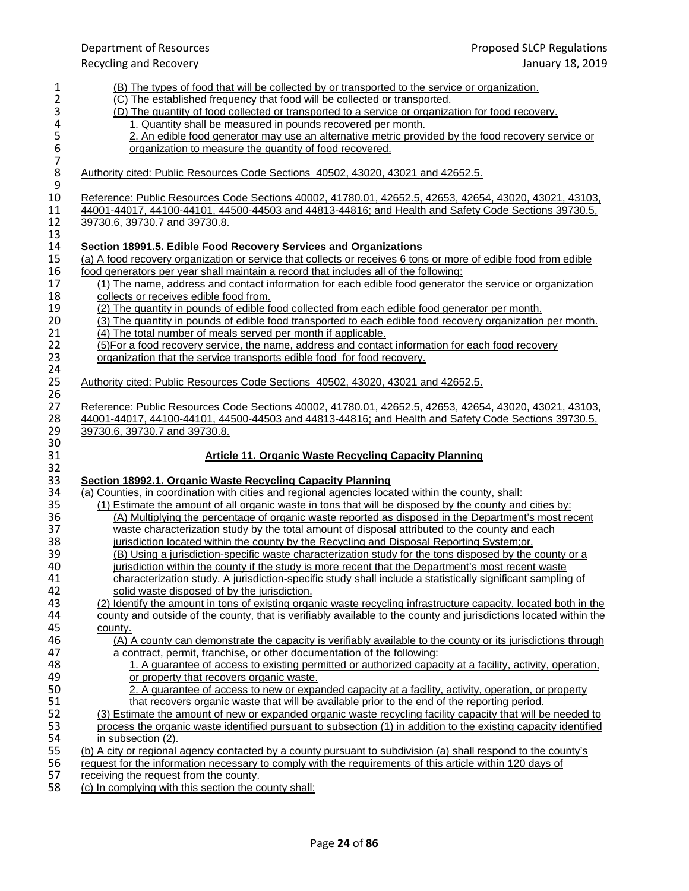|                | Department of Resources                                                                                                                                         | Proposed SLCP Regulations                                                                                         |
|----------------|-----------------------------------------------------------------------------------------------------------------------------------------------------------------|-------------------------------------------------------------------------------------------------------------------|
|                | <b>Recycling and Recovery</b>                                                                                                                                   | January 18, 2019                                                                                                  |
| $\mathbf{1}$   | (B) The types of food that will be collected by or transported to the service or organization.                                                                  |                                                                                                                   |
| $\overline{2}$ | (C) The established frequency that food will be collected or transported.                                                                                       |                                                                                                                   |
| 3              | (D) The quantity of food collected or transported to a service or organization for food recovery.                                                               |                                                                                                                   |
| 4              | 1. Quantity shall be measured in pounds recovered per month.                                                                                                    |                                                                                                                   |
|                |                                                                                                                                                                 | 2. An edible food generator may use an alternative metric provided by the food recovery service or                |
|                | organization to measure the quantity of food recovered.                                                                                                         |                                                                                                                   |
| 56789          | Authority cited: Public Resources Code Sections 40502, 43020, 43021 and 42652.5.                                                                                |                                                                                                                   |
| 10             | Reference: Public Resources Code Sections 40002, 41780.01, 42652.5, 42653, 42654, 43020, 43021, 43103,                                                          |                                                                                                                   |
| 11             | 44001-44017, 44100-44101, 44500-44503 and 44813-44816; and Health and Safety Code Sections 39730.5,                                                             |                                                                                                                   |
| 12             | 39730.6, 39730.7 and 39730.8.                                                                                                                                   |                                                                                                                   |
| 13<br>14       | Section 18991.5. Edible Food Recovery Services and Organizations                                                                                                |                                                                                                                   |
| 15             | (a) A food recovery organization or service that collects or receives 6 tons or more of edible food from edible                                                 |                                                                                                                   |
| 16             | food generators per year shall maintain a record that includes all of the following:                                                                            |                                                                                                                   |
| 17             | (1) The name, address and contact information for each edible food generator the service or organization                                                        |                                                                                                                   |
| 18             | collects or receives edible food from.                                                                                                                          |                                                                                                                   |
| 19             | (2) The quantity in pounds of edible food collected from each edible food generator per month.                                                                  |                                                                                                                   |
| 20             |                                                                                                                                                                 | (3) The quantity in pounds of edible food transported to each edible food recovery organization per month.        |
| 21             | (4) The total number of meals served per month if applicable.                                                                                                   |                                                                                                                   |
| 22             | (5) For a food recovery service, the name, address and contact information for each food recovery                                                               |                                                                                                                   |
| 23<br>24       | organization that the service transports edible food for food recovery.                                                                                         |                                                                                                                   |
| 25<br>26       | Authority cited: Public Resources Code Sections 40502, 43020, 43021 and 42652.5.                                                                                |                                                                                                                   |
| 27             | Reference: Public Resources Code Sections 40002, 41780.01, 42652.5, 42653, 42654, 43020, 43021, 43103,                                                          |                                                                                                                   |
| 28             | 44001-44017, 44100-44101, 44500-44503 and 44813-44816; and Health and Safety Code Sections 39730.5,                                                             |                                                                                                                   |
| 29<br>30       | 39730.6, 39730.7 and 39730.8.                                                                                                                                   |                                                                                                                   |
| 31             | <b>Article 11. Organic Waste Recycling Capacity Planning</b>                                                                                                    |                                                                                                                   |
| 32             |                                                                                                                                                                 |                                                                                                                   |
| 33<br>34       | Section 18992.1. Organic Waste Recycling Capacity Planning<br>(a) Counties, in coordination with cities and regional agencies located within the county, shall: |                                                                                                                   |
| 35             | (1) Estimate the amount of all organic waste in tons that will be disposed by the county and cities by:                                                         |                                                                                                                   |
| 36             |                                                                                                                                                                 | (A) Multiplying the percentage of organic waste reported as disposed in the Department's most recent              |
| 37             | waste characterization study by the total amount of disposal attributed to the county and each                                                                  |                                                                                                                   |
| 38             | jurisdiction located within the county by the Recycling and Disposal Reporting System;or,                                                                       |                                                                                                                   |
| 39             |                                                                                                                                                                 | (B) Using a jurisdiction-specific waste characterization study for the tons disposed by the county or a           |
| 40             | jurisdiction within the county if the study is more recent that the Department's most recent waste                                                              |                                                                                                                   |
| 41             |                                                                                                                                                                 | characterization study. A jurisdiction-specific study shall include a statistically significant sampling of       |
| 42             | solid waste disposed of by the jurisdiction.                                                                                                                    |                                                                                                                   |
| 43             |                                                                                                                                                                 | (2) Identify the amount in tons of existing organic waste recycling infrastructure capacity, located both in the  |
| 44             |                                                                                                                                                                 | county and outside of the county, that is verifiably available to the county and jurisdictions located within the |
| 45             | county.                                                                                                                                                         |                                                                                                                   |
| 46             |                                                                                                                                                                 | (A) A county can demonstrate the capacity is verifiably available to the county or its jurisdictions through      |
| 47             | a contract, permit, franchise, or other documentation of the following:                                                                                         |                                                                                                                   |
| 48             |                                                                                                                                                                 | 1. A quarantee of access to existing permitted or authorized capacity at a facility, activity, operation,         |
| 49             | or property that recovers organic waste.                                                                                                                        |                                                                                                                   |
| 50             |                                                                                                                                                                 | 2. A guarantee of access to new or expanded capacity at a facility, activity, operation, or property              |
| 51             | that recovers organic waste that will be available prior to the end of the reporting period.                                                                    |                                                                                                                   |
| 52             |                                                                                                                                                                 | (3) Estimate the amount of new or expanded organic waste recycling facility capacity that will be needed to       |
| 53             |                                                                                                                                                                 | process the organic waste identified pursuant to subsection (1) in addition to the existing capacity identified   |
| 54             | in subsection (2).                                                                                                                                              |                                                                                                                   |
| 55             | (b) A city or regional agency contacted by a county pursuant to subdivision (a) shall respond to the county's                                                   |                                                                                                                   |
| 56             | request for the information necessary to comply with the requirements of this article within 120 days of                                                        |                                                                                                                   |
| 57<br>58       | receiving the request from the county.<br>(c) In complying with this section the county shall:                                                                  |                                                                                                                   |
|                |                                                                                                                                                                 |                                                                                                                   |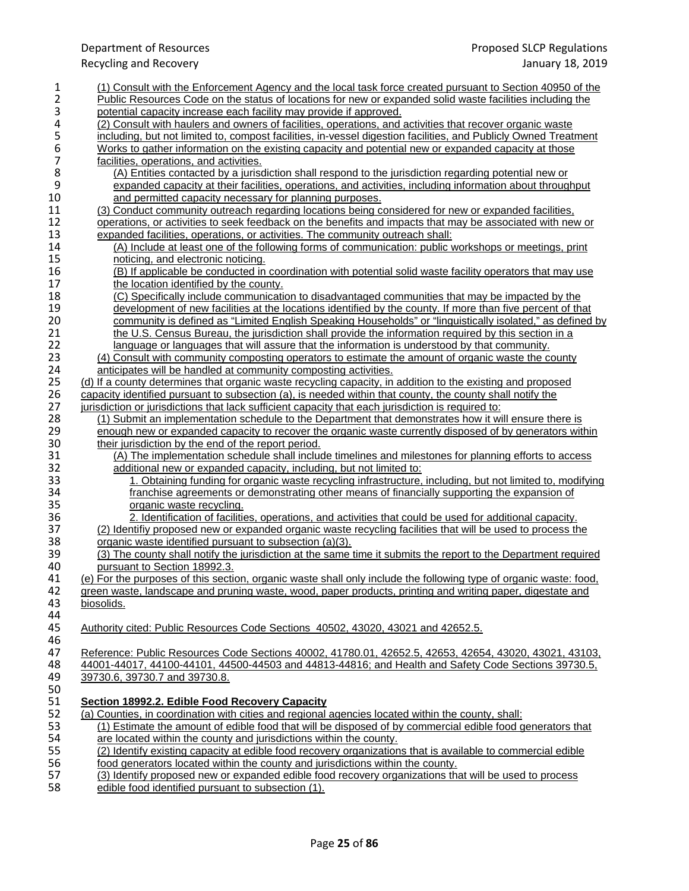| $\mathbf{1}$     | (1) Consult with the Enforcement Agency and the local task force created pursuant to Section 40950 of the                                                                                                 |
|------------------|-----------------------------------------------------------------------------------------------------------------------------------------------------------------------------------------------------------|
| $\overline{2}$   | <u>Public Resources Code on the status of locations for new or expanded solid waste facilities including the</u>                                                                                          |
| 3<br>4           | potential capacity increase each facility may provide if approved.<br>(2) Consult with haulers and owners of facilities, operations, and activities that recover organic waste                            |
| 5                | including, but not limited to, compost facilities, in-vessel digestion facilities, and Publicly Owned Treatment                                                                                           |
| 6                | Works to gather information on the existing capacity and potential new or expanded capacity at those                                                                                                      |
| $\overline{7}$   | facilities, operations, and activities.                                                                                                                                                                   |
| 8                | (A) Entities contacted by a jurisdiction shall respond to the jurisdiction regarding potential new or                                                                                                     |
| $\boldsymbol{9}$ | expanded capacity at their facilities, operations, and activities, including information about throughput                                                                                                 |
| 10               | and permitted capacity necessary for planning purposes.                                                                                                                                                   |
| 11               | (3) Conduct community outreach regarding locations being considered for new or expanded facilities.                                                                                                       |
| 12               | operations, or activities to seek feedback on the benefits and impacts that may be associated with new or                                                                                                 |
| 13               | expanded facilities, operations, or activities. The community outreach shall:                                                                                                                             |
| 14               | (A) Include at least one of the following forms of communication: public workshops or meetings, print                                                                                                     |
| 15               | noticing, and electronic noticing.                                                                                                                                                                        |
| 16<br>17         | (B) If applicable be conducted in coordination with potential solid waste facility operators that may use                                                                                                 |
| 18               | the location identified by the county.<br>(C) Specifically include communication to disadvantaged communities that may be impacted by the                                                                 |
| 19               | development of new facilities at the locations identified by the county. If more than five percent of that                                                                                                |
| 20               | community is defined as "Limited English Speaking Households" or "linguistically isolated," as defined by                                                                                                 |
| 21               | the U.S. Census Bureau, the jurisdiction shall provide the information required by this section in a                                                                                                      |
| 22               | language or languages that will assure that the information is understood by that community.                                                                                                              |
| 23               | (4) Consult with community composting operators to estimate the amount of organic waste the county                                                                                                        |
| 24               | anticipates will be handled at community composting activities.                                                                                                                                           |
| 25               | (d) If a county determines that organic waste recycling capacity, in addition to the existing and proposed                                                                                                |
| 26               | capacity identified pursuant to subsection (a), is needed within that county, the county shall notify the                                                                                                 |
| 27               | jurisdiction or jurisdictions that lack sufficient capacity that each jurisdiction is required to:                                                                                                        |
| 28               | (1) Submit an implementation schedule to the Department that demonstrates how it will ensure there is                                                                                                     |
| 29               | enough new or expanded capacity to recover the organic waste currently disposed of by generators within                                                                                                   |
| 30               | their jurisdiction by the end of the report period.                                                                                                                                                       |
| 31<br>32         | (A) The implementation schedule shall include timelines and milestones for planning efforts to access                                                                                                     |
| 33               | additional new or expanded capacity, including, but not limited to:                                                                                                                                       |
| 34               | 1. Obtaining funding for organic waste recycling infrastructure, including, but not limited to, modifying<br>franchise agreements or demonstrating other means of financially supporting the expansion of |
| 35               | organic waste recycling.                                                                                                                                                                                  |
| 36               | 2. Identification of facilities, operations, and activities that could be used for additional capacity.                                                                                                   |
| 37               | (2) Identifiy proposed new or expanded organic waste recycling facilities that will be used to process the                                                                                                |
| 38               | organic waste identified pursuant to subsection (a)(3).                                                                                                                                                   |
| 39               | (3) The county shall notify the jurisdiction at the same time it submits the report to the Department required                                                                                            |
| 40               | pursuant to Section 18992.3.                                                                                                                                                                              |
| 41               | (e) For the purposes of this section, organic waste shall only include the following type of organic waste: food                                                                                          |
| 42               | green waste, landscape and pruning waste, wood, paper products, printing and writing paper, digestate and                                                                                                 |
| 43               | biosolids.                                                                                                                                                                                                |
| 44               |                                                                                                                                                                                                           |
| 45               | Authority cited: Public Resources Code Sections 40502, 43020, 43021 and 42652.5.                                                                                                                          |
| 46<br>47         | Reference: Public Resources Code Sections 40002, 41780.01, 42652.5, 42653, 42654, 43020, 43021, 43103,                                                                                                    |
| 48               | 44001-44017, 44100-44101, 44500-44503 and 44813-44816; and Health and Safety Code Sections 39730.5.                                                                                                       |
| 49               | 39730.6, 39730.7 and 39730.8.                                                                                                                                                                             |
| 50               |                                                                                                                                                                                                           |
| 51               | Section 18992.2. Edible Food Recovery Capacity                                                                                                                                                            |
| 52               | (a) Counties, in coordination with cities and regional agencies located within the county, shall:                                                                                                         |
| 53               | (1) Estimate the amount of edible food that will be disposed of by commercial edible food generators that                                                                                                 |
| 54               | are located within the county and jurisdictions within the county.                                                                                                                                        |
| 55               | (2) Identify existing capacity at edible food recovery organizations that is available to commercial edible                                                                                               |
| 56               | food generators located within the county and jurisdictions within the county.                                                                                                                            |
| 57               | (3) Identify proposed new or expanded edible food recovery organizations that will be used to process                                                                                                     |
| 58               | edible food identified pursuant to subsection (1).                                                                                                                                                        |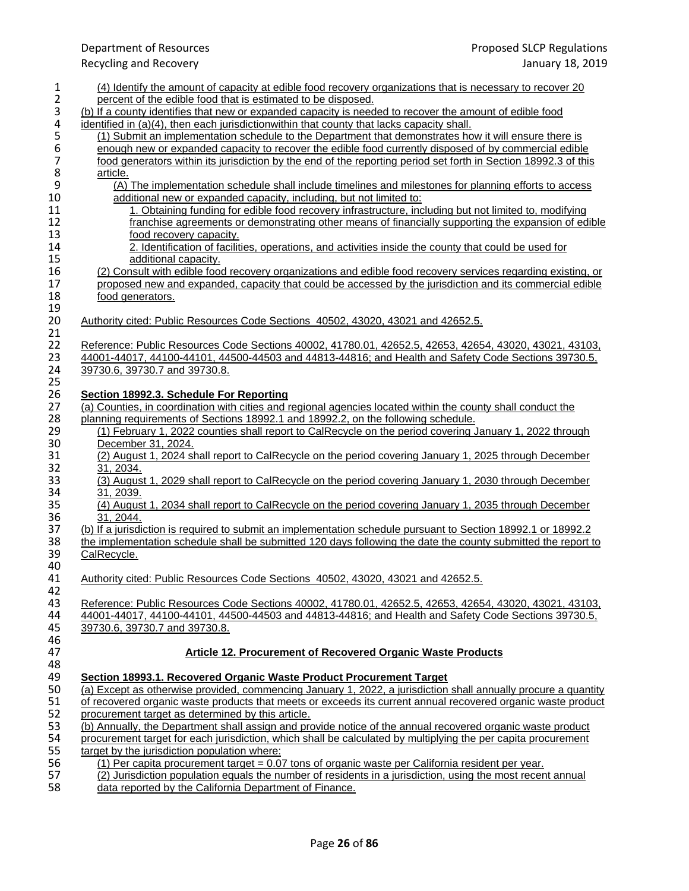| 1                | (4) Identify the amount of capacity at edible food recovery organizations that is necessary to recover 20                                                                                                                      |
|------------------|--------------------------------------------------------------------------------------------------------------------------------------------------------------------------------------------------------------------------------|
| $\overline{2}$   | percent of the edible food that is estimated to be disposed.                                                                                                                                                                   |
| 3                | (b) If a county identifies that new or expanded capacity is needed to recover the amount of edible food                                                                                                                        |
| 4                | identified in $(a)(4)$ , then each jurisdictionwithin that county that lacks capacity shall.                                                                                                                                   |
| 5                | (1) Submit an implementation schedule to the Department that demonstrates how it will ensure there is                                                                                                                          |
| $\boldsymbol{6}$ | enough new or expanded capacity to recover the edible food currently disposed of by commercial edible                                                                                                                          |
| $\overline{7}$   | food generators within its jurisdiction by the end of the reporting period set forth in Section 18992.3 of this                                                                                                                |
| 8                | article.                                                                                                                                                                                                                       |
| 9                | (A) The implementation schedule shall include timelines and milestones for planning efforts to access                                                                                                                          |
| 10               | additional new or expanded capacity, including, but not limited to:                                                                                                                                                            |
| 11               | 1. Obtaining funding for edible food recovery infrastructure, including but not limited to, modifying                                                                                                                          |
| 12               | franchise agreements or demonstrating other means of financially supporting the expansion of edible                                                                                                                            |
| 13<br>14         | food recovery capacity.<br>2. Identification of facilities, operations, and activities inside the county that could be used for                                                                                                |
| 15               |                                                                                                                                                                                                                                |
| 16               | additional capacity.<br>(2) Consult with edible food recovery organizations and edible food recovery services regarding existing, or                                                                                           |
| 17               | proposed new and expanded, capacity that could be accessed by the jurisdiction and its commercial edible                                                                                                                       |
| 18               | food generators.                                                                                                                                                                                                               |
| 19               |                                                                                                                                                                                                                                |
| 20               | Authority cited: Public Resources Code Sections 40502, 43020, 43021 and 42652.5.                                                                                                                                               |
| 21               |                                                                                                                                                                                                                                |
| 22               | Reference: Public Resources Code Sections 40002, 41780.01, 42652.5, 42653, 42654, 43020, 43021, 43103,                                                                                                                         |
| 23               | 44001-44017, 44100-44101, 44500-44503 and 44813-44816; and Health and Safety Code Sections 39730.5,                                                                                                                            |
| 24               | 39730.6, 39730.7 and 39730.8.                                                                                                                                                                                                  |
| 25               |                                                                                                                                                                                                                                |
| 26               | Section 18992.3. Schedule For Reporting                                                                                                                                                                                        |
| 27               | (a) Counties, in coordination with cities and regional agencies located within the county shall conduct the                                                                                                                    |
| 28               | planning requirements of Sections 18992.1 and 18992.2, on the following schedule.                                                                                                                                              |
| 29               | (1) February 1, 2022 counties shall report to CalRecycle on the period covering January 1, 2022 through                                                                                                                        |
| 30               | December 31, 2024.                                                                                                                                                                                                             |
| 31               | (2) August 1, 2024 shall report to CalRecycle on the period covering January 1, 2025 through December                                                                                                                          |
| 32               | 31, 2034.                                                                                                                                                                                                                      |
| 33<br>34         | (3) August 1, 2029 shall report to CalRecycle on the period covering January 1, 2030 through December<br>31, 2039.                                                                                                             |
| 35               | (4) August 1, 2034 shall report to CalRecycle on the period covering January 1, 2035 through December                                                                                                                          |
| 36               | 31, 2044.                                                                                                                                                                                                                      |
| 37               | (b) If a jurisdiction is required to submit an implementation schedule pursuant to Section 18992.1 or 18992.2                                                                                                                  |
| 38               | the implementation schedule shall be submitted 120 days following the date the county submitted the report to                                                                                                                  |
| 39               | CalRecycle.                                                                                                                                                                                                                    |
| 40               |                                                                                                                                                                                                                                |
| 41               | Authority cited: Public Resources Code Sections 40502, 43020, 43021 and 42652.5.                                                                                                                                               |
| 42               |                                                                                                                                                                                                                                |
| 43               | Reference: Public Resources Code Sections 40002, 41780.01, 42652.5, 42653, 42654, 43020, 43021, 43103,                                                                                                                         |
| 44               | 44001-44017, 44100-44101, 44500-44503 and 44813-44816; and Health and Safety Code Sections 39730.5,                                                                                                                            |
| 45               | 39730.6, 39730.7 and 39730.8.                                                                                                                                                                                                  |
| 46               |                                                                                                                                                                                                                                |
| 47               | <b>Article 12. Procurement of Recovered Organic Waste Products</b>                                                                                                                                                             |
| 48               |                                                                                                                                                                                                                                |
| 49               | Section 18993.1. Recovered Organic Waste Product Procurement Target                                                                                                                                                            |
| 50<br>51         | (a) Except as otherwise provided, commencing January 1, 2022, a jurisdiction shall annually procure a quantity<br>of recovered organic waste products that meets or exceeds its current annual recovered organic waste product |
| 52               | procurement target as determined by this article.                                                                                                                                                                              |
| 53               | (b) Annually, the Department shall assign and provide notice of the annual recovered organic waste product                                                                                                                     |
| 54               | procurement target for each jurisdiction, which shall be calculated by multiplying the per capita procurement                                                                                                                  |
| 55               | target by the jurisdiction population where:                                                                                                                                                                                   |
| 56               | (1) Per capita procurement target = 0.07 tons of organic waste per California resident per year.                                                                                                                               |
| 57               | (2) Jurisdiction population equals the number of residents in a jurisdiction, using the most recent annual                                                                                                                     |
| 58               | data reported by the California Department of Finance.                                                                                                                                                                         |
|                  |                                                                                                                                                                                                                                |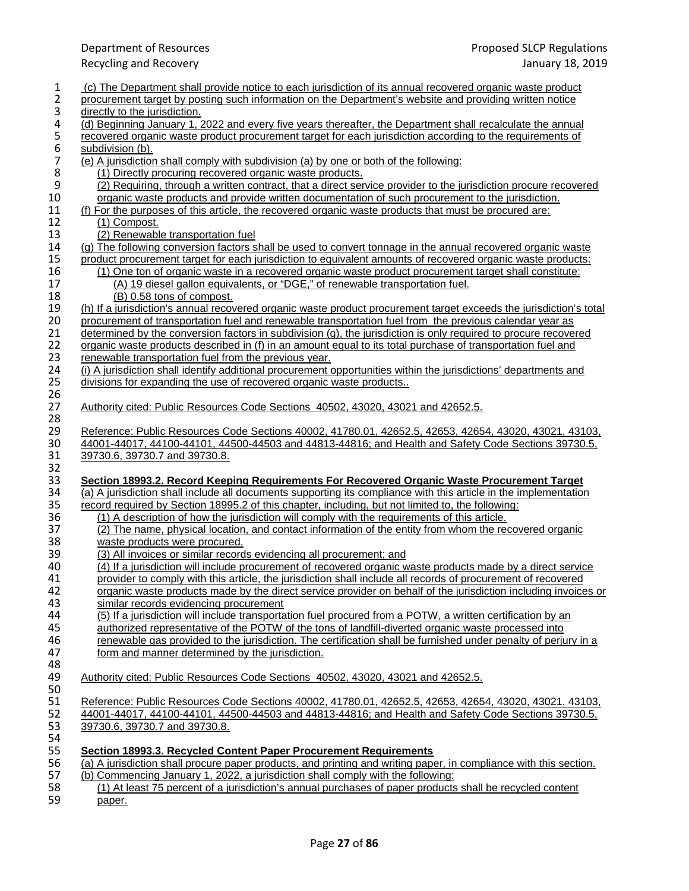| 1              | (c) The Department shall provide notice to each jurisdiction of its annual recovered organic waste product                                                                                                              |
|----------------|-------------------------------------------------------------------------------------------------------------------------------------------------------------------------------------------------------------------------|
| $\overline{2}$ | procurement target by posting such information on the Department's website and providing written notice                                                                                                                 |
| 3              | directly to the jurisdiction.                                                                                                                                                                                           |
| 4<br>5         | (d) Beginning January 1, 2022 and every five years thereafter, the Department shall recalculate the annual<br>recovered organic waste product procurement target for each jurisdiction according to the requirements of |
| 6              | subdivision (b).                                                                                                                                                                                                        |
| $\overline{7}$ | (e) A jurisdiction shall comply with subdivision (a) by one or both of the following:                                                                                                                                   |
| 8              | (1) Directly procuring recovered organic waste products.                                                                                                                                                                |
| 9              | (2) Requiring, through a written contract, that a direct service provider to the jurisdiction procure recovered                                                                                                         |
| 10             | organic waste products and provide written documentation of such procurement to the jurisdiction.                                                                                                                       |
| 11             | (f) For the purposes of this article, the recovered organic waste products that must be procured are:                                                                                                                   |
| 12             | (1) Compost.                                                                                                                                                                                                            |
| 13<br>14       | (2) Renewable transportation fuel<br>(g) The following conversion factors shall be used to convert tonnage in the annual recovered organic waster                                                                       |
| 15             | product procurement target for each jurisdiction to equivalent amounts of recovered organic waste products:                                                                                                             |
| 16             | (1) One ton of organic waste in a recovered organic waste product procurement target shall constitute:                                                                                                                  |
| 17             | (A) 19 diesel gallon equivalents, or "DGE," of renewable transportation fuel.                                                                                                                                           |
| 18             | (B) 0.58 tons of compost.                                                                                                                                                                                               |
| 19             | (h) If a jurisdiction's annual recovered organic waste product procurement target exceeds the jurisdiction's total                                                                                                      |
| 20             | procurement of transportation fuel and renewable transportation fuel from the previous calendar year as                                                                                                                 |
| 21             | determined by the conversion factors in subdivision (g), the jurisdiction is only required to procure recovered                                                                                                         |
| 22             | organic waste products described in (f) in an amount equal to its total purchase of transportation fuel and                                                                                                             |
| 23<br>24       | renewable transportation fuel from the previous year.<br>(i) A jurisdiction shall identify additional procurement opportunities within the jurisdictions' departments and                                               |
| 25             | divisions for expanding the use of recovered organic waste products                                                                                                                                                     |
| 26             |                                                                                                                                                                                                                         |
| 27             | Authority cited: Public Resources Code Sections 40502, 43020, 43021 and 42652.5.                                                                                                                                        |
| 28             |                                                                                                                                                                                                                         |
| 29             | Reference: Public Resources Code Sections 40002, 41780.01, 42652.5, 42653, 42654, 43020, 43021, 43103,                                                                                                                  |
| 30             | 44001-44017, 44100-44101, 44500-44503 and 44813-44816; and Health and Safety Code Sections 39730.5,                                                                                                                     |
| 31<br>32       | 39730.6, 39730.7 and 39730.8.                                                                                                                                                                                           |
| 33             | Section 18993.2. Record Keeping Requirements For Recovered Organic Waste Procurement Target                                                                                                                             |
| 34             | (a) A jurisdiction shall include all documents supporting its compliance with this article in the implementation                                                                                                        |
| 35             | record required by Section 18995.2 of this chapter, including, but not limited to, the following:                                                                                                                       |
| 36             | (1) A description of how the jurisdiction will comply with the requirements of this article.                                                                                                                            |
| 37             | (2) The name, physical location, and contact information of the entity from whom the recovered organic                                                                                                                  |
| 38             | waste products were procured.                                                                                                                                                                                           |
| 39<br>40       | (3) All invoices or similar records evidencing all procurement; and<br>(4) If a jurisdiction will include procurement of recovered organic waste products made by a direct service                                      |
| 41             | provider to comply with this article, the jurisdiction shall include all records of procurement of recovered                                                                                                            |
| 42             | organic waste products made by the direct service provider on behalf of the jurisdiction including invoices or                                                                                                          |
| 43             | similar records evidencing procurement                                                                                                                                                                                  |
| 44             | (5) If a jurisdiction will include transportation fuel procured from a POTW, a written certification by an                                                                                                              |
| 45             | authorized representative of the POTW of the tons of landfill-diverted organic waste processed into                                                                                                                     |
| 46             | renewable gas provided to the jurisdiction. The certification shall be furnished under penalty of perjury in a                                                                                                          |
| 47             | form and manner determined by the jurisdiction.                                                                                                                                                                         |
| 48<br>49       | Authority cited: Public Resources Code Sections 40502, 43020, 43021 and 42652.5.                                                                                                                                        |
| 50             |                                                                                                                                                                                                                         |
| 51             | Reference: Public Resources Code Sections 40002, 41780.01, 42652.5, 42653, 42654, 43020, 43021, 43103,                                                                                                                  |
| 52             | 44001-44017, 44100-44101, 44500-44503 and 44813-44816; and Health and Safety Code Sections 39730.5,                                                                                                                     |
| 53             | 39730.6, 39730.7 and 39730.8.                                                                                                                                                                                           |
| 54             |                                                                                                                                                                                                                         |
| 55             | Section 18993.3. Recycled Content Paper Procurement Requirements                                                                                                                                                        |
| 56             | (a) A jurisdiction shall procure paper products, and printing and writing paper, in compliance with this section.                                                                                                       |
| 57<br>58       | (b) Commencing January 1, 2022, a jurisdiction shall comply with the following:<br>(1) At least 75 percent of a jurisdiction's annual purchases of paper products shall be recycled content                             |
| 59             | paper.                                                                                                                                                                                                                  |
|                |                                                                                                                                                                                                                         |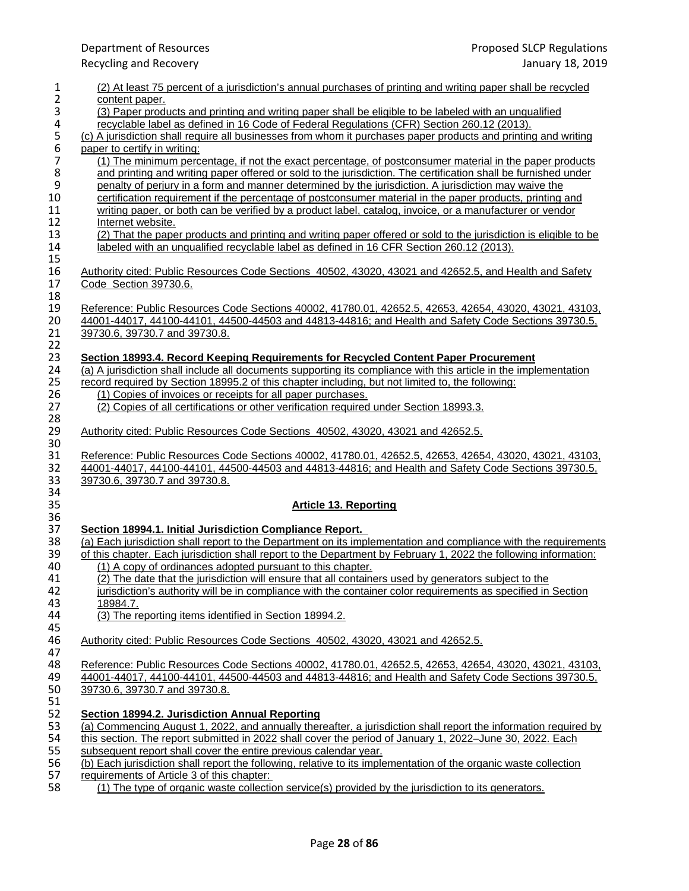| 1              | (2) At least 75 percent of a jurisdiction's annual purchases of printing and writing paper shall be recycled     |
|----------------|------------------------------------------------------------------------------------------------------------------|
| $\overline{2}$ | content paper.                                                                                                   |
| 3              | (3) Paper products and printing and writing paper shall be eligible to be labeled with an unqualified            |
| 4              | recyclable label as defined in 16 Code of Federal Regulations (CFR) Section 260.12 (2013).                       |
| 5              | (c) A jurisdiction shall require all businesses from whom it purchases paper products and printing and writing   |
| 6              | paper to certify in writing:                                                                                     |
| 7              | (1) The minimum percentage, if not the exact percentage, of postconsumer material in the paper products          |
| 8              | and printing and writing paper offered or sold to the jurisdiction. The certification shall be furnished under   |
| 9              | penalty of perjury in a form and manner determined by the jurisdiction. A jurisdiction may waive the             |
| 10             | certification requirement if the percentage of postconsumer material in the paper products, printing and         |
| 11             | writing paper, or both can be verified by a product label, catalog, invoice, or a manufacturer or vendor         |
| 12             | Internet website.                                                                                                |
| 13             | (2) That the paper products and printing and writing paper offered or sold to the jurisdiction is eligible to be |
| 14             | labeled with an unqualified recyclable label as defined in 16 CFR Section 260.12 (2013).                         |
| 15             |                                                                                                                  |
| 16             | Authority cited: Public Resources Code Sections 40502, 43020, 43021 and 42652.5, and Health and Safety           |
| 17             | Code Section 39730.6.                                                                                            |
| 18             |                                                                                                                  |
| 19             | Reference: Public Resources Code Sections 40002, 41780.01, 42652.5, 42653, 42654, 43020, 43021, 43103,           |
| 20             | 44001-44017, 44100-44101, 44500-44503 and 44813-44816; and Health and Safety Code Sections 39730.5,              |
| 21             | 39730.6, 39730.7 and 39730.8.                                                                                    |
| 22             |                                                                                                                  |
| 23             | Section 18993.4. Record Keeping Requirements for Recycled Content Paper Procurement                              |
| 24             | (a) A jurisdiction shall include all documents supporting its compliance with this article in the implementation |
| 25             | record required by Section 18995.2 of this chapter including, but not limited to, the following:                 |
| 26             | (1) Copies of invoices or receipts for all paper purchases.                                                      |
| 27             | (2) Copies of all certifications or other verification required under Section 18993.3.                           |
| 28             |                                                                                                                  |
| 29             | Authority cited: Public Resources Code Sections 40502, 43020, 43021 and 42652.5.                                 |
| 30             |                                                                                                                  |
| 31             | Reference: Public Resources Code Sections 40002, 41780.01, 42652.5, 42653, 42654, 43020, 43021, 43103,           |
| 32             | 44001-44017, 44100-44101, 44500-44503 and 44813-44816; and Health and Safety Code Sections 39730.5,              |
| 33             | 39730.6, 39730.7 and 39730.8.                                                                                    |
| 34             |                                                                                                                  |
| 35             | <b>Article 13. Reporting</b>                                                                                     |
| 36             |                                                                                                                  |
| 37             | Section 18994.1. Initial Jurisdiction Compliance Report.                                                         |
| 38             | (a) Each jurisdiction shall report to the Department on its implementation and compliance with the requirements  |
| 39             | of this chapter. Each jurisdiction shall report to the Department by February 1, 2022 the following information: |
| 40             | (1) A copy of ordinances adopted pursuant to this chapter.                                                       |
| 41             | (2) The date that the jurisdiction will ensure that all containers used by generators subject to the             |
| 42             | jurisdiction's authority will be in compliance with the container color requirements as specified in Section     |
| 43             | 18984.7.                                                                                                         |
| 44             | (3) The reporting items identified in Section 18994.2.                                                           |
| 45             |                                                                                                                  |
| 46             | Authority cited: Public Resources Code Sections 40502, 43020, 43021 and 42652.5.                                 |
| 47             |                                                                                                                  |
| 48             | Reference: Public Resources Code Sections 40002, 41780.01, 42652.5, 42653, 42654, 43020, 43021, 43103,           |
| 49             | 44001-44017, 44100-44101, 44500-44503 and 44813-44816; and Health and Safety Code Sections 39730.5,              |
| 50             | 39730.6, 39730.7 and 39730.8.                                                                                    |
| 51             |                                                                                                                  |
| 52             | Section 18994.2. Jurisdiction Annual Reporting                                                                   |
| 53             | (a) Commencing August 1, 2022, and annually thereafter, a jurisdiction shall report the information required by  |
| 54             | this section. The report submitted in 2022 shall cover the period of January 1, 2022–June 30, 2022. Each         |
| 55             | subsequent report shall cover the entire previous calendar year.                                                 |
| 56             | (b) Each jurisdiction shall report the following, relative to its implementation of the organic waste collection |
| 57             | requirements of Article 3 of this chapter:                                                                       |
| 58             | (1) The type of organic waste collection service(s) provided by the jurisdiction to its generators.              |
|                |                                                                                                                  |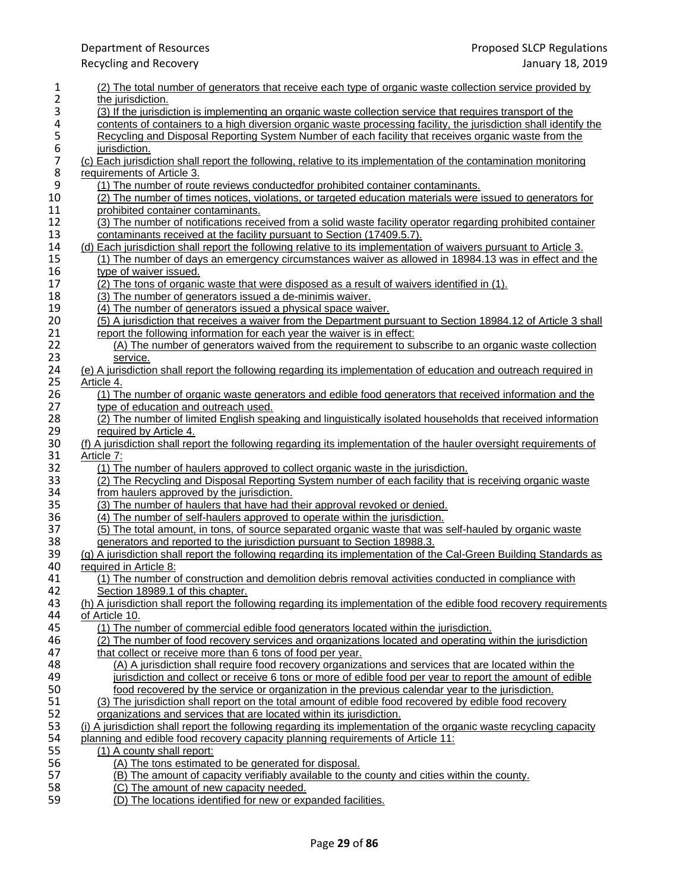1 (2) The total number of generators that receive each type of organic waste collection service provided by<br>2 the jurisdiction. 2 the jurisdiction.<br>3 (3) If the jurisdiction 3 (3) If the jurisdiction is implementing an organic waste collection service that requires transport of the<br>4 contents of containers to a high diversion organic waste processing facility, the jurisdiction shall identi 4 contents of containers to a high diversion organic waste processing facility, the jurisdiction shall identify the<br>5 Recycling and Disposal Reporting System Number of each facility that receives organic waste from the 5 Recycling and Disposal Reporting System Number of each facility that receives organic waste from the<br>6 iurisdiction.<br>7 (c) Each jurisdiction shall report the following, relative to its implementation of the contamination jurisdiction. 7 (c) Each jurisdiction shall report the following, relative to its implementation of the contamination monitoring<br>8 requirements of Article 3. 8 requirements of Article 3.<br>9 (1) The number of rou 9 (1) The number of route reviews conductedfor prohibited container contaminants.<br>10 (2) The number of times notices, violations, or targeted education materials were 10 (2) The number of times notices, violations, or targeted education materials were issued to generators for prohibited container contaminants. 11 prohibited container contaminants.<br>12 (3) The number of notifications rece 12 (3) The number of notifications received from a solid waste facility operator regarding prohibited container<br>13 contaminants received at the facility pursuant to Section (17409.5.7). 13 contaminants received at the facility pursuant to Section (17409.5.7).<br>14 (d) Each jurisdiction shall report the following relative to its implementation 14 (d) Each jurisdiction shall report the following relative to its implementation of waivers pursuant to Article 3.<br>15 (1) The number of days an emergency circumstances waiver as allowed in 18984.13 was in effect and t 15 (1) The number of days an emergency circumstances waiver as allowed in 18984.13 was in effect and the type of waiver issued. 16 type of waiver issued.<br>17 (2) The tons of organic 17 (2) The tons of organic waste that were disposed as a result of waivers identified in (1).<br>18 (3) The number of generators issued a de-minimis waiver. 18 (3) The number of generators issued a de-minimis waiver.<br>19 (4) The number of generators issued a physical space waiv 19 (4) The number of generators issued a physical space waiver.<br>20 (5) A jurisdiction that receives a waiver from the Department po 20 (5) A jurisdiction that receives a waiver from the Department pursuant to Section 18984.12 of Article 3 shall report the following information for each year the waiver is in effect: 21 report the following information for each year the waiver is in effect:<br>22 (A) The number of generators waived from the requirement to su 22 (A) The number of generators waived from the requirement to subscribe to an organic waste collection<br>23 service. 23 <u>service.</u><br>24 (e) A iurisdictio 24 (e) A jurisdiction shall report the following regarding its implementation of education and outreach required in <br>25 Article 4. Article 4. 26 (1) The number of organic waste generators and edible food generators that received information and the 27 type of education and outreach used. type of education and outreach used. 28 (2) The number of limited English speaking and linguistically isolated households that received information 29 required by Article 4. 29 required by Article 4.<br>30 (f) A jurisdiction shall rep 30 (f) A jurisdiction shall report the following regarding its implementation of the hauler oversight requirements of 31 Article 7: 31 Article 7:<br>32 (1) Th 32 (1) The number of haulers approved to collect organic waste in the jurisdiction.<br>33 (2) The Recycling and Disposal Reporting System number of each facility that i 33 (2) The Recycling and Disposal Reporting System number of each facility that is receiving organic waste 34 from haulers approved by the jurisdiction. 34 from haulers approved by the jurisdiction.<br>35 (3) The number of haulers that have had t (3) The number of haulers that have had their approval revoked or denied.<br>36 (4) The number of self-haulers approved to operate within the jurisdiction. 36 (4) The number of self-haulers approved to operate within the jurisdiction.<br>37 (5) The total amount, in tons, of source separated organic waste that was 37 (5) The total amount, in tons, of source separated organic waste that was self-hauled by organic waste generators and reported to the jurisdiction pursuant to Section 18988.3. 38 generators and reported to the jurisdiction pursuant to Section 18988.3.<br>39 (a) A jurisdiction shall report the following regarding its implementation of the 39 (g) A jurisdiction shall report the following regarding its implementation of the Cal-Green Building Standards as 40 required in Article 8: 40 required in Article 8:<br>41 (1) The number of 41 (1) The number of construction and demolition debris removal activities conducted in compliance with 42 Section 18989.1 of this chapter.<br>43 (h) A jurisdiction shall report the follo 43 (h) A jurisdiction shall report the following regarding its implementation of the edible food recovery requirements of Article 10. 44 of Article 10.<br>45 (1) The nu 45 (1) The number of commercial edible food generators located within the jurisdiction.<br>46 (2) The number of food recovery services and organizations located and operating w 46 (2) The number of food recovery services and organizations located and operating within the jurisdiction that collect or receive more than 6 tons of food per vear. 47 that collect or receive more than 6 tons of food per year.<br>48 (A) A jurisdiction shall require food recovery organiza 48 (A) A jurisdiction shall require food recovery organizations and services that are located within the 49 (4) iurisdiction and collect or receive 6 tons or more of edible food per year to report the amount of edi 49 jurisdiction and collect or receive 6 tons or more of edible food per year to report the amount of edible 50<br>50 food recovered by the service or organization in the previous calendar year to the jurisdiction. 50 <u>food recovered by the service or organization in the previous calendar year to the jurisdiction.</u><br>51 (3) The jurisdiction shall report on the total amount of edible food recovered by edible food recove 51 (3) The jurisdiction shall report on the total amount of edible food recovered by edible food recovery<br>52 organizations and services that are located within its jurisdiction. 52 organizations and services that are located within its jurisdiction.<br>53 (i) A jurisdiction shall report the following regarding its implementation 53 (i) A jurisdiction shall report the following regarding its implementation of the organic waste recycling capacity 54 planning and edible food recovery capacity planning requirements of Article 11:<br>55 (1) A county shall report: 55 (1) A county shall report: 56 (A) The tons estimated to be generated for disposal.<br>57 (B) The amount of capacity verifiably available to the 57 (B) The amount of capacity verifiably available to the county and cities within the county.<br>58 (C) The amount of new capacity needed. 58  $\overline{(C) \text{ The amount of new capacity needed.}}$ <br>59 (D) The locations identified for new or exp

(D) The locations identified for new or expanded facilities.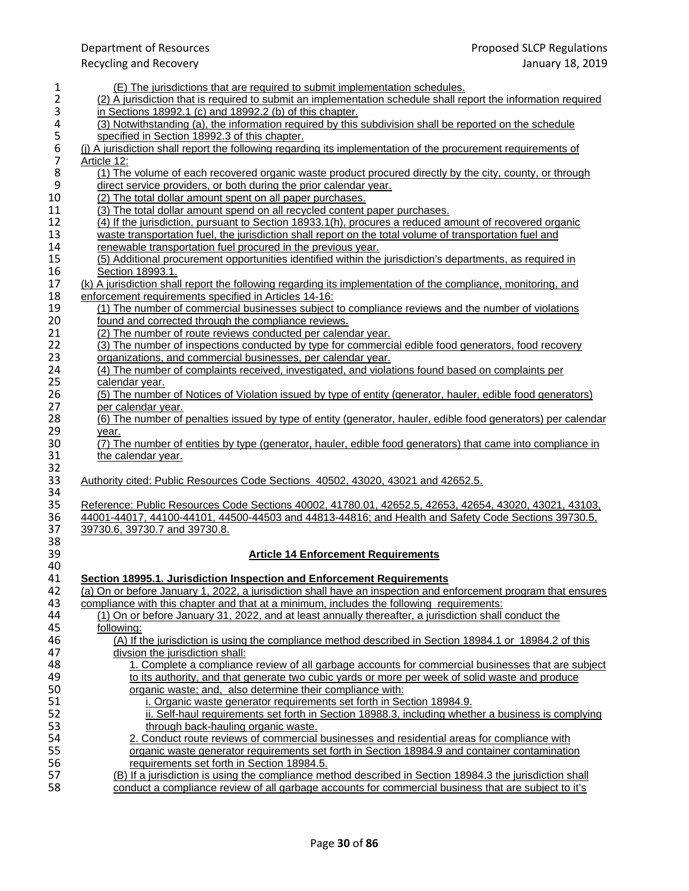1 (E) The jurisdictions that are required to submit implementation schedules.<br>
2 (2) A jurisdiction that is required to submit an implementation schedule shall re (2) A jurisdiction that is required to submit an implementation schedule shall report the information required<br>3 in Sections 18992.1 (c) and 18992.2 (b) of this chapter. 3 in Sections 18992.1 (c) and 18992.2 (b) of this chapter.<br>4 (3) Notwithstanding (a), the information required by this 4 (3) Notwithstanding (a), the information required by this subdivision shall be reported on the schedule<br>5 specified in Section 18992.3 of this chapter. 5 specified in Section 18992.3 of this chapter.<br>6 (i) A jurisdiction shall report the following regard<br>7 Article 12: 6 (j) A jurisdiction shall report the following regarding its implementation of the procurement requirements of 7 Article 12:<br>8 (1) The 8 (1) The volume of each recovered organic waste product procured directly by the city, county, or through direct service providers, or both during the prior calendar year. 9 direct service providers, or both during the prior calendar year.<br>10 (2) The total dollar amount spent on all paper purchases. 10 (2) The total dollar amount spent on all paper purchases.<br>11 (3) The total dollar amount spend on all recycled content 11 (3) The total dollar amount spend on all recycled content paper purchases.<br>12 (4) If the jurisdiction, pursuant to Section 18933.1(h), procures a reduced at 12 (4) If the jurisdiction, pursuant to Section 18933.1(h), procures a reduced amount of recovered organic<br>13 waste transportation fuel, the jurisdiction shall report on the total volume of transportation fuel and 13 waste transportation fuel, the jurisdiction shall report on the total volume of transportation fuel and 14 reportation fuel procured in the previous vear. 14 renewable transportation fuel procured in the previous year.<br>15 (5) Additional procurement opportunities identified within the 15 (5) Additional procurement opportunities identified within the jurisdiction's departments, as required in 16 Section 18993.1.<br>17 (k) A jurisdiction shall 17 (k) A jurisdiction shall report the following regarding its implementation of the compliance, monitoring, and <br>18 enforcement requirements specified in Articles 14-16: 18 enforcement requirements specified in Articles 14-16:<br>19 (1) The number of commercial businesses subject 19 (1) The number of commercial businesses subject to compliance reviews and the number of violations 100 found and corrected through the compliance reviews. 20 <u>found and corrected through the compliance reviews.</u><br>21 (2) The number of route reviews conducted per calend 21 (2) The number of route reviews conducted per calendar year.<br>22 (3) The number of inspections conducted by type for commerci 22 (3) The number of inspections conducted by type for commercial edible food generators, food recovery<br>23 organizations, and commercial businesses, per calendar vear. 23 organizations, and commercial businesses, per calendar year.<br>24 (4) The number of complaints received, investigated, and violar 24 (4) The number of complaints received, investigated, and violations found based on complaints per calendar vear. calendar year. 26 (5) The number of Notices of Violation issued by type of entity (generator, hauler, edible food generators)<br>27 per calendar year. per calendar year. 28 (6) The number of penalties issued by type of entity (generator, hauler, edible food generators) per calendar<br>29 vear. 29 <u>year.</u><br>30 (7) Th 30 (7) The number of entities by type (generator, hauler, edible food generators) that came into compliance in the calendar year. the calendar year. 32<br>33 33 Authority cited: Public Resources Code Sections 40502, 43020, 43021 and 42652.5. 34<br>35 35 Reference: Public Resources Code Sections 40002, 41780.01, 42652.5, 42653, 42654, 43020, 43021, 43103, 43021<br>36 44001-44017, 44100-44101, 44500-44503 and 44813-44816; and Health and Safety Code Sections 39730.5, 36 44001-44017, 44100-44101, 44500-44503 and 44813-44816; and Health and Safety Code Sections 39730.5, 37<br>37 39730.6, 39730.7 and 39730.8. 37 39730.6, 39730.7 and 39730.8. 38<br>39 39 **Article 14 Enforcement Requirements** 40<br>41 41 **Section 18995.1. Jurisdiction Inspection and Enforcement Requirements** 42 (a) On or before January 1, 2022, a jurisdiction shall have an inspection and enforcement program that ensures 43 compliance with this chapter and that at a minimum, includes the following requirements: 43 compliance with this chapter and that at a minimum, includes the following requirements:<br>44 (1) On or before January 31, 2022, and at least annually thereafter, a jurisdiction shall 44 (1) On or before January 31, 2022, and at least annually thereafter, a jurisdiction shall conduct the 45 (1) 45 <u>following:</u><br>46 (A) If t 46 (A) If the jurisdiction is using the compliance method described in Section 18984.1 or 18984.2 of this 47 47 divsion the jurisdiction shall:<br>48 1. Complete a compliance 1. Complete a compliance review of all garbage accounts for commercial businesses that are subject 49 to its authority, and that generate two cubic yards or more per week of solid waste and produce<br>50 organic waste: and. also determine their compliance with: 50 **50** organic waste; and, also determine their compliance with:<br>51 **buying the intervals** i. Organic waste generator requirements set forth in Sec i. Organic waste generator requirements set forth in Section 18984.9. 52 ii. Self-haul requirements set forth in Section 18988.3, including whether a business is complying<br>53 through back-hauling organic waste. through back-hauling organic waste. 54 2. Conduct route reviews of commercial businesses and residential areas for compliance with<br>55 organic waste generator requirements set forth in Section 18984.9 and container contamination 55 organic waste generator requirements set forth in Section 18984.9 and container contamination 56 requirements set forth in Section 18984.5.<br>57 (B) If a jurisdiction is using the compliance me 57 (B) If a jurisdiction is using the compliance method described in Section 18984.3 the jurisdiction shall<br>58 conduct a compliance review of all garbage accounts for commercial business that are subject to it's conduct a compliance review of all garbage accounts for commercial business that are subject to it's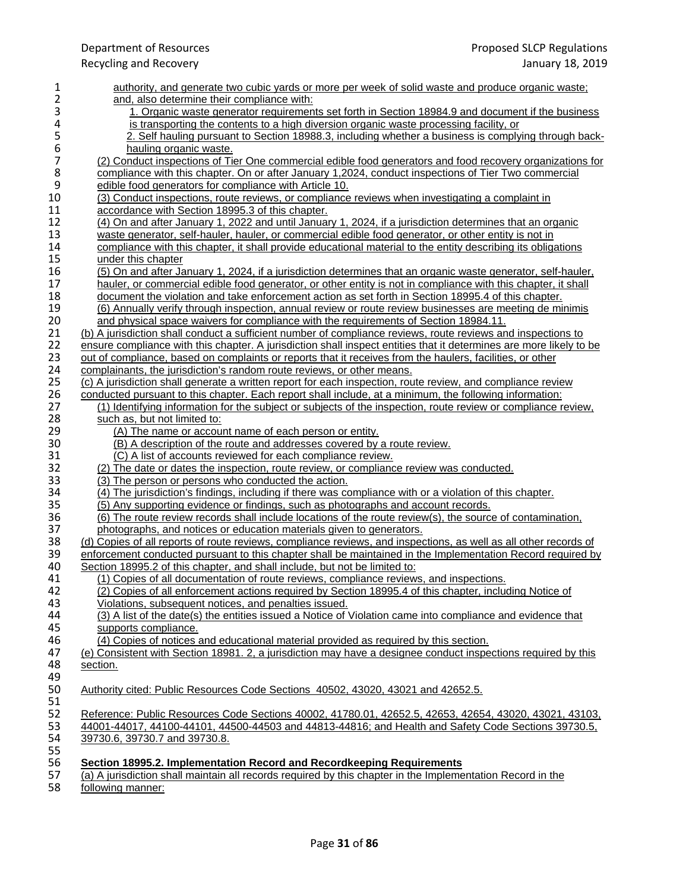| 1             | authority, and generate two cubic yards or more per week of solid waste and produce organic waste;                                                                                               |
|---------------|--------------------------------------------------------------------------------------------------------------------------------------------------------------------------------------------------|
| 2             | and, also determine their compliance with:                                                                                                                                                       |
| 3             | 1. Organic waste generator requirements set forth in Section 18984.9 and document if the business                                                                                                |
| 4             | is transporting the contents to a high diversion organic waste processing facility, or                                                                                                           |
| $\frac{5}{6}$ | 2. Self hauling pursuant to Section 18988.3, including whether a business is complying through back-                                                                                             |
|               | hauling organic waste.                                                                                                                                                                           |
| 7             | (2) Conduct inspections of Tier One commercial edible food generators and food recovery organizations for                                                                                        |
| 8             | compliance with this chapter. On or after January 1,2024, conduct inspections of Tier Two commercial                                                                                             |
| $\mathsf 9$   | edible food generators for compliance with Article 10.                                                                                                                                           |
| 10            | (3) Conduct inspections, route reviews, or compliance reviews when investigating a complaint in                                                                                                  |
| 11            | accordance with Section 18995.3 of this chapter.                                                                                                                                                 |
| 12            | (4) On and after January 1, 2022 and until January 1, 2024, if a jurisdiction determines that an organic                                                                                         |
| 13            | waste generator, self-hauler, hauler, or commercial edible food generator, or other entity is not in                                                                                             |
| 14            | compliance with this chapter, it shall provide educational material to the entity describing its obligations                                                                                     |
| 15            | under this chapter                                                                                                                                                                               |
| 16            | (5) On and after January 1, 2024, if a jurisdiction determines that an organic waste generator, self-hauler,                                                                                     |
| 17            | hauler, or commercial edible food generator, or other entity is not in compliance with this chapter, it shall                                                                                    |
| 18            | document the violation and take enforcement action as set forth in Section 18995.4 of this chapter.                                                                                              |
| 19            | (6) Annually verify through inspection, annual review or route review businesses are meeting de minimis                                                                                          |
| 20            | and physical space waivers for compliance with the requirements of Section 18984.11.                                                                                                             |
| 21            | (b) A jurisdiction shall conduct a sufficient number of compliance reviews, route reviews and inspections to                                                                                     |
| 22            | ensure compliance with this chapter. A jurisdiction shall inspect entities that it determines are more likely to be                                                                              |
| 23            | out of compliance, based on complaints or reports that it receives from the haulers, facilities, or other                                                                                        |
| 24            | complainants, the jurisdiction's random route reviews, or other means.                                                                                                                           |
| 25            | (c) A jurisdiction shall generate a written report for each inspection, route review, and compliance review                                                                                      |
| 26            | conducted pursuant to this chapter. Each report shall include, at a minimum, the following information:                                                                                          |
| 27            | (1) Identifying information for the subject or subjects of the inspection, route review or compliance review,                                                                                    |
| 28            | such as, but not limited to:                                                                                                                                                                     |
| 29            | (A) The name or account name of each person or entity.                                                                                                                                           |
| 30            | (B) A description of the route and addresses covered by a route review.                                                                                                                          |
| 31            | (C) A list of accounts reviewed for each compliance review.                                                                                                                                      |
| 32            | (2) The date or dates the inspection, route review, or compliance review was conducted.                                                                                                          |
| 33            | (3) The person or persons who conducted the action.                                                                                                                                              |
| 34            | (4) The jurisdiction's findings, including if there was compliance with or a violation of this chapter.                                                                                          |
| 35            | (5) Any supporting evidence or findings, such as photographs and account records.                                                                                                                |
| 36            | (6) The route review records shall include locations of the route review(s), the source of contamination,                                                                                        |
| 37            | photographs, and notices or education materials given to generators.                                                                                                                             |
| 38            | (d) Copies of all reports of route reviews, compliance reviews, and inspections, as well as all other records of                                                                                 |
| 39            | enforcement conducted pursuant to this chapter shall be maintained in the Implementation Record required by                                                                                      |
| 40            | Section 18995.2 of this chapter, and shall include, but not be limited to:                                                                                                                       |
| 41<br>42      | (1) Copies of all documentation of route reviews, compliance reviews, and inspections.<br>(2) Copies of all enforcement actions required by Section 18995.4 of this chapter, including Notice of |
| 43            | Violations, subsequent notices, and penalties issued.                                                                                                                                            |
| 44            | (3) A list of the date(s) the entities issued a Notice of Violation came into compliance and evidence that                                                                                       |
| 45            | supports compliance.                                                                                                                                                                             |
| 46            | (4) Copies of notices and educational material provided as required by this section.                                                                                                             |
| 47            | (e) Consistent with Section 18981. 2, a jurisdiction may have a designee conduct inspections required by this                                                                                    |
| 48            | section.                                                                                                                                                                                         |
| 49            |                                                                                                                                                                                                  |
| 50            | Authority cited: Public Resources Code Sections 40502, 43020, 43021 and 42652.5.                                                                                                                 |
| 51            |                                                                                                                                                                                                  |
| 52            | Reference: Public Resources Code Sections 40002, 41780.01, 42652.5, 42653, 42654, 43020, 43021, 43103,                                                                                           |
| 53            | 44001-44017, 44100-44101, 44500-44503 and 44813-44816; and Health and Safety Code Sections 39730.5,                                                                                              |
| 54            | 39730.6, 39730.7 and 39730.8.                                                                                                                                                                    |
| 55            |                                                                                                                                                                                                  |
| 56            | Section 18995.2. Implementation Record and Recordkeeping Requirements                                                                                                                            |
| 57            | (a) A jurisdiction shall maintain all records required by this chapter in the Implementation Record in the                                                                                       |
| 58            | following manner:                                                                                                                                                                                |
|               |                                                                                                                                                                                                  |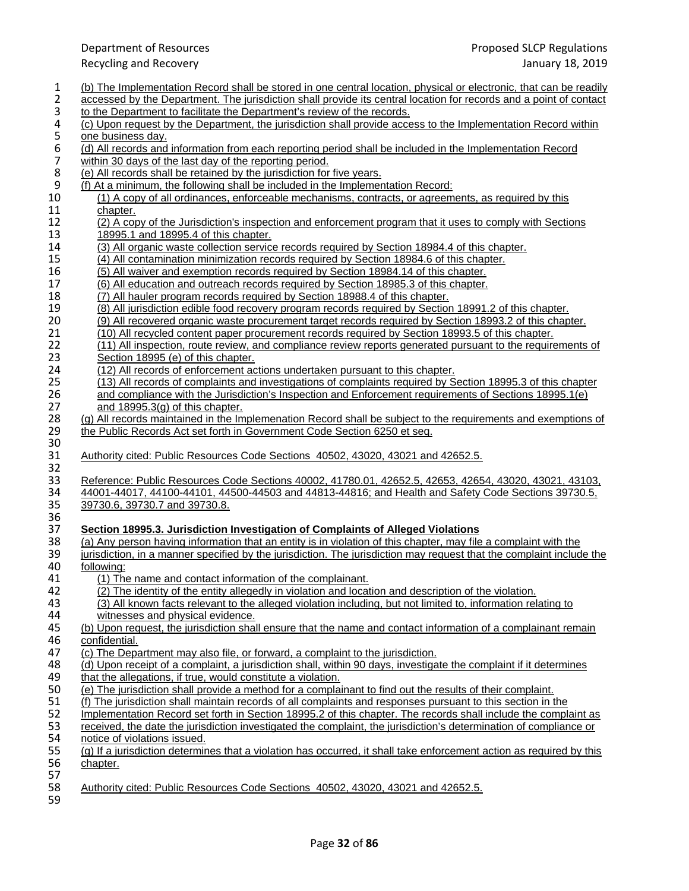- 1 (b) The Implementation Record shall be stored in one central location, physical or electronic, that can be readily<br>2 accessed by the Department. The jurisdiction shall provide its central location for records and a point
- 
- 2 accessed by the Department. The jurisdiction shall provide its central location for records and a point of contact<br>3 to the Department to facilitate the Department's review of the records.
- 3 to the Department to facilitate the Department's review of the records.<br>4 (c) Upon request by the Department, the jurisdiction shall provide acce 4 (c) Upon request by the Department, the jurisdiction shall provide access to the Implementation Record within<br>5 one business day.
- 5 one business day.<br>6 (d) All records and<br>7 within 30 days of th (d) All records and information from each reporting period shall be included in the Implementation Record
- 7 within 30 days of the last day of the reporting period.<br>8 (e) All records shall be retained by the jurisdiction for
- 8 (e) All records shall be retained by the jurisdiction for five years.<br>9 (f) At a minimum, the following shall be included in the Implemen
- (f) At a minimum, the following shall be included in the Implementation Record:<br>10 (1) A copy of all ordinances, enforceable mechanisms, contracts, or agreem
- 10 (1) A copy of all ordinances, enforceable mechanisms, contracts, or agreements, as required by this chapter. 11 chapter.<br>12 (2) A cop
- 12 (2) A copy of the Jurisdiction's inspection and enforcement program that it uses to comply with Sections 13 13 13 18995.1 and 18995.4 of this chapter.<br>14 (3) All organic waste collection service
- 14 (3) All organic waste collection service records required by Section 18984.4 of this chapter.<br>15 (4) All contamination minimization records required by Section 18984.6 of this chapter.
- 15 (4) All contamination minimization records required by Section 18984.6 of this chapter.<br>16 (5) All waiver and exemption records required by Section 18984.14 of this chapter.
- 16 (5) All waiver and exemption records required by Section 18984.14 of this chapter.<br>17 (6) All education and outreach records required by Section 18985.3 of this chapter.
- 17 (6) All education and outreach records required by Section 18985.3 of this chapter.<br>18 (7) All hauler program records required by Section 18988.4 of this chapter.
- 18 (7) All hauler program records required by Section 18988.4 of this chapter.<br>19 (8) All jurisdiction edible food recovery program records required by Section
- 19 (8) All jurisdiction edible food recovery program records required by Section 18991.2 of this chapter.<br>20 (9) All recovered organic waste procurement target records required by Section 18993.2 of this chapter.
- 20 (9) All recovered organic waste procurement target records required by Section 18993.2 of this chapter.<br>21 (10) All recycled content paper procurement records required by Section 18993.5 of this chapter.
- 21 (10) All recycled content paper procurement records required by Section 18993.5 of this chapter.<br>22 (11) All inspection, route review, and compliance review reports generated pursuant to the require
- 22 (11) All inspection, route review, and compliance review reports generated pursuant to the requirements of Section 18995 (e) of this chapter. 23 Section 18995 (e) of this chapter.<br>24 (12) All records of enforcement ac
- (12) All records of enforcement actions undertaken pursuant to this chapter.<br>25 (13) All records of complaints and investigations of complaints required by S
- 25 (13) All records of complaints and investigations of complaints required by Section 18995.3 of this chapter 26 and compliance with the Jurisdiction's Inspection and Enforcement requirements of Sections 18995.1(e)<br>27 and 18995.3(a) of this chapter. and  $18995.3(g)$  of this chapter.
- 28 (g) All records maintained in the Implemenation Record shall be subject to the requirements and exemptions of the Public Records Act set forth in Government Code Section 6250 et seq. the Public Records Act set forth in Government Code Section 6250 et seq.
- 30<br>31 31 Authority cited: Public Resources Code Sections 40502, 43020, 43021 and 42652.5.
- 32<br>33 33 Reference: Public Resources Code Sections 40002, 41780.01, 42652.5, 42653, 42654, 43020, 43021, 43103, 430<br>34 44001-44017, 44100-44101, 44500-44503 and 44813-44816; and Health and Safety Code Sections 39730.5. 34 44001-44017, 44100-44101, 44500-44503 and 44813-44816; and Health and Safety Code Sections 39730.5, 39730.5, 39730.5, 39730.5, 39730.5, 39730.5, 39730.5, 39730.5, 39730.5, 39730.5, 39730.5, 39730.5, 39730.7 and 39730.8 35 39730.6, 39730.7 and 39730.8.
- 36<br>37

## 37 **Section 18995.3. Jurisdiction Investigation of Complaints of Alleged Violations**

- 38 (a) Any person having information that an entity is in violation of this chapter, may file a complaint with the 39 iurisdiction. in a manner specified by the jurisdiction. The jurisdiction may request that the complaint 39 jurisdiction, in a manner specified by the jurisdiction. The jurisdiction may request that the complaint include the 40 following:
- 40 <u>following:</u><br>41 (1) The
	- 41 (1) The name and contact information of the complainant.
	-
- 42 (2) The identity of the entity allegedly in violation and location and description of the violation.<br>43 (3) All known facts relevant to the alleged violation including, but not limited to, information rel 43 (3) All known facts relevant to the alleged violation including, but not limited to, information relating to witnesses and physical evidence.
- 44 witnesses and physical evidence.<br>45 (b) Upon request, the jurisdiction sha 45 (b) Upon request, the jurisdiction shall ensure that the name and contact information of a complainant remain<br>46 confidential. 46 confidential.<br>47 (c) The Depa
- 47 (c) The Department may also file, or forward, a complaint to the jurisdiction.<br>48 (d) Upon receipt of a complaint, a jurisdiction shall, within 90 days, investiga
- 48 (d) Upon receipt of a complaint, a jurisdiction shall, within 90 days, investigate the complaint if it determines
- 49 that the allegations, if true, would constitute a violation.<br>50 (e) The jurisdiction shall provide a method for a complainty
- 50 (e) The jurisdiction shall provide a method for a complainant to find out the results of their complaint.<br>51 (f) The jurisdiction shall maintain records of all complaints and responses pursuant to this section in th 51 (f) The jurisdiction shall maintain records of all complaints and responses pursuant to this section in the<br>52 Implementation Record set forth in Section 18995.2 of this chapter. The records shall include the complete
- 52 Implementation Record set forth in Section 18995.2 of this chapter. The records shall include the complaint as<br>53 received, the date the iurisdiction investigated the complaint, the iurisdiction's determination of compl
- 53 received, the date the jurisdiction investigated the complaint, the jurisdiction's determination of compliance or
- 54 notice of violations issued.

|             | 55 (g) If a jurisdiction determines that a violation has occurred, it shall take enforcement action as required by this |  |
|-------------|-------------------------------------------------------------------------------------------------------------------------|--|
| 56 chapter. |                                                                                                                         |  |

- 57<br>58
- 58 Authority cited: Public Resources Code Sections 40502, 43020, 43021 and 42652.5.
- 59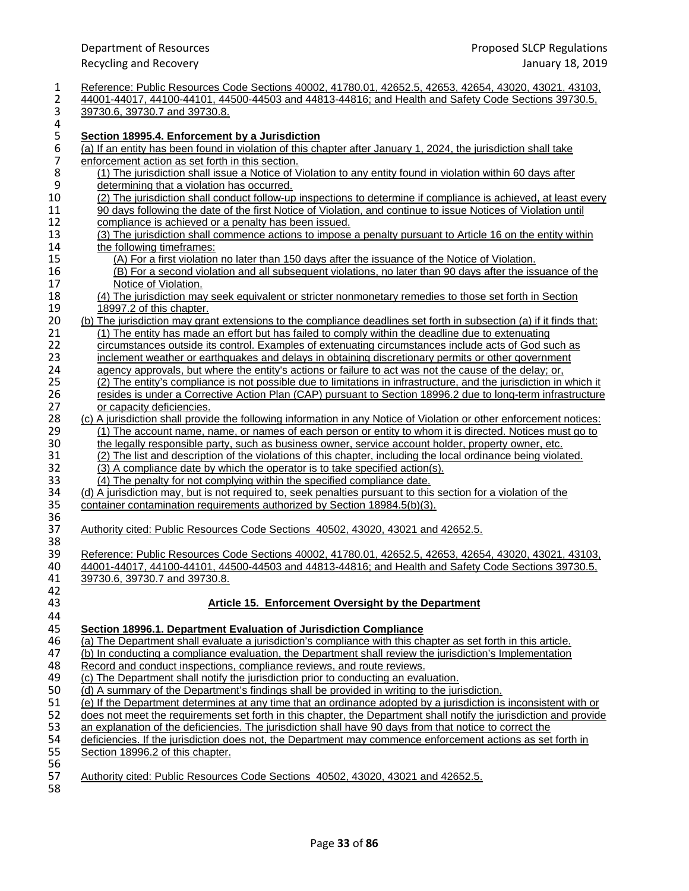| 1<br>$\overline{2}$<br>3 | Reference: Public Resources Code Sections 40002, 41780.01, 42652.5, 42653, 42654, 43020, 43021, 43103,<br>44001-44017, 44100-44101, 44500-44503 and 44813-44816; and Health and Safety Code Sections 39730.5,<br>39730.6, 39730.7 and 39730.8. |
|--------------------------|------------------------------------------------------------------------------------------------------------------------------------------------------------------------------------------------------------------------------------------------|
| 4                        |                                                                                                                                                                                                                                                |
| 5                        | Section 18995.4. Enforcement by a Jurisdiction                                                                                                                                                                                                 |
| 6                        | (a) If an entity has been found in violation of this chapter after January 1, 2024, the jurisdiction shall take                                                                                                                                |
| $\overline{7}$           | enforcement action as set forth in this section.                                                                                                                                                                                               |
| 8                        | (1) The jurisdiction shall issue a Notice of Violation to any entity found in violation within 60 days after                                                                                                                                   |
| $\boldsymbol{9}$         | determining that a violation has occurred.                                                                                                                                                                                                     |
| 10                       | (2) The jurisdiction shall conduct follow-up inspections to determine if compliance is achieved, at least every                                                                                                                                |
| 11                       | 90 days following the date of the first Notice of Violation, and continue to issue Notices of Violation until                                                                                                                                  |
| 12<br>13                 | compliance is achieved or a penalty has been issued.<br>(3) The jurisdiction shall commence actions to impose a penalty pursuant to Article 16 on the entity within                                                                            |
| 14                       | the following timeframes:                                                                                                                                                                                                                      |
| 15                       | (A) For a first violation no later than 150 days after the issuance of the Notice of Violation.                                                                                                                                                |
| 16                       | (B) For a second violation and all subsequent violations, no later than 90 days after the issuance of the                                                                                                                                      |
| 17                       | Notice of Violation.                                                                                                                                                                                                                           |
| 18                       | (4) The jurisdiction may seek equivalent or stricter nonmonetary remedies to those set forth in Section                                                                                                                                        |
| 19                       | 18997.2 of this chapter.                                                                                                                                                                                                                       |
| 20                       | (b) The jurisdiction may grant extensions to the compliance deadlines set forth in subsection (a) if it finds that:                                                                                                                            |
| 21                       | (1) The entity has made an effort but has failed to comply within the deadline due to extenuating                                                                                                                                              |
| 22                       | circumstances outside its control. Examples of extenuating circumstances include acts of God such as                                                                                                                                           |
| 23                       | inclement weather or earthquakes and delays in obtaining discretionary permits or other government                                                                                                                                             |
| 24                       | agency approvals, but where the entity's actions or failure to act was not the cause of the delay; or,                                                                                                                                         |
| 25                       | (2) The entity's compliance is not possible due to limitations in infrastructure, and the jurisdiction in which it                                                                                                                             |
| 26                       | resides is under a Corrective Action Plan (CAP) pursuant to Section 18996.2 due to long-term infrastructure                                                                                                                                    |
| 27                       | or capacity deficiencies.                                                                                                                                                                                                                      |
| 28                       | (c) A jurisdiction shall provide the following information in any Notice of Violation or other enforcement notices:                                                                                                                            |
| 29                       | (1) The account name, name, or names of each person or entity to whom it is directed. Notices must go to                                                                                                                                       |
| 30                       | the legally responsible party, such as business owner, service account holder, property owner, etc.                                                                                                                                            |
| 31                       | (2) The list and description of the violations of this chapter, including the local ordinance being violated.                                                                                                                                  |
| 32<br>33                 | (3) A compliance date by which the operator is to take specified action(s).                                                                                                                                                                    |
| 34                       | (4) The penalty for not complying within the specified compliance date.<br>(d) A jurisdiction may, but is not required to, seek penalties pursuant to this section for a violation of the                                                      |
| 35                       | container contamination requirements authorized by Section 18984.5(b)(3).                                                                                                                                                                      |
| 36                       |                                                                                                                                                                                                                                                |
| 37                       | Authority cited: Public Resources Code Sections 40502, 43020, 43021 and 42652.5.                                                                                                                                                               |
| 38                       |                                                                                                                                                                                                                                                |
| 39                       | Reference: Public Resources Code Sections 40002, 41780.01, 42652.5, 42653, 42654, 43020, 43021, 43103,                                                                                                                                         |
| 40                       | 44001-44017, 44100-44101, 44500-44503 and 44813-44816; and Health and Safety Code Sections 39730.5,                                                                                                                                            |
| 41                       | 39730.6, 39730.7 and 39730.8.                                                                                                                                                                                                                  |
| 42                       |                                                                                                                                                                                                                                                |
| 43                       | Article 15. Enforcement Oversight by the Department                                                                                                                                                                                            |
| 44                       |                                                                                                                                                                                                                                                |
| 45                       | Section 18996.1. Department Evaluation of Jurisdiction Compliance                                                                                                                                                                              |
| 46                       | (a) The Department shall evaluate a jurisdiction's compliance with this chapter as set forth in this article.                                                                                                                                  |
| 47                       | (b) In conducting a compliance evaluation, the Department shall review the jurisdiction's Implementation                                                                                                                                       |
| 48                       | Record and conduct inspections, compliance reviews, and route reviews.                                                                                                                                                                         |
| 49                       | (c) The Department shall notify the jurisdiction prior to conducting an evaluation.                                                                                                                                                            |
| 50                       | (d) A summary of the Department's findings shall be provided in writing to the jurisdiction.                                                                                                                                                   |
| 51                       | (e) If the Department determines at any time that an ordinance adopted by a jurisdiction is inconsistent with or                                                                                                                               |
| 52<br>53                 | does not meet the requirements set forth in this chapter, the Department shall notify the jurisdiction and provide                                                                                                                             |
| 54                       | an explanation of the deficiencies. The jurisdiction shall have 90 days from that notice to correct the<br>deficiencies. If the jurisdiction does not, the Department may commence enforcement actions as set forth in                         |
| 55                       | Section 18996.2 of this chapter.                                                                                                                                                                                                               |
| 56                       |                                                                                                                                                                                                                                                |
| 57                       | Authority cited: Public Resources Code Sections 40502, 43020, 43021 and 42652.5.                                                                                                                                                               |
| 58                       |                                                                                                                                                                                                                                                |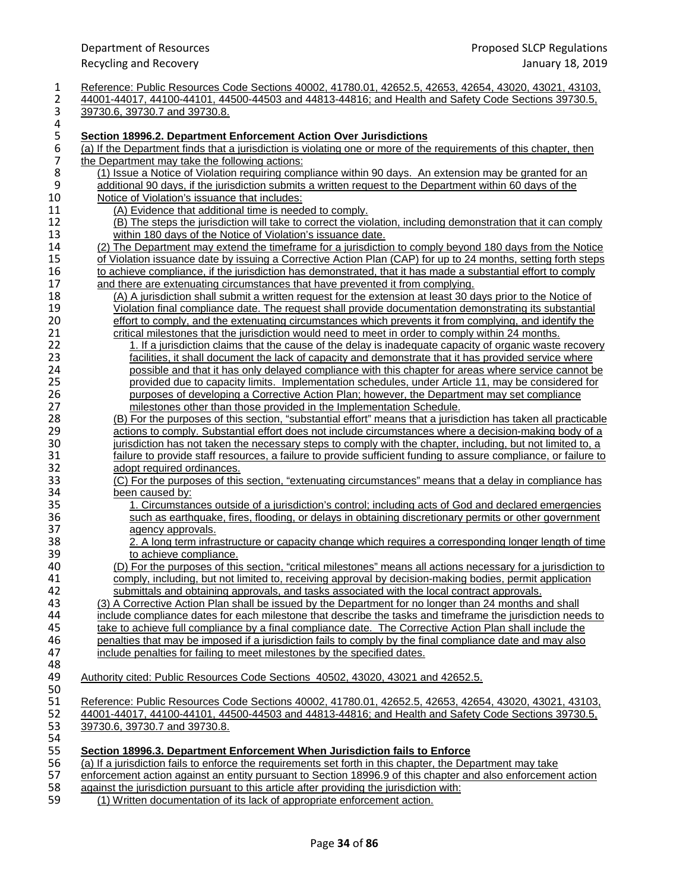| 1                | Reference: Public Resources Code Sections 40002, 41780.01, 42652.5, 42653, 42654, 43020, 43021, 43103,             |
|------------------|--------------------------------------------------------------------------------------------------------------------|
| 2                | 44001-44017, 44100-44101, 44500-44503 and 44813-44816; and Health and Safety Code Sections 39730.5,                |
| 3                | 39730.6, 39730.7 and 39730.8.                                                                                      |
| 4                |                                                                                                                    |
| 5                | Section 18996.2. Department Enforcement Action Over Jurisdictions                                                  |
| $\boldsymbol{6}$ | (a) If the Department finds that a jurisdiction is violating one or more of the requirements of this chapter, then |
| $\boldsymbol{7}$ | the Department may take the following actions:                                                                     |
| 8                | (1) Issue a Notice of Violation requiring compliance within 90 days. An extension may be granted for an            |
| 9                | additional 90 days, if the jurisdiction submits a written request to the Department within 60 days of the          |
| 10               | Notice of Violation's issuance that includes:                                                                      |
| 11               | (A) Evidence that additional time is needed to comply.                                                             |
| 12               | (B) The steps the jurisdiction will take to correct the violation, including demonstration that it can comply      |
| 13               | within 180 days of the Notice of Violation's issuance date.                                                        |
| 14               | (2) The Department may extend the timeframe for a jurisdiction to comply beyond 180 days from the Notice           |
| 15               | of Violation issuance date by issuing a Corrective Action Plan (CAP) for up to 24 months, setting forth steps      |
| 16               | to achieve compliance, if the jurisdiction has demonstrated, that it has made a substantial effort to comply       |
| 17               | and there are extenuating circumstances that have prevented it from complying.                                     |
| 18               | (A) A jurisdiction shall submit a written request for the extension at least 30 days prior to the Notice of        |
| 19               | Violation final compliance date. The request shall provide documentation demonstrating its substantial             |
| 20               | effort to comply, and the extenuating circumstances which prevents it from complying, and identify the             |
| 21               | critical milestones that the jurisdiction would need to meet in order to comply within 24 months.                  |
| 22               | <u>1. If a jurisdiction claims that the cause of the delay is inadequate capacity of organic waste recovery</u>    |
| 23               | facilities, it shall document the lack of capacity and demonstrate that it has provided service where              |
| 24               | possible and that it has only delayed compliance with this chapter for areas where service cannot be               |
| 25               | provided due to capacity limits. Implementation schedules, under Article 11, may be considered for                 |
| 26               | purposes of developing a Corrective Action Plan; however, the Department may set compliance                        |
| 27               | milestones other than those provided in the Implementation Schedule.                                               |
| 28               | (B) For the purposes of this section, "substantial effort" means that a jurisdiction has taken all practicable     |
| 29               | actions to comply. Substantial effort does not include circumstances where a decision-making body of a             |
| 30               | jurisdiction has not taken the necessary steps to comply with the chapter, including, but not limited to, a        |
| 31               | failure to provide staff resources, a failure to provide sufficient funding to assure compliance, or failure to    |
| 32               | adopt required ordinances.                                                                                         |
| 33               | (C) For the purposes of this section, "extenuating circumstances" means that a delay in compliance has             |
| 34               | been caused by:                                                                                                    |
| 35               | 1. Circumstances outside of a jurisdiction's control; including acts of God and declared emergencies               |
| 36               | such as earthquake, fires, flooding, or delays in obtaining discretionary permits or other government              |
| 37               | agency approvals.                                                                                                  |
| 38               | 2. A long term infrastructure or capacity change which requires a corresponding longer length of time              |
| 39               | to achieve compliance.                                                                                             |
| 40               | (D) For the purposes of this section, "critical milestones" means all actions necessary for a jurisdiction to      |
| 41               | comply, including, but not limited to, receiving approval by decision-making bodies, permit application            |
| 42               | submittals and obtaining approvals, and tasks associated with the local contract approvals.                        |
| 43               | (3) A Corrective Action Plan shall be issued by the Department for no longer than 24 months and shall              |
| 44               | include compliance dates for each milestone that describe the tasks and timeframe the jurisdiction needs to        |
| 45               | take to achieve full compliance by a final compliance date. The Corrective Action Plan shall include the           |
| 46               | penalties that may be imposed if a jurisdiction fails to comply by the final compliance date and may also          |
| 47               | include penalties for failing to meet milestones by the specified dates.                                           |
| 48               |                                                                                                                    |
| 49               | Authority cited: Public Resources Code Sections 40502, 43020, 43021 and 42652.5.                                   |
| 50               |                                                                                                                    |
| 51               | Reference: Public Resources Code Sections 40002, 41780.01, 42652.5, 42653, 42654, 43020, 43021, 43103,             |
| 52               | 44001-44017, 44100-44101, 44500-44503 and 44813-44816; and Health and Safety Code Sections 39730.5,                |
| 53               | 39730.6, 39730.7 and 39730.8.                                                                                      |
| 54               |                                                                                                                    |
| 55               | Section 18996.3. Department Enforcement When Jurisdiction fails to Enforce                                         |
| 56               | (a) If a jurisdiction fails to enforce the requirements set forth in this chapter, the Department may take         |
| 57               | enforcement action against an entity pursuant to Section 18996.9 of this chapter and also enforcement action       |
| 58               | against the jurisdiction pursuant to this article after providing the jurisdiction with:                           |

59 (1) Written documentation of its lack of appropriate enforcement action.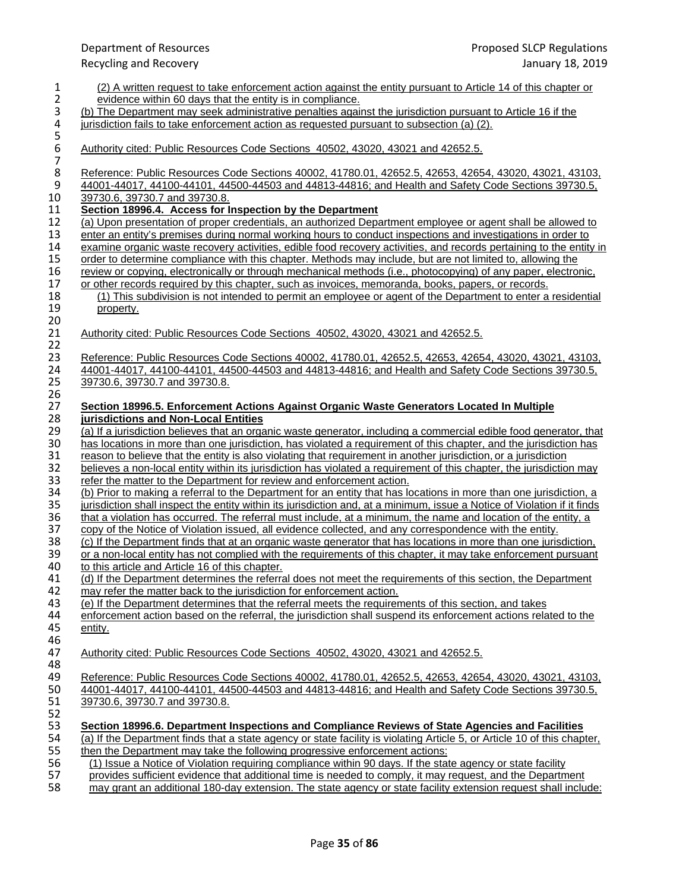| 1<br>$\overline{2}$             | (2) A written request to take enforcement action against the entity pursuant to Article 14 of this chapter or<br>evidence within 60 days that the entity is in compliance.                    |
|---------------------------------|-----------------------------------------------------------------------------------------------------------------------------------------------------------------------------------------------|
| 3                               | (b) The Department may seek administrative penalties against the jurisdiction pursuant to Article 16 if the                                                                                   |
| 4                               | jurisdiction fails to take enforcement action as requested pursuant to subsection (a) (2).                                                                                                    |
|                                 |                                                                                                                                                                                               |
| $\frac{5}{6}$<br>$\overline{7}$ | Authority cited: Public Resources Code Sections 40502, 43020, 43021 and 42652.5.                                                                                                              |
| $\bf 8$                         | Reference: Public Resources Code Sections 40002, 41780.01, 42652.5, 42653, 42654, 43020, 43021, 43103,                                                                                        |
| $\boldsymbol{9}$                | 44001-44017, 44100-44101, 44500-44503 and 44813-44816; and Health and Safety Code Sections 39730.5,                                                                                           |
| 10                              | 39730.6, 39730.7 and 39730.8.                                                                                                                                                                 |
| 11                              | Section 18996.4. Access for Inspection by the Department                                                                                                                                      |
| 12                              | (a) Upon presentation of proper credentials, an authorized Department employee or agent shall be allowed to                                                                                   |
| 13                              | enter an entity's premises during normal working hours to conduct inspections and investigations in order to                                                                                  |
| 14                              | examine organic waste recovery activities, edible food recovery activities, and records pertaining to the entity in                                                                           |
| 15                              | order to determine compliance with this chapter. Methods may include, but are not limited to, allowing the                                                                                    |
| 16                              | review or copying, electronically or through mechanical methods (i.e., photocopying) of any paper, electronic,                                                                                |
| 17                              | or other records required by this chapter, such as invoices, memoranda, books, papers, or records.                                                                                            |
| 18                              | (1) This subdivision is not intended to permit an employee or agent of the Department to enter a residential                                                                                  |
| 19                              | property.                                                                                                                                                                                     |
| 20                              |                                                                                                                                                                                               |
| 21                              | Authority cited: Public Resources Code Sections 40502, 43020, 43021 and 42652.5.                                                                                                              |
| 22                              |                                                                                                                                                                                               |
| 23                              | Reference: Public Resources Code Sections 40002, 41780.01, 42652.5, 42653, 42654, 43020, 43021, 43103,                                                                                        |
| 24                              | 44001-44017, 44100-44101, 44500-44503 and 44813-44816; and Health and Safety Code Sections 39730.5,                                                                                           |
| 25                              | 39730.6, 39730.7 and 39730.8.                                                                                                                                                                 |
| 26                              |                                                                                                                                                                                               |
| 27                              | <b>Section 18996.5. Enforcement Actions Against Organic Waste Generators Located In Multiple</b>                                                                                              |
| 28                              | jurisdictions and Non-Local Entities                                                                                                                                                          |
| 29<br>30                        | (a) If a jurisdiction believes that an organic waste generator, including a commercial edible food generator, that                                                                            |
| 31                              | has locations in more than one jurisdiction, has violated a requirement of this chapter, and the jurisdiction has                                                                             |
| 32                              | reason to believe that the entity is also violating that requirement in another jurisdiction, or a jurisdiction                                                                               |
| 33                              | believes a non-local entity within its jurisdiction has violated a requirement of this chapter, the jurisdiction may<br>refer the matter to the Department for review and enforcement action. |
| 34                              | (b) Prior to making a referral to the Department for an entity that has locations in more than one jurisdiction, a                                                                            |
| 35                              | jurisdiction shall inspect the entity within its jurisdiction and, at a minimum, issue a Notice of Violation if it finds                                                                      |
| 36                              | that a violation has occurred. The referral must include, at a minimum, the name and location of the entity, a                                                                                |
| 37                              | copy of the Notice of Violation issued, all evidence collected, and any correspondence with the entity.                                                                                       |
| 38                              | (c) If the Department finds that at an organic waste generator that has locations in more than one jurisdiction,                                                                              |
| 39                              | or a non-local entity has not complied with the requirements of this chapter, it may take enforcement pursuant                                                                                |
| 40                              | to this article and Article 16 of this chapter.                                                                                                                                               |
| 41                              | (d) If the Department determines the referral does not meet the requirements of this section, the Department                                                                                  |
| 42                              | may refer the matter back to the jurisdiction for enforcement action.                                                                                                                         |
| 43                              | (e) If the Department determines that the referral meets the requirements of this section, and takes                                                                                          |
| 44                              | enforcement action based on the referral, the jurisdiction shall suspend its enforcement actions related to the                                                                               |
| 45                              | entity.                                                                                                                                                                                       |
| 46                              |                                                                                                                                                                                               |
| 47                              | Authority cited: Public Resources Code Sections 40502, 43020, 43021 and 42652.5.                                                                                                              |
| 48                              |                                                                                                                                                                                               |
| 49                              | Reference: Public Resources Code Sections 40002, 41780.01, 42652.5, 42653, 42654, 43020, 43021, 43103,                                                                                        |
| 50                              | 44001-44017, 44100-44101, 44500-44503 and 44813-44816; and Health and Safety Code Sections 39730.5,                                                                                           |
| 51                              | 39730.6, 39730.7 and 39730.8.                                                                                                                                                                 |
| 52                              |                                                                                                                                                                                               |
| 53                              | Section 18996.6. Department Inspections and Compliance Reviews of State Agencies and Facilities                                                                                               |
| 54                              | (a) If the Department finds that a state agency or state facility is violating Article 5, or Article 10 of this chapter,                                                                      |
| 55                              | then the Department may take the following progressive enforcement actions:                                                                                                                   |
| 56                              | (1) Issue a Notice of Violation requiring compliance within 90 days. If the state agency or state facility                                                                                    |
| 57                              | provides sufficient evidence that additional time is needed to comply, it may request, and the Department                                                                                     |
| 58                              | may grant an additional 180-day extension. The state agency or state facility extension request shall include:                                                                                |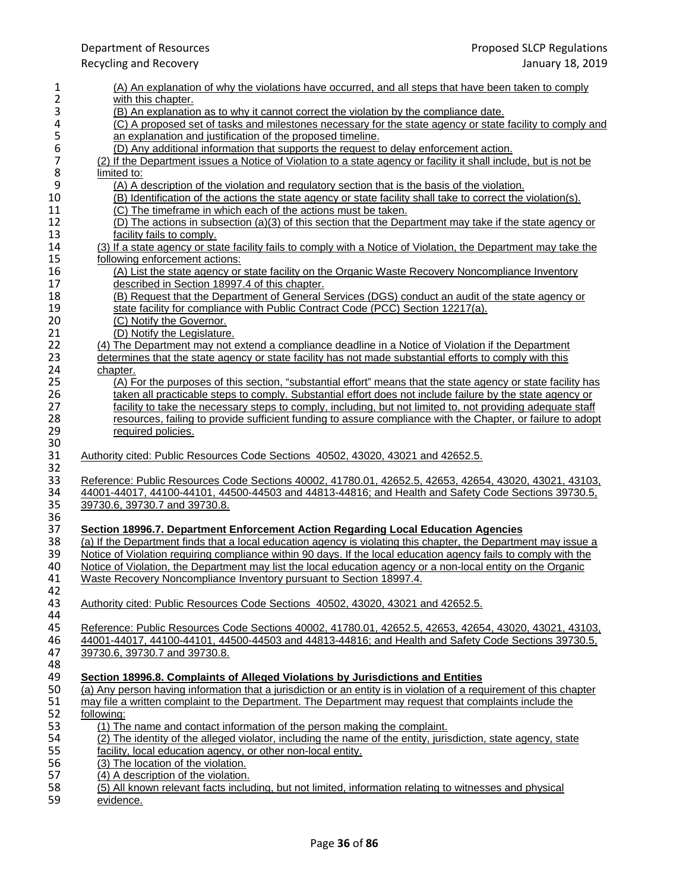| 1              | (A) An explanation of why the violations have occurred, and all steps that have been taken to comply                                                                                 |
|----------------|--------------------------------------------------------------------------------------------------------------------------------------------------------------------------------------|
| 2              | with this chapter.                                                                                                                                                                   |
| 3              | (B) An explanation as to why it cannot correct the violation by the compliance date.                                                                                                 |
| 4              | (C) A proposed set of tasks and milestones necessary for the state agency or state facility to comply and                                                                            |
| 5              | an explanation and justification of the proposed timeline.                                                                                                                           |
| 6              | (D) Any additional information that supports the request to delay enforcement action.                                                                                                |
| $\overline{7}$ | (2) If the Department issues a Notice of Violation to a state agency or facility it shall include, but is not be                                                                     |
| 8              | limited to:                                                                                                                                                                          |
| 9              | (A) A description of the violation and regulatory section that is the basis of the violation.                                                                                        |
| 10             | (B) Identification of the actions the state agency or state facility shall take to correct the violation(s).                                                                         |
| 11             | (C) The timeframe in which each of the actions must be taken.                                                                                                                        |
| 12             | (D) The actions in subsection (a)(3) of this section that the Department may take if the state agency or                                                                             |
| 13<br>14       | facility fails to comply.                                                                                                                                                            |
|                | (3) If a state agency or state facility fails to comply with a Notice of Violation, the Department may take the                                                                      |
| 15             | following enforcement actions:                                                                                                                                                       |
| 16             | (A) List the state agency or state facility on the Organic Waste Recovery Noncompliance Inventory                                                                                    |
| 17             | described in Section 18997.4 of this chapter.                                                                                                                                        |
| 18<br>19       | (B) Request that the Department of General Services (DGS) conduct an audit of the state agency or<br>state facility for compliance with Public Contract Code (PCC) Section 12217(a). |
| 20             | (C) Notify the Governor.                                                                                                                                                             |
| 21             | (D) Notify the Legislature.                                                                                                                                                          |
| 22             | (4) The Department may not extend a compliance deadline in a Notice of Violation if the Department                                                                                   |
| 23             | determines that the state agency or state facility has not made substantial efforts to comply with this                                                                              |
| 24             | chapter.                                                                                                                                                                             |
| 25             | (A) For the purposes of this section, "substantial effort" means that the state agency or state facility has                                                                         |
| 26             | taken all practicable steps to comply. Substantial effort does not include failure by the state agency or                                                                            |
| 27             | facility to take the necessary steps to comply, including, but not limited to, not providing adequate staff                                                                          |
| 28             | resources, failing to provide sufficient funding to assure compliance with the Chapter, or failure to adopt                                                                          |
| 29             | required policies.                                                                                                                                                                   |
| 30             |                                                                                                                                                                                      |
| 31             | Authority cited: Public Resources Code Sections 40502, 43020, 43021 and 42652.5.                                                                                                     |
| 32             |                                                                                                                                                                                      |
| 33             | Reference: Public Resources Code Sections 40002, 41780.01, 42652.5, 42653, 42654, 43020, 43021, 43103,                                                                               |
| 34             | 44001-44017, 44100-44101, 44500-44503 and 44813-44816; and Health and Safety Code Sections 39730.5,                                                                                  |
| 35             | 39730.6, 39730.7 and 39730.8.                                                                                                                                                        |
| 36             |                                                                                                                                                                                      |
| 37             | Section 18996.7. Department Enforcement Action Regarding Local Education Agencies                                                                                                    |
| 38             | (a) If the Department finds that a local education agency is violating this chapter, the Department may issue a                                                                      |
| 39             | Notice of Violation requiring compliance within 90 days. If the local education agency fails to comply with the                                                                      |
| 40             | Notice of Violation, the Department may list the local education agency or a non-local entity on the Organic                                                                         |
| 41             | Waste Recovery Noncompliance Inventory pursuant to Section 18997.4.                                                                                                                  |
| 42             |                                                                                                                                                                                      |
| 43             | Authority cited: Public Resources Code Sections 40502, 43020, 43021 and 42652.5.                                                                                                     |
| 44             |                                                                                                                                                                                      |
| 45             | Reference: Public Resources Code Sections 40002, 41780.01, 42652.5, 42653, 42654, 43020, 43021, 43103,                                                                               |
| 46             | 44001-44017, 44100-44101, 44500-44503 and 44813-44816; and Health and Safety Code Sections 39730.5,                                                                                  |
| 47             | 39730.6, 39730.7 and 39730.8.                                                                                                                                                        |
| 48             |                                                                                                                                                                                      |
| 49             | Section 18996.8. Complaints of Alleged Violations by Jurisdictions and Entities                                                                                                      |
| 50             |                                                                                                                                                                                      |
| 51             | (a) Any person having information that a jurisdiction or an entity is in violation of a requirement of this chapter                                                                  |
|                | may file a written complaint to the Department. The Department may request that complaints include the                                                                               |
| 52             | following:                                                                                                                                                                           |
| 53             | (1) The name and contact information of the person making the complaint.                                                                                                             |
| 54             | (2) The identity of the alleged violator, including the name of the entity, jurisdiction, state agency, state                                                                        |
| 55             | facility, local education agency, or other non-local entity.                                                                                                                         |
| 56             | (3) The location of the violation.                                                                                                                                                   |
| 57             | (4) A description of the violation.                                                                                                                                                  |
| 58<br>59       | (5) All known relevant facts including, but not limited, information relating to witnesses and physical<br>evidence.                                                                 |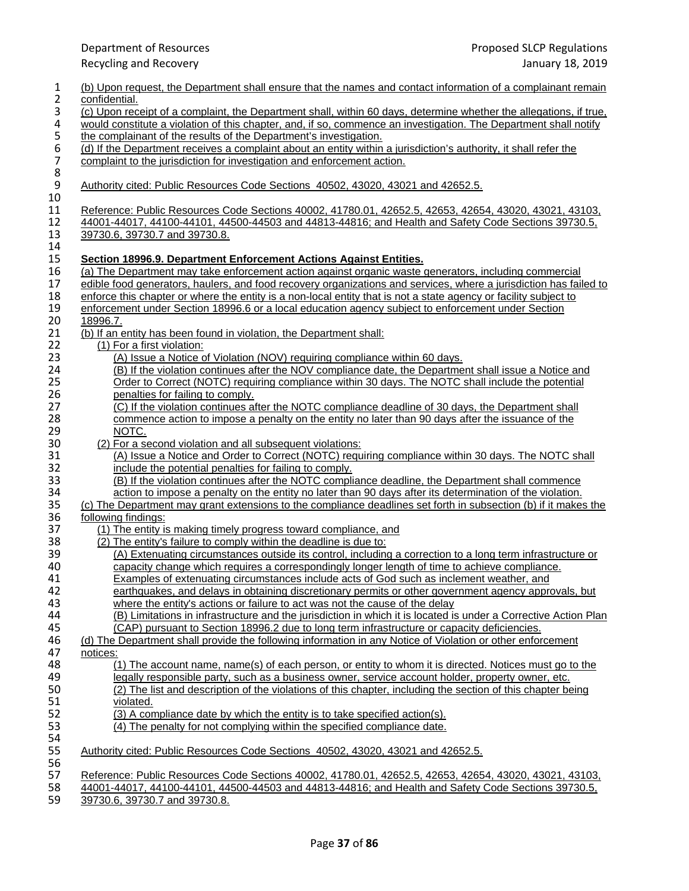| $\mathbf{1}$                          | (b) Upon request, the Department shall ensure that the names and contact information of a complainant remain                                                                                                           |
|---------------------------------------|------------------------------------------------------------------------------------------------------------------------------------------------------------------------------------------------------------------------|
| $\overline{c}$                        | confidential.                                                                                                                                                                                                          |
| 3                                     | (c) Upon receipt of a complaint, the Department shall, within 60 days, determine whether the allegations, if true,                                                                                                     |
| 4                                     | would constitute a violation of this chapter, and, if so, commence an investigation. The Department shall notify                                                                                                       |
|                                       | the complainant of the results of the Department's investigation.                                                                                                                                                      |
| $\begin{array}{c} 5 \\ 6 \end{array}$ | (d) If the Department receives a complaint about an entity within a jurisdiction's authority, it shall refer the                                                                                                       |
|                                       | complaint to the jurisdiction for investigation and enforcement action.                                                                                                                                                |
| $\begin{array}{c} 7 \\ 8 \end{array}$ |                                                                                                                                                                                                                        |
| 9                                     | Authority cited: Public Resources Code Sections 40502, 43020, 43021 and 42652.5.                                                                                                                                       |
| 10                                    |                                                                                                                                                                                                                        |
| 11                                    | Reference: Public Resources Code Sections 40002, 41780.01, 42652.5, 42653, 42654, 43020, 43021, 43103,                                                                                                                 |
| 12                                    | 44001-44017, 44100-44101, 44500-44503 and 44813-44816; and Health and Safety Code Sections 39730.5,                                                                                                                    |
| 13                                    | 39730.6, 39730.7 and 39730.8.                                                                                                                                                                                          |
| 14                                    |                                                                                                                                                                                                                        |
| 15                                    | Section 18996.9. Department Enforcement Actions Against Entities.                                                                                                                                                      |
| 16                                    | (a) The Department may take enforcement action against organic waste generators, including commercial                                                                                                                  |
| 17                                    |                                                                                                                                                                                                                        |
|                                       | edible food generators, haulers, and food recovery organizations and services, where a jurisdiction has failed to                                                                                                      |
| 18                                    | enforce this chapter or where the entity is a non-local entity that is not a state agency or facility subject to<br>enforcement under Section 18996.6 or a local education agency subject to enforcement under Section |
| 19                                    |                                                                                                                                                                                                                        |
| 20                                    | 18996.7.                                                                                                                                                                                                               |
| 21                                    | (b) If an entity has been found in violation, the Department shall:                                                                                                                                                    |
| 22                                    | (1) For a first violation:                                                                                                                                                                                             |
| 23                                    | (A) Issue a Notice of Violation (NOV) requiring compliance within 60 days.                                                                                                                                             |
| 24                                    | (B) If the violation continues after the NOV compliance date, the Department shall issue a Notice and                                                                                                                  |
| 25                                    | Order to Correct (NOTC) requiring compliance within 30 days. The NOTC shall include the potential                                                                                                                      |
| 26                                    | penalties for failing to comply.                                                                                                                                                                                       |
| 27                                    | (C) If the violation continues after the NOTC compliance deadline of 30 days, the Department shall                                                                                                                     |
| 28                                    | commence action to impose a penalty on the entity no later than 90 days after the issuance of the                                                                                                                      |
| 29                                    | NOTC.                                                                                                                                                                                                                  |
| 30                                    | (2) For a second violation and all subsequent violations:                                                                                                                                                              |
| 31                                    | (A) Issue a Notice and Order to Correct (NOTC) requiring compliance within 30 days. The NOTC shall                                                                                                                     |
| 32                                    | include the potential penalties for failing to comply.                                                                                                                                                                 |
| 33                                    | (B) If the violation continues after the NOTC compliance deadline, the Department shall commence                                                                                                                       |
| 34                                    | action to impose a penalty on the entity no later than 90 days after its determination of the violation.                                                                                                               |
| 35                                    | (c) The Department may grant extensions to the compliance deadlines set forth in subsection (b) if it makes the                                                                                                        |
| 36                                    | following findings:                                                                                                                                                                                                    |
| 37                                    | (1) The entity is making timely progress toward compliance, and                                                                                                                                                        |
| 38                                    | (2) The entity's failure to comply within the deadline is due to:                                                                                                                                                      |
| 39                                    | (A) Extenuating circumstances outside its control, including a correction to a long term infrastructure or                                                                                                             |
| 40                                    | capacity change which requires a correspondingly longer length of time to achieve compliance.                                                                                                                          |
| 41                                    | Examples of extenuating circumstances include acts of God such as inclement weather, and                                                                                                                               |
| 42                                    | earthquakes, and delays in obtaining discretionary permits or other government agency approvals, but                                                                                                                   |
| 43                                    | where the entity's actions or failure to act was not the cause of the delay                                                                                                                                            |
| 44                                    | (B) Limitations in infrastructure and the jurisdiction in which it is located is under a Corrective Action Plan                                                                                                        |
| 45                                    | (CAP) pursuant to Section 18996.2 due to long term infrastructure or capacity deficiencies.                                                                                                                            |
| 46                                    | (d) The Department shall provide the following information in any Notice of Violation or other enforcement                                                                                                             |
| 47                                    | notices:                                                                                                                                                                                                               |
| 48                                    | (1) The account name, name(s) of each person, or entity to whom it is directed. Notices must go to the                                                                                                                 |
| 49                                    | legally responsible party, such as a business owner, service account holder, property owner, etc.                                                                                                                      |
| 50                                    | (2) The list and description of the violations of this chapter, including the section of this chapter being                                                                                                            |
| 51                                    | violated.                                                                                                                                                                                                              |
| 52                                    | (3) A compliance date by which the entity is to take specified action(s).                                                                                                                                              |
| 53                                    | (4) The penalty for not complying within the specified compliance date.                                                                                                                                                |
| 54                                    |                                                                                                                                                                                                                        |
| 55                                    | Authority cited: Public Resources Code Sections 40502, 43020, 43021 and 42652.5.                                                                                                                                       |
| 56                                    |                                                                                                                                                                                                                        |
| 57                                    | Reference: Public Resources Code Sections 40002, 41780.01, 42652.5, 42653, 42654, 43020, 43021, 43103,                                                                                                                 |
| 58                                    | 44001-44017, 44100-44101, 44500-44503 and 44813-44816; and Health and Safety Code Sections 39730.5,                                                                                                                    |
| 59                                    | 39730.6, 39730.7 and 39730.8.                                                                                                                                                                                          |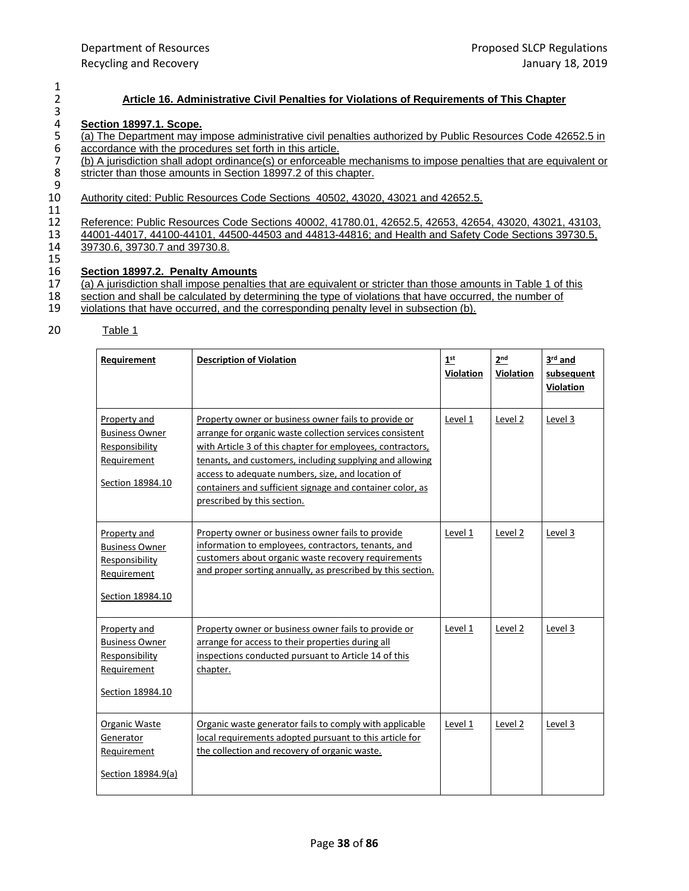## 2 **Article 16. Administrative Civil Penalties for Violations of Requirements of This Chapter**

# 4 **Section 18997.1. Scope.**

(a) The Department may impose administrative civil penalties authorized by Public Resources Code 42652.5 in<br>
5 accordance with the procedures set forth in this article.<br>
7 (b) A jurisdiction shall adopt ordinance(s) or enf accordance with the procedures set forth in this article.

7 (b) A jurisdiction shall adopt ordinance(s) or enforceable mechanisms to impose penalties that are equivalent or stricter than those amounts in Section 18997.2 of this chapter. stricter than those amounts in Section 18997.2 of this chapter.

## 9<br>10 Authority cited: Public Resources Code Sections 40502, 43020, 43021 and 42652.5.

11

12 Reference: Public Resources Code Sections 40002, 41780.01, 42652.5, 42653, 42654, 43020, 43021, 43103, 430<br>13 44001-44017, 44100-44101, 44500-44503 and 44813-44816; and Health and Safety Code Sections 39730.5, 13 44001-44017, 44100-44101, 44500-44503 and 44813-44816; and Health and Safety Code Sections 39730.5, 14 39730.5, 14 39730.6, 39730.7 and 39730.8.

# 15<br>16

 $\frac{1}{2}$ 

3

# 16 **Section 18997.2. Penalty Amounts**<br>17 **(a)** A jurisdiction shall impose penaltie

17 (a) A jurisdiction shall impose penalties that are equivalent or stricter than those amounts in Table 1 of this section and shall be calculated by determining the type of violations that have occurred, the number of

- 18 section and shall be calculated by determining the type of violations that have occurred, the number of violations that have occurred, and the corresponding penalty level in subsection (b).
- violations that have occurred, and the corresponding penalty level in subsection (b).

## 20 Table 1

| Requirement                                                                                | <b>Description of Violation</b>                                                                                                                                                                                                                                                                                                                                                             | 1 <sup>st</sup><br><b>Violation</b> | 2 <sub>nd</sub><br><b>Violation</b> | 3rd and<br>subsequent<br>Violation |
|--------------------------------------------------------------------------------------------|---------------------------------------------------------------------------------------------------------------------------------------------------------------------------------------------------------------------------------------------------------------------------------------------------------------------------------------------------------------------------------------------|-------------------------------------|-------------------------------------|------------------------------------|
| Property and<br><b>Business Owner</b><br>Responsibility<br>Requirement<br>Section 18984.10 | Property owner or business owner fails to provide or<br>arrange for organic waste collection services consistent<br>with Article 3 of this chapter for employees, contractors,<br>tenants, and customers, including supplying and allowing<br>access to adequate numbers, size, and location of<br>containers and sufficient signage and container color, as<br>prescribed by this section. | Level 1                             | Level 2                             | Level 3                            |
| Property and<br><b>Business Owner</b><br>Responsibility<br>Requirement<br>Section 18984.10 | Property owner or business owner fails to provide<br>information to employees, contractors, tenants, and<br>customers about organic waste recovery requirements<br>and proper sorting annually, as prescribed by this section.                                                                                                                                                              | Level 1                             | Level 2                             | Level 3                            |
| Property and<br><b>Business Owner</b><br>Responsibility<br>Requirement<br>Section 18984.10 | Property owner or business owner fails to provide or<br>arrange for access to their properties during all<br>inspections conducted pursuant to Article 14 of this<br>chapter.                                                                                                                                                                                                               | Level 1                             | Level 2                             | Level 3                            |
| Organic Waste<br>Generator<br>Requirement<br>Section 18984.9(a)                            | Organic waste generator fails to comply with applicable<br>local requirements adopted pursuant to this article for<br>the collection and recovery of organic waste.                                                                                                                                                                                                                         | Level 1                             | Level 2                             | Level 3                            |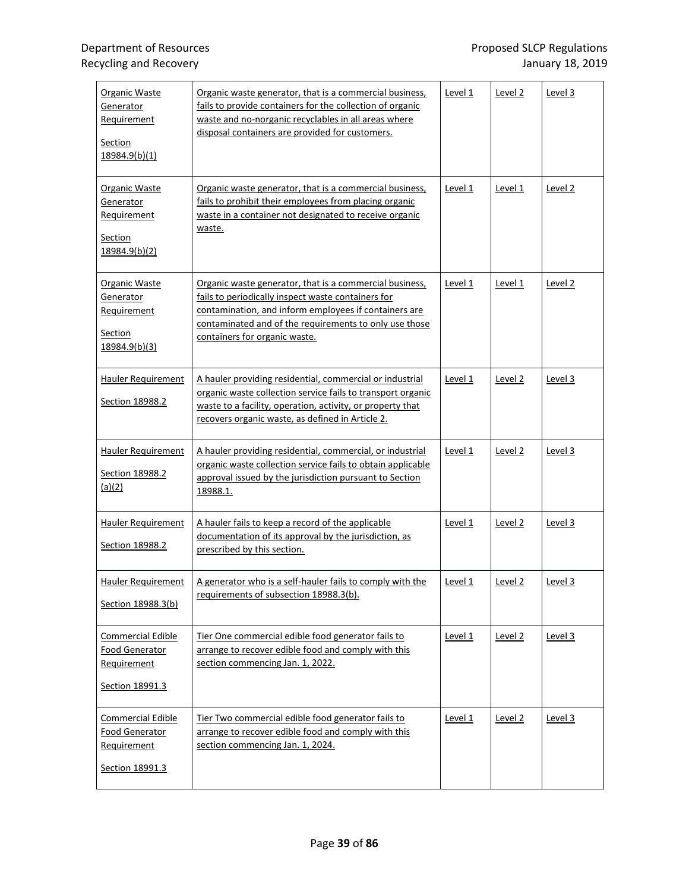| Organic Waste<br>Generator<br>Requirement<br><b>Section</b><br>18984.9(b)(1)        | Organic waste generator, that is a commercial business,<br>fails to provide containers for the collection of organic<br>waste and no-norganic recyclables in all areas where<br>disposal containers are provided for customers.                                   | Level 1 | Level 2            | Level 3 |
|-------------------------------------------------------------------------------------|-------------------------------------------------------------------------------------------------------------------------------------------------------------------------------------------------------------------------------------------------------------------|---------|--------------------|---------|
| Organic Waste<br>Generator<br>Requirement<br><b>Section</b><br>18984.9(b)(2)        | Organic waste generator, that is a commercial business,<br>fails to prohibit their employees from placing organic<br>waste in a container not designated to receive organic<br>waste.                                                                             | Level 1 | Level 1            | Level 2 |
| Organic Waste<br>Generator<br>Requirement<br><b>Section</b><br>18984.9(b)(3)        | Organic waste generator, that is a commercial business,<br>fails to periodically inspect waste containers for<br>contamination, and inform employees if containers are<br>contaminated and of the requirements to only use those<br>containers for organic waste. | Level 1 | Level 1            | Level 2 |
| Hauler Requirement<br>Section 18988.2                                               | A hauler providing residential, commercial or industrial<br>organic waste collection service fails to transport organic<br>waste to a facility, operation, activity, or property that<br>recovers organic waste, as defined in Article 2.                         | Level 1 | Level 2            | Level 3 |
| Hauler Requirement<br>Section 18988.2<br>(a)(2)                                     | A hauler providing residential, commercial, or industrial<br>organic waste collection service fails to obtain applicable<br>approval issued by the jurisdiction pursuant to Section<br>18988.1.                                                                   | Level 1 | Level 2            | Level 3 |
| <b>Hauler Requirement</b><br>Section 18988.2                                        | A hauler fails to keep a record of the applicable<br>documentation of its approval by the jurisdiction, as<br>prescribed by this section.                                                                                                                         | Level 1 | Level 2            | Level 3 |
| Hauler Requirement<br>Section 18988.3(b)                                            | A generator who is a self-hauler fails to comply with the<br>requirements of subsection 18988.3(b).                                                                                                                                                               | Level 1 | Level 2            | Level 3 |
| <b>Commercial Edible</b><br><b>Food Generator</b><br>Requirement<br>Section 18991.3 | Tier One commercial edible food generator fails to<br>arrange to recover edible food and comply with this<br>section commencing Jan. 1, 2022.                                                                                                                     | Level 1 | Level <sub>2</sub> | Level 3 |
| Commercial Edible<br>Food Generator<br>Requirement<br>Section 18991.3               | Tier Two commercial edible food generator fails to<br>arrange to recover edible food and comply with this<br>section commencing Jan. 1, 2024.                                                                                                                     | Level 1 | Level 2            | Level 3 |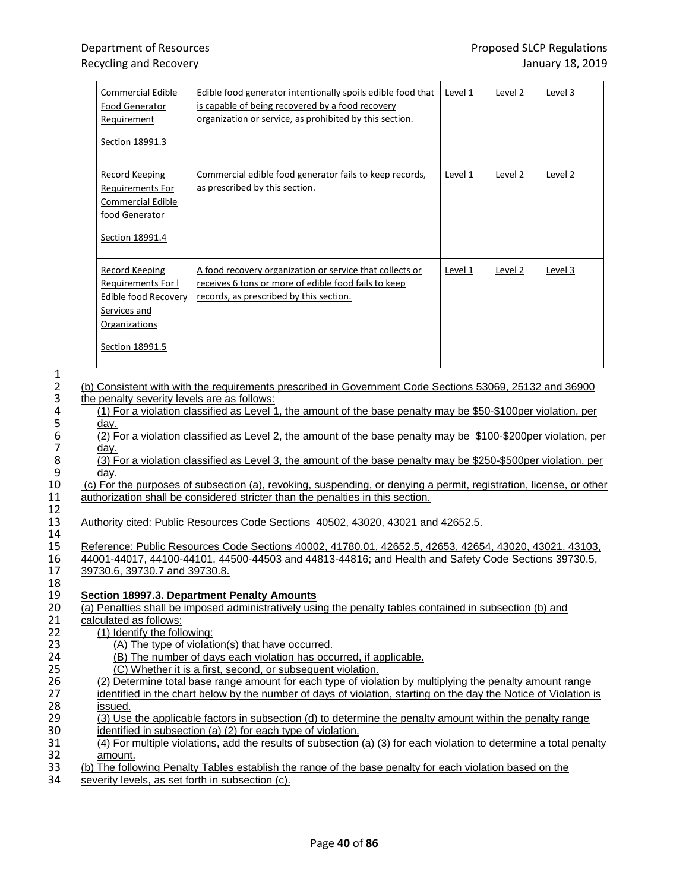| Commercial Edible<br>Food Generator<br>Requirement<br>Section 18991.3                                                   | Edible food generator intentionally spoils edible food that<br>is capable of being recovered by a food recovery<br>organization or service, as prohibited by this section. | Level 1 | Level 2 | Level 3 |
|-------------------------------------------------------------------------------------------------------------------------|----------------------------------------------------------------------------------------------------------------------------------------------------------------------------|---------|---------|---------|
| Record Keeping<br>Requirements For<br>Commercial Edible<br>food Generator<br>Section 18991.4                            | Commercial edible food generator fails to keep records,<br>as prescribed by this section.                                                                                  | Level 1 | Level 2 | Level 2 |
| Record Keeping<br>Requirements For I<br><b>Edible food Recovery</b><br>Services and<br>Organizations<br>Section 18991.5 | A food recovery organization or service that collects or<br>receives 6 tons or more of edible food fails to keep<br>records, as prescribed by this section.                | Level 1 | Level 2 | Level 3 |

2 (b) Consistent with with the requirements prescribed in Government Code Sections 53069, 25132 and 36900<br>3 the penalty severity levels are as follows: 3 the penalty severity levels are as follows:<br>4 (1) For a violation classified as Level

4 (1) For a violation classified as Level 1, the amount of the base penalty may be \$50-\$100per violation, per 5 <u>day.</u><br>6 (2) F

6 (2) For a violation classified as Level 2, the amount of the base penalty may be \$100-\$200per violation, per

7 <u>day.</u><br>8 (3) F 8 (3) For a violation classified as Level 3, the amount of the base penalty may be \$250-\$500per violation, per<br>9 day.

9 <u>day.</u><br>10 (c) For 10 (c) For the purposes of subsection (a), revoking, suspending, or denying a permit, registration, license, or other 11 authorization shall be considered stricter than the penalties in this section. authorization shall be considered stricter than the penalties in this section.

13 Authority cited: Public Resources Code Sections 40502, 43020, 43021 and 42652.5.

15 Reference: Public Resources Code Sections 40002, 41780.01, 42652.5, 42653, 42654, 43020, 43021, 43103, 430<br>16 44001-44017, 44100-44101, 44500-44503 and 44813-44816; and Health and Safety Code Sections 39730.5, 16 44001-44017, 44100-44101, 44500-44503 and 44813-44816; and Health and Safety Code Sections 39730.5, 17<br>17 39730.6, 39730.7 and 39730.8. 39730.6, 39730.7 and 39730.8.

### 19 **Section 18997.3. Department Penalty Amounts** (a) Penalties shall be imposed administratively using the penalty tables contained in subsection (b) and

- 21 calculated as follows:
- 22 (1) Identify the following:
- 23 (A) The type of violation(s) that have occurred.<br>24 (B) The number of davs each violation has occurred.
- 24 (B) The number of days each violation has occurred, if applicable.<br>25 (C) Whether it is a first, second, or subsequent violation.
- 25 (C) Whether it is a first, second, or subsequent violation.<br>26 (2) Determine total base range amount for each type of viola
- 26 (2) Determine total base range amount for each type of violation by multiplying the penalty amount range<br>27 identified in the chart below by the number of days of violation, starting on the day the Notice of Violation

27 identified in the chart below by the number of days of violation, starting on the day the Notice of Violation is<br>28 issued. 28 <u>issued.</u><br>29 (3) Use

- 29 (3) Use the applicable factors in subsection (d) to determine the penalty amount within the penalty range identified in subsection (a) (2) for each type of violation. 30 identified in subsection (a) (2) for each type of violation.<br>31 (4) For multiple violations, add the results of subsection
- 31 (4) For multiple violations, add the results of subsection (a) (3) for each violation to determine a total penalty<br>32 manunt. 32 <u>amount.</u><br>33 (b) The follo
- 33 (b) The following Penalty Tables establish the range of the base penalty for each violation based on the severity levels, as set forth in subsection (c).
- severity levels, as set forth in subsection (c).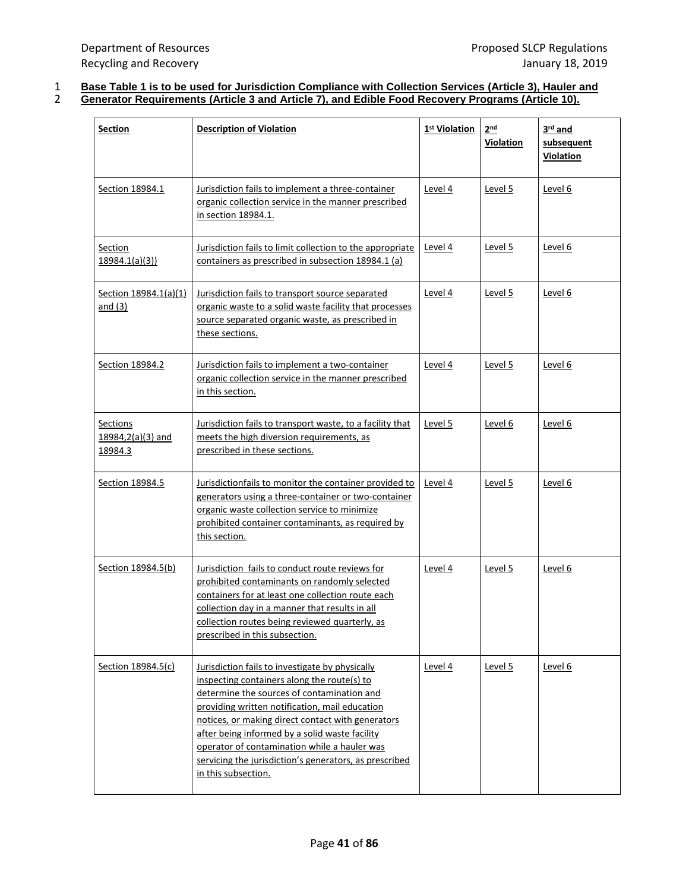## 1 **Base Table 1 is to be used for Jurisdiction Compliance with Collection Services (Article 3), Hauler and** 2 **Generator Requirements (Article 3 and Article 7), and Edible Food Recovery Programs (Article 10).**

| <b>Section</b>                                  | <b>Description of Violation</b>                                                                                                                                                                                                                                                                                                                                                                                                        | 1 <sup>st</sup> Violation | 2 <sub>nd</sub><br>Violation | 3 <sup>rd</sup> and<br>subsequent<br>Violation |
|-------------------------------------------------|----------------------------------------------------------------------------------------------------------------------------------------------------------------------------------------------------------------------------------------------------------------------------------------------------------------------------------------------------------------------------------------------------------------------------------------|---------------------------|------------------------------|------------------------------------------------|
| Section 18984.1                                 | Jurisdiction fails to implement a three-container<br>organic collection service in the manner prescribed<br>in section 18984.1.                                                                                                                                                                                                                                                                                                        | Level 4                   | Level 5                      | Level 6                                        |
| Section<br>18984.1(a)(3)                        | Jurisdiction fails to limit collection to the appropriate<br>containers as prescribed in subsection 18984.1 (a)                                                                                                                                                                                                                                                                                                                        | <u>Level 4</u>            | <u>Level 5</u>               | Level 6                                        |
| Section 18984.1(a)(1)<br>and $(3)$              | Jurisdiction fails to transport source separated<br>organic waste to a solid waste facility that processes<br>source separated organic waste, as prescribed in<br>these sections.                                                                                                                                                                                                                                                      | Level 4                   | Level 5                      | Level 6                                        |
| Section 18984.2                                 | Jurisdiction fails to implement a two-container<br>organic collection service in the manner prescribed<br>in this section.                                                                                                                                                                                                                                                                                                             | Level 4                   | <u>Level 5</u>               | Level 6                                        |
| <b>Sections</b><br>18984,2(a)(3) and<br>18984.3 | Jurisdiction fails to transport waste, to a facility that<br>meets the high diversion requirements, as<br>prescribed in these sections.                                                                                                                                                                                                                                                                                                | Level 5                   | Level 6                      | <u>Level 6</u>                                 |
| Section 18984.5                                 | Jurisdictionfails to monitor the container provided to<br>generators using a three-container or two-container<br>organic waste collection service to minimize<br>prohibited container contaminants, as required by<br>this section.                                                                                                                                                                                                    | Level 4                   | Level 5                      | Level 6                                        |
| Section 18984.5(b)                              | Jurisdiction fails to conduct route reviews for<br>prohibited contaminants on randomly selected<br>containers for at least one collection route each<br>collection day in a manner that results in all<br>collection routes being reviewed quarterly, as<br>prescribed in this subsection.                                                                                                                                             | Level 4                   | Level 5                      | Level 6                                        |
| Section 18984.5(c)                              | Jurisdiction fails to investigate by physically<br>inspecting containers along the route(s) to<br>determine the sources of contamination and<br>providing written notification, mail education<br>notices, or making direct contact with generators<br>after being informed by a solid waste facility<br>operator of contamination while a hauler was<br>servicing the jurisdiction's generators, as prescribed<br>in this subsection. | Level 4                   | Level 5                      | Level 6                                        |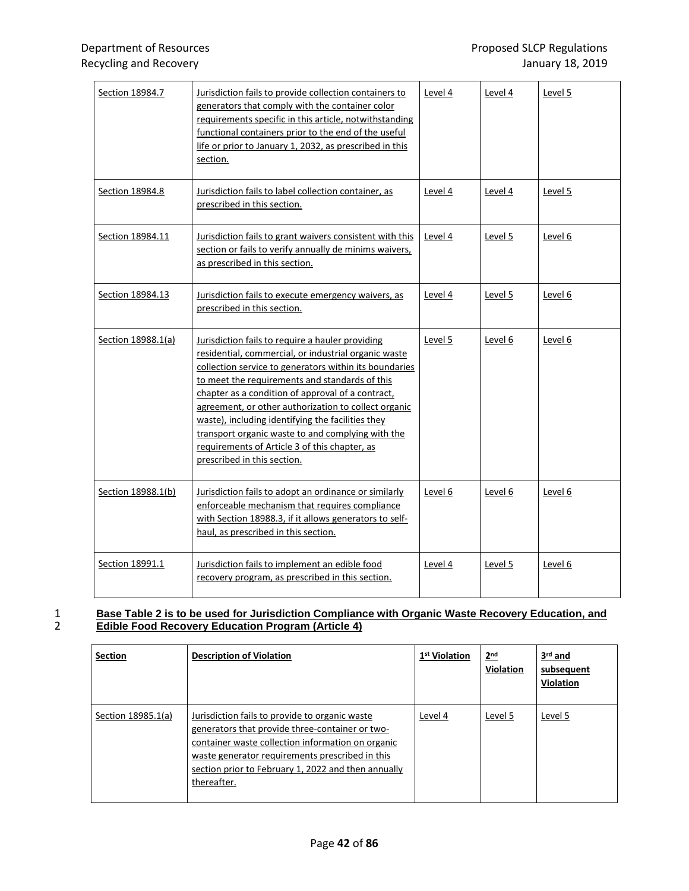| Section 18984.7    | Jurisdiction fails to provide collection containers to<br>generators that comply with the container color<br>requirements specific in this article, notwithstanding<br>functional containers prior to the end of the useful<br>life or prior to January 1, 2032, as prescribed in this<br>section.                                                                                                                                                                                                                          | Level 4 | Level 4 | Level 5 |
|--------------------|-----------------------------------------------------------------------------------------------------------------------------------------------------------------------------------------------------------------------------------------------------------------------------------------------------------------------------------------------------------------------------------------------------------------------------------------------------------------------------------------------------------------------------|---------|---------|---------|
| Section 18984.8    | Jurisdiction fails to label collection container, as<br>prescribed in this section.                                                                                                                                                                                                                                                                                                                                                                                                                                         | Level 4 | Level 4 | Level 5 |
| Section 18984.11   | Jurisdiction fails to grant waivers consistent with this<br>section or fails to verify annually de minims waivers,<br>as prescribed in this section.                                                                                                                                                                                                                                                                                                                                                                        | Level 4 | Level 5 | Level 6 |
| Section 18984.13   | Jurisdiction fails to execute emergency waivers, as<br>prescribed in this section.                                                                                                                                                                                                                                                                                                                                                                                                                                          | Level 4 | Level 5 | Level 6 |
| Section 18988.1(a) | Jurisdiction fails to require a hauler providing<br>residential, commercial, or industrial organic waste<br>collection service to generators within its boundaries<br>to meet the requirements and standards of this<br>chapter as a condition of approval of a contract,<br>agreement, or other authorization to collect organic<br>waste), including identifying the facilities they<br>transport organic waste to and complying with the<br>requirements of Article 3 of this chapter, as<br>prescribed in this section. | Level 5 | Level 6 | Level 6 |
| Section 18988.1(b) | Jurisdiction fails to adopt an ordinance or similarly<br>enforceable mechanism that requires compliance<br>with Section 18988.3, if it allows generators to self-<br>haul, as prescribed in this section.                                                                                                                                                                                                                                                                                                                   | Level 6 | Level 6 | Level 6 |
| Section 18991.1    | Jurisdiction fails to implement an edible food<br>recovery program, as prescribed in this section.                                                                                                                                                                                                                                                                                                                                                                                                                          | Level 4 | Level 5 | Level 6 |

## 1 **Base Table 2 is to be used for Jurisdiction Compliance with Organic Waste Recovery Education, and** 2 **Edible Food Recovery Education Program (Article 4)**

| <b>Section</b>     | <b>Description of Violation</b>                                                                                                                                                                                                                                                 | 1 <sup>st</sup> Violation | 2 <sup>nd</sup><br>Violation | $3rd$ and<br>subsequent<br><b>Violation</b> |
|--------------------|---------------------------------------------------------------------------------------------------------------------------------------------------------------------------------------------------------------------------------------------------------------------------------|---------------------------|------------------------------|---------------------------------------------|
| Section 18985.1(a) | Jurisdiction fails to provide to organic waste<br>generators that provide three-container or two-<br>container waste collection information on organic<br>waste generator requirements prescribed in this<br>section prior to February 1, 2022 and then annually<br>thereafter. | Level 4                   | Level 5                      | Level 5                                     |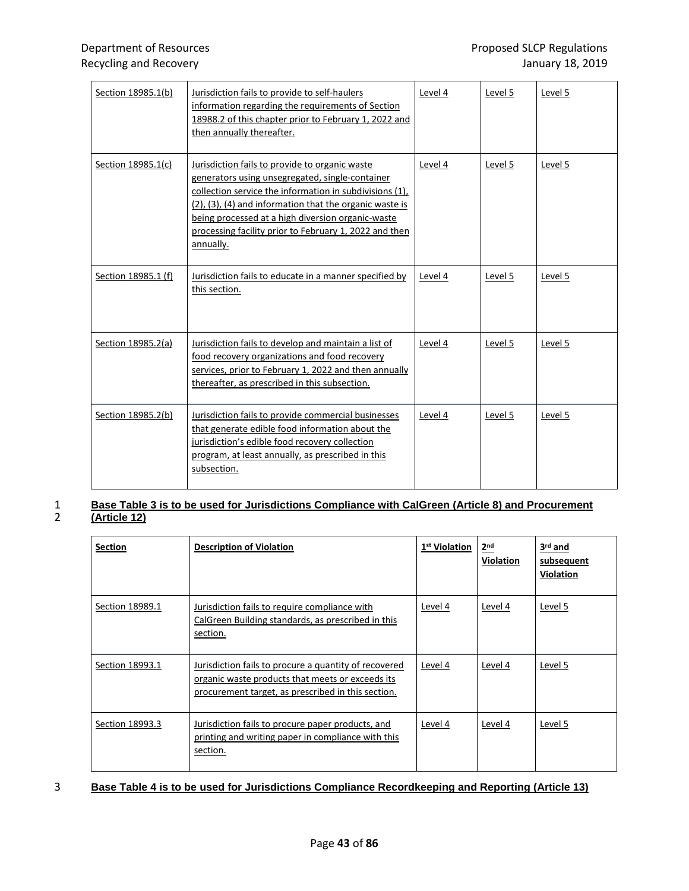| Section 18985.1(b)  | Jurisdiction fails to provide to self-haulers<br>information regarding the requirements of Section<br>18988.2 of this chapter prior to February 1, 2022 and<br>then annually thereafter.                                                                                                                                                            | Level 4 | Level 5 | Level 5 |
|---------------------|-----------------------------------------------------------------------------------------------------------------------------------------------------------------------------------------------------------------------------------------------------------------------------------------------------------------------------------------------------|---------|---------|---------|
| Section 18985.1(c)  | Jurisdiction fails to provide to organic waste<br>generators using unsegregated, single-container<br>collection service the information in subdivisions (1),<br>(2), (3), (4) and information that the organic waste is<br>being processed at a high diversion organic-waste<br>processing facility prior to February 1, 2022 and then<br>annually. | Level 4 | Level 5 | Level 5 |
| Section 18985.1 (f) | Jurisdiction fails to educate in a manner specified by<br>this section.                                                                                                                                                                                                                                                                             | Level 4 | Level 5 | Level 5 |
| Section 18985.2(a)  | Jurisdiction fails to develop and maintain a list of<br>food recovery organizations and food recovery<br>services, prior to February 1, 2022 and then annually<br>thereafter, as prescribed in this subsection.                                                                                                                                     | Level 4 | Level 5 | Level 5 |
| Section 18985.2(b)  | Jurisdiction fails to provide commercial businesses<br>that generate edible food information about the<br>jurisdiction's edible food recovery collection<br>program, at least annually, as prescribed in this<br>subsection.                                                                                                                        | Level 4 | Level 5 | Level 5 |

## 1 **Base Table 3 is to be used for Jurisdictions Compliance with CalGreen (Article 8) and Procurement** 2 **(Article 12)**

| Section         | <b>Description of Violation</b>                                                                                                                                 | 1 <sup>st</sup> Violation | 2 <sup>nd</sup><br><b>Violation</b> | $3rd$ and<br>subsequent<br><b>Violation</b> |
|-----------------|-----------------------------------------------------------------------------------------------------------------------------------------------------------------|---------------------------|-------------------------------------|---------------------------------------------|
| Section 18989.1 | Jurisdiction fails to require compliance with<br>CalGreen Building standards, as prescribed in this<br>section.                                                 | Level 4                   | Level 4                             | Level 5                                     |
| Section 18993.1 | Jurisdiction fails to procure a quantity of recovered<br>organic waste products that meets or exceeds its<br>procurement target, as prescribed in this section. | Level 4                   | Level 4                             | Level 5                                     |
| Section 18993.3 | Jurisdiction fails to procure paper products, and<br>printing and writing paper in compliance with this<br>section.                                             | Level 4                   | Level 4                             | Level 5                                     |

## 3 **Base Table 4 is to be used for Jurisdictions Compliance Recordkeeping and Reporting (Article 13)**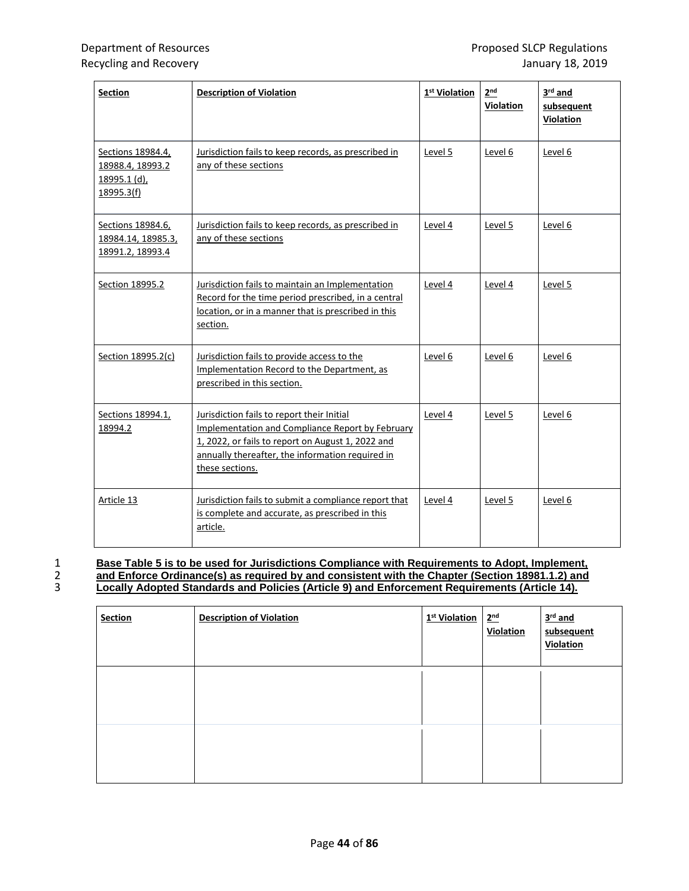| <b>Section</b>                                                      | <b>Description of Violation</b>                                                                                                                                                                                            | 1 <sup>st</sup> Violation | 2 <sup>nd</sup><br>Violation | 3 <sup>rd</sup> and<br>subsequent<br>Violation |
|---------------------------------------------------------------------|----------------------------------------------------------------------------------------------------------------------------------------------------------------------------------------------------------------------------|---------------------------|------------------------------|------------------------------------------------|
| Sections 18984.4,<br>18988.4, 18993.2<br>18995.1 (d),<br>18995.3(f) | Jurisdiction fails to keep records, as prescribed in<br>any of these sections                                                                                                                                              | Level 5                   | Level 6                      | Level 6                                        |
| Sections 18984.6,<br>18984.14, 18985.3,<br>18991.2, 18993.4         | Jurisdiction fails to keep records, as prescribed in<br>any of these sections                                                                                                                                              | Level 4                   | Level 5                      | Level 6                                        |
| Section 18995.2                                                     | Jurisdiction fails to maintain an Implementation<br>Record for the time period prescribed, in a central<br>location, or in a manner that is prescribed in this<br>section.                                                 | Level 4                   | Level 4                      | Level 5                                        |
| Section 18995.2(c)                                                  | Jurisdiction fails to provide access to the<br>Implementation Record to the Department, as<br>prescribed in this section.                                                                                                  | Level 6                   | Level 6                      | Level 6                                        |
| Sections 18994.1,<br>18994.2                                        | Jurisdiction fails to report their Initial<br>Implementation and Compliance Report by February<br>1, 2022, or fails to report on August 1, 2022 and<br>annually thereafter, the information required in<br>these sections. | Level 4                   | Level 5                      | Level 6                                        |
| Article 13                                                          | Jurisdiction fails to submit a compliance report that<br>is complete and accurate, as prescribed in this<br>article.                                                                                                       | Level 4                   | Level 5                      | Level 6                                        |

1 **Base Table 5 is to be used for Jurisdictions Compliance with Requirements to Adopt, Implement,**  2 **and Enforce Ordinance(s) as required by and consistent with the Chapter (Section 18981.1.2) and** 3 **Locally Adopted Standards and Policies (Article 9) and Enforcement Requirements (Article 14).** 

| <b>Section</b> | <b>Description of Violation</b> | 1 <sup>st</sup> Violation | 2 <sup>nd</sup><br>Violation | $3rd$ and<br>subsequent<br>Violation |
|----------------|---------------------------------|---------------------------|------------------------------|--------------------------------------|
|                |                                 |                           |                              |                                      |
|                |                                 |                           |                              |                                      |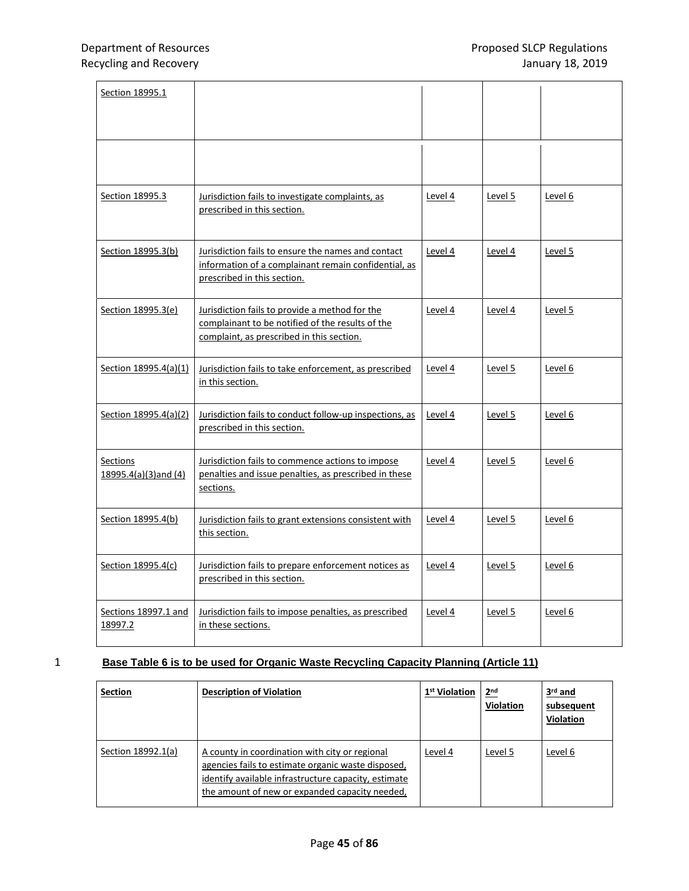| Section 18995.1                  |                                                                                                                                                 |         |                |                |
|----------------------------------|-------------------------------------------------------------------------------------------------------------------------------------------------|---------|----------------|----------------|
|                                  |                                                                                                                                                 |         |                |                |
| Section 18995.3                  | Jurisdiction fails to investigate complaints, as<br>prescribed in this section.                                                                 | Level 4 | Level 5        | Level 6        |
| Section 18995.3(b)               | Jurisdiction fails to ensure the names and contact<br>information of a complainant remain confidential, as<br>prescribed in this section.       | Level 4 | <u>Level 4</u> | <u>Level 5</u> |
| Section 18995.3(e)               | Jurisdiction fails to provide a method for the<br>complainant to be notified of the results of the<br>complaint, as prescribed in this section. | Level 4 | Level 4        | Level 5        |
| Section 18995.4(a)(1)            | Jurisdiction fails to take enforcement, as prescribed<br>in this section.                                                                       | Level 4 | Level 5        | Level 6        |
| Section 18995.4(a)(2)            | Jurisdiction fails to conduct follow-up inspections, as<br>prescribed in this section.                                                          | Level 4 | Level 5        | Level 6        |
| Sections<br>18995.4(a)(3)and (4) | Jurisdiction fails to commence actions to impose<br>penalties and issue penalties, as prescribed in these<br>sections.                          | Level 4 | Level 5        | Level 6        |
| Section 18995.4(b)               | Jurisdiction fails to grant extensions consistent with<br>this section.                                                                         | Level 4 | Level 5        | Level 6        |
| Section 18995.4(c)               | Jurisdiction fails to prepare enforcement notices as<br>prescribed in this section.                                                             | Level 4 | Level 5        | Level 6        |
| Sections 18997.1 and<br>18997.2  | Jurisdiction fails to impose penalties, as prescribed<br>in these sections.                                                                     | Level 4 | Level 5        | Level 6        |

## 1 **Base Table 6 is to be used for Organic Waste Recycling Capacity Planning (Article 11)**

| <b>Section</b>     | <b>Description of Violation</b>                                                                                                                                                                                | 1 <sup>st</sup> Violation | 2 <sub>nd</sub><br><b>Violation</b> | 3 <sup>rd</sup> and<br>subsequent<br><b>Violation</b> |
|--------------------|----------------------------------------------------------------------------------------------------------------------------------------------------------------------------------------------------------------|---------------------------|-------------------------------------|-------------------------------------------------------|
| Section 18992.1(a) | A county in coordination with city or regional<br>agencies fails to estimate organic waste disposed,<br>identify available infrastructure capacity, estimate<br>the amount of new or expanded capacity needed, | Level 4                   | Level 5                             | Level 6                                               |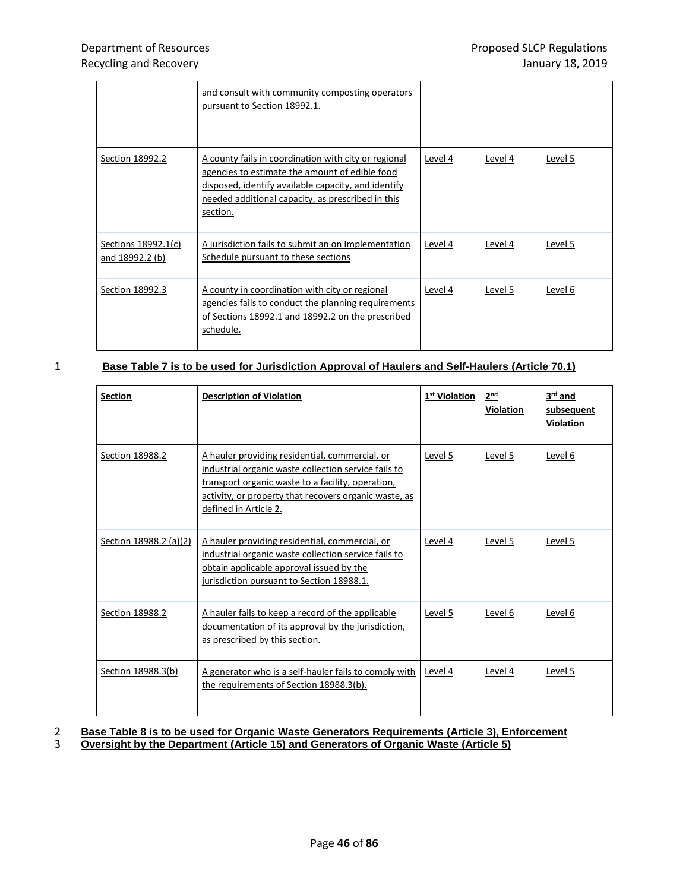|                                        | and consult with community composting operators<br>pursuant to Section 18992.1.                                                                                                                                                |         |         |         |
|----------------------------------------|--------------------------------------------------------------------------------------------------------------------------------------------------------------------------------------------------------------------------------|---------|---------|---------|
| Section 18992.2                        | A county fails in coordination with city or regional<br>agencies to estimate the amount of edible food<br>disposed, identify available capacity, and identify<br>needed additional capacity, as prescribed in this<br>section. | Level 4 | Level 4 | Level 5 |
| Sections 18992.1(c)<br>and 18992.2 (b) | A jurisdiction fails to submit an on Implementation<br>Schedule pursuant to these sections                                                                                                                                     | Level 4 | Level 4 | Level 5 |
| Section 18992.3                        | A county in coordination with city or regional<br>agencies fails to conduct the planning requirements<br>of Sections 18992.1 and 18992.2 on the prescribed<br>schedule.                                                        | Level 4 | Level 5 | Level 6 |

## 1 **Base Table 7 is to be used for Jurisdiction Approval of Haulers and Self-Haulers (Article 70.1)**

| <b>Section</b>         | <b>Description of Violation</b>                                                                                                                                                                                                               | 1 <sup>st</sup> Violation | 2 <sub>nd</sub><br><b>Violation</b> | 3rd and<br>subsequent<br>Violation |
|------------------------|-----------------------------------------------------------------------------------------------------------------------------------------------------------------------------------------------------------------------------------------------|---------------------------|-------------------------------------|------------------------------------|
| Section 18988.2        | A hauler providing residential, commercial, or<br>industrial organic waste collection service fails to<br>transport organic waste to a facility, operation,<br>activity, or property that recovers organic waste, as<br>defined in Article 2. | Level 5                   | Level 5                             | Level 6                            |
| Section 18988.2 (a)(2) | A hauler providing residential, commercial, or<br>industrial organic waste collection service fails to<br>obtain applicable approval issued by the<br>jurisdiction pursuant to Section 18988.1.                                               | Level 4                   | Level 5                             | Level 5                            |
| Section 18988.2        | A hauler fails to keep a record of the applicable<br>documentation of its approval by the jurisdiction,<br>as prescribed by this section.                                                                                                     | Level 5                   | Level 6                             | Level 6                            |
| Section 18988.3(b)     | A generator who is a self-hauler fails to comply with<br>the requirements of Section 18988.3(b).                                                                                                                                              | Level 4                   | Level 4                             | Level 5                            |

### 2 **Base Table 8 is to be used for Organic Waste Generators Requirements (Article 3), Enforcement** 3 **Oversight by the Department (Article 15) and Generators of Organic Waste (Article 5)**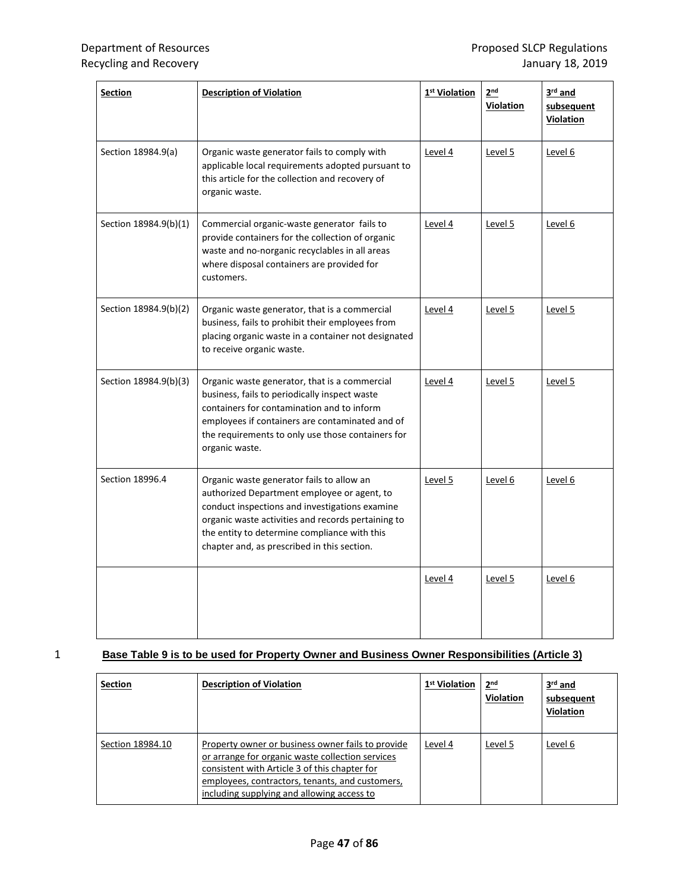| <b>Section</b>        | <b>Description of Violation</b>                                                                                                                                                                                                                                                                 | 1 <sup>st</sup> Violation | 2 <sup>nd</sup><br><b>Violation</b> | $3rd$ and<br>subsequent<br><b>Violation</b> |
|-----------------------|-------------------------------------------------------------------------------------------------------------------------------------------------------------------------------------------------------------------------------------------------------------------------------------------------|---------------------------|-------------------------------------|---------------------------------------------|
| Section 18984.9(a)    | Organic waste generator fails to comply with<br>applicable local requirements adopted pursuant to<br>this article for the collection and recovery of<br>organic waste.                                                                                                                          | Level 4                   | Level 5                             | Level 6                                     |
| Section 18984.9(b)(1) | Commercial organic-waste generator fails to<br>provide containers for the collection of organic<br>waste and no-norganic recyclables in all areas<br>where disposal containers are provided for<br>customers.                                                                                   | Level 4                   | Level 5                             | Level 6                                     |
| Section 18984.9(b)(2) | Organic waste generator, that is a commercial<br>business, fails to prohibit their employees from<br>placing organic waste in a container not designated<br>to receive organic waste.                                                                                                           | Level 4                   | <u>Level 5</u>                      | Level 5                                     |
| Section 18984.9(b)(3) | Organic waste generator, that is a commercial<br>business, fails to periodically inspect waste<br>containers for contamination and to inform<br>employees if containers are contaminated and of<br>the requirements to only use those containers for<br>organic waste.                          | Level 4                   | Level 5                             | Level 5                                     |
| Section 18996.4       | Organic waste generator fails to allow an<br>authorized Department employee or agent, to<br>conduct inspections and investigations examine<br>organic waste activities and records pertaining to<br>the entity to determine compliance with this<br>chapter and, as prescribed in this section. | Level 5                   | Level 6                             | Level 6                                     |
|                       |                                                                                                                                                                                                                                                                                                 | Level 4                   | Level 5                             | Level 6                                     |

## 1 **Base Table 9 is to be used for Property Owner and Business Owner Responsibilities (Article 3)**

| <b>Section</b>   | <b>Description of Violation</b>                                                                                                                                                                                                                         | 1 <sup>st</sup> Violation | 2 <sub>nd</sub><br>Violation | 3rd and<br>subsequent<br><b>Violation</b> |
|------------------|---------------------------------------------------------------------------------------------------------------------------------------------------------------------------------------------------------------------------------------------------------|---------------------------|------------------------------|-------------------------------------------|
| Section 18984.10 | Property owner or business owner fails to provide<br>or arrange for organic waste collection services<br>consistent with Article 3 of this chapter for<br>employees, contractors, tenants, and customers,<br>including supplying and allowing access to | Level 4                   | Level 5                      | Level 6                                   |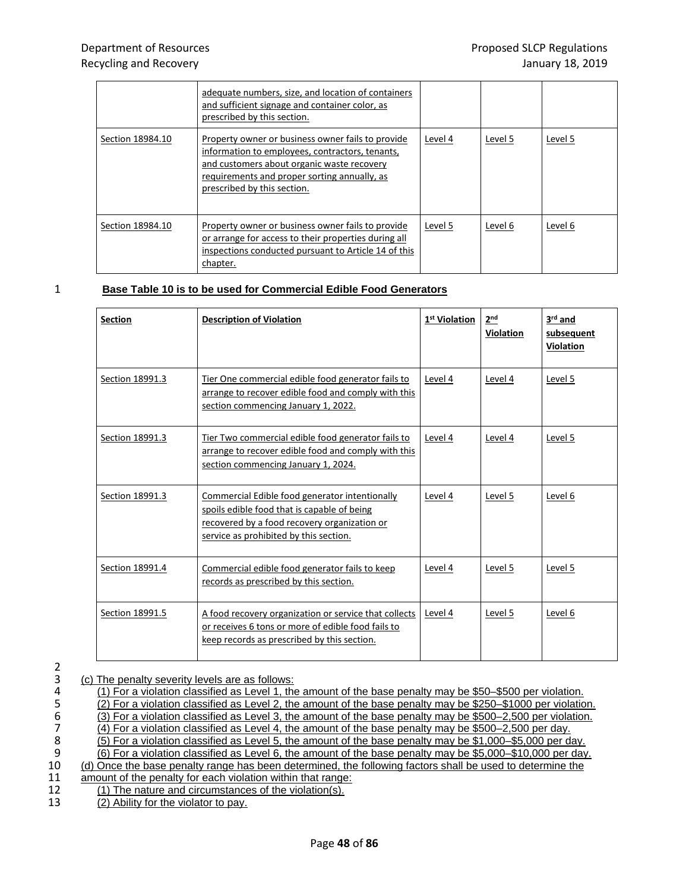|                  | adequate numbers, size, and location of containers<br>and sufficient signage and container color, as<br>prescribed by this section.                                                                                               |         |         |         |
|------------------|-----------------------------------------------------------------------------------------------------------------------------------------------------------------------------------------------------------------------------------|---------|---------|---------|
| Section 18984.10 | Property owner or business owner fails to provide<br>information to employees, contractors, tenants,<br>and customers about organic waste recovery<br>requirements and proper sorting annually, as<br>prescribed by this section. | Level 4 | Level 5 | Level 5 |
| Section 18984.10 | Property owner or business owner fails to provide<br>or arrange for access to their properties during all<br>inspections conducted pursuant to Article 14 of this<br>chapter.                                                     | Level 5 | Level 6 | Level 6 |

## 1 **Base Table 10 is to be used for Commercial Edible Food Generators**

| <b>Section</b>  | <b>Description of Violation</b>                                                                                                                                                         | 1 <sup>st</sup> Violation | 2 <sup>nd</sup><br><b>Violation</b> | 3rd and<br>subsequent<br>Violation |
|-----------------|-----------------------------------------------------------------------------------------------------------------------------------------------------------------------------------------|---------------------------|-------------------------------------|------------------------------------|
| Section 18991.3 | Tier One commercial edible food generator fails to<br>arrange to recover edible food and comply with this<br>section commencing January 1, 2022.                                        | Level 4                   | Level 4                             | Level 5                            |
| Section 18991.3 | Tier Two commercial edible food generator fails to<br>arrange to recover edible food and comply with this<br>section commencing January 1, 2024.                                        | Level 4                   | Level 4                             | Level 5                            |
| Section 18991.3 | Commercial Edible food generator intentionally<br>spoils edible food that is capable of being<br>recovered by a food recovery organization or<br>service as prohibited by this section. | Level 4                   | Level 5                             | Level 6                            |
| Section 18991.4 | Commercial edible food generator fails to keep<br>records as prescribed by this section.                                                                                                | Level 4                   | Level 5                             | Level 5                            |
| Section 18991.5 | A food recovery organization or service that collects<br>or receives 6 tons or more of edible food fails to<br>keep records as prescribed by this section.                              | Level 4                   | Level 5                             | Level 6                            |

2<br>3<br>4<br>5<br>6<br>7<br>8<br>9<br>1<br>0<br>1<br>1<br>2

|  | 3 |  |  |  | (c) The penalty severity levels are as follows: |  |  |  |  |
|--|---|--|--|--|-------------------------------------------------|--|--|--|--|
|--|---|--|--|--|-------------------------------------------------|--|--|--|--|

| (1) For a violation classified as Level 1, the amount of the base penalty may be \$50–\$500 per violation.   |
|--------------------------------------------------------------------------------------------------------------|
| (2) For a violation classified as Level 2, the amount of the base penalty may be \$250–\$1000 per violation. |
| (3) For a violation classified as Level 3, the amount of the base penalty may be \$500–2,500 per violation.  |
| (4) For a violation classified as Level 4, the amount of the base penalty may be \$500-2,500 per day.        |
| (5) For a violation classified as Level 5, the amount of the base penalty may be \$1,000–\$5,000 per day.    |
| (6) For a violation classified as Level 6, the amount of the base penalty may be \$5,000–\$10,000 per day.   |
| (d) Once the base penalty range has been determined, the following factors shall be used to determine the    |
| amount of the penalty for each violation within that range:                                                  |
| (1) The nature and circumstances of the violation(s).                                                        |
| (2) Ability for the violator to pay.                                                                         |
|                                                                                                              |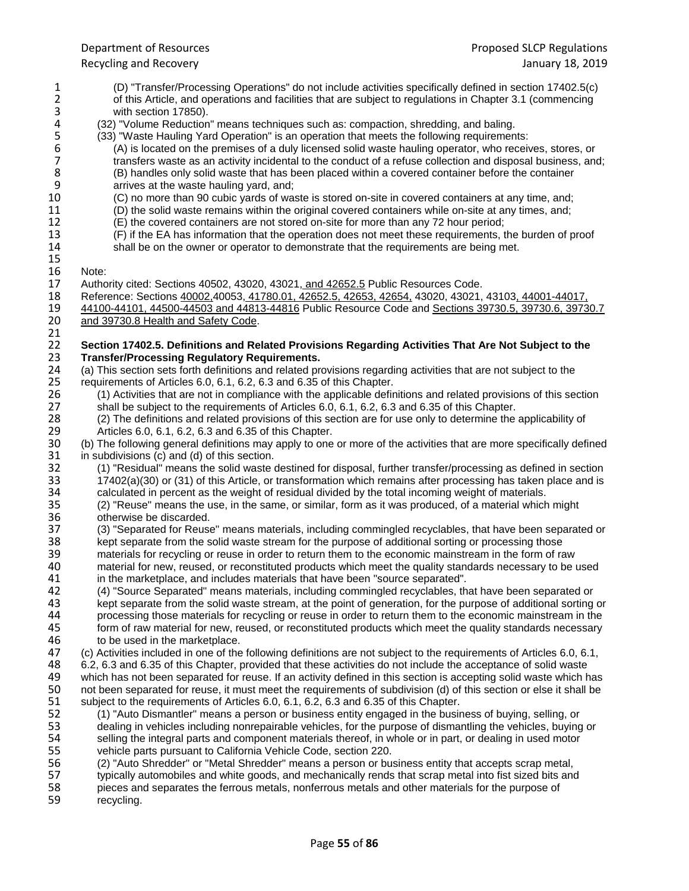1 (D) "Transfer/Processing Operations" do not include activities specifically defined in section 17402.5(c) 2 of this Article, and operations and facilities that are subject to regulations in Chapter 3.1 (commencing<br>3 with section 17850). 3 with section 17850).<br>4 (32) "Volume Reduction 4 (32) "Volume Reduction" means techniques such as: compaction, shredding, and baling.<br>5 (33) "Waste Hauling Yard Operation" is an operation that meets the following requirement 5 (33) "Waste Hauling Yard Operation" is an operation that meets the following requirements:<br>6 (A) is located on the premises of a duly licensed solid waste hauling operator, who received 7<br>7 transfers waste as an activity 6 (A) is located on the premises of a duly licensed solid waste hauling operator, who receives, stores, or 7 transfers waste as an activity incidental to the conduct of a refuse collection and disposal business, and;<br>8 (B) handles only solid waste that has been placed within a covered container before the container 8 (B) handles only solid waste that has been placed within a covered container before the container 9 9 arrives at the waste hauling yard, and;<br>10 (C) no more than 90 cubic yards of ware 10 (C) no more than 90 cubic yards of waste is stored on-site in covered containers at any time, and;<br>11 (D) the solid waste remains within the original covered containers while on-site at any times, and: 11 (D) the solid waste remains within the original covered containers while on-site at any times, and;<br>12 (E) the covered containers are not stored on-site for more than any 72 hour period; 12 (E) the covered containers are not stored on-site for more than any 72 hour period;<br>13 (F) if the EA has information that the operation does not meet these requirements, t 13 (F) if the EA has information that the operation does not meet these requirements, the burden of proof 14 shall be on the owner or operator to demonstrate that the requirements are being met. shall be on the owner or operator to demonstrate that the requirements are being met. 15<br>16 16 Note:<br>17 Autho 17 Authority cited: Sections 40502, 43020, 43021, and 42652.5 Public Resources Code.<br>18 Reference: Sections 40002,40053, 41780.01, 42652.5, 42653, 42654, 43020, 43021, 18 Reference: Sections 40002,40053, 41780.01, 42652.5, 42653, 42654, 43020, 43021, 43103, 44001-44017, 44500-4<br>19 44100-44101, 44500-44503 and 44813-44816 Public Resource Code and Sections 39730.5, 39730.6, 3973 19 44100-44101, 44500-44503 and 44813-44816 Public Resource Code and Sections 39730.5, 39730.6, 39730.7<br>20 and 39730.8 Health and Safety Code. and 39730.8 Health and Safety Code. 21<br>22 22 **Section 17402.5. Definitions and Related Provisions Regarding Activities That Are Not Subject to the**  23 **Transfer/Processing Regulatory Requirements.** 24 (a) This section sets forth definitions and related provisions regarding activities that are not subject to the<br>25 requirements of Articles 6.0, 6.1, 6.2, 6.3 and 6.35 of this Chapter. requirements of Articles 6.0, 6.1, 6.2, 6.3 and 6.35 of this Chapter. 26 (1) Activities that are not in compliance with the applicable definitions and related provisions of this section<br>27 shall be subject to the requirements of Articles 6.0, 6.1, 6.2, 6.3 and 6.35 of this Chapter. shall be subject to the requirements of Articles 6.0, 6.1, 6.2, 6.3 and 6.35 of this Chapter. 28 (2) The definitions and related provisions of this section are for use only to determine the applicability of 29 (Articles 6.0, 6.1, 6.2, 6.3 and 6.35 of this Chapter. 29 Articles 6.0, 6.1, 6.2, 6.3 and 6.35 of this Chapter.<br>30 (b) The following general definitions may apply to one (b) The following general definitions may apply to one or more of the activities that are more specifically defined 31 in subdivisions (c) and (d) of this section.<br>32 (1) "Residual" means the solid waste of 32 (1) "Residual" means the solid waste destined for disposal, further transfer/processing as defined in section<br>33 17402(a)(30) or (31) of this Article, or transformation which remains after processing has taken place and 33 17402(a)(30) or (31) of this Article, or transformation which remains after processing has taken place and is<br>34 calculated in percent as the weight of residual divided by the total incoming weight of materials. 34 calculated in percent as the weight of residual divided by the total incoming weight of materials.<br>35 (2) "Reuse" means the use, in the same, or similar, form as it was produced, of a material which 35 (2) "Reuse" means the use, in the same, or similar, form as it was produced, of a material which might 36 otherwise be discarded.<br>37 (3) "Separated for Reuse 37 (3) "Separated for Reuse" means materials, including commingled recyclables, that have been separated or kept separated or separated or separated or separated or 38 kept separate from the solid waste stream for the purpose of additional sorting or processing those<br>39 materials for recycling or reuse in order to return them to the economic mainstream in the form of rac-39 materials for recycling or reuse in order to return them to the economic mainstream in the form of raw<br>40 material for new, reused, or reconstituted products which meet the quality standards necessary to be u 40 material for new, reused, or reconstituted products which meet the quality standards necessary to be used 41 in the marketolace, and includes materials that have been "source separated". in the marketplace, and includes materials that have been "source separated". 42 (4) "Source Separated" means materials, including commingled recyclables, that have been separated or kept separate from the solid waste stream, at the point of generation, for the purpose of additional sorting or<br>44 processing those materials for recycling or reuse in order to return them to the economic mainstream in the 44 processing those materials for recycling or reuse in order to return them to the economic mainstream in the<br>45 form of raw material for new, reused, or reconstituted products which meet the quality standards necessary 45 form of raw material for new, reused, or reconstituted products which meet the quality standards necessary<br>46 to be used in the marketplace. 46 to be used in the marketplace.<br>47 (c) Activities included in one of the 47 (c) Activities included in one of the following definitions are not subject to the requirements of Articles 6.0, 6.1,<br>48 6.2, 6.3 and 6.35 of this Chapter, provided that these activities do not include the acceptance of 48 6.2, 6.3 and 6.35 of this Chapter, provided that these activities do not include the acceptance of solid waste 49 which has not been separated for reuse. If an activity defined in this section is accepting solid waste which has<br>50 not been separated for reuse, it must meet the requirements of subdivision (d) of this section or else 50 not been separated for reuse, it must meet the requirements of subdivision (d) of this section or else it shall be<br>51 subject to the requirements of Articles 6.0, 6.1, 6.2, 6.3 and 6.35 of this Chapter. subject to the requirements of Articles 6.0, 6.1, 6.2, 6.3 and 6.35 of this Chapter. 52 (1) "Auto Dismantler" means a person or business entity engaged in the business of buying, selling, or dealing in vehicles including nonrepairable vehicles, for the purpose of dismantling the vehicles, buying or 54 selling the integral parts and component materials thereof, in whole or in part, or dealing in used motor<br>55 vehicle parts pursuant to California Vehicle Code, section 220. vehicle parts pursuant to California Vehicle Code, section 220. 56 (2) "Auto Shredder" or "Metal Shredder" means a person or business entity that accepts scrap metal, 57 typically automobiles and white goods, and mechanically rends that scrap metal into fist sized bits and<br>58 pieces and separates the ferrous metals, nonferrous metals and other materials for the purpose of 58 pieces and separates the ferrous metals, nonferrous metals and other materials for the purpose of recycling.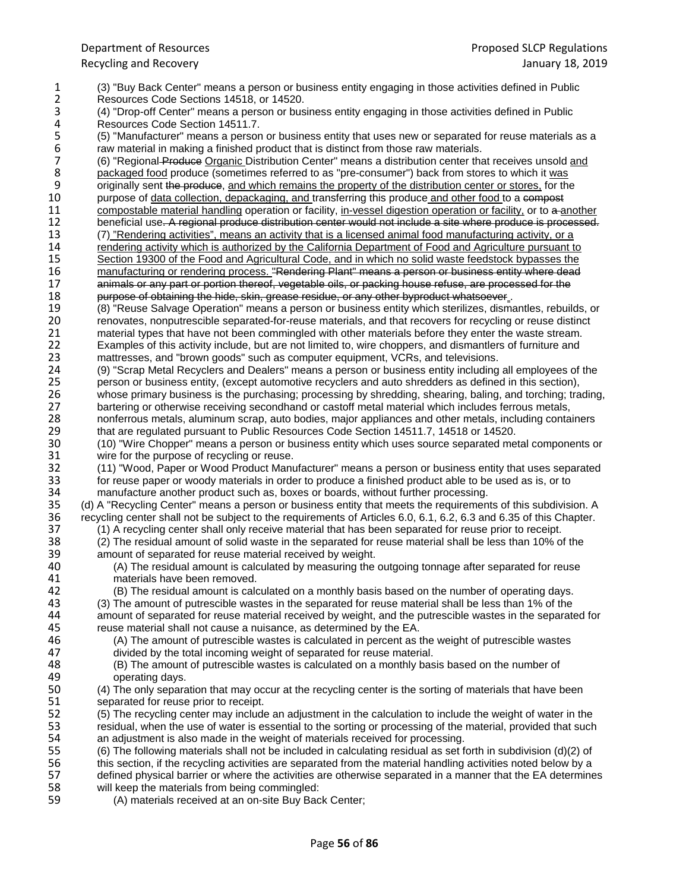1 (3) "Buy Back Center" means a person or business entity engaging in those activities defined in Public 2 Resources Code Sections 14518, or 14520.<br>3 (4) "Drop-off Center" means a person or bus 3 (4) "Drop-off Center" means a person or business entity engaging in those activities defined in Public 4 Resources Code Section 14511.7.<br>5 (5) "Manufacturer" means a persor 5 (5) "Manufacturer" means a person or business entity that uses new or separated for reuse materials as a<br>6 raw material in making a finished product that is distinct from those raw materials.<br>7 (6) "Regional-Produce Orga raw material in making a finished product that is distinct from those raw materials. 7 (6) "Regional Produce Organic Distribution Center" means a distribution center that receives unsold and produce (sometimes referred to as "pre-consumer") back from stores to which it was 8 packaged food produce (sometimes referred to as "pre-consumer") back from stores to which it was<br>9 originally sent the produce, and which remains the property of the distribution center or stores, for the 9 originally sent the produce, and which remains the property of the distribution center or stores, for the purpose of data collection, depackaging, and transferring this produce and other food to a compost 10 purpose of data collection, depackaging, and transferring this produce and other food to a compostable material handling operation or facility, in-vessel digestion operation or facility, or to a a 11 compostable material handling operation or facility, in-vessel digestion operation or facility, or to a another<br>12 beneficial use. A regional produce distribution center would not include a site where produce is process 12 beneficial use. A regional produce distribution center would not include a site where produce is processed.<br>13 (7) "Rendering activities", means an activity that is a licensed animal food manufacturing activity, or a 13 (7) "Rendering activities", means an activity that is a licensed animal food manufacturing activity, or a<br>14 rendering activity which is authorized by the California Department of Food and Agriculture pursuant to 14 rendering activity which is authorized by the California Department of Food and Agriculture pursuant to<br>15 Section 19300 of the Food and Agricultural Code, and in which no solid waste feedstock bypasses the 15 Section 19300 of the Food and Agricultural Code, and in which no solid waste feedstock bypasses the manufacturing or rendering process. "Rendering Plant" means a person or business entity where dead 16 manufacturing or rendering process. "Rendering Plant" means a person or business entity where dead<br>17 manimals or any part or portion thereof, vegetable oils, or packing house refuse, are processed for the animals or any part or portion thereof, vegetable oils, or packing house refuse, are processed for the 18<br>18 purpose of obtaining the hide, skin, grease residue, or any other byproduct whatsoever. purpose of obtaining the hide, skin, grease residue, or any other byproduct whatsoever in the hide over the hide, skinning the hide new the manner of the metal of the metal of the metal of the metal of the metal of the met 19 (8) "Reuse Salvage Operation" means a person or business entity which sterilizes, dismantles, rebuilds, or 20 renovates, nonputrescible separated-for-reuse materials, and that recovers for recycling or reuse distinct<br>21 material types that have not been commingled with other materials before they enter the waste stream. 21 material types that have not been commingled with other materials before they enter the waste stream.<br>22 Examples of this activity include, but are not limited to, wire choppers, and dismantlers of furniture and 22 Examples of this activity include, but are not limited to, wire choppers, and dismantlers of furniture and  $\frac{23}{12}$  mattresses, and "brown goods" such as computer equipment. VCRs, and televisions. 23 mattresses, and "brown goods" such as computer equipment, VCRs, and televisions.<br>24 (9) "Scrap Metal Recyclers and Dealers" means a person or business entity including 24 (9) "Scrap Metal Recyclers and Dealers" means a person or business entity including all employees of the 25<br>25 person or business entity, (except automotive recyclers and auto shredders as defined in this section), person or business entity, (except automotive recyclers and auto shredders as defined in this section), 26 whose primary business is the purchasing; processing by shredding, shearing, baling, and torching; trading,<br>27 bartering or otherwise receiving secondhand or castoff metal material which includes ferrous metals, bartering or otherwise receiving secondhand or castoff metal material which includes ferrous metals, 28 nonferrous metals, aluminum scrap, auto bodies, major appliances and other metals, including containers<br>29 that are regulated pursuant to Public Resources Code Section 14511.7, 14518 or 14520. 29 that are regulated pursuant to Public Resources Code Section 14511.7, 14518 or 14520.<br>20 (10) "Wire Chopper" means a person or business entity which uses source separated me 30 (10) "Wire Chopper" means a person or business entity which uses source separated metal components or 31 vire for the purpose of recycling or reuse. 31 wire for the purpose of recycling or reuse.<br>32 (11) "Wood, Paper or Wood Product Manu 32 (11) "Wood, Paper or Wood Product Manufacturer" means a person or business entity that uses separated<br>33 for reuse paper or woody materials in order to produce a finished product able to be used as is, or to 33 for reuse paper or woody materials in order to produce a finished product able to be used as is, or to 34 manufacture another product such as, boxes or boards, without further processing. 34 manufacture another product such as, boxes or boards, without further processing.<br>35 (d) A "Recycling Center" means a person or business entity that meets the requiremen 35 (d) A "Recycling Center" means a person or business entity that meets the requirements of this subdivision. A<br>36 recycling center shall not be subject to the requirements of Articles 6.0, 6.1, 6.2, 6.3 and 6.35 of this 36 recycling center shall not be subject to the requirements of Articles 6.0, 6.1, 6.2, 6.3 and 6.35 of this Chapter.<br>37 (1) A recycling center shall only receive material that has been separated for reuse prior to receipt 37 (1) A recycling center shall only receive material that has been separated for reuse prior to receipt.<br>38 (2) The residual amount of solid waste in the separated for reuse material shall be less than 10% of 38 (2) The residual amount of solid waste in the separated for reuse material shall be less than 10% of the 39 amount of separated for reuse material received by weight. 39 amount of separated for reuse material received by weight.<br>40 (A) The residual amount is calculated by measuring the 40 (A) The residual amount is calculated by measuring the outgoing tonnage after separated for reuse<br>41 materials have been removed. materials have been removed. 42 (B) The residual amount is calculated on a monthly basis based on the number of operating days.<br>43 (3) The amount of putrescible wastes in the separated for reuse material shall be less than 1% of the 43 (3) The amount of putrescible wastes in the separated for reuse material shall be less than 1% of the 44 amount of separated for reuse material received by weight, and the putrescible wastes in the separate 44 amount of separated for reuse material received by weight, and the putrescible wastes in the separated for<br>45 reuse material shall not cause a nuisance, as determined by the EA. Freuse material shall not cause a nuisance, as determined by the EA.<br>46 (A) The amount of putrescible wastes is calculated in percent as t 46 (A) The amount of putrescible wastes is calculated in percent as the weight of putrescible wastes 47 (4) divided by the total incoming weight of separated for reuse material. 47 divided by the total incoming weight of separated for reuse material.<br>48 (B) The amount of putrescible wastes is calculated on a monthly bas 48 (B) The amount of putrescible wastes is calculated on a monthly basis based on the number of 49 operating days.<br>50 (4) The only separa 50 (4) The only separation that may occur at the recycling center is the sorting of materials that have been<br>51 separated for reuse prior to receipt. separated for reuse prior to receipt. 52 (5) The recycling center may include an adjustment in the calculation to include the weight of water in the 53 residual, when the use of water is essential to the sorting or processing of the material, provided that such 54 an adiustment is also made in the weight of materials received for processing. 54 an adjustment is also made in the weight of materials received for processing.<br>55 (6) The following materials shall not be included in calculating residual as set f  $(6)$  The following materials shall not be included in calculating residual as set forth in subdivision  $(d)(2)$  of 56 this section, if the recycling activities are separated from the material handling activities noted below by a<br>57 defined physical barrier or where the activities are otherwise separated in a manner that the EA determin 57 defined physical barrier or where the activities are otherwise separated in a manner that the EA determines 58 will keep the materials from being comminaled: 58 will keep the materials from being commingled:<br>59 (A) materials received at an on-site Buy Bac (A) materials received at an on-site Buy Back Center;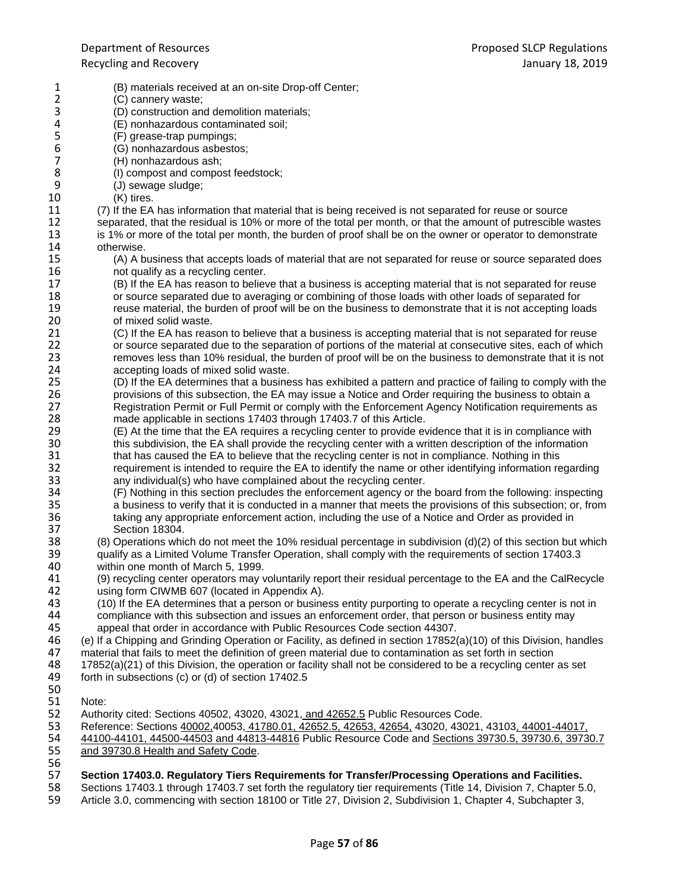- 1 (B) materials received at an on-site Drop-off Center;<br>2 (C) cannery waste; 2 (C) cannery waste;<br>3 (D) construction and 3 (D) construction and demolition materials;<br>4 (E) nonhazardous contaminated soil; 4 (E) nonhazardous contaminated soil;<br>5 (F) grease-trap pumpings; 5 (F) grease-trap pumpings;<br>6 (G) nonhazardous asbestd 6 (G) nonhazardous asbestos;<br>7 (H) nonhazardous ash: 7 (H) nonhazardous ash;<br>8 (I) compost and compo 8 (I) compost and compost feedstock;<br>9 (J) sewage sludge: 9 (J) sewage sludge;<br>10 (K) tires. 10 (K) tires.<br>11 (7) If the EA 11 (7) If the EA has information that material that is being received is not separated for reuse or source<br>12 separated, that the residual is 10% or more of the total per month, or that the amount of putrescible 12 separated, that the residual is 10% or more of the total per month, or that the amount of putrescible wastes<br>13 is 1% or more of the total per month, the burden of proof shall be on the owner or operator to demonstrate 13 is 1% or more of the total per month, the burden of proof shall be on the owner or operator to demonstrate 14 otherwise. 14 otherwise.<br>15 (A) A b 15 (A) A business that accepts loads of material that are not separated for reuse or source separated does 16 16 not qualify as a recycling center.<br>17 (B) If the EA has reason to believ 17 (B) If the EA has reason to believe that a business is accepting material that is not separated for reuse<br>18 or source separated due to averaging or combining of those loads with other loads of separated for 18 or source separated due to averaging or combining of those loads with other loads of separated for<br>19 separate in the burden of proof will be on the business to demonstrate that it is not accepting load 19 reuse material, the burden of proof will be on the business to demonstrate that it is not accepting loads 1<br>20 of mixed solid waste. 20 of mixed solid waste.<br>21 (C) If the EA has reas 21 (C) If the EA has reason to believe that a business is accepting material that is not separated for reuse<br>22 or source separated due to the separation of portions of the material at consecutive sites, each of which 22 or source separated due to the separation of portions of the material at consecutive sites, each of which<br>23 removes less than 10% residual, the burden of proof will be on the business to demonstrate that it is not 23 removes less than 10% residual, the burden of proof will be on the business to demonstrate that it is not<br>24 accepting loads of mixed solid waste. 24 accepting loads of mixed solid waste.<br>25 (D) If the EA determines that a busine 25 (D) If the EA determines that a business has exhibited a pattern and practice of failing to comply with the 26 provisions of this subsection, the EA may issue a Notice and Order requiring the business to obtain a<br>27 **Provisional and The Continuity of Contain** and the Enforcement Agency Notification requirements and Registration Permit or Full Permit or comply with the Enforcement Agency Notification requirements as 28 made applicable in sections 17403 through 17403.7 of this Article.<br>29 (E) At the time that the EA requires a recycling center to provide ev 29 (E) At the time that the EA requires a recycling center to provide evidence that it is in compliance with 30<br>30 this subdivision, the EA shall provide the recycling center with a written description of the information this subdivision, the EA shall provide the recycling center with a written description of the information 31 that has caused the EA to believe that the recycling center is not in compliance. Nothing in this<br>32 requirement is intended to require the EA to identify the name or other identifying information re 32 requirement is intended to require the EA to identify the name or other identifying information regarding 33 any individual(s) who have complained about the recycling center.<br>34 (F) Nothing in this section precludes the enforcement agency or the 34 (F) Nothing in this section precludes the enforcement agency or the board from the following: inspecting 35 a business to verify that it is conducted in a manner that meets the provisions of this subsection; or, from<br>36 taking any appropriate enforcement action, including the use of a Notice and Order as provided in 36 taking any appropriate enforcement action, including the use of a Notice and Order as provided in<br>37 Section 18304. 37 Section 18304.<br>38 (8) Operations which 38 (8) Operations which do not meet the 10% residual percentage in subdivision (d)(2) of this section but which<br>39 qualify as a Limited Volume Transfer Operation, shall comply with the requirements of section 17403.3 39 qualify as a Limited Volume Transfer Operation, shall comply with the requirements of section 17403.3<br>40 within one month of March 5. 1999. 40 within one month of March 5, 1999.<br>41 (9) recycling center operators may 41 (9) recycling center operators may voluntarily report their residual percentage to the EA and the CalRecycle 42 using form CIWMB 607 (located in Appendix A).<br>43 (10) If the EA determines that a person or busine 43 (10) If the EA determines that a person or business entity purporting to operate a recycling center is not in<br>44 compliance with this subsection and issues an enforcement order, that person or business entity may 44 compliance with this subsection and issues an enforcement order, that person or business entity may<br>45 appeal that order in accordance with Public Resources Code section 44307. Ab appeal that order in accordance with Public Resources Code section 44307.<br>46 (e) If a Chipping and Grinding Operation or Facility, as defined in section 17852 46 (e) If a Chipping and Grinding Operation or Facility, as defined in section 17852(a)(10) of this Division, handles 47 material that fails to meet the definition of green material due to contamination as set forth in section<br>48 17852(a)(21) of this Division, the operation or facility shall not be considered to be a recycling center 17852(a)(21) of this Division, the operation or facility shall not be considered to be a recycling center as set 49 forth in subsections (c) or (d) of section 17402.5 50<br>51 Note: 52 Authority cited: Sections 40502, 43020, 43021, and 42652.5 Public Resources Code.<br>53 Reference: Sections 40002.40053. 41780.01. 42652.5. 42653. 42654. 43020. 43021. 53 Reference: Sections 40002,40053, 41780.01, 42652.5, 42653, 42654, 43020, 43021, 43103, 44001-44017, 54 44100-44101, 44500-44503 and 44813-44816 Public Resource Code and Sections 39730.5, 39730.6, 39730.7<br>55 and 39730.8 Health and Safety Code. and 39730.8 Health and Safety Code. 56<br>57 57 **Section 17403.0. Regulatory Tiers Requirements for Transfer/Processing Operations and Facilities.**
- 58 Sections 17403.1 through 17403.7 set forth the regulatory tier requirements (Title 14, Division 7, Chapter 5.0, 59 Article 3.0, commencing with section 18100 or Title 27, Division 2, Subdivision 1, Chapter 4, Subchapter Article 3.0, commencing with section 18100 or Title 27, Division 2, Subdivision 1, Chapter 4, Subchapter 3,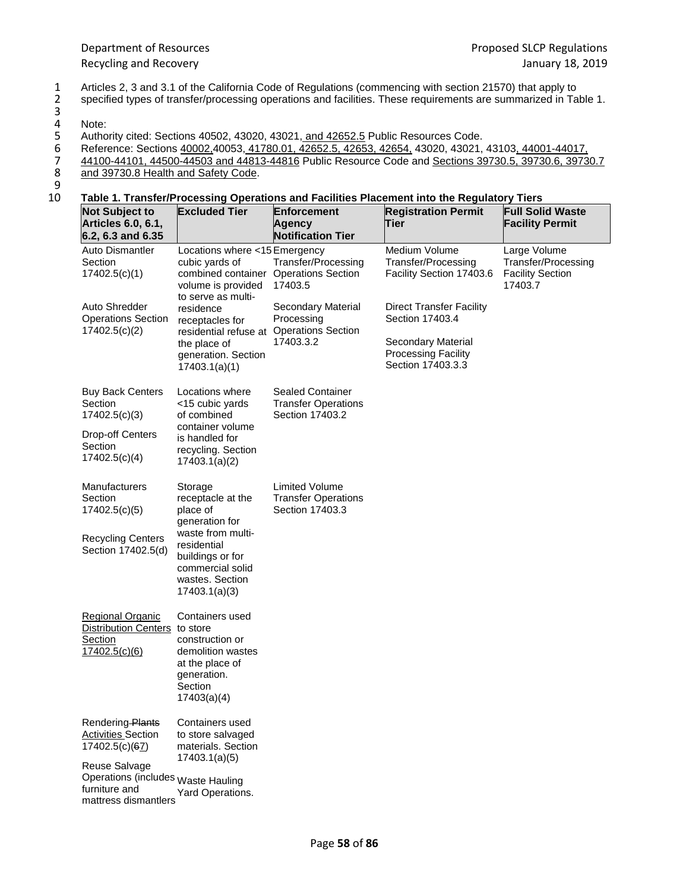1 Articles 2, 3 and 3.1 of the California Code of Regulations (commencing with section 21570) that apply to<br>2 specified types of transfer/processing operations and facilities. These requirements are summarized in Ta specified types of transfer/processing operations and facilities. These requirements are summarized in Table 1.

Authority cited: Sections 40502, 43020, 43021, and 42652.5 Public Resources Code.

- Reference: Sections 40002,40053, 41780.01, 42652.5, 42653, 42654, 43020, 43021, 43103, 44001-44017,
- 44100-44101, 44500-44503 and 44813-44816 Public Resource Code and Sections 39730.5, 39730.6, 39730.7
- and 39730.8 Health and Safety Code.

 $\begin{array}{c} 8 \\ 9 \\ 10 \end{array}$ 

## 10 **Table 1. Transfer/Processing Operations and Facilities Placement into the Regulatory Tiers**

|                                                                                                                                                                 | כוסות היוסוסוטורון וסטטסטווק טאטומוטוס מומ ו מטווונט ו ומטטווטות וווט מוט ולשמומוסו זו ויוס                                                                                |                                                                            |                                                                                                                             |                                                                           |
|-----------------------------------------------------------------------------------------------------------------------------------------------------------------|----------------------------------------------------------------------------------------------------------------------------------------------------------------------------|----------------------------------------------------------------------------|-----------------------------------------------------------------------------------------------------------------------------|---------------------------------------------------------------------------|
| <b>Not Subject to</b><br>Articles 6.0, 6.1,<br>6.2, 6.3 and 6.35                                                                                                | <b>Excluded Tier</b>                                                                                                                                                       | <b>Enforcement</b><br>Agency<br><b>Notification Tier</b>                   | <b>Registration Permit</b><br>Tier                                                                                          | <b>Full Solid Waste</b><br><b>Facility Permit</b>                         |
| Auto Dismantler<br>Section<br>17402.5(c)(1)                                                                                                                     | Locations where <15 Emergency<br>cubic yards of<br>combined container Operations Section<br>volume is provided<br>to serve as multi-                                       | Transfer/Processing<br>17403.5                                             | Medium Volume<br><b>Transfer/Processing</b><br>Facility Section 17403.6                                                     | Large Volume<br>Transfer/Processing<br><b>Facility Section</b><br>17403.7 |
| Auto Shredder<br><b>Operations Section</b><br>17402.5(c)(2)                                                                                                     | residence<br>receptacles for<br>residential refuse at<br>the place of<br>generation. Section<br>17403.1(a)(1)                                                              | Secondary Material<br>Processing<br><b>Operations Section</b><br>17403.3.2 | <b>Direct Transfer Facility</b><br>Section 17403.4<br>Secondary Material<br><b>Processing Facility</b><br>Section 17403.3.3 |                                                                           |
| <b>Buy Back Centers</b><br>Section<br>17402.5(c)(3)<br><b>Drop-off Centers</b><br>Section<br>17402.5(c)(4)                                                      | Locations where<br><15 cubic yards<br>of combined<br>container volume<br>is handled for<br>recycling. Section<br>17403.1(a)(2)                                             | <b>Sealed Container</b><br><b>Transfer Operations</b><br>Section 17403.2   |                                                                                                                             |                                                                           |
| Manufacturers<br>Section<br>17402.5(c)(5)<br><b>Recycling Centers</b><br>Section 17402.5(d)                                                                     | Storage<br>receptacle at the<br>place of<br>generation for<br>waste from multi-<br>residential<br>buildings or for<br>commercial solid<br>wastes. Section<br>17403.1(a)(3) | <b>Limited Volume</b><br><b>Transfer Operations</b><br>Section 17403.3     |                                                                                                                             |                                                                           |
| <b>Regional Organic</b><br>Distribution Centers to store<br>Section<br>17402.5(c)(6)                                                                            | Containers used<br>construction or<br>demolition wastes<br>at the place of<br>generation.<br>Section<br>17403(a)(4)                                                        |                                                                            |                                                                                                                             |                                                                           |
| Rendering Plants<br><b>Activities Section</b><br>17402.5(c)(67)<br>Reuse Salvage<br>Operations (includes Waste Hauling<br>furniture and<br>mattress dismantlers | Containers used<br>to store salvaged<br>materials. Section<br>17403.1(a)(5)<br>Yard Operations.                                                                            |                                                                            |                                                                                                                             |                                                                           |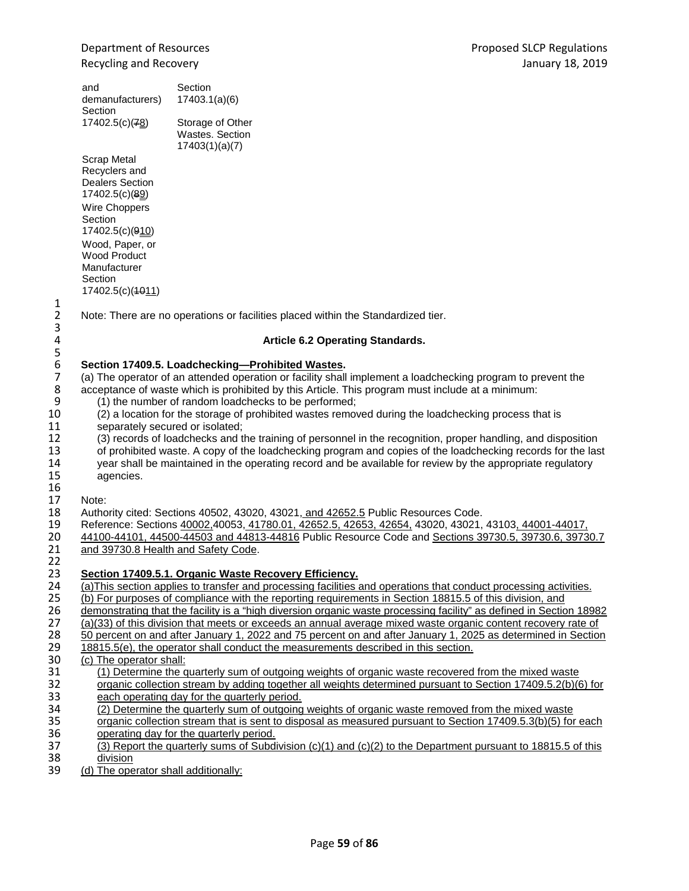and demanufacturers) Section 17402.5(c)(<sup>78</sup>) Section 17403.1(a)(6) Storage of Other Wastes. Section

Scrap Metal Recyclers and Dealers Section 17402.5(c)(89) Wire Choppers Section 17402.5(c)(910) Wood, Paper, or Wood Product Manufacturer **Section** 17402.5(c)(1011)

Note: There are no operations or facilities placed within the Standardized tier.

## 4 **Article 6.2 Operating Standards.**

# 6 **Section 17409.5. Loadchecking—Prohibited Wastes.**

17403(1)(a)(7)

7 (a) The operator of an attended operation or facility shall implement a loadchecking program to prevent the acceptance of waste which is prohibited by this Article. This program must include at a minimum: 8 acceptance of waste which is prohibited by this Article. This program must include at a minimum:<br>9 (1) the number of random loadchecks to be performed:

- 9 (1) the number of random loadchecks to be performed;<br>10 (2) a location for the storage of prohibited wastes remot
- 10 (2) a location for the storage of prohibited wastes removed during the loadchecking process that is
- 11 separately secured or isolated;<br>12 (3) records of loadchecks and t

12 (3) records of loadchecks and the training of personnel in the recognition, proper handling, and disposition<br>13 of prohibited waste. A copy of the loadchecking program and copies of the loadchecking records for the las 13 of prohibited waste. A copy of the loadchecking program and copies of the loadchecking records for the last<br>14 vear shall be maintained in the operating record and be available for review by the appropriate regulatory 14 year shall be maintained in the operating record and be available for review by the appropriate regulatory<br>15 agencies. agencies.

16<br>17

 $\frac{1}{2}$ 

3<br>4

5<br>6

- 17 Note:<br>18 Autho 18 Authority cited: Sections 40502, 43020, 43021, and 42652.5 Public Resources Code.<br>19 Reference: Sections 40002,40053, 41780.01, 42652.5, 42653, 42654, 43020, 43021,
- 19 Reference: Sections 40002,40053, 41780.01, 42652.5, 42653, 42654, 43020, 43021, 43103, 44001-44017, 44500-4<br>10 44100-44101, 44500-44503 and 44813-44816 Public Resource Code and Sections 39730.5, 39730.6, 3973 20 44100-44101, 44500-44503 and 44813-44816 Public Resource Code and Sections 39730.5, 39730.6, 39730.7<br>21 and 39730.8 Health and Safety Code.
- and 39730.8 Health and Safety Code.

### 22<br>23 23 **Section 17409.5.1. Organic Waste Recovery Efficiency.**

- 24 (a)This section applies to transfer and processing facilities and operations that conduct processing activities.<br>25 (b) For purposes of compliance with the reporting requirements in Section 18815.5 of this division, and
- 25 (b) For purposes of compliance with the reporting requirements in Section 18815.5 of this division, and 26 demonstrating that the facility is a "high diversion organic waste processing facility" as defined in Section
- 26 demonstrating that the facility is a "high diversion organic waste processing facility" as defined in Section 18982<br>27 (a)(33) of this division that meets or exceeds an annual average mixed waste organic content recover
- 27 (a)(33) of this division that meets or exceeds an annual average mixed waste organic content recovery rate of<br>28 50 percent on and after January 1, 2022 and 75 percent on and after January 1, 2025 as determined in Secti
- 28 50 percent on and after January 1, 2022 and 75 percent on and after January 1, 2025 as determined in Section<br>29 18815.5(e), the operator shall conduct the measurements described in this section.
- $\frac{18815.5(e)}{29}$ , the operator shall conduct the measurements described in this section.
- (c) The operator shall:
- 31 (1) Determine the quarterly sum of outgoing weights of organic waste recovered from the mixed waste<br>32 organic collection stream by adding together all weights determined pursuant to Section 17409.5.2(b)(6
- 32 organic collection stream by adding together all weights determined pursuant to Section 17409.5.2(b)(6) for<br>33 each operating day for the quarterly period. each operating day for the quarterly period.
- 34 (2) Determine the quarterly sum of outgoing weights of organic waste removed from the mixed waste
- 35 organic collection stream that is sent to disposal as measured pursuant to Section 17409.5.3(b)(5) for each 36 operating day for the quarterly period.
- 37 (3) Report the quarterly sums of Subdivision (c)(1) and (c)(2) to the Department pursuant to 18815.5 of this 38 38 <u>division</u><br>39 (d) The ope
- (d) The operator shall additionally: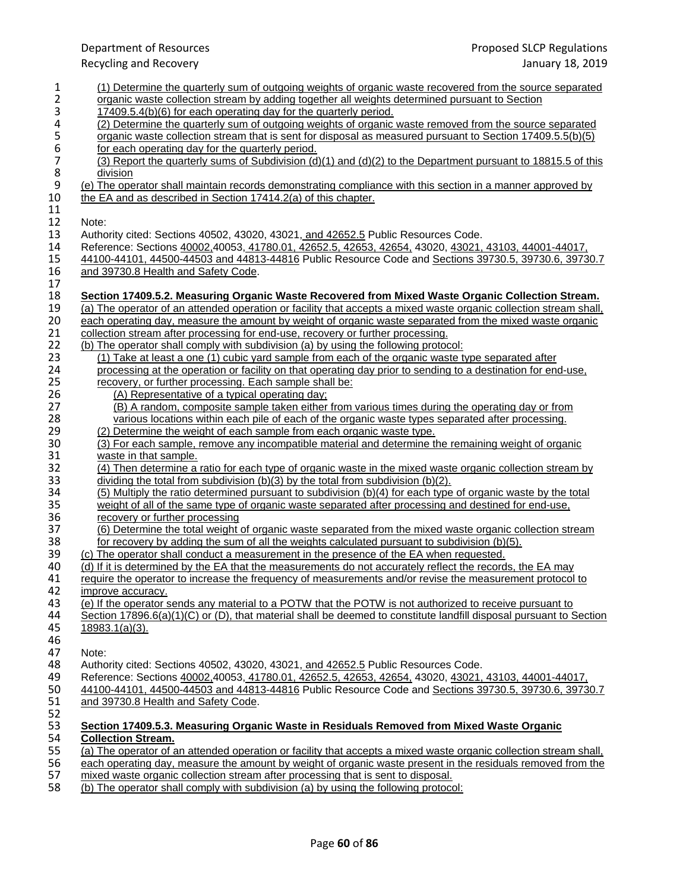Recycling and Recovery

| 1                         | (1) Determine the quarterly sum of outgoing weights of organic waste recovered from the source separated                                                                                                              |
|---------------------------|-----------------------------------------------------------------------------------------------------------------------------------------------------------------------------------------------------------------------|
| 2                         | organic waste collection stream by adding together all weights determined pursuant to Section                                                                                                                         |
| 3                         | 17409.5.4(b)(6) for each operating day for the quarterly period.                                                                                                                                                      |
| 4                         | (2) Determine the quarterly sum of outgoing weights of organic waste removed from the source separated                                                                                                                |
| 5                         | organic waste collection stream that is sent for disposal as measured pursuant to Section 17409.5.5(b)(5)                                                                                                             |
| 6                         | for each operating day for the quarterly period.                                                                                                                                                                      |
| $\overline{7}$<br>$\bf 8$ | (3) Report the quarterly sums of Subdivision (d)(1) and (d)(2) to the Department pursuant to 18815.5 of this                                                                                                          |
| $\boldsymbol{9}$          | division                                                                                                                                                                                                              |
| 10                        | (e) The operator shall maintain records demonstrating compliance with this section in a manner approved by<br>the EA and as described in Section 17414.2(a) of this chapter.                                          |
| 11                        |                                                                                                                                                                                                                       |
| 12                        | Note:                                                                                                                                                                                                                 |
| 13                        | Authority cited: Sections 40502, 43020, 43021, and 42652.5 Public Resources Code.                                                                                                                                     |
| 14                        | Reference: Sections 40002,40053, 41780.01, 42652.5, 42653, 42654, 43020, 43021, 43103, 44001-44017,                                                                                                                   |
| 15                        | 44100-44101, 44500-44503 and 44813-44816 Public Resource Code and Sections 39730.5, 39730.6, 39730.7                                                                                                                  |
|                           |                                                                                                                                                                                                                       |
| 16<br>17                  | and 39730.8 Health and Safety Code.                                                                                                                                                                                   |
| 18                        |                                                                                                                                                                                                                       |
| 19                        | Section 17409.5.2. Measuring Organic Waste Recovered from Mixed Waste Organic Collection Stream.<br>(a) The operator of an attended operation or facility that accepts a mixed waste organic collection stream shall, |
| 20                        | each operating day, measure the amount by weight of organic waste separated from the mixed waste organic                                                                                                              |
| 21                        | collection stream after processing for end-use, recovery or further processing.                                                                                                                                       |
| 22                        | (b) The operator shall comply with subdivision (a) by using the following protocol:                                                                                                                                   |
| 23                        | (1) Take at least a one (1) cubic yard sample from each of the organic waste type separated after                                                                                                                     |
| 24                        | processing at the operation or facility on that operating day prior to sending to a destination for end-use,                                                                                                          |
| 25                        | recovery, or further processing. Each sample shall be:                                                                                                                                                                |
| 26                        | (A) Representative of a typical operating day;                                                                                                                                                                        |
| 27                        | (B) A random, composite sample taken either from various times during the operating day or from                                                                                                                       |
| 28                        | various locations within each pile of each of the organic waste types separated after processing.                                                                                                                     |
| 29                        | (2) Determine the weight of each sample from each organic waste type.                                                                                                                                                 |
| 30                        | (3) For each sample, remove any incompatible material and determine the remaining weight of organic                                                                                                                   |
| 31                        | waste in that sample.                                                                                                                                                                                                 |
| 32                        | (4) Then determine a ratio for each type of organic waste in the mixed waste organic collection stream by                                                                                                             |
| 33                        | dividing the total from subdivision (b)(3) by the total from subdivision (b)(2).                                                                                                                                      |
| 34                        | (5) Multiply the ratio determined pursuant to subdivision (b)(4) for each type of organic waste by the total                                                                                                          |
| 35                        | weight of all of the same type of organic waste separated after processing and destined for end-use,                                                                                                                  |
| 36                        | recovery or further processing                                                                                                                                                                                        |
| 37                        | (6) Determine the total weight of organic waste separated from the mixed waste organic collection stream                                                                                                              |
| 38                        | for recovery by adding the sum of all the weights calculated pursuant to subdivision (b)(5).                                                                                                                          |
| 39                        | (c) The operator shall conduct a measurement in the presence of the EA when requested.                                                                                                                                |
| 40                        | (d) If it is determined by the EA that the measurements do not accurately reflect the records, the EA may                                                                                                             |
| 41                        | require the operator to increase the frequency of measurements and/or revise the measurement protocol to                                                                                                              |
| 42                        | improve accuracy.                                                                                                                                                                                                     |
| 43                        | (e) If the operator sends any material to a POTW that the POTW is not authorized to receive pursuant to                                                                                                               |
| 44                        | Section 17896.6(a)(1)(C) or (D), that material shall be deemed to constitute landfill disposal pursuant to Section                                                                                                    |
| 45                        | 18983.1(a)(3).                                                                                                                                                                                                        |
| 46                        |                                                                                                                                                                                                                       |
| 47                        | Note:                                                                                                                                                                                                                 |
| 48                        | Authority cited: Sections 40502, 43020, 43021, and 42652.5 Public Resources Code.                                                                                                                                     |
| 49                        | Reference: Sections 40002,40053, 41780.01, 42652.5, 42653, 42654, 43020, 43021, 43103, 44001-44017,                                                                                                                   |
| 50                        | 44100-44101, 44500-44503 and 44813-44816 Public Resource Code and Sections 39730.5, 39730.6, 39730.7                                                                                                                  |
| 51                        | and 39730.8 Health and Safety Code.                                                                                                                                                                                   |
| 52                        |                                                                                                                                                                                                                       |
| 53                        | Section 17409.5.3. Measuring Organic Waste in Residuals Removed from Mixed Waste Organic                                                                                                                              |
| 54                        | <b>Collection Stream.</b>                                                                                                                                                                                             |
| 55                        | (a) The operator of an attended operation or facility that accepts a mixed waste organic collection stream shall,                                                                                                     |
| 56                        | each operating day, measure the amount by weight of organic waste present in the residuals removed from the                                                                                                           |
| 57                        | mixed waste organic collection stream after processing that is sent to disposal.                                                                                                                                      |

58 (b) The operator shall comply with subdivision (a) by using the following protocol: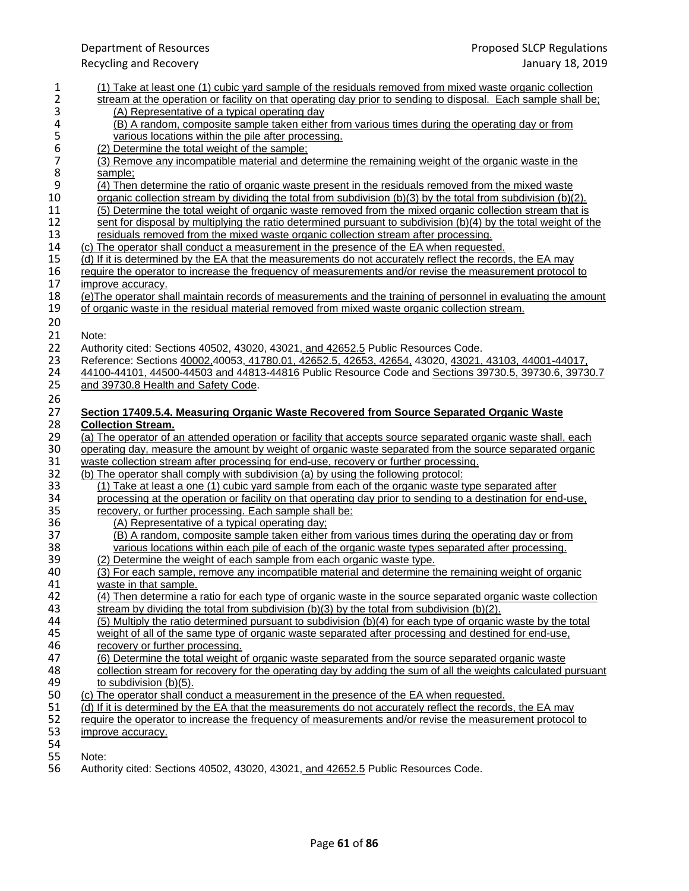| 1                | (1) Take at least one (1) cubic yard sample of the residuals removed from mixed waste organic collection        |
|------------------|-----------------------------------------------------------------------------------------------------------------|
| 2                | stream at the operation or facility on that operating day prior to sending to disposal. Each sample shall be;   |
| 3                | (A) Representative of a typical operating day                                                                   |
| 4                | (B) A random, composite sample taken either from various times during the operating day or from                 |
| 5                | various locations within the pile after processing.                                                             |
| $\boldsymbol{6}$ | (2) Determine the total weight of the sample;                                                                   |
| 7                | (3) Remove any incompatible material and determine the remaining weight of the organic waste in the             |
| 8                | sample;                                                                                                         |
| 9                | (4) Then determine the ratio of organic waste present in the residuals removed from the mixed waste             |
| 10               | organic collection stream by dividing the total from subdivision (b)(3) by the total from subdivision (b)(2).   |
| 11               | (5) Determine the total weight of organic waste removed from the mixed organic collection stream that is        |
| 12               | sent for disposal by multiplying the ratio determined pursuant to subdivision (b)(4) by the total weight of the |
| 13               | residuals removed from the mixed waste organic collection stream after processing.                              |
| 14               | (c) The operator shall conduct a measurement in the presence of the EA when requested.                          |
| 15               | (d) If it is determined by the EA that the measurements do not accurately reflect the records, the EA may       |
| 16               | require the operator to increase the frequency of measurements and/or revise the measurement protocol to        |
| 17               | improve accuracy.                                                                                               |
| 18               | (e) The operator shall maintain records of measurements and the training of personnel in evaluating the amount  |
| 19               | of organic waste in the residual material removed from mixed waste organic collection stream.                   |
| 20               |                                                                                                                 |
| 21               | Note:                                                                                                           |
| 22               | Authority cited: Sections 40502, 43020, 43021, and 42652.5 Public Resources Code.                               |
| 23               | Reference: Sections 40002,40053, 41780.01, 42652.5, 42653, 42654, 43020, 43021, 43103, 44001-44017,             |
| 24               | 44100-44101, 44500-44503 and 44813-44816 Public Resource Code and Sections 39730.5, 39730.6, 39730.7            |
| 25               | and 39730.8 Health and Safety Code.                                                                             |
| 26               |                                                                                                                 |
| 27               | Section 17409.5.4. Measuring Organic Waste Recovered from Source Separated Organic Waste                        |
| 28               | <b>Collection Stream.</b>                                                                                       |
| 29               | (a) The operator of an attended operation or facility that accepts source separated organic waste shall, each   |
| 30               | operating day, measure the amount by weight of organic waste separated from the source separated organic        |
| 31               | waste collection stream after processing for end-use, recovery or further processing.                           |
| 32               | (b) The operator shall comply with subdivision (a) by using the following protocol:                             |
| 33               | (1) Take at least a one (1) cubic yard sample from each of the organic waste type separated after               |
| 34               | processing at the operation or facility on that operating day prior to sending to a destination for end-use,    |
| 35               | recovery, or further processing. Each sample shall be:                                                          |
| 36               | (A) Representative of a typical operating day;                                                                  |
| 37               | (B) A random, composite sample taken either from various times during the operating day or from                 |
| 38               | various locations within each pile of each of the organic waste types separated after processing.               |
| 39               | (2) Determine the weight of each sample from each organic waste type.                                           |
| 40               | (3) For each sample, remove any incompatible material and determine the remaining weight of organic             |
| 41               | waste in that sample.                                                                                           |
| 42               | (4) Then determine a ratio for each type of organic waste in the source separated organic waste collection      |
| 43               | stream by dividing the total from subdivision $(b)(3)$ by the total from subdivision $(b)(2)$ .                 |
| 44               | (5) Multiply the ratio determined pursuant to subdivision (b)(4) for each type of organic waste by the total    |
| 45               | weight of all of the same type of organic waste separated after processing and destined for end-use.            |
| 46               | recovery or further processing.                                                                                 |
| 47               | (6) Determine the total weight of organic waste separated from the source separated organic waste               |
| 48               | collection stream for recovery for the operating day by adding the sum of all the weights calculated pursuant   |
| 49               | to subdivision (b)(5).                                                                                          |
| 50               | (c) The operator shall conduct a measurement in the presence of the EA when requested.                          |
| 51               | (d) If it is determined by the EA that the measurements do not accurately reflect the records, the EA may       |
| 52               | require the operator to increase the frequency of measurements and/or revise the measurement protocol to        |
| 53               | <i>improve accuracy.</i>                                                                                        |
| 54<br>EE.        | $N = +$                                                                                                         |
|                  |                                                                                                                 |

55 Note: Authority cited: Sections 40502, 43020, 43021, and 42652.5 Public Resources Code.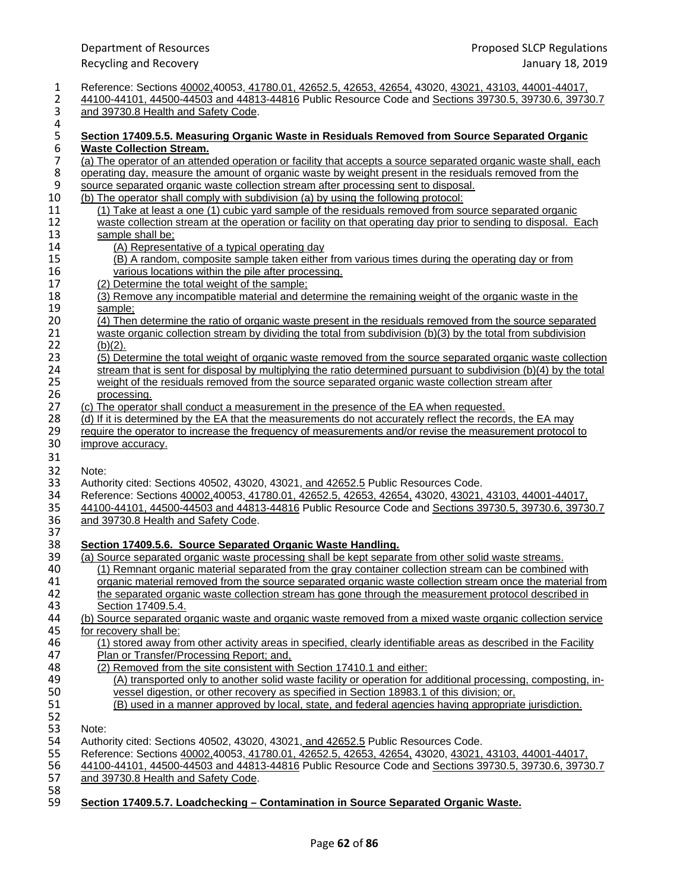| 1                | Reference: Sections 40002,40053, 41780.01, 42652.5, 42653, 42654, 43020, 43021, 43103, 44001-44017,                |
|------------------|--------------------------------------------------------------------------------------------------------------------|
| $\overline{2}$   | 44100-44101, 44500-44503 and 44813-44816 Public Resource Code and Sections 39730.5, 39730.6, 39730.7               |
| 3                | and 39730.8 Health and Safety Code.                                                                                |
| $\pmb{4}$        |                                                                                                                    |
| $\mathsf S$      | Section 17409.5.5. Measuring Organic Waste in Residuals Removed from Source Separated Organic                      |
| $\boldsymbol{6}$ | <b>Waste Collection Stream.</b>                                                                                    |
| $\overline{7}$   | (a) The operator of an attended operation or facility that accepts a source separated organic waste shall, each    |
| $\bf 8$          | operating day, measure the amount of organic waste by weight present in the residuals removed from the             |
| $\boldsymbol{9}$ | source separated organic waste collection stream after processing sent to disposal.                                |
| 10               | (b) The operator shall comply with subdivision (a) by using the following protocol:                                |
| 11               | (1) Take at least a one (1) cubic yard sample of the residuals removed from source separated organic               |
| 12               | waste collection stream at the operation or facility on that operating day prior to sending to disposal. Each      |
| 13               | sample shall be;                                                                                                   |
| 14               | (A) Representative of a typical operating day                                                                      |
| 15               | (B) A random, composite sample taken either from various times during the operating day or from                    |
| 16               | various locations within the pile after processing.                                                                |
| 17               | (2) Determine the total weight of the sample;                                                                      |
| 18               | (3) Remove any incompatible material and determine the remaining weight of the organic waste in the                |
| 19               | sample;                                                                                                            |
| 20               | (4) Then determine the ratio of organic waste present in the residuals removed from the source separated           |
| 21               | waste organic collection stream by dividing the total from subdivision (b)(3) by the total from subdivision        |
| 22               | $(b)(2)$ .                                                                                                         |
| 23               | (5) Determine the total weight of organic waste removed from the source separated organic waste collection         |
| 24               | stream that is sent for disposal by multiplying the ratio determined pursuant to subdivision $(b)(4)$ by the total |
| 25               | weight of the residuals removed from the source separated organic waste collection stream after                    |
| 26               | processing.                                                                                                        |
| 27               | (c) The operator shall conduct a measurement in the presence of the EA when requested.                             |
| 28               | (d) If it is determined by the EA that the measurements do not accurately reflect the records, the EA may          |
| 29               | require the operator to increase the frequency of measurements and/or revise the measurement protocol to           |
| 30               | improve accuracy.                                                                                                  |
| 31               |                                                                                                                    |
| 32               | Note:                                                                                                              |
| 33               | Authority cited: Sections 40502, 43020, 43021, and 42652.5 Public Resources Code.                                  |
| 34               | Reference: Sections 40002,40053, 41780.01, 42652.5, 42653, 42654, 43020, 43021, 43103, 44001-44017,                |
| 35               | 44100-44101, 44500-44503 and 44813-44816 Public Resource Code and Sections 39730.5, 39730.6, 39730.7               |
| 36               | and 39730.8 Health and Safety Code.                                                                                |
| 37               |                                                                                                                    |
| 38               | Section 17409.5.6. Source Separated Organic Waste Handling.                                                        |
| 39               | (a) Source separated organic waste processing shall be kept separate from other solid waste streams.               |
| 40               | (1) Remnant organic material separated from the gray container collection stream can be combined with              |
| 41               | organic material removed from the source separated organic waste collection stream once the material from          |
| 42               | the separated organic waste collection stream has gone through the measurement protocol described in               |
| 43               | Section 17409.5.4.                                                                                                 |
| 44               | (b) Source separated organic waste and organic waste removed from a mixed waste organic collection service         |
| 45               | for recovery shall be:                                                                                             |
| 46               | (1) stored away from other activity areas in specified, clearly identifiable areas as described in the Facility    |
| 47               | Plan or Transfer/Processing Report; and,                                                                           |
| 48               | (2) Removed from the site consistent with Section 17410.1 and either:                                              |
| 49               | (A) transported only to another solid waste facility or operation for additional processing, composting, in-       |
| 50               | vessel digestion, or other recovery as specified in Section 18983.1 of this division; or,                          |
| 51               | (B) used in a manner approved by local, state, and federal agencies having appropriate jurisdiction.               |
| 52               |                                                                                                                    |
| 53               | Note:                                                                                                              |
| 54               | Authority cited: Sections 40502, 43020, 43021, and 42652.5 Public Resources Code.                                  |
| 55               | Reference: Sections 40002,40053, 41780.01, 42652.5, 42653, 42654, 43020, 43021, 43103, 44001-44017,                |
| 56               | 44100-44101, 44500-44503 and 44813-44816 Public Resource Code and Sections 39730.5, 39730.6, 39730.7               |
| 57               | and 39730.8 Health and Safety Code.                                                                                |
| 58               |                                                                                                                    |
|                  |                                                                                                                    |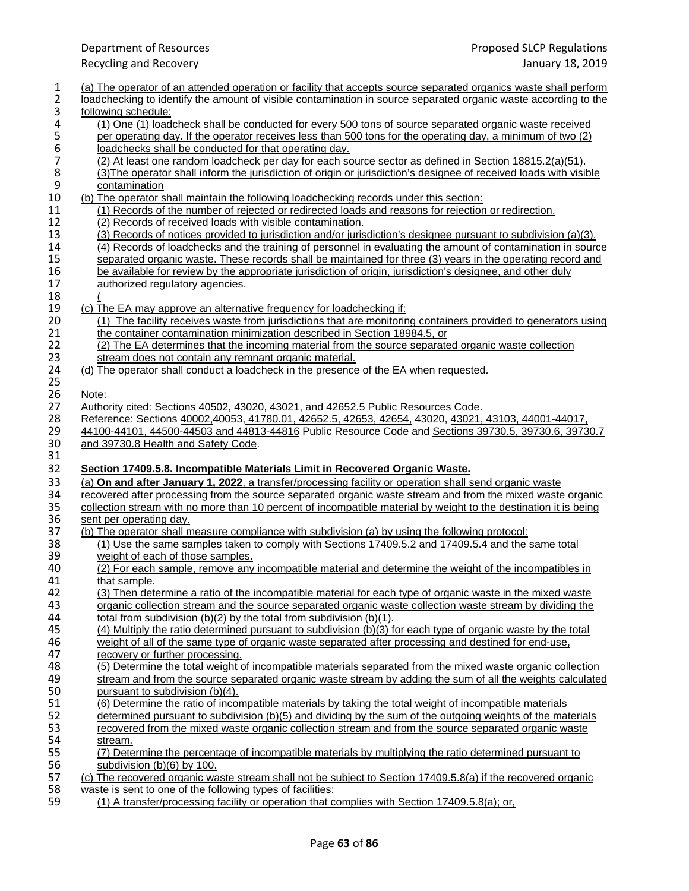| $\mathbf{1}$   | (a) The operator of an attended operation or facility that accepts source separated organics waste shall perform                                                            |
|----------------|-----------------------------------------------------------------------------------------------------------------------------------------------------------------------------|
| $\overline{2}$ | loadchecking to identify the amount of visible contamination in source separated organic waste according to the                                                             |
| 3              | following schedule:                                                                                                                                                         |
| 4              | (1) One (1) loadcheck shall be conducted for every 500 tons of source separated organic waste received                                                                      |
| 5              | per operating day. If the operator receives less than 500 tons for the operating day, a minimum of two (2)                                                                  |
| 6              | loadchecks shall be conducted for that operating day.                                                                                                                       |
| $\overline{7}$ | (2) At least one random loadcheck per day for each source sector as defined in Section 18815.2(a)(51).                                                                      |
| 8              | (3) The operator shall inform the jurisdiction of origin or jurisdiction's designee of received loads with visible                                                          |
| 9              | contamination                                                                                                                                                               |
| 10             | (b) The operator shall maintain the following loadchecking records under this section:                                                                                      |
| 11             | (1) Records of the number of rejected or redirected loads and reasons for rejection or redirection.                                                                         |
| 12<br>13       | (2) Records of received loads with visible contamination.<br>(3) Records of notices provided to jurisdiction and/or jurisdiction's designee pursuant to subdivision (a)(3). |
| 14             | (4) Records of loadchecks and the training of personnel in evaluating the amount of contamination in source                                                                 |
| 15             | separated organic waste. These records shall be maintained for three (3) years in the operating record and                                                                  |
| 16             | be available for review by the appropriate jurisdiction of origin, jurisdiction's designee, and other duly                                                                  |
| 17             | authorized regulatory agencies.                                                                                                                                             |
| 18             |                                                                                                                                                                             |
| 19             | (c) The EA may approve an alternative frequency for loadchecking if:                                                                                                        |
| 20             | (1) The facility receives waste from jurisdictions that are monitoring containers provided to generators using                                                              |
| 21             | the container contamination minimization described in Section 18984.5, or                                                                                                   |
| 22             | (2) The EA determines that the incoming material from the source separated organic waste collection                                                                         |
| 23             | stream does not contain any remnant organic material.                                                                                                                       |
| 24             | (d) The operator shall conduct a loadcheck in the presence of the EA when requested.                                                                                        |
| 25             |                                                                                                                                                                             |
| 26             | Note:                                                                                                                                                                       |
| 27             | Authority cited: Sections 40502, 43020, 43021, and 42652.5 Public Resources Code.                                                                                           |
| 28             | Reference: Sections 40002,40053, 41780.01, 42652.5, 42653, 42654, 43020, 43021, 43103, 44001-44017,                                                                         |
| 29             | 44100-44101, 44500-44503 and 44813-44816 Public Resource Code and Sections 39730.5, 39730.6, 39730.7                                                                        |
| $30\,$         | and 39730.8 Health and Safety Code.                                                                                                                                         |
| 31             |                                                                                                                                                                             |
| 32             | Section 17409.5.8. Incompatible Materials Limit in Recovered Organic Waste.                                                                                                 |
| 33             | (a) On and after January 1, 2022, a transfer/processing facility or operation shall send organic waster                                                                     |
| 34             | recovered after processing from the source separated organic waste stream and from the mixed waste organic                                                                  |
| 35             | collection stream with no more than 10 percent of incompatible material by weight to the destination it is being                                                            |
| 36             | sent per operating day.                                                                                                                                                     |
| 37             | (b) The operator shall measure compliance with subdivision (a) by using the following protocol:                                                                             |
| 38             |                                                                                                                                                                             |
| 39             | (1) Use the same samples taken to comply with Sections 17409.5.2 and 17409.5.4 and the same total                                                                           |
| 40             | weight of each of those samples.                                                                                                                                            |
|                | (2) For each sample, remove any incompatible material and determine the weight of the incompatibles in                                                                      |
| 41             | that sample.                                                                                                                                                                |
| 42             | (3) Then determine a ratio of the incompatible material for each type of organic waste in the mixed waste                                                                   |
| 43             | organic collection stream and the source separated organic waste collection waste stream by dividing the                                                                    |
| 44             | total from subdivision (b)(2) by the total from subdivision (b)(1).                                                                                                         |
| 45             | (4) Multiply the ratio determined pursuant to subdivision (b)(3) for each type of organic waste by the total                                                                |
| 46             | weight of all of the same type of organic waste separated after processing and destined for end-use,                                                                        |
| 47             | recovery or further processing.                                                                                                                                             |
| 48             | (5) Determine the total weight of incompatible materials separated from the mixed waste organic collection                                                                  |
| 49             | stream and from the source separated organic waste stream by adding the sum of all the weights calculated                                                                   |
| 50             | pursuant to subdivision (b)(4).                                                                                                                                             |
| 51             | (6) Determine the ratio of incompatible materials by taking the total weight of incompatible materials                                                                      |
| 52             | determined pursuant to subdivision (b)(5) and dividing by the sum of the outgoing weights of the materials                                                                  |
| 53<br>54       | recovered from the mixed waste organic collection stream and from the source separated organic waste<br>stream.                                                             |
| 55             | (7) Determine the percentage of incompatible materials by multiplying the ratio determined pursuant to                                                                      |
| 56             | subdivision (b)(6) by 100.                                                                                                                                                  |
| 57             | (c) The recovered organic waste stream shall not be subject to Section 17409.5.8(a) if the recovered organic                                                                |
| 58<br>59       | waste is sent to one of the following types of facilities:<br>(1) A transfer/processing facility or operation that complies with Section 17409.5.8(a); or,                  |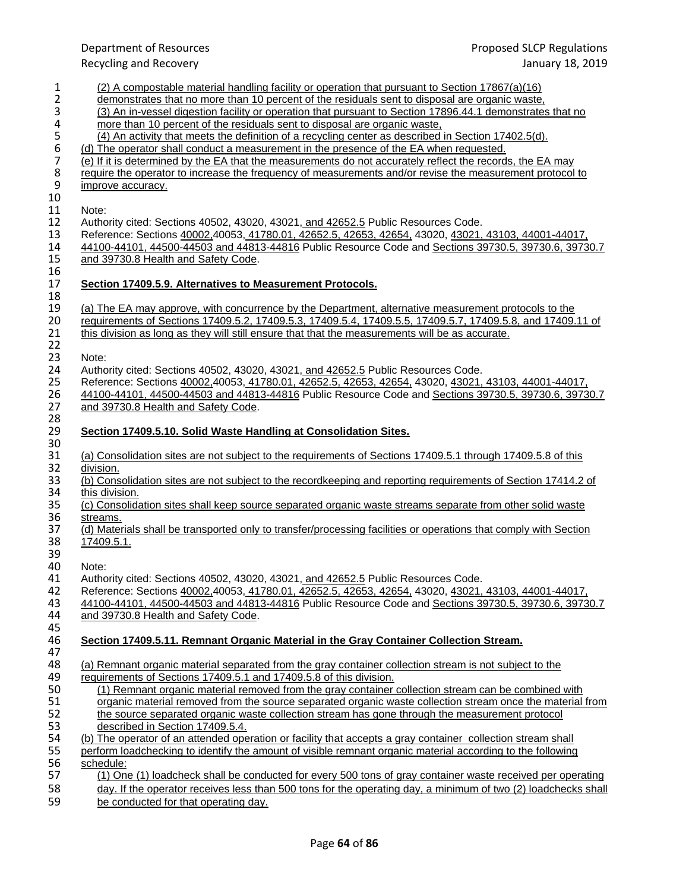Department of Resources Proposed SLCP Regulations Recycling and Recovery January 18, 2019 1 (2) A compostable material handling facility or operation that pursuant to Section 17867(a)(16) 2 demonstrates that no more than 10 percent of the residuals sent to disposal are organic waste,<br>(3) An in-vessel digestion facility or operation that pursuant to Section 17896.44.1 demonstrates 3 (3) An in-vessel digestion facility or operation that pursuant to Section 17896.44.1 demonstrates that no<br>4 more than 10 percent of the residuals sent to disposal are organic waste, 4 more than 10 percent of the residuals sent to disposal are organic waste,<br>  $(4)$  An activity that meets the definition of a recycling center as described i (4) An activity that meets the definition of a recycling center as described in Section 17402.5(d).<br>
(a) The operator shall conduct a measurement in the presence of the EA when requested.<br>
(b) If it is determined by the EA (d) The operator shall conduct a measurement in the presence of the EA when requested. 7 (e) If it is determined by the EA that the measurements do not accurately reflect the records, the EA may<br>8 require the operator to increase the frequency of measurements and/or revise the measurement protocol 8 require the operator to increase the frequency of measurements and/or revise the measurement protocol to improve accuracy. improve accuracy. 10<br>11 11 Note:<br>12 Autho 12 Authority cited: Sections 40502, 43020, 43021, and 42652.5 Public Resources Code.<br>13 Reference: Sections 40002,40053, 41780.01, 42652.5, 42653, 42654, 43020, 43021, 13 Reference: Sections 40002,40053, 41780.01, 42652.5, 42653, 42654, 43020, 43021, 43103, 44001-44017, 44500-44503 and 44813-44816 Public Resource Code and Sections 39730.5, 39730.6, 3973 14 44100-44101, 44500-44503 and 44813-44816 Public Resource Code and Sections 39730.5, 39730.6, 39730.7<br>15 and 39730.8 Health and Safety Code. and 39730.8 Health and Safety Code.  $\frac{16}{17}$ 17 **Section 17409.5.9. Alternatives to Measurement Protocols.** 18<br>19 19 (a) The EA may approve, with concurrence by the Department, alternative measurement protocols to the 100 regularity of Departments of Sections 17409.5.2, 17409.5.3, 17409.5.4, 17409.5.7, 17409.5.8, and 17409. 20 requirements of Sections 17409.5.2, 17409.5.3, 17409.5.4, 17409.5.5, 17409.5.7, 17409.5.8, and 17409.11 of <br>21 this division as long as they will still ensure that that the measurements will be as accurate. this division as long as they will still ensure that that the measurements will be as accurate. 22<br>23 23 Note:<br>24 Autho 24 Authority cited: Sections 40502, 43020, 43021, and 42652.5 Public Resources Code.<br>25 Reference: Sections 40002,40053, 41780.01, 42652.5, 42653, 42654, 43020, 43021, 25 Reference: Sections 40002,40053, 41780.01, 42652.5, 42653, 42654, 43020, 43021, 43103, 44001-44017, 26 44100-44101, 44500-44503 and 44813-44816 Public Resource Code and Sections 39730.5, 39730.6, 39730.7<br>27 and 39730.8 Health and Safety Code. and 39730.8 Health and Safety Code. 28<br>29 29 **Section 17409.5.10. Solid Waste Handling at Consolidation Sites.** 30<br>31 31 (a) Consolidation sites are not subject to the requirements of Sections 17409.5.1 through 17409.5.8 of this 32 division. 32 <u>division.</u><br>33 (b) Cons 33 (b) Consolidation sites are not subject to the recordkeeping and reporting requirements of Section 17414.2 of 34 this division. 34 this division.<br>35 (c) Consolida 35 (c) Consolidation sites shall keep source separated organic waste streams separate from other solid waste 36 36 streams.<br>37 (d) Mater 37 (d) Materials shall be transported only to transfer/processing facilities or operations that comply with Section<br>38 17409.5.1. 17409.5.1. 39<br>40 40 Note:<br>41 Autho 41 Authority cited: Sections 40502, 43020, 43021, and 42652.5 Public Resources Code. 42 Reference: Sections 40002,40053, 41780.01, 42652.5, 42653, 42654, 43020, 43021, 43103, 44001-44017, 44500-4<br>43 44100-44101, 44500-44503 and 44813-44816 Public Resource Code and Sections 39730.5, 39730.6, 3973 43 44100-44101, 44500-44503 and 44813-44816 Public Resource Code and Sections 39730.5, 39730.6, 39730.7<br>44 and 39730.8 Health and Safety Code. and 39730.8 Health and Safety Code. 45<br>46 46 **Section 17409.5.11. Remnant Organic Material in the Gray Container Collection Stream.** 47<br>48 (a) Remnant organic material separated from the gray container collection stream is not subject to the equirements of Sections 17409.5.1 and 17409.5.8 of this division.<br>50 (1) Remnant organic material removed from the gray container 50 (1) Remnant organic material removed from the gray container collection stream can be combined with 51 organic material removed from the source separated organic waste collection stream once the material organic material removed from the source separated organic waste collection stream once the material from 52 the source separated organic waste collection stream has gone through the measurement protocol<br>53 described in Section 17409.5.4. described in Section 17409.5.4. 54 (b) The operator of an attended operation or facility that accepts a gray container collection stream shall 55 perform loadchecking to identify the amount of visible remnant organic material according to the following 56 schedule:<br>57 (1) One 57 (1) One (1) loadcheck shall be conducted for every 500 tons of gray container waste received per operating 58 day. If the operator receives less than 500 tons for the operating day, a minimum of two (2) loadchecks shall

59 be conducted for that operating day.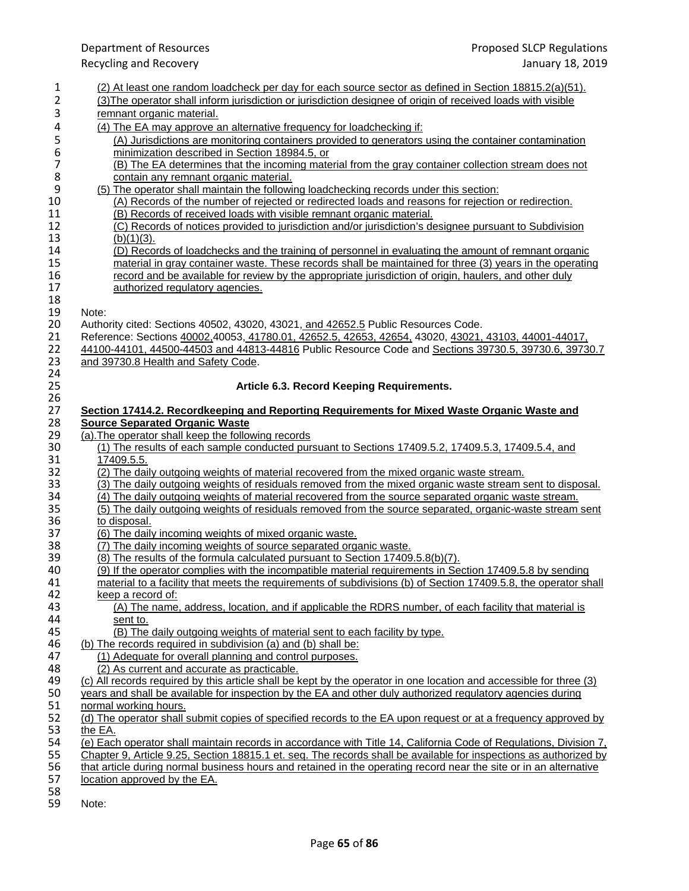|                | <b>Department of Resources</b>                                                                                      | <b>Proposed SLCP Regulations</b> |
|----------------|---------------------------------------------------------------------------------------------------------------------|----------------------------------|
|                | <b>Recycling and Recovery</b>                                                                                       | January 18, 2019                 |
| 1              | (2) At least one random loadcheck per day for each source sector as defined in Section 18815.2(a)(51).              |                                  |
| 2              | (3) The operator shall inform jurisdiction or jurisdiction designee of origin of received loads with visible        |                                  |
| 3              | remnant organic material.                                                                                           |                                  |
| 4              | (4) The EA may approve an alternative frequency for loadchecking if:                                                |                                  |
| 5              | (A) Jurisdictions are monitoring containers provided to generators using the container contamination                |                                  |
| 6              | minimization described in Section 18984.5, or                                                                       |                                  |
| $\overline{7}$ | (B) The EA determines that the incoming material from the gray container collection stream does not                 |                                  |
| 8              | contain any remnant organic material.                                                                               |                                  |
| 9              | (5) The operator shall maintain the following loadchecking records under this section:                              |                                  |
| 10             | (A) Records of the number of rejected or redirected loads and reasons for rejection or redirection.                 |                                  |
| 11             | (B) Records of received loads with visible remnant organic material.                                                |                                  |
| 12             | (C) Records of notices provided to jurisdiction and/or jurisdiction's designee pursuant to Subdivision              |                                  |
| 13             | $(b)(1)(3)$ .                                                                                                       |                                  |
| 14             | (D) Records of loadchecks and the training of personnel in evaluating the amount of remnant organic                 |                                  |
| 15             | material in gray container waste. These records shall be maintained for three (3) years in the operating            |                                  |
| 16             | record and be available for review by the appropriate jurisdiction of origin, haulers, and other duly               |                                  |
| 17             | authorized regulatory agencies.                                                                                     |                                  |
| 18             |                                                                                                                     |                                  |
| 19             | Note:                                                                                                               |                                  |
| 20             | Authority cited: Sections 40502, 43020, 43021, and 42652.5 Public Resources Code.                                   |                                  |
| 21             | Reference: Sections 40002,40053, 41780.01, 42652.5, 42653, 42654, 43020, 43021, 43103, 44001-44017,                 |                                  |
| 22             | 44100-44101, 44500-44503 and 44813-44816 Public Resource Code and Sections 39730.5, 39730.6, 39730.7                |                                  |
| 23             | and 39730.8 Health and Safety Code.                                                                                 |                                  |
| 24             |                                                                                                                     |                                  |
| 25             | Article 6.3. Record Keeping Requirements.                                                                           |                                  |
| 26             |                                                                                                                     |                                  |
| 27             | Section 17414.2. Recordkeeping and Reporting Requirements for Mixed Waste Organic Waste and                         |                                  |
| 28             | <b>Source Separated Organic Waste</b>                                                                               |                                  |
| 29             | (a). The operator shall keep the following records                                                                  |                                  |
| 30             | (1) The results of each sample conducted pursuant to Sections 17409.5.2, 17409.5.3, 17409.5.4, and                  |                                  |
| 31             | 17409.5.5.                                                                                                          |                                  |
| 32             | (2) The daily outgoing weights of material recovered from the mixed organic waste stream.                           |                                  |
| 33             | (3) The daily outgoing weights of residuals removed from the mixed organic waste stream sent to disposal.           |                                  |
| 34             | (4) The daily outgoing weights of material recovered from the source separated organic waste stream.                |                                  |
| 35             | (5) The daily outgoing weights of residuals removed from the source separated, organic-waste stream sent            |                                  |
| 36             | to disposal.                                                                                                        |                                  |
| 37             | (6) The daily incoming weights of mixed organic waste.                                                              |                                  |
| 38             | (7) The daily incoming weights of source separated organic waste.                                                   |                                  |
| 39             | (8) The results of the formula calculated pursuant to Section 17409.5.8(b)(7).                                      |                                  |
| 40             | (9) If the operator complies with the incompatible material requirements in Section 17409.5.8 by sending            |                                  |
| 41             | material to a facility that meets the requirements of subdivisions (b) of Section 17409.5.8, the operator shall     |                                  |
| 42             | keep a record of:                                                                                                   |                                  |
| 43             | (A) The name, address, location, and if applicable the RDRS number, of each facility that material is               |                                  |
| 44             | sent to.                                                                                                            |                                  |
| 45             | (B) The daily outgoing weights of material sent to each facility by type.                                           |                                  |
| 46             | (b) The records required in subdivision (a) and (b) shall be:                                                       |                                  |
| 47             | (1) Adequate for overall planning and control purposes.                                                             |                                  |
| 48             | (2) As current and accurate as practicable.                                                                         |                                  |
| 49             | (c) All records required by this article shall be kept by the operator in one location and accessible for three (3) |                                  |
| 50             | years and shall be available for inspection by the EA and other duly authorized regulatory agencies during          |                                  |
| 51             | normal working hours.                                                                                               |                                  |
| 52             | (d) The operator shall submit copies of specified records to the EA upon request or at a frequency approved by      |                                  |
| 53             | the EA.                                                                                                             |                                  |
| 54             | (e) Each operator shall maintain records in accordance with Title 14, California Code of Regulations, Division 7,   |                                  |
| 55             | Chapter 9, Article 9.25, Section 18815.1 et. seq. The records shall be available for inspections as authorized by   |                                  |
| 56             | that article during normal business hours and retained in the operating record near the site or in an alternative   |                                  |
| 57             | location approved by the EA.                                                                                        |                                  |
|                |                                                                                                                     |                                  |

 Note: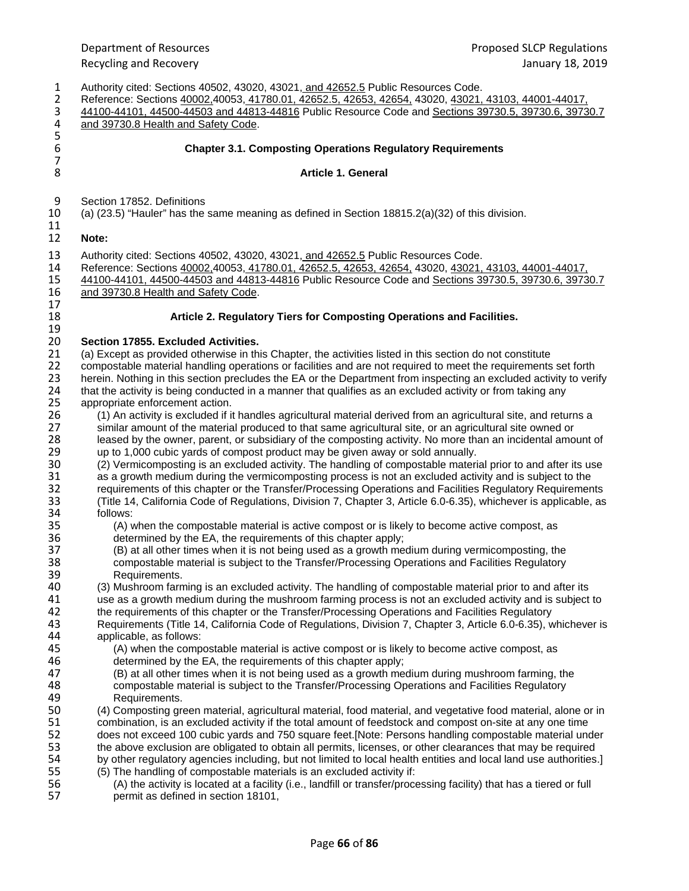1 Authority cited: Sections 40502, 43020, 43021, and 42652.5 Public Resources Code.<br>2 Reference: Sections 40002, 40053, 41780.01, 42652.5, 42653, 42654, 43020, 43021, 2 Reference: Sections 40002,40053, 41780.01, 42652.5, 42653, 42654, 43020, 43021, 43103, 44001-44017, 44500-44503 and 44813-44816 Public Resource Code and Sections 39730.6, 39730.6, 3973 3 44100-44101, 44500-44503 and 44813-44816 Public Resource Code and Sections 39730.5, 39730.6, 39730.7<br>4 and 39730.8 Health and Safety Code. and 39730.8 Health and Safety Code. 5<br>6 6 **Chapter 3.1. Composting Operations Regulatory Requirements**  7 8 **Article 1. General** 9 Section 17852. Definitions 10 (a) (23.5) "Hauler" has the same meaning as defined in Section 18815.2(a)(32) of this division. 11 12 **Note:**  13 Authority cited: Sections 40502, 43020, 43021, and 42652.5 Public Resources Code.<br>14 Reference: Sections 40002.40053. 41780.01. 42652.5. 42653. 42654. 43020. 43021. 14 Reference: Sections 40002,40053, 41780.01, 42652.5, 42653, 42654, 43020, 43021, 43103, 44001-44017, 44500-44503 and 44813-44816 Public Resource Code and Sections 39730.5, 39730.6, 3973 15 44100-44101, 44500-44503 and 44813-44816 Public Resource Code and Sections 39730.5, 39730.6, 39730.7<br>16 and 39730.8 Health and Safety Code. and 39730.8 Health and Safety Code. 17 18 **Article 2. Regulatory Tiers for Composting Operations and Facilities.** 19<br>20 20 **Section 17855. Excluded Activities.** 21 (a) Except as provided otherwise in this Chapter, the activities listed in this section do not constitute 22 compostable material handling operations or facilities and are not required to meet the requirements 22 compostable material handling operations or facilities and are not required to meet the requirements set forth<br>23 herein. Nothing in this section precludes the EA or the Department from inspecting an excluded activity t 23 herein. Nothing in this section precludes the EA or the Department from inspecting an excluded activity to verify<br>24 that the activity is being conducted in a manner that qualifies as an excluded activity or from taking 24 that the activity is being conducted in a manner that qualifies as an excluded activity or from taking any<br>25 appropriate enforcement action. 25 appropriate enforcement action.<br>26 (1) An activity is excluded if it 26 (1) An activity is excluded if it handles agricultural material derived from an agricultural site, and returns a<br>27 similar amount of the material produced to that same agricultural site, or an agricultural site owned o 27 similar amount of the material produced to that same agricultural site, or an agricultural site owned or 28 leased by the owner, parent, or subsidiary of the composting activity. No more than an incidental amount of <br>29 up to 1.000 cubic vards of compost product may be given away or sold annually. 29 up to 1,000 cubic yards of compost product may be given away or sold annually.<br>20 (2) Vermicomposting is an excluded activity. The handling of compostable materi 30 (2) Vermicomposting is an excluded activity. The handling of compostable material prior to and after its use<br>31 as a growth medium during the vermicomposting process is not an excluded activity and is subject to the 31 as a growth medium during the vermicomposting process is not an excluded activity and is subject to the<br>32 requirements of this chapter or the Transfer/Processing Operations and Facilities Regulatory Requiremen 32 requirements of this chapter or the Transfer/Processing Operations and Facilities Regulatory Requirements<br>33 (Title 14, California Code of Regulations, Division 7, Chapter 3, Article 6.0-6.35), whichever is applicable, 33 (Title 14, California Code of Regulations, Division 7, Chapter 3, Article 6.0-6.35), whichever is applicable, as 34 follows:<br>35 (A) v 35 (A) when the compostable material is active compost or is likely to become active compost, as determined by the EA, the requirements of this chapter apply; 36 determined by the EA, the requirements of this chapter apply;<br>37 (B) at all other times when it is not being used as a growth me 37 (B) at all other times when it is not being used as a growth medium during vermicomposting, the 38 compostable material is subject to the Transfer/Processing Operations and Facilities Regulatory 39 Requirements.<br>40 (3) Mushroom farn 40 (3) Mushroom farming is an excluded activity. The handling of compostable material prior to and after its<br>41 use as a growth medium during the mushroom farming process is not an excluded activity and is subject 41 use as a growth medium during the mushroom farming process is not an excluded activity and is subject to 42 the requirements of this chapter or the Transfer/Processing Operations and Facilities Requiatory 42 the requirements of this chapter or the Transfer/Processing Operations and Facilities Regulatory<br>43 Requirements (Title 14, California Code of Regulations, Division 7, Chapter 3, Article 6,0-6,35), v Requirements (Title 14, California Code of Regulations, Division 7, Chapter 3, Article 6.0-6.35), whichever is<br>44 applicable, as follows: 44 applicable, as follows:<br>45 (A) when the comp 45 (A) when the compostable material is active compost or is likely to become active compost, as determined by the EA, the requirements of this chapter apply; 46 determined by the EA, the requirements of this chapter apply;<br>47 (B) at all other times when it is not being used as a growth me 47 (B) at all other times when it is not being used as a growth medium during mushroom farming, the<br>48 compostable material is subiect to the Transfer/Processing Operations and Facilities Regulatory 48 compostable material is subject to the Transfer/Processing Operations and Facilities Regulatory<br>49 **Requirements**. 49 Requirements.<br>50 (4) Composting gre 50 (4) Composting green material, agricultural material, food material, and vegetative food material, alone or in<br>51 combination, is an excluded activity if the total amount of feedstock and compost on-site at any one time 51 combination, is an excluded activity if the total amount of feedstock and compost on-site at any one time<br>52 does not exceed 100 cubic vards and 750 square feet. [Note: Persons handling compostable material und does not exceed 100 cubic yards and 750 square feet.[Note: Persons handling compostable material under 53 the above exclusion are obligated to obtain all permits, licenses, or other clearances that may be required<br>54 by other regulatory agencies including, but not limited to local health entities and local land use authorit by other regulatory agencies including, but not limited to local health entities and local land use authorities.] 55 (5) The handling of compostable materials is an excluded activity if: 56 (A) the activity is located at a facility (i.e., landfill or transfer/processing facility) that has a tiered or full permit as defined in section 18101,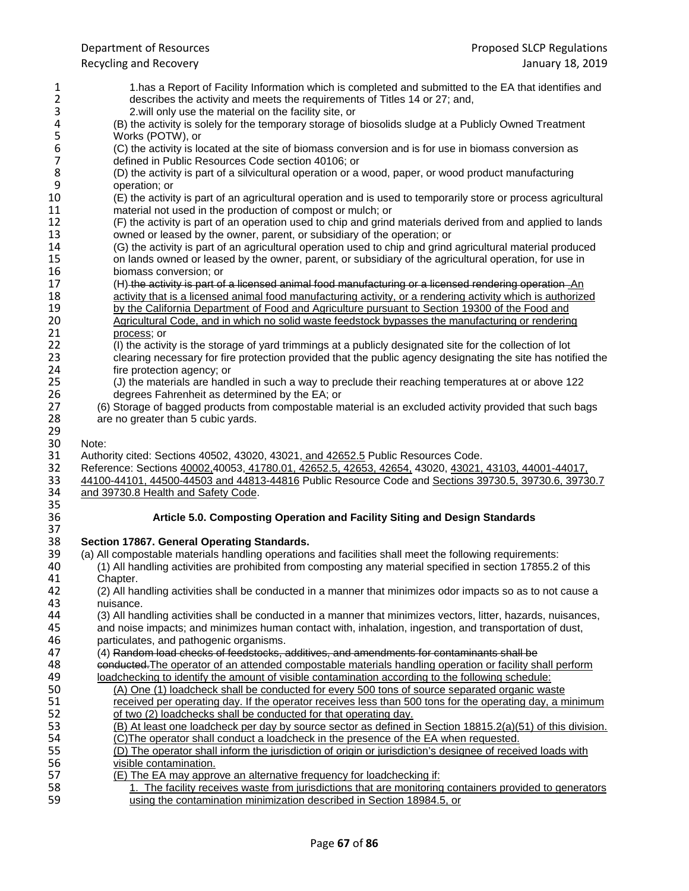1 1.has a Report of Facility Information which is completed and submitted to the EA that identifies and<br>2 describes the activity and meets the requirements of Titles 14 or 27; and, 2 describes the activity and meets the requirements of Titles 14 or 27; and,<br>3 2.will only use the material on the facility site, or 3 2.will only use the material on the facility site, or 4 (B) the activity is solely for the temporary storage of 4 (B) the activity is solely for the temporary storage of biosolids sludge at a Publicly Owned Treatment 5 Works (POTW), or<br>6 (C) the activity is lo 6 (C) the activity is located at the site of biomass conversion and is for use in biomass conversion as 7 defined in Public Resources Code section 40106; or<br>8 (D) the activity is part of a silvicultural operation or a 8 (D) the activity is part of a silvicultural operation or a wood, paper, or wood product manufacturing 9 operation; or<br>10 (E) the activit 10 (E) the activity is part of an agricultural operation and is used to temporarily store or process agricultural<br>11 material not used in the production of compost or mulch; or 11 material not used in the production of compost or mulch; or<br>12 (F) the activity is part of an operation used to chip and grind 12 (F) the activity is part of an operation used to chip and grind materials derived from and applied to lands<br>13 owned or leased by the owner, parent, or subsidiary of the operation; or 13 owned or leased by the owner, parent, or subsidiary of the operation; or 14 (G) the activity is part of an agricultural operation used to chip and grind 14 (G) the activity is part of an agricultural operation used to chip and grind agricultural material produced<br>15 on lands owned or leased by the owner, parent, or subsidiary of the agricultural operation, for use in 15 on lands owned or leased by the owner, parent, or subsidiary of the agricultural operation, for use in 16 16 biomass conversion; or<br>17 (H)-the activity is part of 17 (H) the activity is part of a licensed animal food manufacturing or a licensed rendering operation An 18<br>18 activity that is a licensed animal food manufacturing activity, or a rendering activity which is authorize 18 activity that is a licensed animal food manufacturing activity, or a rendering activity which is authorized<br>19 by the California Department of Food and Agriculture pursuant to Section 19300 of the Food and 19 by the California Department of Food and Agriculture pursuant to Section 19300 of the Food and<br>20 Agricultural Code, and in which no solid waste feedstock bypasses the manufacturing or renderin 20 Agricultural Code, and in which no solid waste feedstock bypasses the manufacturing or rendering<br>21 **Startupy of the contract of the manufacture** or process: or 21 <u>process</u>; or<br>22 (I) the activi 22 (I) the activity is the storage of yard trimmings at a publicly designated site for the collection of lot 23 clearing necessary for fire protection provided that the public agency designating the site has notif 23 clearing necessary for fire protection provided that the public agency designating the site has notified the<br>24 fire protection agency: or 24 fire protection agency; or<br>25 (J) the materials are hand 25 (J) the materials are handled in such a way to preclude their reaching temperatures at or above 122 26 degrees Fahrenheit as determined by the EA; or<br>27 (6) Storage of bagged products from compostable m 27 (6) Storage of bagged products from compostable material is an excluded activity provided that such bags 28 are no greater than 5 cubic yards. 29<br>30 Note: 31 Authority cited: Sections 40502, 43020, 43021, and 42652.5 Public Resources Code.<br>32 Reference: Sections 40002,40053, 41780.01, 42652.5, 42653, 42654, 43020, 43021, 32 Reference: Sections 40002,40053, 41780.01, 42652.5, 42653, 42654, 43020, 43021, 43103, 44001-44017, 44500-44503 and 44813-44816 Public Resource Code and Sections 39730.5, 39730.6, 3973 33 44100-44101, 44500-44503 and 44813-44816 Public Resource Code and Sections 39730.5, 39730.6, 39730.7<br>34 and 39730.8 Health and Safety Code. and 39730.8 Health and Safety Code. 35<br>36 36 **Article 5.0. Composting Operation and Facility Siting and Design Standards** 37<br>38 38 **Section 17867. General Operating Standards.** 39 (a) All compostable materials handling operations and facilities shall meet the following requirements:<br>2.40 (1) All handling activities are prohibited from composting any material specified in section 17855.2 40 (1) All handling activities are prohibited from composting any material specified in section 17855.2 of this Chapter. 42 (2) All handling activities shall be conducted in a manner that minimizes odor impacts so as to not cause a 43 nuisance.<br>44 (3) All han 44 (3) All handling activities shall be conducted in a manner that minimizes vectors, litter, hazards, nuisances,<br>45 and noise impacts; and minimizes human contact with, inhalation, ingestion, and transportation of dust, 45 and noise impacts; and minimizes human contact with, inhalation, ingestion, and transportation of dust, 46 particulates, and pathogenic organisms. 46 particulates, and pathogenic organisms.<br>47 (4) Random load checks of feedstocks. 47 (4) Random load checks of feedstocks, additives, and amendments for contaminants shall be<br>48 conducted. The operator of an attended compostable materials handling operation or facility sh 48 conducted.The operator of an attended compostable materials handling operation or facility shall perform 19 loadchecking to identify the amount of visible contamination according to the following schedule:<br>19 (A) One (1) loadcheck shall be conducted for every 500 tons of source separated organic was 50 (A) One (1) loadcheck shall be conducted for every 500 tons of source separated organic waste<br>51 received per operating day. If the operator receives less than 500 tons for the operating day, a m received per operating day. If the operator receives less than 500 tons for the operating day, a minimum 52 of two (2) loadchecks shall be conducted for that operating day.<br>53 (B) At least one loadcheck per day by source sector as defined i (B) At least one loadcheck per day by source sector as defined in Section 18815.2(a)(51) of this division. 54 (C)The operator shall conduct a loadcheck in the presence of the EA when requested.<br>55 (D) The operator shall inform the iurisdiction of origin or iurisdiction's designee of receive 55 (D) The operator shall inform the jurisdiction of origin or jurisdiction's designee of received loads with 56 visible contamination.<br>57 (E) The EA may appro 57 (E) The EA may approve an alternative frequency for loadchecking if:<br>58 1. The facility receives waste from iurisdictions that are monitoring 58 1. The facility receives waste from jurisdictions that are monitoring containers provided to generators 59 using the contamination minimization described in Section 18984.5, or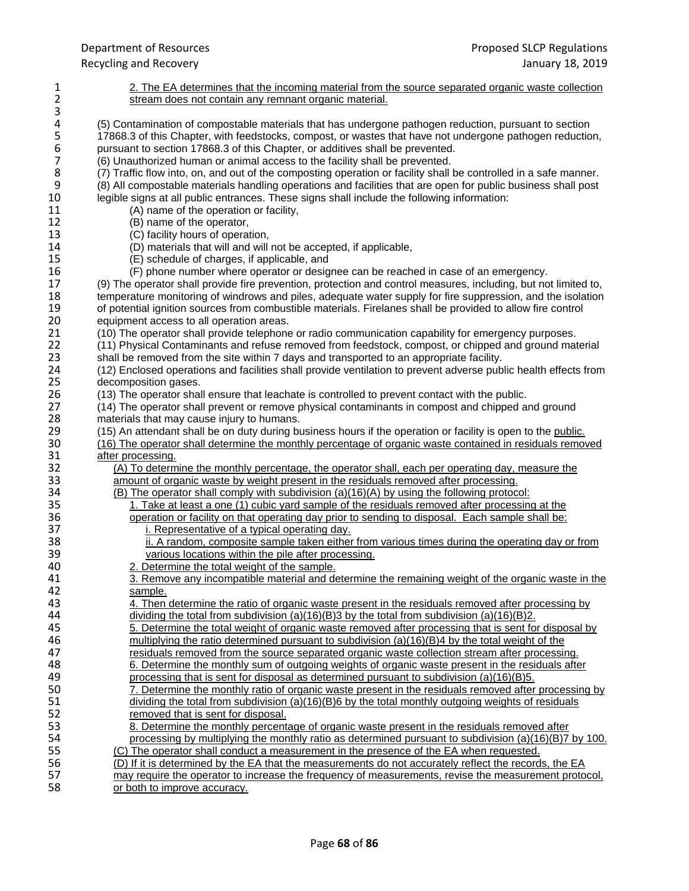| $\mathbf{1}$             | 2. The EA determines that the incoming material from the source separated organic waste collection               |
|--------------------------|------------------------------------------------------------------------------------------------------------------|
| $\mathbf 2$              | stream does not contain any remnant organic material.                                                            |
| 3                        |                                                                                                                  |
| 4                        | (5) Contamination of compostable materials that has undergone pathogen reduction, pursuant to section            |
| 5                        | 17868.3 of this Chapter, with feedstocks, compost, or wastes that have not undergone pathogen reduction,         |
| $\boldsymbol{6}$         | pursuant to section 17868.3 of this Chapter, or additives shall be prevented.                                    |
|                          |                                                                                                                  |
| $\overline{\mathcal{I}}$ | (6) Unauthorized human or animal access to the facility shall be prevented.                                      |
| 8<br>9                   | (7) Traffic flow into, on, and out of the composting operation or facility shall be controlled in a safe manner. |
|                          | (8) All compostable materials handling operations and facilities that are open for public business shall post    |
| 10                       | legible signs at all public entrances. These signs shall include the following information:                      |
| 11                       | (A) name of the operation or facility,                                                                           |
| 12                       | (B) name of the operator,                                                                                        |
| 13                       | (C) facility hours of operation,                                                                                 |
| 14                       | (D) materials that will and will not be accepted, if applicable,                                                 |
| 15                       | (E) schedule of charges, if applicable, and                                                                      |
| 16                       | (F) phone number where operator or designee can be reached in case of an emergency.                              |
| 17                       | (9) The operator shall provide fire prevention, protection and control measures, including, but not limited to,  |
| 18                       | temperature monitoring of windrows and piles, adequate water supply for fire suppression, and the isolation      |
| 19                       | of potential ignition sources from combustible materials. Firelanes shall be provided to allow fire control      |
| 20                       | equipment access to all operation areas.                                                                         |
| 21                       |                                                                                                                  |
|                          | (10) The operator shall provide telephone or radio communication capability for emergency purposes.              |
| 22                       | (11) Physical Contaminants and refuse removed from feedstock, compost, or chipped and ground material            |
| 23                       | shall be removed from the site within 7 days and transported to an appropriate facility.                         |
| 24                       | (12) Enclosed operations and facilities shall provide ventilation to prevent adverse public health effects from  |
| 25                       | decomposition gases.                                                                                             |
| 26                       | (13) The operator shall ensure that leachate is controlled to prevent contact with the public.                   |
| 27                       | (14) The operator shall prevent or remove physical contaminants in compost and chipped and ground                |
| 28                       | materials that may cause injury to humans.                                                                       |
| 29                       | (15) An attendant shall be on duty during business hours if the operation or facility is open to the public.     |
| 30                       | (16) The operator shall determine the monthly percentage of organic waste contained in residuals removed         |
| 31                       | after processing.                                                                                                |
| 32                       | (A) To determine the monthly percentage, the operator shall, each per operating day, measure the                 |
| 33                       | amount of organic waste by weight present in the residuals removed after processing.                             |
| 34                       | (B) The operator shall comply with subdivision (a)(16)(A) by using the following protocol:                       |
| 35                       | 1. Take at least a one (1) cubic yard sample of the residuals removed after processing at the                    |
| 36                       | operation or facility on that operating day prior to sending to disposal. Each sample shall be:                  |
| 37                       | i. Representative of a typical operating day.                                                                    |
| 38                       | ii. A random, composite sample taken either from various times during the operating day or from                  |
| 39                       | various locations within the pile after processing.                                                              |
| 40                       | 2. Determine the total weight of the sample.                                                                     |
| 41                       | 3. Remove any incompatible material and determine the remaining weight of the organic waste in the               |
|                          |                                                                                                                  |
| 42                       | sample.                                                                                                          |
| 43                       | 4. Then determine the ratio of organic waste present in the residuals removed after processing by                |
| 44                       | dividing the total from subdivision (a)(16)(B)3 by the total from subdivision (a)(16)(B)2.                       |
| 45                       | 5. Determine the total weight of organic waste removed after processing that is sent for disposal by             |
| 46                       | multiplying the ratio determined pursuant to subdivision (a)(16)(B)4 by the total weight of the                  |
| 47                       | residuals removed from the source separated organic waste collection stream after processing.                    |
| 48                       | 6. Determine the monthly sum of outgoing weights of organic waste present in the residuals after                 |
| 49                       | processing that is sent for disposal as determined pursuant to subdivision $(a)(16)(B)5$ .                       |
| 50                       | 7. Determine the monthly ratio of organic waste present in the residuals removed after processing by             |
| 51                       | dividing the total from subdivision (a)(16)(B)6 by the total monthly outgoing weights of residuals               |
| 52                       | removed that is sent for disposal.                                                                               |
| 53                       | 8. Determine the monthly percentage of organic waste present in the residuals removed after                      |
| 54                       | processing by multiplying the monthly ratio as determined pursuant to subdivision $(a)(16)(B)7$ by 100.          |
| 55                       | (C) The operator shall conduct a measurement in the presence of the EA when requested.                           |
| 56                       | (D) If it is determined by the EA that the measurements do not accurately reflect the records, the EA            |
| 57                       | may require the operator to increase the frequency of measurements, revise the measurement protocol,             |
| <b>CO</b>                |                                                                                                                  |

58 or both to improve accuracy.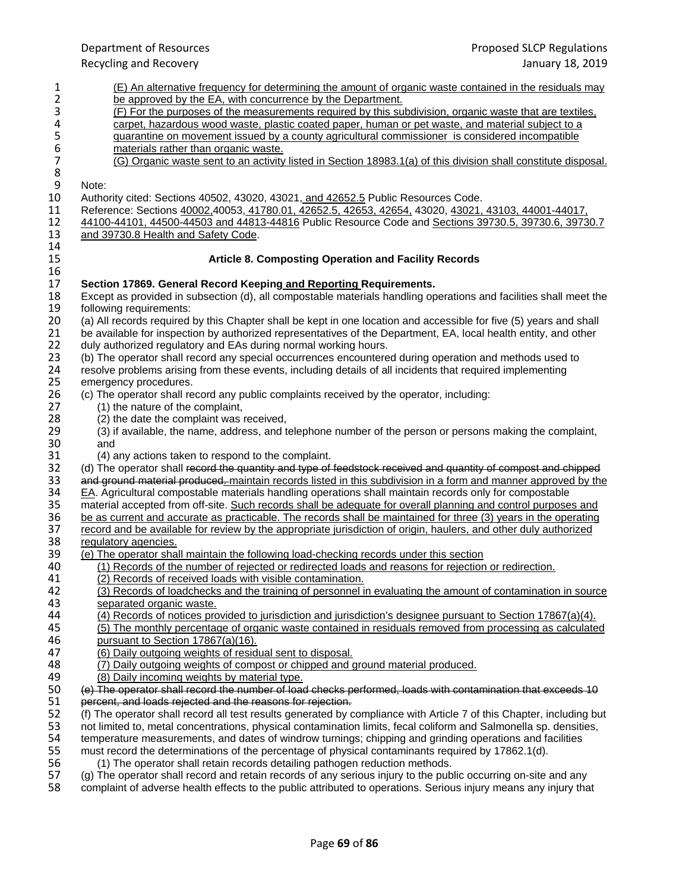Department of Resources Proposed SLCP Regulations Recycling and Recovery January 18, 2019 1 (E) An alternative frequency for determining the amount of organic waste contained in the residuals may<br>2 be approved by the EA, with concurrence by the Department. <u>be approved by the EA, with concurrence by the Department.</u><br>3 (F) For the purposes of the measurements required by this su 3 (F) For the purposes of the measurements required by this subdivision, organic waste that are textiles, 4<br>4 carpet, hazardous wood waste, plastic coated paper, human or pet waste, and material subject to a 4 carpet, hazardous wood waste, plastic coated paper, human or pet waste, and material subject to a<br>5 guarantine on movement issued by a county agricultural commissioner is considered incompatible 5 quarantine on movement issued by a county agricultural commissioner is considered incompatible<br>6 materials rather than organic waste. 6 materials rather than organic waste.<br>
7 (G) Organic waste sent to an activity 7 (G) Organic waste sent to an activity listed in Section 18983.1(a) of this division shall constitute disposal. 8<br>9 9 Note:<br>10 Autho 10 Authority cited: Sections 40502, 43020, 43021, and 42652.5 Public Resources Code.<br>11 Reference: Sections 40002,40053, 41780.01, 42652.5, 42653, 42654, 43020, 43021, 11 Reference: Sections 40002,40053, 41780.01, 42652.5, 42653, 42654, 43020, 43021, 43103, 44001-44017, 44500-44503 and 44813-44816 Public Resource Code and Sections 39730.5, 39730.6, 3973 12 44100-44101, 44500-44503 and 44813-44816 Public Resource Code and Sections 39730.5, 39730.6, 39730.7<br>13 and 39730.8 Health and Safety Code. and 39730.8 Health and Safety Code. 14 **Article 8. Composting Operation and Facility Records** 16<br>17 17 **Section 17869. General Record Keeping and Reporting Requirements.** 18 Except as provided in subsection (d), all compostable materials handling operations and facilities shall meet the<br>19 following requirements: 19 following requirements:<br>20 (a) All records required 20 (a) All records required by this Chapter shall be kept in one location and accessible for five (5) years and shall<br>21 be available for inspection by authorized representatives of the Department. EA, local health entity, 21 be available for inspection by authorized representatives of the Department, EA, local health entity, and other 22 duly authorized requilatory and EAs during normal working hours. 22 duly authorized regulatory and EAs during normal working hours.<br>23 (b) The operator shall record any special occurrences encountere 23 (b) The operator shall record any special occurrences encountered during operation and methods used to 24 resolve problems arising from these events, including details of all incidents that required implementing 24 resolve problems arising from these events, including details of all incidents that required implementing<br>25 emergency procedures. emergency procedures. 26 (c) The operator shall record any public complaints received by the operator, including:<br>27 (1) the nature of the complaint, (1) the nature of the complaint, 28 (2) the date the complaint was received,<br>29 (3) if available, the name, address, and t 29 (3) if available, the name, address, and telephone number of the person or persons making the complaint, 30  $30$  and<br> $31$   $(4)$  a 31 (4) any actions taken to respond to the complaint.<br>32 (d) The operator shall record the quantity and type of 4 32 (d) The operator shall record the quantity and type of feedstock received and quantity of compost and chipped<br>33 and ground material produced. maintain records listed in this subdivision in a form and manner approved by 33 and ground material produced. maintain records listed in this subdivision in a form and manner approved by the 34 EA. Agricultural compostable materials handling operations shall maintain records only for compostable  $34$  EA. Agricultural compostable materials handling operations shall maintain records only for compostable<br>35 material accepted from off-site. Such records shall be adequate for overall planning and control purpose 35 material accepted from off-site. Such records shall be adequate for overall planning and control purposes and<br>36 be as current and accurate as practicable. The records shall be maintained for three (3) years in the oper 36 be as current and accurate as practicable. The records shall be maintained for three (3) years in the operating<br>37 record and be available for review by the appropriate jurisdiction of origin, haulers, and other duly au 37 record and be available for review by the appropriate jurisdiction of origin, haulers, and other duly authorized<br>38 regulatory agencies. 38 regulatory agencies.<br>39 (e) The operator shal 39 (e) The operator shall maintain the following load-checking records under this section<br>40 (1) Records of the number of rejected or redirected loads and reasons for rejection 40 (1) Records of the number of rejected or redirected loads and reasons for rejection or redirection.<br>41 (2) Records of received loads with visible contamination. (2) Records of received loads with visible contamination. 42 (3) Records of loadchecks and the training of personnel in evaluating the amount of contamination in source 43 separated organic waste.<br>44 (4) Records of notices pro 44 (4) Records of notices provided to jurisdiction and jurisdiction's designee pursuant to Section 17867(a)(4).<br>45 (5) The monthly percentage of organic waste contained in residuals removed from processing as calculate 45 (5) The monthly percentage of organic waste contained in residuals removed from processing as calculated pursuant to Section 17867(a)(16). 46 pursuant to Section 17867(a)(16).<br>47 (6) Daily outgoing weights of reside 47 (6) Daily outgoing weights of residual sent to disposal.<br>48 (7) Daily outgoing weights of compost or chipped and of 48 (7) Daily outgoing weights of compost or chipped and ground material produced. 49 (8) Daily incoming weights by material type.<br>50 (e) The operator shall record the number of load 50 (e) The operator shall record the number of load checks performed, loads with contamination that exceeds 10<br>51 percent, and loads rejected and the reasons for rejection. percent, and loads rejected and the reasons for rejection. 52 (f) The operator shall record all test results generated by compliance with Article 7 of this Chapter, including but 53 not limited to, metal concentrations, physical contamination limits, fecal coliform and Salmonella not limited to, metal concentrations, physical contamination limits, fecal coliform and Salmonella sp. densities, 54 temperature measurements, and dates of windrow turnings; chipping and grinding operations and facilities 55 must record the determinations of the percentage of physical contaminants required by 17862.1(d). must record the determinations of the percentage of physical contaminants required by 17862.1(d). 56 (1) The operator shall retain records detailing pathogen reduction methods.<br>57 (g) The operator shall record and retain records of any serious injury to the pub 57 (g) The operator shall record and retain records of any serious injury to the public occurring on-site and any<br>58 complaint of adverse health effects to the public attributed to operations. Serious injury means any inju complaint of adverse health effects to the public attributed to operations. Serious injury means any injury that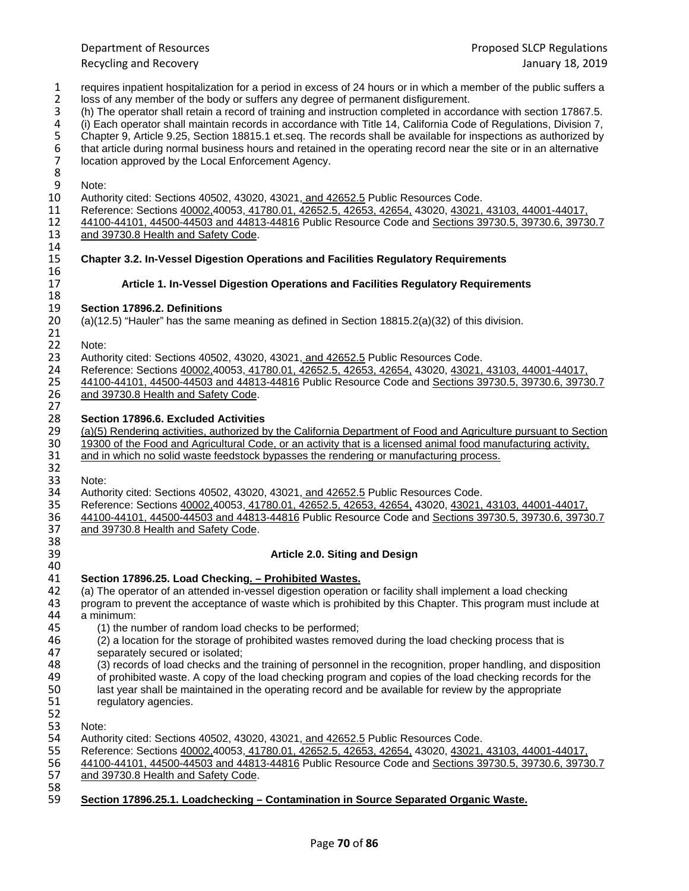- 1 requires inpatient hospitalization for a period in excess of 24 hours or in which a member of the public suffers a<br>2 loss of any member of the body or suffers any degree of permanent disfigurement. 2 loss of any member of the body or suffers any degree of permanent disfigurement.<br>
3 (h) The operator shall retain a record of training and instruction completed in accord
- 3 (h) The operator shall retain a record of training and instruction completed in accordance with section 17867.5.<br>4 (i) Each operator shall maintain records in accordance with Title 14, California Code of Regulations, Div

4 (i) Each operator shall maintain records in accordance with Title 14, California Code of Regulations, Division 7,

5 Chapter 9, Article 9.25, Section 18815.1 et.seq. The records shall be available for inspections as authorized by<br>6 that article during normal business hours and retained in the operating record near the site or in an alt that article during normal business hours and retained in the operating record near the site or in an alternative location approved by the Local Enforcement Agency.

8<br>9

14<br>15

16<br>17

27

38<br>39

9 Note:<br>10 Autho 10 Authority cited: Sections 40502, 43020, 43021, and 42652.5 Public Resources Code.<br>11 Reference: Sections 40002,40053, 41780.01, 42652.5, 42653, 42654, 43020, 43021,

11 Reference: Sections 40002,40053, 41780.01, 42652.5, 42653, 42654, 43020, 43021, 43103, 44001-44017, 44500-44503 and 44813-44816 Public Resource Code and Sections 39730.5, 39730.6, 3973

12 44100-44101, 44500-44503 and 44813-44816 Public Resource Code and Sections 39730.5, 39730.6, 39730.7<br>13 and 39730.8 Health and Safety Code. and 39730.8 Health and Safety Code.

## 15 **Chapter 3.2. In-Vessel Digestion Operations and Facilities Regulatory Requirements**

## 17 **Article 1. In-Vessel Digestion Operations and Facilities Regulatory Requirements**

## 18<br>19 19 **Section 17896.2. Definitions**

 $(a)(12.5)$  "Hauler" has the same meaning as defined in Section 18815.2(a)(32) of this division.

- 21<br>22
- 22 Note:<br>23 Autho 23 Authority cited: Sections 40502, 43020, 43021, and 42652.5 Public Resources Code.<br>24 Reference: Sections 40002,40053, 41780.01, 42652.5, 42653, 42654, 43020, 43021,

24 Reference: Sections 40002,40053, 41780.01, 42652.5, 42653, 42654, 43020, 43021, 43103, 44001-44017, 44500-4<br>25 44100-44101, 44500-44503 and 44813-44816 Public Resource Code and Sections 39730.5, 39730.6, 3973 25 44100-44101, 44500-44503 and 44813-44816 Public Resource Code and Sections 39730.5, 39730.6, 39730.7 26 and 39730.8 Health and Safety Code.

28 **Section 17896.6. Excluded Activities** 29 (a)(5) Rendering activities, authorized by the California Department of Food and Agriculture pursuant to Section<br>30 19300 of the Food and Agricultural Code, or an activity that is a licensed animal food manufacturing ac 30 19300 of the Food and Agricultural Code, or an activity that is a licensed animal food manufacturing activity, 31 and in which no solid waste feedstock bypasses the rendering or manufacturing process. and in which no solid waste feedstock bypasses the rendering or manufacturing process.

32<br>33

33 Note:<br>34 Autho 34 Authority cited: Sections 40502, 43020, 43021, and 42652.5 Public Resources Code.<br>35 Reference: Sections 40002.40053. 41780.01. 42652.5. 42653. 42654. 43020. 43021.

35 Reference: Sections 40002,40053, 41780.01, 42652.5, 42653, 42654, 43020, 43021, 43103, 44001-44017, 44500-4<br>36 44100-44101, 44500-44503 and 44813-44816 Public Resource Code and Sections 39730.5, 39730.6, 3973 36 44100-44101, 44500-44503 and 44813-44816 Public Resource Code and Sections 39730.5, 39730.6, 39730.7<br>37 and 39730.8 Health and Safety Code. and 39730.8 Health and Safety Code.

## 39 **Article 2.0. Siting and Design**

40<br>41 41 **Section 17896.25. Load Checking. – Prohibited Wastes.**

42 (a) The operator of an attended in-vessel digestion operation or facility shall implement a load checking<br>43 program to prevent the acceptance of waste which is prohibited by this Chapter. This program must incl 43 program to prevent the acceptance of waste which is prohibited by this Chapter. This program must include at 44 a minimum:

- 44 a minimum:
- 45 (1) the number of random load checks to be performed;<br>46 (2) a location for the storage of prohibited wastes remove
- 46 (2) a location for the storage of prohibited wastes removed during the load checking process that is 47 separately secured or isolated: 47 separately secured or isolated;<br>48 (3) records of load checks and t
	- 48 (3) records of load checks and the training of personnel in the recognition, proper handling, and disposition
- 49 of prohibited waste. A copy of the load checking program and copies of the load checking records for the 50<br>50 last vear shall be maintained in the operating record and be available for review by the appropriate
- 50 last year shall be maintained in the operating record and be available for review by the appropriate regulatory agencies.
- 52<br>53 Note:

54 Authority cited: Sections 40502, 43020, 43021, and 42652.5 Public Resources Code.<br>55 Reference: Sections 40002,40053, 41780.01, 42652.5, 42653, 42654, 43020, 43021,

- 55 Reference: Sections 40002,40053, 41780.01, 42652.5, 42653, 42654, 43020, 43021, 43103, 44001-44017,
- 56 44100-44101, 44500-44503 and 44813-44816 Public Resource Code and Sections 39730.5, 39730.6, 39730.7<br>57 and 39730.8 Health and Safety Code. and 39730.8 Health and Safety Code.
- 58<br>59 59 **Section 17896.25.1. Loadchecking – Contamination in Source Separated Organic Waste.**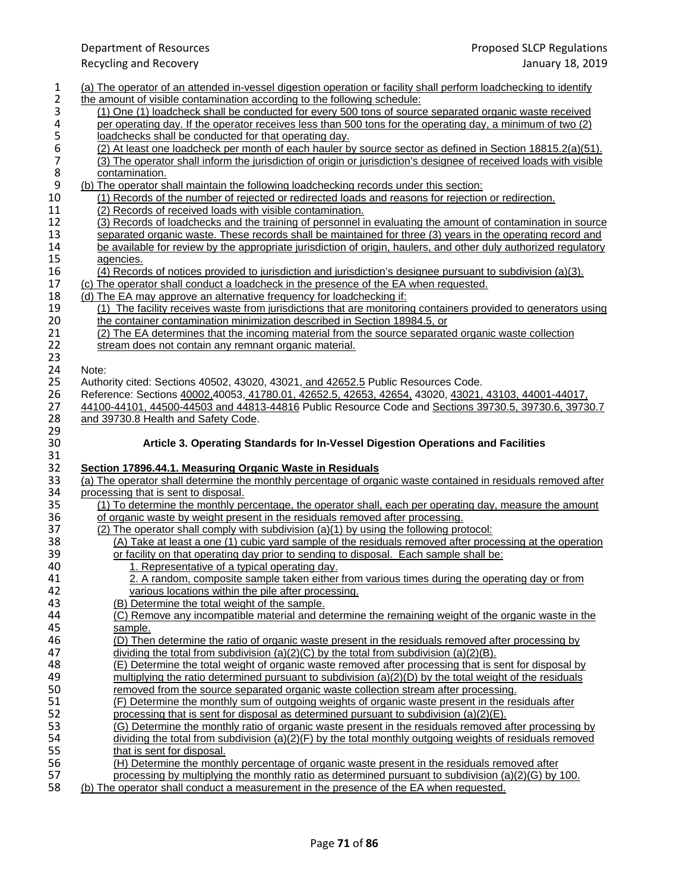# Recycling and Recovery

| 1                | (a) The operator of an attended in-vessel digestion operation or facility shall perform loadchecking to identify                                                                              |
|------------------|-----------------------------------------------------------------------------------------------------------------------------------------------------------------------------------------------|
| $\overline{2}$   | the amount of visible contamination according to the following schedule:                                                                                                                      |
| 3                | (1) One (1) loadcheck shall be conducted for every 500 tons of source separated organic waste received                                                                                        |
| 4                | per operating day. If the operator receives less than 500 tons for the operating day, a minimum of two (2)                                                                                    |
| $\mathsf S$      | loadchecks shall be conducted for that operating day.                                                                                                                                         |
| $\boldsymbol{6}$ | (2) At least one loadcheck per month of each hauler by source sector as defined in Section 18815.2(a)(51).                                                                                    |
| $\boldsymbol{7}$ | (3) The operator shall inform the jurisdiction of origin or jurisdiction's designee of received loads with visible                                                                            |
|                  |                                                                                                                                                                                               |
| 8                | contamination.                                                                                                                                                                                |
| 9                | (b) The operator shall maintain the following loadchecking records under this section:                                                                                                        |
| 10               | (1) Records of the number of rejected or redirected loads and reasons for rejection or redirection.                                                                                           |
| 11               | (2) Records of received loads with visible contamination.                                                                                                                                     |
| 12               | (3) Records of loadchecks and the training of personnel in evaluating the amount of contamination in source                                                                                   |
| 13               | separated organic waste. These records shall be maintained for three (3) years in the operating record and                                                                                    |
| 14               | be available for review by the appropriate jurisdiction of origin, haulers, and other duly authorized regulatory                                                                              |
| 15               | agencies.                                                                                                                                                                                     |
| 16               | (4) Records of notices provided to jurisdiction and jurisdiction's designee pursuant to subdivision (a)(3).                                                                                   |
| 17               | (c) The operator shall conduct a loadcheck in the presence of the EA when requested.                                                                                                          |
| 18               | (d) The EA may approve an alternative frequency for loadchecking if:                                                                                                                          |
| 19               | (1) The facility receives waste from jurisdictions that are monitoring containers provided to generators using                                                                                |
| 20               | the container contamination minimization described in Section 18984.5, or                                                                                                                     |
| 21               | (2) The EA determines that the incoming material from the source separated organic waste collection                                                                                           |
| 22               | stream does not contain any remnant organic material.                                                                                                                                         |
| 23               |                                                                                                                                                                                               |
| 24               | Note:                                                                                                                                                                                         |
|                  | Authority cited: Sections 40502, 43020, 43021, and 42652.5 Public Resources Code.                                                                                                             |
| 25               |                                                                                                                                                                                               |
| 26               | Reference: Sections 40002,40053, 41780.01, 42652.5, 42653, 42654, 43020, 43021, 43103, 44001-44017,                                                                                           |
| 27               | 44100-44101, 44500-44503 and 44813-44816 Public Resource Code and Sections 39730.5, 39730.6, 39730.7                                                                                          |
| 28               | and 39730.8 Health and Safety Code.                                                                                                                                                           |
|                  |                                                                                                                                                                                               |
|                  |                                                                                                                                                                                               |
| 29<br>30         | Article 3. Operating Standards for In-Vessel Digestion Operations and Facilities                                                                                                              |
| 31               |                                                                                                                                                                                               |
| 32               | Section 17896.44.1. Measuring Organic Waste in Residuals                                                                                                                                      |
| 33               | (a) The operator shall determine the monthly percentage of organic waste contained in residuals removed after                                                                                 |
| 34               | processing that is sent to disposal.                                                                                                                                                          |
|                  |                                                                                                                                                                                               |
| 35               | (1) To determine the monthly percentage, the operator shall, each per operating day, measure the amount<br>of organic waste by weight present in the residuals removed after processing.      |
| 36               |                                                                                                                                                                                               |
| 37               | (2) The operator shall comply with subdivision (a)(1) by using the following protocol:                                                                                                        |
| 38               | (A) Take at least a one (1) cubic yard sample of the residuals removed after processing at the operation                                                                                      |
| 39               | or facility on that operating day prior to sending to disposal. Each sample shall be:                                                                                                         |
| 40               | 1. Representative of a typical operating day.                                                                                                                                                 |
| 41               | 2. A random, composite sample taken either from various times during the operating day or from                                                                                                |
| 42               | various locations within the pile after processing.                                                                                                                                           |
| 43               | (B) Determine the total weight of the sample.                                                                                                                                                 |
| 44               | (C) Remove any incompatible material and determine the remaining weight of the organic waste in the                                                                                           |
| 45               | sample.                                                                                                                                                                                       |
| 46               | (D) Then determine the ratio of organic waste present in the residuals removed after processing by                                                                                            |
| 47               | dividing the total from subdivision (a)(2)(C) by the total from subdivision (a)(2)(B).                                                                                                        |
| 48               | (E) Determine the total weight of organic waste removed after processing that is sent for disposal by                                                                                         |
| 49               | multiplying the ratio determined pursuant to subdivision (a)(2)(D) by the total weight of the residuals                                                                                       |
| 50               | removed from the source separated organic waste collection stream after processing.                                                                                                           |
| 51               | (F) Determine the monthly sum of outgoing weights of organic waste present in the residuals after                                                                                             |
| 52               | processing that is sent for disposal as determined pursuant to subdivision $(a)(2)(E)$ .                                                                                                      |
| 53               | (G) Determine the monthly ratio of organic waste present in the residuals removed after processing by                                                                                         |
| 54               | dividing the total from subdivision $(a)(2)(F)$ by the total monthly outgoing weights of residuals removed                                                                                    |
|                  | that is sent for disposal.                                                                                                                                                                    |
| 55               |                                                                                                                                                                                               |
| 56               | (H) Determine the monthly percentage of organic waste present in the residuals removed after                                                                                                  |
| 57<br>58         | processing by multiplying the monthly ratio as determined pursuant to subdivision (a)(2)(G) by 100.<br>(b) The operator shall conduct a measurement in the presence of the EA when requested. |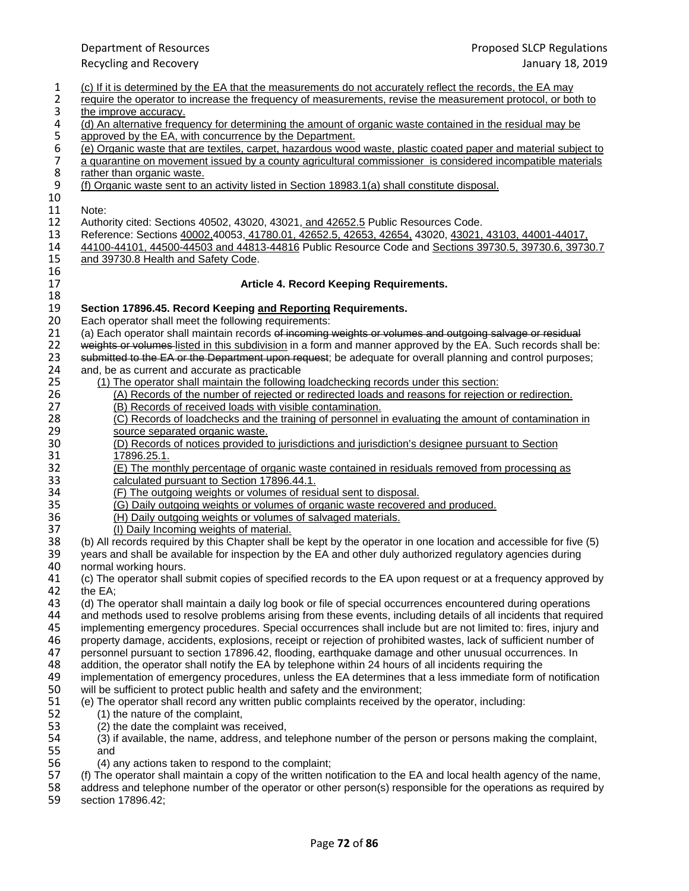Department of Resources Proposed SLCP Regulations Recycling and Recovery January 18, 2019 1 (c) If it is determined by the EA that the measurements do not accurately reflect the records, the EA may<br>12 require the operator to increase the frequency of measurements, revise the measurement protocol, or both 2 require the operator to increase the frequency of measurements, revise the measurement protocol, or both to the improve accuracy. 3 the improve accuracy.<br>4 (d) An alternative freque 4 (d) An alternative frequency for determining the amount of organic waste contained in the residual may be<br>5 approved by the EA, with concurrence by the Department. 5 approved by the EA, with concurrence by the Department.<br>6 (e) Organic waste that are textiles, carpet, hazardous wood<br>7 a quarantine on movement issued by a county agricultural (e) Organic waste that are textiles, carpet, hazardous wood waste, plastic coated paper and material subject to 7 a quarantine on movement issued by a county agricultural commissioner is considered incompatible materials rather than organic waste. 8 rather than organic waste.<br>9 (f) Organic waste sent to a (f) Organic waste sent to an activity listed in Section 18983.1(a) shall constitute disposal. 10<br>11 11 Note:<br>12 Autho 12 Authority cited: Sections 40502, 43020, 43021, and 42652.5 Public Resources Code.<br>13 Reference: Sections 40002,40053, 41780.01, 42652.5, 42653, 42654, 43020, 43021, 13 Reference: Sections 40002,40053, 41780.01, 42652.5, 42653, 42654, 43020, 43021, 43103, 44001-44017, 44500-44503 and 44813-44816 Public Resource Code and Sections 39730.5, 39730.6, 3973 14 44100-44101, 44500-44503 and 44813-44816 Public Resource Code and Sections 39730.5, 39730.6, 39730.7<br>15 and 39730.8 Health and Safety Code. and 39730.8 Health and Safety Code. 16<br>17 17 **Article 4. Record Keeping Requirements.** 18<br>19 19 **Section 17896.45. Record Keeping and Reporting Requirements.** 20 Each operator shall meet the following requirements:<br>21 (a) Each operator shall maintain records of incoming 21 (a) Each operator shall maintain records of incoming weights or volumes and outgoing salvage or residual 22<br>22 weights or volumes listed in this subdivision in a form and manner approved by the EA. Such records shall 22 weights or volumes listed in this subdivision in a form and manner approved by the EA. Such records shall be:<br>23 submitted to the EA or the Department upon request: be adequate for overall planning and control purposes: 23 submitted to the EA or the Department upon request; be adequate for overall planning and control purposes;<br>24 and. be as current and accurate as practicable 24 and, be as current and accurate as practicable<br>25 (1) The operator shall maintain the followinc 25 (1) The operator shall maintain the following loadchecking records under this section: 26 (A) Records of the number of rejected or redirected loads and reasons for rejection or redirection.<br>27 (B) Records of received loads with visible contamination. (B) Records of received loads with visible contamination. 28 (C) Records of loadchecks and the training of personnel in evaluating the amount of contamination in 29 29 source separated organic waste.<br>30 (D) Records of notices provided t 30 (D) Records of notices provided to jurisdictions and jurisdiction's designee pursuant to Section 31 17896.25.1.<br>32 (E) The mon <u>(E) The monthly percentage of organic waste contained in residuals removed from processing as</u><br>33 calculated pursuant to Section 17896.44.1. 33 calculated pursuant to Section 17896.44.1.<br>34 (F) The outgoing weights or volumes of resi 34 (F) The outgoing weights or volumes of residual sent to disposal.<br>35 (G) Daily outgoing weights or volumes of organic waste recovere 35 (G) Daily outgoing weights or volumes of organic waste recovered and produced.<br>36 (H) Daily outgoing weights or volumes of salvaged materials. 36 (H) Daily outgoing weights or volumes of salvaged materials.<br>37 (I) Daily Incoming weights of material. 37 (I) Daily Incoming weights of material.<br>38 (b) All records required by this Chapter shall 38 (b) All records required by this Chapter shall be kept by the operator in one location and accessible for five (5) vears and shall be available for inspection by the EA and other duly authorized regulatory agencies duri 39 years and shall be available for inspection by the EA and other duly authorized regulatory agencies during<br>40 normal working hours. 40 normal working hours.<br>41 (c) The operator shall s 41 (c) The operator shall submit copies of specified records to the EA upon request or at a frequency approved by 42 the EA;<br>43 (d) The 43 (d) The operator shall maintain a daily log book or file of special occurrences encountered during operations<br>44 and methods used to resolve problems arising from these events, including details of all incidents that re 44 and methods used to resolve problems arising from these events, including details of all incidents that required<br>45 implementing emergency procedures. Special occurrences shall include but are not limited to: fires, inj 45 implementing emergency procedures. Special occurrences shall include but are not limited to: fires, injury and<br>46 property damage, accidents, explosions, receipt or rejection of prohibited wastes, lack of sufficient num 46 property damage, accidents, explosions, receipt or rejection of prohibited wastes, lack of sufficient number of 47 personnel pursuant to section 17896.42, flooding, earthquake damage and other unusual occurrences. In 47 personnel pursuant to section 17896.42, flooding, earthquake damage and other unusual occurrences. In 48 addition, the operator shall notify the EA by telephone within 24 hours of all incidents requiring the addition, the operator shall notify the EA by telephone within 24 hours of all incidents requiring the 49 implementation of emergency procedures, unless the EA determines that a less immediate form of notification<br>50 will be sufficient to protect public health and safety and the environment: 50 will be sufficient to protect public health and safety and the environment;<br>51 (e) The operator shall record any written public complaints received by the 51 (e) The operator shall record any written public complaints received by the operator, including: 52 (1) the nature of the complaint,<br>53 (2) the date the complaint was i (2) the date the complaint was received, 54 (3) if available, the name, address, and telephone number of the person or persons making the complaint,<br>55 and and 56 (4) any actions taken to respond to the complaint;<br>57 (f) The operator shall maintain a copy of the written no 57 (f) The operator shall maintain a copy of the written notification to the EA and local health agency of the name,<br>58 address and telephone number of the operator or other person(s) responsible for the operations as requ 58 address and telephone number of the operator or other person(s) responsible for the operations as required by<br>59 section 17896.42; section 17896.42;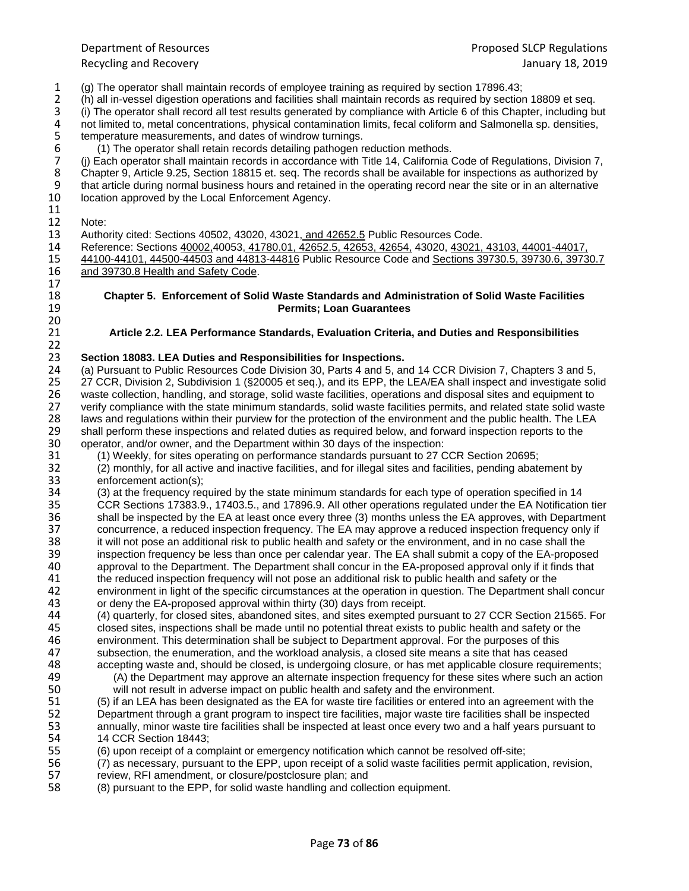1 (g) The operator shall maintain records of employee training as required by section 17896.43;

2 (h) all in-vessel digestion operations and facilities shall maintain records as required by section 18809 et seq.<br>3 (i) The operator shall record all test results generated by compliance with Article 6 of this Chapter, i

3 (i) The operator shall record all test results generated by compliance with Article 6 of this Chapter, including but<br>4 not limited to, metal concentrations, physical contamination limits, fecal coliform and Salmonella sp

4 not limited to, metal concentrations, physical contamination limits, fecal coliform and Salmonella sp. densities, <br>5 temperature measurements, and dates of windrow turnings.

5 temperature measurements, and dates of windrow turnings.<br>6 (1) The operator shall retain records detailing pathogen r<br>7 (i) Each operator shall maintain records in accordance with (1) The operator shall retain records detailing pathogen reduction methods.

7 (j) Each operator shall maintain records in accordance with Title 14, California Code of Regulations, Division 7,<br>8 Chapter 9, Article 9.25, Section 18815 et. seq. The records shall be available for inspections as author 8 Chapter 9, Article 9.25, Section 18815 et. seq. The records shall be available for inspections as authorized by<br>9 that article during normal business hours and retained in the operating record near the site or in an alte 9 that article during normal business hours and retained in the operating record near the site or in an alternative<br>10 location approved by the Local Enforcement Agency. location approved by the Local Enforcement Agency.

 $\frac{11}{12}$ 

20<br>21

12 Note:<br>13 Autho 13 Authority cited: Sections 40502, 43020, 43021, and 42652.5 Public Resources Code.<br>14 Reference: Sections 40002,40053, 41780.01, 42652.5, 42653, 42654, 43020, 43021,

14 Reference: Sections 40002,40053, 41780.01, 42652.5, 42653, 42654, 43020, 43021, 43103, 44001-44017, 15 44100-44101, 44500-44503 and 44813-44816 Public Resource Code and Sections 39730.5, 39730.6, 3973 15 44100-44101, 44500-44503 and 44813-44816 Public Resource Code and Sections 39730.5, 39730.6, 39730.7<br>16 and 39730.8 Health and Safety Code. and 39730.8 Health and Safety Code.  $\frac{17}{18}$ 

#### 18 **Chapter 5. Enforcement of Solid Waste Standards and Administration of Solid Waste Facilities**  19 **Permits; Loan Guarantees**

### 21 **Article 2.2. LEA Performance Standards, Evaluation Criteria, and Duties and Responsibilities**

## $\frac{22}{23}$ 23 **Section 18083. LEA Duties and Responsibilities for Inspections.**

24 (a) Pursuant to Public Resources Code Division 30, Parts 4 and 5, and 14 CCR Division 7, Chapters 3 and 5,<br>25 27 CCR, Division 2, Subdivision 1 (§20005 et seg.), and its EPP, the LEA/EA shall inspect and investigate sol 25 27 CCR, Division 2, Subdivision 1 (§20005 et seq.), and its EPP, the LEA/EA shall inspect and investigate solid 26 waste collection, handling, and storage, solid waste facilities, operations and disposal sites and equipment to 27 verify compliance with the state minimum standards, solid waste facilities permits, and related state solid waste 28 laws and regulations within their purview for the protection of the environment and the public health. The LEA<br>29 shall perform these inspections and related duties as required below, and forward inspection reports to t 29 shall perform these inspections and related duties as required below, and forward inspection reports to the<br>30 operator, and/or owner, and the Department within 30 days of the inspection:

30 operator, and/or owner, and the Department within 30 days of the inspection:<br>31 (1) Weekly, for sites operating on performance standards pursuant to 27 Q 31 (1) Weekly, for sites operating on performance standards pursuant to 27 CCR Section 20695;

32 (2) monthly, for all active and inactive facilities, and for illegal sites and facilities, pending abatement by

33 enforcement action(s);<br>34 (3) at the frequency rec 34 (3) at the frequency required by the state minimum standards for each type of operation specified in 14<br>35 CCR Sections 17383.9., 17403.5., and 17896.9. All other operations regulated under the EA Notification Sumbled Sections 17383.9., 17403.5., and 17896.9. All other operations regulated under the EA Notification tier<br>36 Shall be inspected by the EA at least once every three (3) months unless the EA approves, with Department 36 shall be inspected by the EA at least once every three (3) months unless the EA approves, with Department<br>37 concurrence, a reduced inspection frequency. The EA may approve a reduced inspection frequency only if 37 concurrence, a reduced inspection frequency. The EA may approve a reduced inspection frequency only if<br>38 it will not pose an additional risk to public health and safety or the environment, and in no case shall the 38 it will not pose an additional risk to public health and safety or the environment, and in no case shall the<br>39 inspection frequency be less than once per calendar year. The EA shall submit a copy of the EA-propose 39 inspection frequency be less than once per calendar year. The EA shall submit a copy of the EA-proposed<br>40 approval to the Department. The Department shall concur in the EA-proposed approval only if it finds that 40 approval to the Department. The Department shall concur in the EA-proposed approval only if it finds that 41 the reduced inspection frequency will not pose an additional risk to public health and safety or the 41 the reduced inspection frequency will not pose an additional risk to public health and safety or the 42 environment in light of the specific circumstances at the operation in question. The Department shall concur<br>43 or deny the EA-proposed approval within thirty (30) days from receipt.

- 43 or deny the EA-proposed approval within thirty (30) days from receipt.<br>44 (4) quarterly, for closed sites, abandoned sites, and sites exempted pu 44 (4) quarterly, for closed sites, abandoned sites, and sites exempted pursuant to 27 CCR Section 21565. For<br>45 closed sites, inspections shall be made until no potential threat exists to public health and safety or the 45 closed sites, inspections shall be made until no potential threat exists to public health and safety or the<br>46 environment. This determination shall be subject to Department approval. For the purposes of this 46 environment. This determination shall be subject to Department approval. For the purposes of this<br>47 subsection, the enumeration, and the workload analysis, a closed site means a site that has cease 47 subsection, the enumeration, and the workload analysis, a closed site means a site that has ceased<br>48 accepting waste and, should be closed, is undergoing closure, or has met applicable closure requirer accepting waste and, should be closed, is undergoing closure, or has met applicable closure requirements;
- 49 (A) the Department may approve an alternate inspection frequency for these sites where such an action<br>50 will not result in adverse impact on public health and safety and the environment.
- 50 will not result in adverse impact on public health and safety and the environment.<br>51 (5) if an LEA has been designated as the EA for waste tire facilities or entered into an 51 (5) if an LEA has been designated as the EA for waste tire facilities or entered into an agreement with the 52 Department through a grant program to inspect tire facilities, major waste tire facilities shall be inspected<br>53 annually, minor waste tire facilities shall be inspected at least once every two and a half vears pursuant annually, minor waste tire facilities shall be inspected at least once every two and a half years pursuant to
- 54 14 CCR Section 18443;<br>55 (6) upon receipt of a cor 55 (6) upon receipt of a complaint or emergency notification which cannot be resolved off-site;
- 56 (7) as necessary, pursuant to the EPP, upon receipt of a solid waste facilities permit application, revision, solid waste facilities permit application, revision, solid waste facilities permit application, revision, sol
- 57 review, RFI amendment, or closure/postclosure plan; and<br>58 (8) pursuant to the EPP, for solid waste handling and colle
- 58 (8) pursuant to the EPP, for solid waste handling and collection equipment.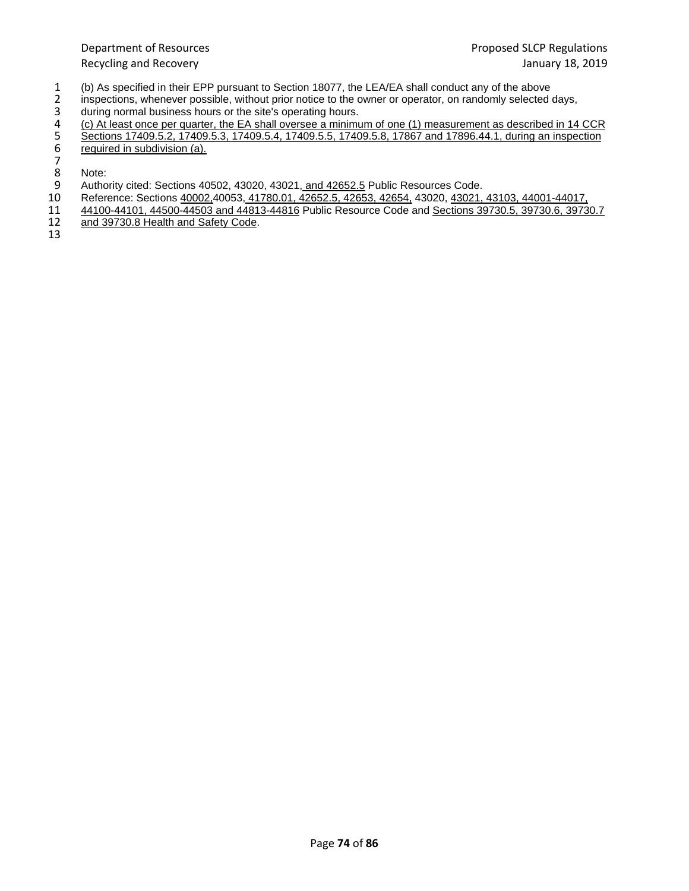- 1 (b) As specified in their EPP pursuant to Section 18077, the LEA/EA shall conduct any of the above<br>2 inspections, whenever possible, without prior notice to the owner or operator, on randomly selected
- 2 inspections, whenever possible, without prior notice to the owner or operator, on randomly selected days,<br>3 during normal business hours or the site's operating hours. during normal business hours or the site's operating hours.
- 
- (c) At least once per quarter, the EA shall oversee a minimum of one (1) measurement as described in 14 CCR
- Sections 17409.5.2, 17409.5.3, 17409.5.4, 17409.5.5, 17409.5.8, 17867 and 17896.44.1, during an inspection
- required in subdivision (a).
- 45678 8 Note:<br>9 Autho
- 9 Authority cited: Sections 40502, 43020, 43021, and 42652.5 Public Resources Code.<br>10 Reference: Sections 40002,40053, 41780.01, 42652.5, 42653, 42654, 43020, 43021,
- 10 Reference: Sections 40002,40053, 41780.01, 42652.5, 42653, 42654, 43020, 43021, 43103, 44001-44017, 11 44100-44101, 44500-44503 and 44813-44816 Public Resource Code and Sections 39730.5, 39730.6, 3973
- 11 44100-44101, 44500-44503 and 44813-44816 Public Resource Code and Sections 39730.5, 39730.6, 39730.7<br>12 and 39730.8 Health and Safety Code.
- and 39730.8 Health and Safety Code.
- 13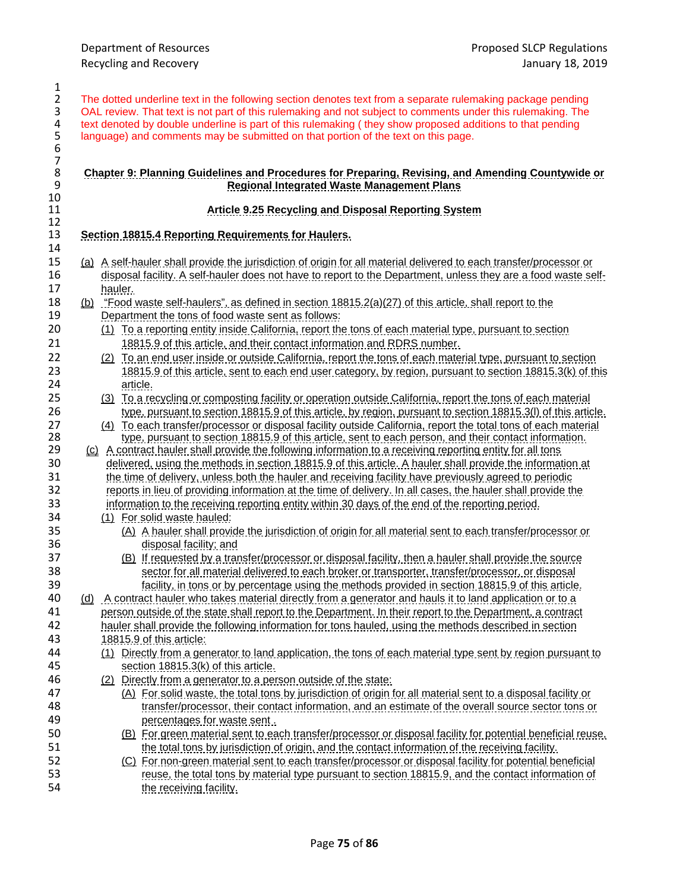2 The dotted underline text in the following section denotes text from a separate rulemaking package pending<br>3 OAL review. That text is not part of this rulemaking and not subject to comments under this rulemaking. The 3 OAL review. That text is not part of this rulemaking and not subject to comments under this rulemaking. The text denoted by double underline is part of this rulemaking (they show proposed additions to that pending text denoted by double underline is part of this rulemaking (they show proposed additions to that pending language) and comments may be submitted on that portion of the text on this page.

### **Chapter 9: Planning Guidelines and Procedures for Preparing, Revising, and Amending Countywide or Regional Integrated Waste Management Plans**

### **Article 9.25 Recycling and Disposal Reporting System**

### **Section 18815.4 Reporting Requirements for Haulers.**

- (a) A self-hauler shall provide the jurisdiction of origin for all material delivered to each transfer/processor or 16 disposal facility. A self-hauler does not have to report to the Department, unless they are a food waste self-hauler.
- 18 (b) "Food waste self-haulers", as defined in section 18815.2(a)(27) of this article, shall report to the Department the tons of food waste sent as follows: Department the tons of food waste sent as follows:
- (1) To a reporting entity inside California, report the tons of each material type, pursuant to section 18815.9 of this article, and their contact information and RDRS number.
- 22 (2) To an end user inside or outside California, report the tons of each material type, pursuant to section<br>23 18815.9 of this article, sent to each end user category, by region, pursuant to section 18815.3(k) of th 18815.9 of this article, sent to each end user category, by region, pursuant to section 18815.3(k) of this article.
- (3) To a recycling or composting facility or operation outside California, report the tons of each material type, pursuant to section 18815.9 of this article, by region, pursuant to section 18815.3(l) of this article.
- 27 (4) To each transfer/processor or disposal facility outside California, report the total tons of each material<br>28 type, pursuant to section 18815.9 of this article, sent to each person, and their contact information. 198 type, pursuant to section 18815.9 of this article, sent to each person, and their contact information.<br>29 (c) A contract hauler shall provide the following information to a receiving reporting entity for all tons
- (c) A contract hauler shall provide the following information to a receiving reporting entity for all tons delivered, using the methods in section 18815.9 of this article. A hauler shall provide the information at the time of delivery, unless both the hauler and receiving facility have previously agreed to periodic reports in lieu of providing information at the time of delivery. In all cases, the hauler shall provide the information to the receiving reporting entity within 30 days of the end of the reporting period.
- (1) For solid waste hauled:
- (A) A hauler shall provide the jurisdiction of origin for all material sent to each transfer/processor or disposal facility; and
- (B) If requested by a transfer/processor or disposal facility, then a hauler shall provide the source sector for all material delivered to each broker or transporter, transfer/processor, or disposal facility, in tons or by percentage using the methods provided in section 18815.9 of this article.
- (d) A contract hauler who takes material directly from a generator and hauls it to land application or to a 11 person outside of the state shall report to the Department. In their report to the Department, a contract<br>42 hauler shall provide the following information for tons hauled, using the methods described in section hauler shall provide the following information for tons hauled, using the methods described in section 18815.9 of this article:
- (1) Directly from a generator to land application, the tons of each material type sent by region pursuant to section 18815.3(k) of this article.
- (2) Directly from a generator to a person outside of the state:
- (A) For solid waste, the total tons by jurisdiction of origin for all material sent to a disposal facility or transfer/processor, their contact information, and an estimate of the overall source sector tons or percentages for waste sent .
- (B) For green material sent to each transfer/processor or disposal facility for potential beneficial reuse, the total tons by jurisdiction of origin, and the contact information of the receiving facility.
- (C) For non-green material sent to each transfer/processor or disposal facility for potential beneficial reuse, the total tons by material type pursuant to section 18815.9, and the contact information of the receiving facility.

 $\frac{1}{2}$ 

 

10<br>11

 $\frac{12}{13}$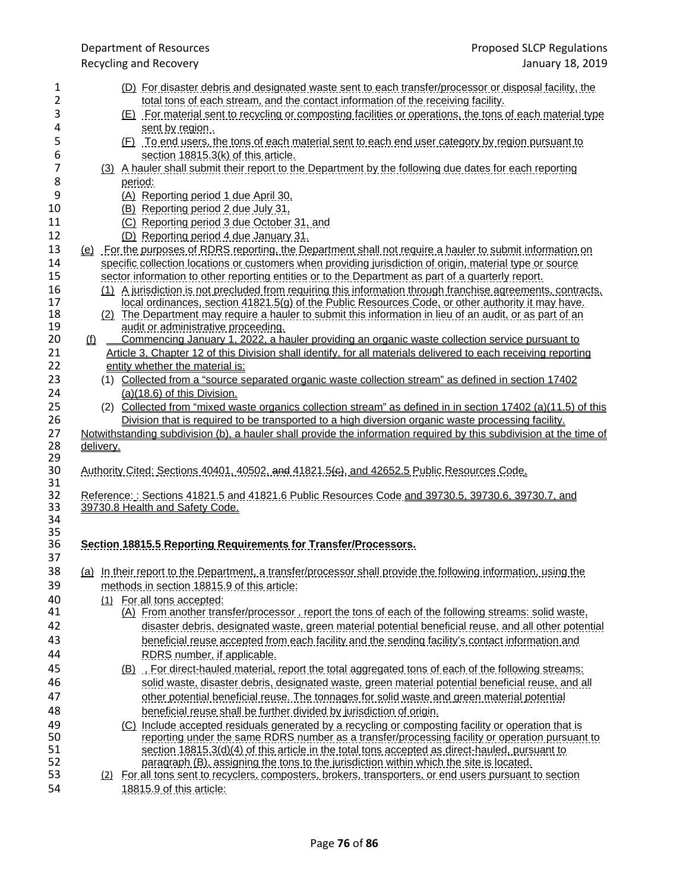Recycling and Recovery

| 1        | (D) For disaster debris and designated waste sent to each transfer/processor or disposal facility, the                              |
|----------|-------------------------------------------------------------------------------------------------------------------------------------|
| 2        | <u>total tons of each stream, and the contact information of the receiving facility.</u>                                            |
| 3        | (E) For material sent to recycling or composting facilities or operations, the tons of each material type                           |
| 4        | sent by region.                                                                                                                     |
| 5        | <u>(F) To end users, the tons of each material sent to each end user category by region pursuant to</u>                             |
| 6        | section 18815.3(k) of this article.                                                                                                 |
| 7        | (3) A hauler shall submit their report to the Department by the following due dates for each reporting                              |
| 8        | period:                                                                                                                             |
| 9        | (A) Reporting period 1 due April 30,                                                                                                |
| 10       | (B) Reporting period 2 due July 31,                                                                                                 |
| 11       | (C) Reporting period 3 due October 31, and                                                                                          |
| 12       |                                                                                                                                     |
|          | (D) Reporting period 4 due January 31.                                                                                              |
| 13       | (e) For the purposes of RDRS reporting, the Department shall not require a hauler to submit information on                          |
| 14       | specific collection locations or customers when providing jurisdiction of origin, material type or source                           |
| 15       | sector information to other reporting entities or to the Department as part of a quarterly report.                                  |
| 16       | (1) A jurisdiction is not precluded from requiring this information through franchise agreements, contracts,                        |
| 17       | local ordinances, section 41821.5(g) of the Public Resources Code, or other authority it may have.                                  |
| 18       | (2) The Department may require a hauler to submit this information in lieu of an audit, or as part of an                            |
| 19       | audit or administrative proceeding.                                                                                                 |
| 20       | Commencing January 1, 2022, a hauler providing an organic waste collection service pursuant to<br><u>(f)</u>                        |
| 21       | Article 3, Chapter 12 of this Division shall identify, for all materials delivered to each receiving reporting                      |
| 22       | entity whether the material is:                                                                                                     |
| 23       | (1) Collected from a "source separated organic waste collection stream" as defined in section 17402                                 |
| 24       | (a)(18.6) of this Division.                                                                                                         |
| 25       | (2) Collected from "mixed waste organics collection stream" as defined in in section 17402 (a)(11.5) of this                        |
| 26       | Division that is required to be transported to a high diversion organic waste processing facility.                                  |
|          |                                                                                                                                     |
|          |                                                                                                                                     |
| 27       | Notwithstanding subdivision (b), a hauler shall provide the information required by this subdivision at the time of                 |
| 28<br>29 | delivery.                                                                                                                           |
| 30       | <u>Authority Cited: Sections 40401, 40502, and 41821.5(e), and 42652.5 Public Resources Code.</u>                                   |
| 31       |                                                                                                                                     |
| 32       | Reference:: Sections 41821.5 and 41821.6 Public Resources Code and 39730.5, 39730.6, 39730.7, and                                   |
| 33       | 39730.8 Health and Safety Code.                                                                                                     |
| 34       |                                                                                                                                     |
| 35       |                                                                                                                                     |
| 36       | Section 18815.5 Reporting Requirements for Transfer/Processors.                                                                     |
| 37       |                                                                                                                                     |
| 38       | (a) In their report to the Department, a transfer/processor shall provide the following information, using the                      |
| 39       |                                                                                                                                     |
|          | methods in section 18815.9 of this article:                                                                                         |
| 40       | (1) For all tons accepted:                                                                                                          |
| 41       | (A) From another transfer/processor, report the tons of each of the following streams; solid waste,                                 |
| 42       | disaster debris, designated waste, green material potential beneficial reuse, and all other potential                               |
| 43       | beneficial reuse accepted from each facility and the sending facility's contact information and                                     |
| 44       | RDRS number, if applicable.                                                                                                         |
| 45       | <u>(B) For direct-hauled material, report the total aggregated tons of each of the following streams:</u>                           |
| 46       | solid waste, disaster debris, designated waste, green material potential beneficial reuse, and all                                  |
| 47       | other potential beneficial reuse. The tonnages for solid waste and green material potential                                         |
| 48       |                                                                                                                                     |
|          | beneficial reuse shall be further divided by jurisdiction of origin.                                                                |
| 49       | (C) Include accepted residuals generated by a recycling or composting facility or operation that is                                 |
| 50       | reporting under the same RDRS number as a transfer/processing facility or operation pursuant to                                     |
| 51<br>52 | section 18815.3(d)(4) of this article in the total tons accepted as direct-hauled, pursuant to                                      |
|          | paragraph (B), assigning the tons to the jurisdiction within which the site is located.                                             |
| 53<br>54 | (2) For all tons sent to recyclers, composters, brokers, transporters, or end users pursuant to section<br>18815.9 of this article: |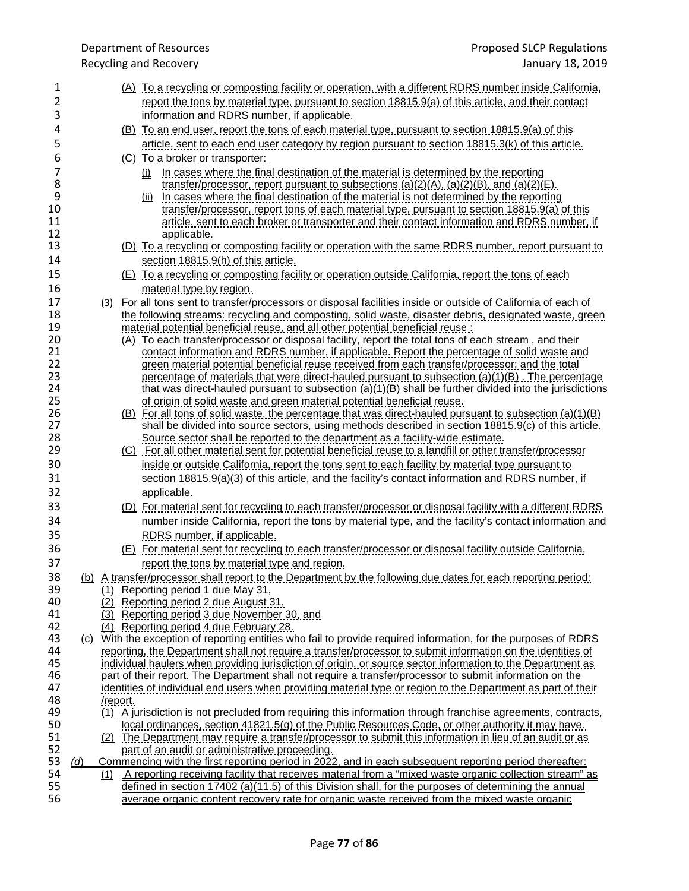| 1<br>2   |            |          | (A) To a recycling or composting facility or operation, with a different RDRS number inside California,                                                                                        |
|----------|------------|----------|------------------------------------------------------------------------------------------------------------------------------------------------------------------------------------------------|
|          |            |          | report the tons by material type, pursuant to section 18815.9(a) of this article, and their contact                                                                                            |
| 3        |            |          | information and RDRS number, if applicable.                                                                                                                                                    |
| 4        |            |          | (B) To an end user, report the tons of each material type, pursuant to section 18815.9(a) of this                                                                                              |
| 5        |            |          | <u>article, sent to each end user category by region pursuant to section 18815.3(k) of this article.</u>                                                                                       |
| 6        |            |          | (C) To a broker or transporter:                                                                                                                                                                |
| 7        |            |          | (i) In cases where the final destination of the material is determined by the reporting                                                                                                        |
| 8        |            |          | transfer/processor, report pursuant to subsections (a)(2)(A), (a)(2)(B), and (a)(2)(E).                                                                                                        |
| 9        |            |          | (ii) In cases where the final destination of the material is not determined by the reporting                                                                                                   |
| 10       |            |          | <u>transfer/processor, report tons of each material type, pursuant to section 18815.9(a) of this trans</u>                                                                                     |
| 11<br>12 |            |          | article, sent to each broker or transporter and their contact information and RDRS number, if                                                                                                  |
| 13       |            |          | applicable.<br><u>(D) To a recycling or composting facility or operation with the same RDRS number, report pursuant to</u>                                                                     |
| 14       |            |          |                                                                                                                                                                                                |
|          |            |          | section 18815.9(h) of this article.                                                                                                                                                            |
| 15       |            |          | <u>(E) To a recycling or composting facility or operation outside California, report the tons of each</u>                                                                                      |
| 16       |            |          | material type by region.                                                                                                                                                                       |
| 17       |            |          | (3) For all tons sent to transfer/processors or disposal facilities inside or outside of California of each of                                                                                 |
| 18       |            |          | <u>the following streams: recycling and composting, solid waste, disaster debris, designated waste, green</u>                                                                                  |
| 19       |            |          | material potential beneficial reuse, and all other potential beneficial reuse:                                                                                                                 |
| 20<br>21 |            |          | (A) To each transfer/processor or disposal facility, report the total tons of each stream, and their                                                                                           |
| 22       |            |          | contact information and RDRS number, if applicable. Report the percentage of solid waste and<br>green material potential beneficial reuse received from each transfer/processor; and the total |
| 23       |            |          | <u>percentage of materials that were direct-hauled pursuant to subsection (a)(1)(B). The percentage</u>                                                                                        |
| 24       |            |          | that was direct-hauled pursuant to subsection (a)(1)(B) shall be further divided into the jurisdictions                                                                                        |
| 25       |            |          | of origin of solid waste and green material potential beneficial reuse.                                                                                                                        |
| 26       |            |          | <u>(B) For all tons of solid waste, the percentage that was direct-hauled pursuant to subsection (a)(1)(B)</u>                                                                                 |
| 27       |            |          | shall be divided into source sectors, using methods described in section 18815.9(c) of this article.                                                                                           |
| 28       |            |          | Source sector shall be reported to the department as a facility-wide estimate.                                                                                                                 |
| 29       |            |          | (C) For all other material sent for potential beneficial reuse to a landfill or other transfer/processor                                                                                       |
| 30       |            |          | inside or outside California, report the tons sent to each facility by material type pursuant to                                                                                               |
| 31       |            |          | section 18815.9(a)(3) of this article, and the facility's contact information and RDRS number, if                                                                                              |
| 32       |            |          | applicable.                                                                                                                                                                                    |
| 33       |            |          | (D) For material sent for recycling to each transfer/processor or disposal facility with a different RDRS                                                                                      |
| 34       |            |          | number inside California, report the tons by material type, and the facility's contact information and                                                                                         |
| 35       |            |          | RDRS number, if applicable.                                                                                                                                                                    |
| 36       |            |          | (E) For material sent for recycling to each transfer/processor or disposal facility outside California,                                                                                        |
| 37       |            |          | report the tons by material type and region.                                                                                                                                                   |
| 38       |            |          | (b) A transfer/processor shall report to the Department by the following due dates for each reporting period:                                                                                  |
| 39       |            |          | (1) Reporting period 1 due May 31,                                                                                                                                                             |
| 40       |            |          | <u>(2) Reporting period 2 due August 31,</u>                                                                                                                                                   |
| 41       |            |          | (3) Reporting period 3 due November 30, and                                                                                                                                                    |
| 42       |            |          | (4) Reporting period 4 due February 28.                                                                                                                                                        |
| 43       |            |          | (c) With the exception of reporting entities who fail to provide required information, for the purposes of RDRS                                                                                |
| 44       |            |          | reporting, the Department shall not require a transfer/processor to submit information on the identities of                                                                                    |
| 45       |            |          | individual haulers when providing jurisdiction of origin, or source sector information to the Department as                                                                                    |
| 46<br>47 |            |          | part of their report. The Department shall not require a transfer/processor to submit information on the                                                                                       |
| 48       |            | /report. | identities of individual end users when providing material type or region to the Department as part of their                                                                                   |
| 49       |            |          | (1) A jurisdiction is not precluded from requiring this information through franchise agreements, contracts,                                                                                   |
| 50       |            |          | local ordinances, section 41821.5(g) of the Public Resources Code, or other authority it may have.                                                                                             |
| 51       |            |          | (2) The Department may require a transfer/processor to submit this information in lieu of an audit or as                                                                                       |
| 52       |            |          | part of an audit or administrative proceeding.                                                                                                                                                 |
| 53       | <u>(d)</u> |          | Commencing with the first reporting period in 2022, and in each subsequent reporting period thereafter:                                                                                        |
| 54       |            |          | (1) A reporting receiving facility that receives material from a "mixed waste organic collection stream" as                                                                                    |
| 55       |            |          | defined in section 17402 (a)(11.5) of this Division shall, for the purposes of determining the annual                                                                                          |
| 56       |            |          | average organic content recovery rate for organic waste received from the mixed waste organic                                                                                                  |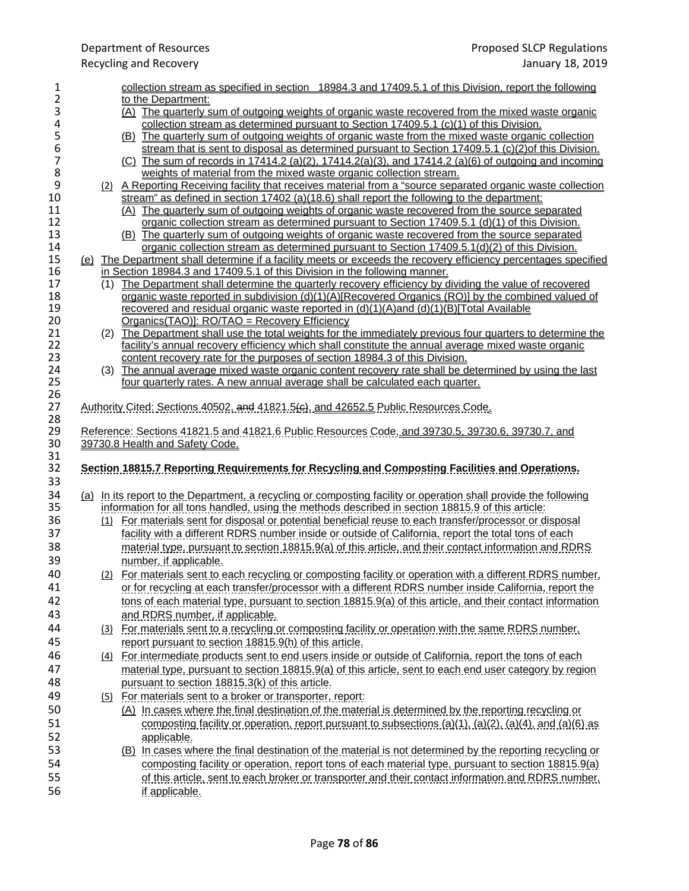# Recycling and Recovery

| 1        | collection stream as specified in section 18984.3 and 17409.5.1 of this Division, report the following               |
|----------|----------------------------------------------------------------------------------------------------------------------|
| 2        | to the Department:                                                                                                   |
| 3        | (A) The quarterly sum of outgoing weights of organic waste recovered from the mixed waste organic                    |
| 4        | collection stream as determined pursuant to Section $17409.5.1$ (c)(1) of this Division.                             |
| 5        | (B) The quarterly sum of outgoing weights of organic waste from the mixed waste organic collection                   |
| 6        | stream that is sent to disposal as determined pursuant to Section 17409.5.1 (c)(2) of this Division.                 |
| 7        | (C) The sum of records in 17414.2 (a)(2), 17414.2(a)(3), and 17414.2 (a)(6) of outgoing and incoming                 |
| 8        | weights of material from the mixed waste organic collection stream.                                                  |
| 9        | (2) A Reporting Receiving facility that receives material from a "source separated organic waste collection          |
| 10       | stream" as defined in section 17402 (a)(18.6) shall report the following to the department:                          |
| 11       | (A) The quarterly sum of outgoing weights of organic waste recovered from the source separated                       |
| 12       | organic collection stream as determined pursuant to Section 17409.5.1 (d)(1) of this Division.                       |
| 13       | (B) The quarterly sum of outgoing weights of organic waste recovered from the source separated                       |
| 14       | organic collection stream as determined pursuant to Section 17409.5.1(d)(2) of this Division.                        |
| 15       | (e) The Department shall determine if a facility meets or exceeds the recovery efficiency percentages specified      |
| 16       | in Section 18984.3 and 17409.5.1 of this Division in the following manner.                                           |
| 17       | (1) The Department shall determine the quarterly recovery efficiency by dividing the value of recovered              |
| 18       | organic waste reported in subdivision (d)(1)(A)[Recovered Organics (RO)] by the combined valued of                   |
| 19       | recovered and residual organic waste reported in (d)(1)(A)and (d)(1)(B)[Total Available                              |
| 20       | Organics(TAO)]: RO/TAO = Recovery Efficiency                                                                         |
| 21       | (2) The Department shall use the total weights for the immediately previous four quarters to determine the           |
| 22       | facility's annual recovery efficiency which shall constitute the annual average mixed waste organic                  |
| 23       | content recovery rate for the purposes of section 18984.3 of this Division.                                          |
| 24       | (3) The annual average mixed waste organic content recovery rate shall be determined by using the last               |
| 25       | four quarterly rates. A new annual average shall be calculated each quarter.                                         |
| 26       |                                                                                                                      |
| 27       | <u>Authority Cited: Sections 40502, and 41821.5(e), and 42652.5 Public Resources Code.</u>                           |
| 28       |                                                                                                                      |
| 29       | Reference: Sections 41821.5 and 41821.6 Public Resources Code, and 39730.5, 39730.6, 39730.7, and                    |
| 30       |                                                                                                                      |
| 31       | 39730.8 Health and Safety Code.                                                                                      |
|          |                                                                                                                      |
|          |                                                                                                                      |
| 32       | Section 18815.7 Reporting Requirements for Recycling and Composting Facilities and Operations.                       |
| 33       |                                                                                                                      |
| 34       | (a) In its report to the Department, a recycling or composting facility or operation shall provide the following     |
| 35       | <u>information for all tons handled, using the methods described in section 18815.9 of this article:</u>             |
| 36       | (1) For materials sent for disposal or potential beneficial reuse to each transfer/processor or disposal             |
| 37       | facility with a different RDRS number inside or outside of California, report the total tons of each                 |
| 38       |                                                                                                                      |
|          | material type, pursuant to section 18815.9(a) of this article, and their contact information and RDRS                |
| 39       | number, if applicable.                                                                                               |
| 40       | <u>(2) For materials sent to each recycling or composting facility or operation with a different RDRS number,</u>    |
| 41       | or for recycling at each transfer/processor with a different RDRS number inside California, report the               |
| 42       | tons of each material type, pursuant to section 18815.9(a) of this article, and their contact information            |
| 43       | and RDRS number, if applicable.                                                                                      |
| 44       | (3) For materials sent to a recycling or composting facility or operation with the same RDRS number.                 |
| 45       |                                                                                                                      |
|          | report pursuant to section 18815.9(h) of this article.                                                               |
| 46       | (4) For intermediate products sent to end users inside or outside of California, report the tons of each             |
| 47       | material type, pursuant to section 18815.9(a) of this article, sent to each end user category by region              |
| 48       | pursuant to section 18815.3(k) of this article.                                                                      |
| 49       | (5) For materials sent to a broker or transporter, report:                                                           |
| 50       | (A) In cases where the final destination of the material is determined by the reporting recycling or                 |
| 51       | composting facility or operation, report pursuant to subsections $(a)(1)$ , $(a)(2)$ , $(a)(4)$ , and $(a)(6)$ as    |
| 52       |                                                                                                                      |
|          | applicable.                                                                                                          |
| 53       | (B) In cases where the final destination of the material is not determined by the reporting recycling or             |
| 54       | composting facility or operation, report tons of each material type, pursuant to section 18815.9(a)                  |
| 55<br>56 | of this article, sent to each broker or transporter and their contact information and RDRS number.<br>if applicable. |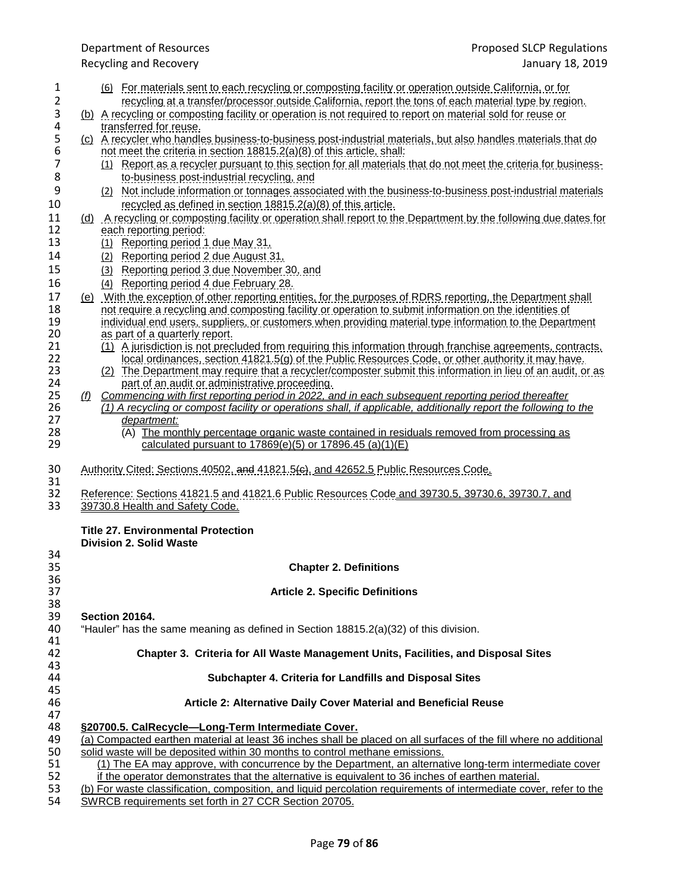- 1 (6) For materials sent to each recycling or composting facility or operation outside California, or for 2 recycling at a transfer/processor outside California, report the tons of each material type by region.
- 3 (b) A recycling or composting facility or operation is not required to report on material sold for reuse or 4 transferred for reuse.<br>5 (c) A recycler who handle
- 5 (c) A recycler who handles business-to-business post-industrial materials, but also handles materials that do<br>6 not meet the criteria in section 18815.2(a)(8) of this article, shall: 6 not meet the criteria in section 18815.2(a)(8) of this article, shall:
- 7 (1) Report as a recycler pursuant to this section for all materials that do not meet the criteria for business-8 to-business post-industrial recycling, and
- 9 (2) Not include information or tonnages associated with the business-to-business post-industrial materials recycled as defined in section 18815.2(a)(8) of this article. recycled as defined in section  $18815.2(a)(8)$  of this article.
- 11 (d) A recycling or composting facility or operation shall report to the Department by the following due dates for<br>12 each reporting period: 12 each reporting period:<br>13 (1) Reporting period 1
	- (1) Reporting period 1 due May 31,
- 14 (2) Reporting period 2 due August 31,
- 15 (3) Reporting period 3 due November 30, and
- 16 (4) Reporting period 4 due February 28.
- 17 (e) With the exception of other reporting entities, for the purposes of RDRS reporting, the Department shall 18 not require a recycling and composting facility or operation to submit information on the identities of 18 not require a recycling and composting facility or operation to submit information on the identities of<br>19 individual end users, suppliers, or customers when providing material type information to the Depart 19 individual end users, suppliers, or customers when providing material type information to the Department 20<br>20 as part of a quarterly report. 20 as part of a quarterly report.<br>21 (1) A jurisdiction is not prec
- 21 (1) A jurisdiction is not precluded from requiring this information through franchise agreements, contracts,<br>22 **Iocal ordinances, section 41821.5(g)** of the Public Resources Code, or other authority it may have. 22 local ordinances, section 41821.5(g) of the Public Resources Code, or other authority it may have.
- 23 (2) The Department may require that a recycler/composter submit this information in lieu of an audit, or as<br>24 part of an audit or administrative proceeding. 24 part of an audit or administrative proceeding.<br>25 (f) Commencing with first reporting period in 2022, a
- 25 *(f) Commencing with first reporting period in 2022, and in each subsequent reporting period thereafter*<br>26 *(1) A recycling or compost facility or operations shall, if applicable, additionally report the following t* 26 *(1) A recycling or compost facility or operations shall, if applicable, additionally report the following to the department:* 27 *department:*<br>28 **(A)** The mor
- 28 (A) The monthly percentage organic waste contained in residuals removed from processing as calculated pursuant to 17869(e)(5) or 17896.45 (a)(1)(E) calculated pursuant to  $17869(e)(5)$  or  $17896.45$  (a)(1)(E)
- 30 Authority Cited: Sections 40502, and 41821.5(c), and 42652.5 Public Resources Code.
- 31<br>32 32 Reference: Sections 41821.5 and 41821.6 Public Resources Code and 39730.5, 39730.6, 39730.7, and<br>33 39730.8 Health and Safety Code 33 39730.8 Health and Safety Code.

## **Title 27. Environmental Protection**

|    | <b>Division 2. Solid Waste</b>                                                                                     |
|----|--------------------------------------------------------------------------------------------------------------------|
| 34 |                                                                                                                    |
| 35 | <b>Chapter 2. Definitions</b>                                                                                      |
| 36 |                                                                                                                    |
| 37 | <b>Article 2. Specific Definitions</b>                                                                             |
| 38 |                                                                                                                    |
| 39 | <b>Section 20164.</b>                                                                                              |
| 40 | "Hauler" has the same meaning as defined in Section 18815.2(a)(32) of this division.                               |
| 41 |                                                                                                                    |
| 42 | Chapter 3. Criteria for All Waste Management Units, Facilities, and Disposal Sites                                 |
| 43 |                                                                                                                    |
| 44 | Subchapter 4. Criteria for Landfills and Disposal Sites                                                            |
| 45 |                                                                                                                    |
| 46 | Article 2: Alternative Daily Cover Material and Beneficial Reuse                                                   |
| 47 |                                                                                                                    |
| 48 | §20700.5. CalRecycle—Long-Term Intermediate Cover.                                                                 |
| 49 | (a) Compacted earthen material at least 36 inches shall be placed on all surfaces of the fill where no additional  |
| 50 | solid waste will be deposited within 30 months to control methane emissions.                                       |
| 51 | (1) The EA may approve, with concurrence by the Department, an alternative long-term intermediate cover            |
| 52 | if the operator demonstrates that the alternative is equivalent to 36 inches of earthen material.                  |
| 53 | (b) For waste classification, composition, and liquid percolation requirements of intermediate cover, refer to the |
| 54 | SWRCB requirements set forth in 27 CCR Section 20705.                                                              |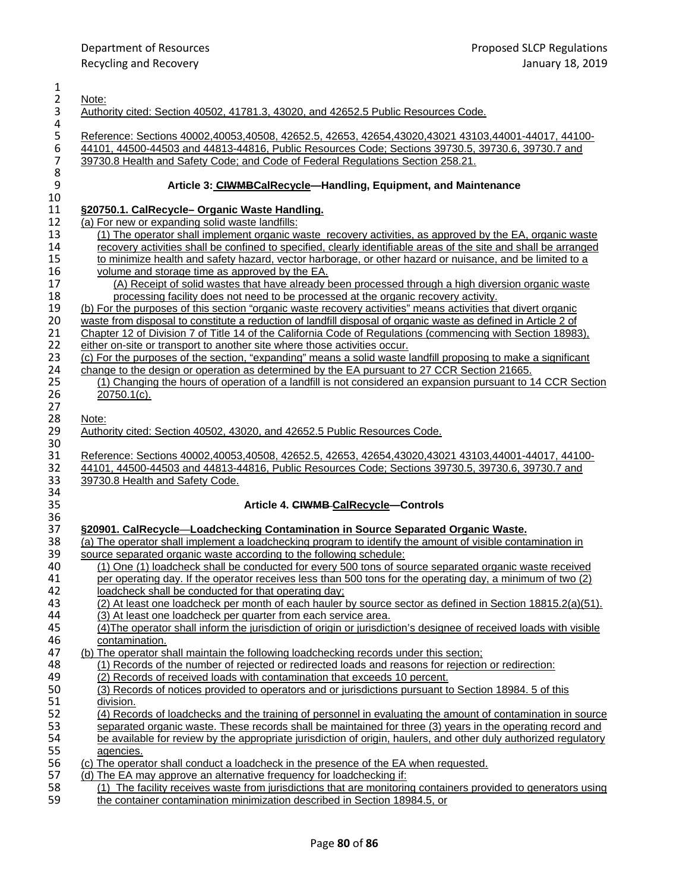| $\mathbf{1}$                          |                                                                                                                                                                                                              |
|---------------------------------------|--------------------------------------------------------------------------------------------------------------------------------------------------------------------------------------------------------------|
| $\overline{2}$                        | Note:                                                                                                                                                                                                        |
| 3                                     | Authority cited: Section 40502, 41781.3, 43020, and 42652.5 Public Resources Code.                                                                                                                           |
| 4                                     |                                                                                                                                                                                                              |
|                                       | Reference: Sections 40002,40053,40508, 42652.5, 42653, 42654,43020,43021 43103,44001-44017, 44100-                                                                                                           |
| $\begin{array}{c} 5 \\ 6 \end{array}$ | 44101, 44500-44503 and 44813-44816, Public Resources Code; Sections 39730.5, 39730.6, 39730.7 and                                                                                                            |
| $\overline{7}$                        | 39730.8 Health and Safety Code; and Code of Federal Regulations Section 258.21.                                                                                                                              |
| 8                                     |                                                                                                                                                                                                              |
| $\mathsf 9$                           | Article 3: CIWMBCalRecycle-Handling, Equipment, and Maintenance                                                                                                                                              |
| 10                                    |                                                                                                                                                                                                              |
| 11                                    | §20750.1. CalRecycle- Organic Waste Handling.                                                                                                                                                                |
| 12                                    | (a) For new or expanding solid waste landfills:                                                                                                                                                              |
| 13                                    | (1) The operator shall implement organic waste recovery activities, as approved by the EA, organic waste                                                                                                     |
| 14                                    | recovery activities shall be confined to specified, clearly identifiable areas of the site and shall be arranged                                                                                             |
| 15                                    | to minimize health and safety hazard, vector harborage, or other hazard or nuisance, and be limited to a                                                                                                     |
| 16                                    | volume and storage time as approved by the EA.                                                                                                                                                               |
| 17                                    | (A) Receipt of solid wastes that have already been processed through a high diversion organic waste                                                                                                          |
| 18                                    | processing facility does not need to be processed at the organic recovery activity.                                                                                                                          |
| 19                                    | (b) For the purposes of this section "organic waste recovery activities" means activities that divert organic                                                                                                |
| 20                                    | waste from disposal to constitute a reduction of landfill disposal of organic waste as defined in Article 2 of                                                                                               |
| 21                                    | Chapter 12 of Division 7 of Title 14 of the California Code of Regulations (commencing with Section 18983),                                                                                                  |
| 22                                    | either on-site or transport to another site where those activities occur.                                                                                                                                    |
| 23<br>24                              | (c) For the purposes of the section, "expanding" means a solid waste landfill proposing to make a significant<br>change to the design or operation as determined by the EA pursuant to 27 CCR Section 21665. |
| 25                                    | (1) Changing the hours of operation of a landfill is not considered an expansion pursuant to 14 CCR Section                                                                                                  |
| 26                                    | 20750.1(c).                                                                                                                                                                                                  |
| 27                                    |                                                                                                                                                                                                              |
| 28                                    | Note:                                                                                                                                                                                                        |
| 29                                    | Authority cited: Section 40502, 43020, and 42652.5 Public Resources Code.                                                                                                                                    |
| $30\,$                                |                                                                                                                                                                                                              |
| 31                                    | Reference: Sections 40002,40053,40508, 42652.5, 42653, 42654,43020,43021 43103,44001-44017, 44100-                                                                                                           |
| 32                                    | 44101, 44500-44503 and 44813-44816, Public Resources Code; Sections 39730.5, 39730.6, 39730.7 and                                                                                                            |
| 33                                    | 39730.8 Health and Safety Code.                                                                                                                                                                              |
| 34                                    |                                                                                                                                                                                                              |
| 35                                    | Article 4. CIWMB-CalRecycle-Controls                                                                                                                                                                         |
| 36                                    |                                                                                                                                                                                                              |
| 37                                    | §20901. CalRecycle—Loadchecking Contamination in Source Separated Organic Waste.                                                                                                                             |
| 38                                    | (a) The operator shall implement a loadchecking program to identify the amount of visible contamination in                                                                                                   |
| 39                                    | source separated organic waste according to the following schedule:                                                                                                                                          |
| 40                                    | (1) One (1) loadcheck shall be conducted for every 500 tons of source separated organic waste received                                                                                                       |
| 41                                    | per operating day. If the operator receives less than 500 tons for the operating day, a minimum of two (2)                                                                                                   |
| 42                                    | loadcheck shall be conducted for that operating day:                                                                                                                                                         |
| 43                                    | (2) At least one loadcheck per month of each hauler by source sector as defined in Section 18815.2(a)(51).                                                                                                   |
| 44<br>45                              | (3) At least one loadcheck per quarter from each service area.<br>(4) The operator shall inform the jurisdiction of origin or jurisdiction's designee of received loads with visible                         |
| 46                                    |                                                                                                                                                                                                              |
| 47                                    | contamination.<br>(b) The operator shall maintain the following loadchecking records under this section;                                                                                                     |
| 48                                    | (1) Records of the number of rejected or redirected loads and reasons for rejection or redirection:                                                                                                          |
| 49                                    | (2) Records of received loads with contamination that exceeds 10 percent.                                                                                                                                    |
| 50                                    | (3) Records of notices provided to operators and or jurisdictions pursuant to Section 18984. 5 of this                                                                                                       |
| 51                                    | division.                                                                                                                                                                                                    |
| 52                                    | (4) Records of loadchecks and the training of personnel in evaluating the amount of contamination in source                                                                                                  |
| 53                                    | separated organic waste. These records shall be maintained for three (3) years in the operating record and                                                                                                   |
| 54                                    | be available for review by the appropriate jurisdiction of origin, haulers, and other duly authorized regulatory                                                                                             |
| 55                                    | agencies.                                                                                                                                                                                                    |
| 56                                    | (c) The operator shall conduct a loadcheck in the presence of the EA when requested.                                                                                                                         |
| 57                                    | (d) The EA may approve an alternative frequency for loadchecking if:                                                                                                                                         |
| 58                                    | (1) The facility receives waste from jurisdictions that are monitoring containers provided to generators using                                                                                               |
| 59                                    | the container contamination minimization described in Section 18984.5, or                                                                                                                                    |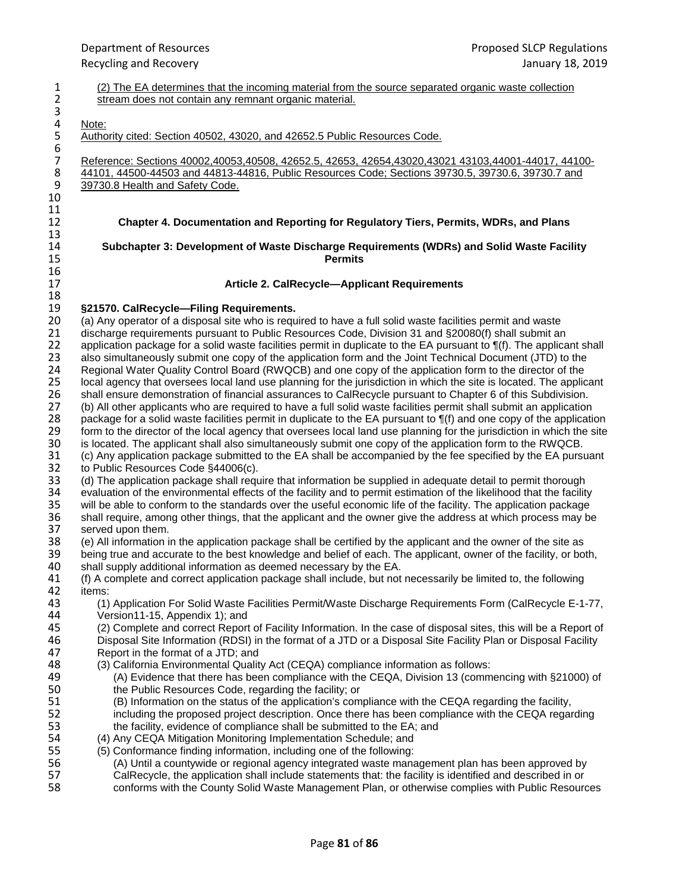3<br>4<br>5  $rac{6}{7}$ 10  $\frac{11}{12}$ 13<br>14 16<br>17 18<br>19

1 (2) The EA determines that the incoming material from the source separated organic waste collection<br>2 stream does not contain any remnant organic material. stream does not contain any remnant organic material. Note: Authority cited: Section 40502, 43020, and 42652.5 Public Resources Code. 7 Reference: Sections 40002,40053,40508, 42652.5, 42653, 42654,43020,43021 43103,44001-44017, 44100-<br>8 44101, 44500-44503 and 44813-44816, Public Resources Code; Sections 39730.5, 39730.6, 39730.7 and 8 44101, 44500-44503 and 44813-44816, Public Resources Code; Sections 39730.5, 39730.6, 39730.7 and<br>9 39730.8 Health and Safety Code. 39730.8 Health and Safety Code. 12 **Chapter 4. Documentation and Reporting for Regulatory Tiers, Permits, WDRs, and Plans** 14 **Subchapter 3: Development of Waste Discharge Requirements (WDRs) and Solid Waste Facility Permits** Article 2. CalRecycle-Applicant Requirements 19 **§21570. CalRecycle—Filing Requirements.** 20 (a) Any operator of a disposal site who is required to have a full solid waste facilities permit and waste<br>21 discharge requirements pursuant to Public Resources Code. Division 31 and §20080(f) shall submit an 21 discharge requirements pursuant to Public Resources Code, Division 31 and §20080(f) shall submit an 22<br>22 application package for a solid waste facilities permit in duplicate to the EA pursuant to ¶(f). The applica 22 application package for a solid waste facilities permit in duplicate to the EA pursuant to ¶(f). The applicant shall 23 also simultaneously submit one copy of the application form and the Joint Technical Document (JTD) 23 also simultaneously submit one copy of the application form and the Joint Technical Document (JTD) to the 24 Regional Water Quality Control Board (RWQCB) and one copy of the application form to the director of the 24 Regional Water Quality Control Board (RWQCB) and one copy of the application form to the director of the<br>25 Iocal agency that oversees local land use planning for the jurisdiction in which the site is located. The appli local agency that oversees local land use planning for the jurisdiction in which the site is located. The applicant 26 shall ensure demonstration of financial assurances to CalRecycle pursuant to Chapter 6 of this Subdivision.<br>27 (b) All other applicants who are required to have a full solid waste facilities permit shall submit an appli 27 (b) All other applicants who are required to have a full solid waste facilities permit shall submit an application 28 package for a solid waste facilities permit in duplicate to the EA pursuant to  $\P$ (f) and one copy of the application<br>29 form to the director of the local agency that oversees local land use planning for the jurisdicti 29 form to the director of the local agency that oversees local land use planning for the jurisdiction in which the site<br>30 is located. The applicant shall also simultaneously submit one copy of the application form to the 30 is located. The applicant shall also simultaneously submit one copy of the application form to the RWQCB.<br>31 (c) Any application package submitted to the EA shall be accompanied by the fee specified by the EA pursu 31 (c) Any application package submitted to the EA shall be accompanied by the fee specified by the EA pursuant 32 to Public Resources Code §44006(c). to Public Resources Code §44006(c). 33 (d) The application package shall require that information be supplied in adequate detail to permit thorough<br>34 evaluation of the environmental effects of the facility and to permit estimation of the likelihood that the 34 evaluation of the environmental effects of the facility and to permit estimation of the likelihood that the facility<br>35 will be able to conform to the standards over the useful economic life of the facility. The applica 35 will be able to conform to the standards over the useful economic life of the facility. The application package<br>36 shall require, among other things, that the applicant and the owner give the address at which process ma 36 shall require, among other things, that the applicant and the owner give the address at which process may be 37 served upon them.<br>38 (e) All information in 38 (e) All information in the application package shall be certified by the applicant and the owner of the site as 39 being true and accurate to the best knowledge and belief of each. The applicant, owner of the facility, or both, <br>40 shall supply additional information as deemed necessary by the EA. 40 shall supply additional information as deemed necessary by the EA.<br>41 (f) A complete and correct application package shall include, but not 41 (f) A complete and correct application package shall include, but not necessarily be limited to, the following

- 42 items:<br>43 (1) 43 (1) Application For Solid Waste Facilities Permit/Waste Discharge Requirements Form (CalRecycle E-1-77,
- 44 Version11-15, Appendix 1); and<br>45 (2) Complete and correct Report 45 (2) Complete and correct Report of Facility Information. In the case of disposal sites, this will be a Report of 46 (1995) 100 a Disposal Site Information (RDSI) in the format of a JTD or a Disposal Site Facility Plan o 46 Disposal Site Information (RDSI) in the format of a JTD or a Disposal Site Facility Plan or Disposal Facility 47 Report in the format of a JTD; and<br>48 (3) California Environmental Quality
	- 48 (3) California Environmental Quality Act (CEQA) compliance information as follows:
- 49 (A) Evidence that there has been compliance with the CEQA, Division 13 (commencing with §21000) of 450 the Public Resources Code, regarding the facility: or 50 the Public Resources Code, regarding the facility; or<br>51 (B) Information on the status of the application's com
- 51 (B) Information on the status of the application's compliance with the CEQA regarding the facility, 52 including the proposed project description. Once there has been compliance with the CEQA regarding<br>53 the facility, evidence of compliance shall be submitted to the EA: and the facility, evidence of compliance shall be submitted to the EA; and
- 54 (4) Any CEQA Mitigation Monitoring Implementation Schedule; and<br>55 (5) Conformance finding information, including one of the following:
	- 55 (5) Conformance finding information, including one of the following:
- 56 (A) Until a countywide or regional agency integrated waste management plan has been approved by<br>57 CalRecycle, the application shall include statements that: the facility is identified and described in or 57 CalRecycle, the application shall include statements that: the facility is identified and described in or<br>58 conforms with the County Solid Waste Management Plan, or otherwise complies with Public Resourc
	- conforms with the County Solid Waste Management Plan, or otherwise complies with Public Resources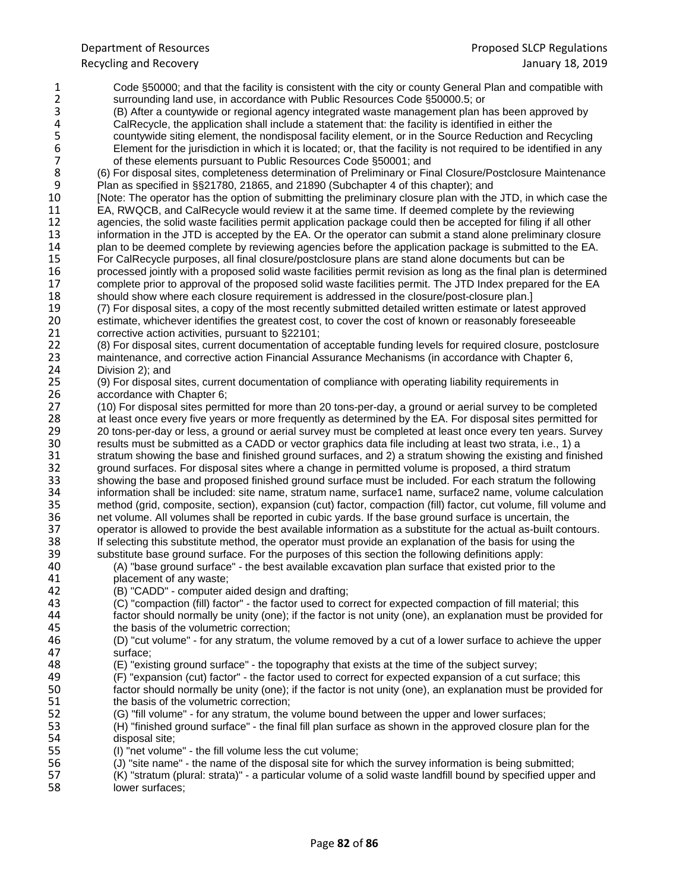1 Code §50000; and that the facility is consistent with the city or county General Plan and compatible with 2<br>2 surrounding land use, in accordance with Public Resources Code §50000.5; or 2 surrounding land use, in accordance with Public Resources Code §50000.5; or<br>3 (B) After a countywide or regional agency integrated waste management plan h 3 (B) After a countywide or regional agency integrated waste management plan has been approved by 4 CalRecycle, the application shall include a statement that: the facility is identified in either the<br>5 countywide siting element, the nondisposal facility element, or in the Source Reduction and R 5 countywide siting element, the nondisposal facility element, or in the Source Reduction and Recycling<br>6 Element for the jurisdiction in which it is located; or, that the facility is not required to be identified in ar<br>7 Element for the jurisdiction in which it is located; or, that the facility is not required to be identified in any 7 of these elements pursuant to Public Resources Code §50001; and<br>8 (6) For disposal sites, completeness determination of Preliminary or Fin 8 (6) For disposal sites, completeness determination of Preliminary or Final Closure/Postclosure Maintenance<br>9 Plan as specified in \$\$21780, 21865, and 21890 (Subchapter 4 of this chapter): and 9 Plan as specified in §§21780, 21865, and 21890 (Subchapter 4 of this chapter); and<br>10 Mote: The operator has the option of submitting the preliminary closure plan with the 10 [Note: The operator has the option of submitting the preliminary closure plan with the JTD, in which case the 11<br>11 EA, RWQCB, and CalRecycle would review it at the same time. If deemed complete by the reviewing 11 EA, RWQCB, and CalRecycle would review it at the same time. If deemed complete by the reviewing 12 agencies, the solid waste facilities permit application package could then be accepted for filing if all other<br>13 information in the JTD is accepted by the EA. Or the operator can submit a stand alone preliminary closur 13 information in the JTD is accepted by the EA. Or the operator can submit a stand alone preliminary closure<br>14 plan to be deemed complete by reviewing agencies before the application package is submitted to the EA. 14 plan to be deemed complete by reviewing agencies before the application package is submitted to the EA.<br>15 For CalRecycle purposes, all final closure/postclosure plans are stand alone documents but can be 15 For CalRecycle purposes, all final closure/postclosure plans are stand alone documents but can be<br>16 processed jointly with a proposed solid waste facilities permit revision as long as the final plan is de 16 processed jointly with a proposed solid waste facilities permit revision as long as the final plan is determined<br>17 complete prior to approval of the proposed solid waste facilities permit. The JTD Index prepared for th 17 complete prior to approval of the proposed solid waste facilities permit. The JTD Index prepared for the EA<br>18 should show where each closure requirement is addressed in the closure/post-closure plan.] 18 should show where each closure requirement is addressed in the closure/post-closure plan.]<br>19 (7) For disposal sites, a copy of the most recently submitted detailed written estimate or lates 19 (7) For disposal sites, a copy of the most recently submitted detailed written estimate or latest approved<br>20 estimate, whichever identifies the greatest cost, to cover the cost of known or reasonably foreseeable 20 estimate, whichever identifies the greatest cost, to cover the cost of known or reasonably foreseeable<br>21 corrective action activities, pursuant to §22101: 21 corrective action activities, pursuant to §22101;<br>22 (8) For disposal sites, current documentation of 22 (8) For disposal sites, current documentation of acceptable funding levels for required closure, postclosure<br>23 maintenance, and corrective action Financial Assurance Mechanisms (in accordance with Chapter 6, 23 maintenance, and corrective action Financial Assurance Mechanisms (in accordance with Chapter 6,<br>24 Division 2); and 24 Division 2); and<br>25 (9) For disposal 25 (9) For disposal sites, current documentation of compliance with operating liability requirements in 26 accordance with Chapter 6;<br>27 (10) For disposal sites perm 27 (10) For disposal sites permitted for more than 20 tons-per-day, a ground or aerial survey to be completed 28 at least once every five years or more frequently as determined by the EA. For disposal sites permitted for<br>29 20 tons-per-day or less, a ground or aerial survey must be completed at least once every ten years. Survey 29 20 tons-per-day or less, a ground or aerial survey must be completed at least once every ten years. Survey<br>20 results must be submitted as a CADD or vector graphics data file including at least two strata, i.e., 1) a 30 results must be submitted as a CADD or vector graphics data file including at least two strata, i.e., 1) a 31 stratum showing the base and finished ground surfaces, and 2) a stratum showing the existing and finished<br>32 or ground surfaces. For disposal sites where a change in permitted volume is proposed, a third stratum 32 ground surfaces. For disposal sites where a change in permitted volume is proposed, a third stratum<br>33 showing the base and proposed finished ground surface must be included. For each stratum the follo 33 showing the base and proposed finished ground surface must be included. For each stratum the following<br>34 information shall be included: site name, stratum name, surface1 name, surface2 name, volume calculation 34 information shall be included: site name, stratum name, surface1 name, surface2 name, volume calculation 35 method (grid, composite, section), expansion (cut) factor, compaction (fill) factor, cut volume, fill volume and<br>36 met volume. All volumes shall be reported in cubic vards. If the base ground surface is uncertain, the 36 net volume. All volumes shall be reported in cubic yards. If the base ground surface is uncertain, the 37 operator is allowed to provide the best available information as a substitute for the actual as-built cor 37 operator is allowed to provide the best available information as a substitute for the actual as-built contours.<br>38 If selecting this substitute method, the operator must provide an explanation of the basis for using the 38 If selecting this substitute method, the operator must provide an explanation of the basis for using the substitute base around surface. For the purposes of this section the following definitions apply: 39 substitute base ground surface. For the purposes of this section the following definitions apply: 40 (A) "base ground surface" - the best available excavation plan surface that existed prior to the 41 placement of any waste; 42 (B) "CADD" - computer aided design and drafting;<br>43 (C) "compaction (fill) factor" - the factor used to compaction 43 (C) "compaction (fill) factor" - the factor used to correct for expected compaction of fill material; this 44 factor should normally be unity (one); if the factor is not unity (one), an explanation must be provided for 45 the basis of the volumetric correction;<br>46 (D) "cut volume" - for any stratum, the 46 (D) "cut volume" - for any stratum, the volume removed by a cut of a lower surface to achieve the upper 47 surface;<br>48 (E) "exis 48 (E) "existing ground surface" - the topography that exists at the time of the subject survey; 49 (F) "expansion (cut) factor" - the factor used to correct for expected expansion of a cut surface; this<br>50 factor should normally be unity (one); if the factor is not unity (one), an explanation must be provide 50 factor should normally be unity (one); if the factor is not unity (one), an explanation must be provided for<br>51 the basis of the volumetric correction: the basis of the volumetric correction; 52 (G) "fill volume" - for any stratum, the volume bound between the upper and lower surfaces;<br>53 (H) "finished ground surface" - the final fill plan surface as shown in the approved closure pla 53 (H) "finished ground surface" - the final fill plan surface as shown in the approved closure plan for the 54 disposal site;<br>55 (I) "net volum 55 (I) "net volume" - the fill volume less the cut volume; 56 (J) "site name" - the name of the disposal site for which the survey information is being submitted;<br>57 (K) "stratum (plural: strata)" - a particular volume of a solid waste landfill bound by specified upper 57 (K) "stratum (plural: strata)" - a particular volume of a solid waste landfill bound by specified upper and lower surfaces: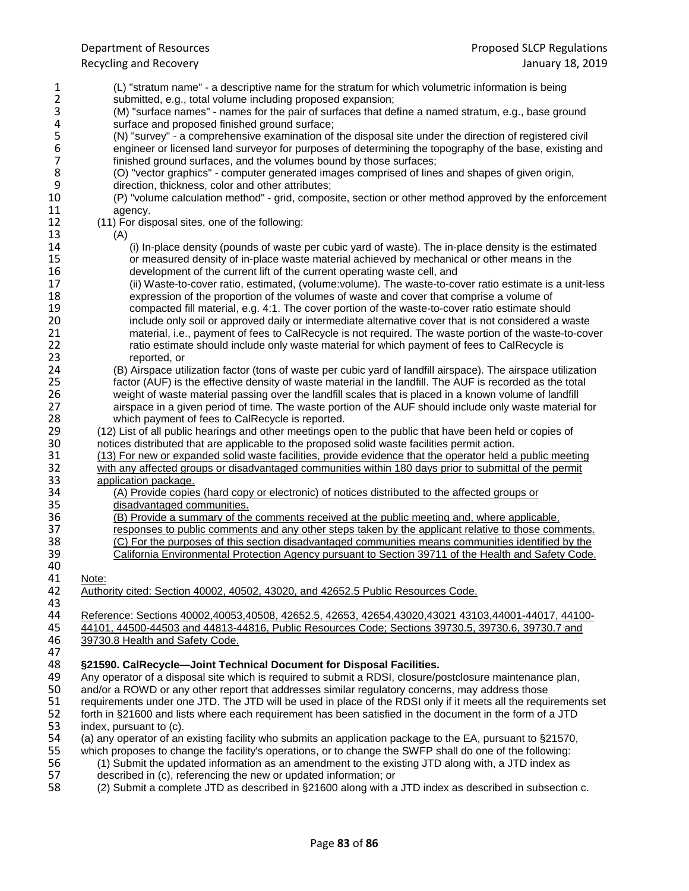- 1 (L) "stratum name" a descriptive name for the stratum for which volumetric information is being 2 submitted, e.g., total volume including proposed expansion;<br>3 (M) "surface names" - names for the pair of surfaces that de 3 (M) "surface names" - names for the pair of surfaces that define a named stratum, e.g., base ground 4 surface and proposed finished ground surface;<br>5 (N) "survey" - a comprehensive examination of 5 (N) "survey" - a comprehensive examination of the disposal site under the direction of registered civil<br>6 engineer or licensed land surveyor for purposes of determining the topography of the base, existing a<br>7 finished g engineer or licensed land surveyor for purposes of determining the topography of the base, existing and 7 finished ground surfaces, and the volumes bound by those surfaces;<br>8 (O) "vector graphics" - computer generated images comprised of line 8 (O) "vector graphics" - computer generated images comprised of lines and shapes of given origin, 9 direction, thickness, color and other attributes;<br>10 (P) "volume calculation method" - grid, compos 10 (P) "volume calculation method" - grid, composite, section or other method approved by the enforcement 11 agency.<br>12 (11) For dis 12 (11) For disposal sites, one of the following:<br>13 (A) 13 (A) 14 (i) In-place density (pounds of waste per cubic yard of waste). The in-place density is the estimated<br>15 or measured density of in-place waste material achieved by mechanical or other means in the 15 or measured density of in-place waste material achieved by mechanical or other means in the 16 development of the current lift of the current operating waste cell, and 16 development of the current lift of the current operating waste cell, and<br>17 (ii) Waste-to-cover ratio, estimated, (volume:volume). The waste-to-co 17 (ii) Waste-to-cover ratio, estimated, (volume:volume). The waste-to-cover ratio estimate is a unit-less<br>18 expression of the proportion of the volumes of waste and cover that comprise a volume of 18 expression of the proportion of the volumes of waste and cover that comprise a volume of 19<br>19 compacted fill material, e.g. 4:1. The cover portion of the waste-to-cover ratio estimate sho 19 compacted fill material, e.g. 4:1. The cover portion of the waste-to-cover ratio estimate should<br>20 completed a was include only soil or approved daily or intermediate alternative cover that is not considered a wa 20 include only soil or approved daily or intermediate alternative cover that is not considered a waste<br>21 material, i.e., payment of fees to CalRecycle is not required. The waste portion of the waste-to-cov 21 material, i.e., payment of fees to CalRecycle is not required. The waste portion of the waste-to-cover<br>22 fatio estimate should include only waste material for which payment of fees to CalRecycle is 22 ratio estimate should include only waste material for which payment of fees to CalRecycle is<br>23 reported. or 23 reported, or<br>24 (B) Airspace uti 24 (B) Airspace utilization factor (tons of waste per cubic yard of landfill airspace). The airspace utilization<br>25 factor (AUF) is the effective density of waste material in the landfill. The AUF is recorded as the total factor (AUF) is the effective density of waste material in the landfill. The AUF is recorded as the total 26 weight of waste material passing over the landfill scales that is placed in a known volume of landfill<br>27 airspace in a given period of time. The waste portion of the AUF should include only waste material airspace in a given period of time. The waste portion of the AUF should include only waste material for 28 which payment of fees to CalRecycle is reported.<br>29 (12) List of all public hearings and other meetings oper-29 (12) List of all public hearings and other meetings open to the public that have been held or copies of 30 motices distributed that are applicable to the proposed solid waste facilities permit action. 30 notices distributed that are applicable to the proposed solid waste facilities permit action.<br>31 (13) For new or expanded solid waste facilities, provide evidence that the operator held a 11 (13) For new or expanded solid waste facilities, provide evidence that the operator held a public meeting<br>32 with any affected groups or disadvantaged communities within 180 days prior to submittal of the permit 32 with any affected groups or disadvantaged communities within 180 days prior to submittal of the permit application package. 33 application package.<br>34 (A) Provide copies 34 (A) Provide copies (hard copy or electronic) of notices distributed to the affected groups or disadvantaged communities. 35 disadvantaged communities.<br>36 (B) Provide a summary of the 36 (B) Provide a summary of the comments received at the public meeting and, where applicable,<br>37 esponses to public comments and any other steps taken by the applicant relative to those com 37 responses to public comments and any other steps taken by the applicant relative to those comments.<br>38 (C) For the purposes of this section disadvantaged communities means communities identified by the 38 (C) For the purposes of this section disadvantaged communities means communities identified by the 39 (39 California Environmental Protection Agency pursuant to Section 39711 of the Health and Safety Code. California Environmental Protection Agency pursuant to Section 39711 of the Health and Safety Code. 40<br>41 41 Note:<br>42 Autho 42 Authority cited: Section 40002, 40502, 43020, and 42652.5 Public Resources Code. 43<br>44 44 Reference: Sections 40002,40053,40508, 42652.5, 42653, 42654,43020,43021 43103,44001-44017, 44100-<br>45 44101, 44500-44503 and 44813-44816, Public Resources Code; Sections 39730.5, 39730.6, 39730.7 and 45 44101, 44500-44503 and 44813-44816, Public Resources Code; Sections 39730.5, 39730.6, 39730.7 and 39730.8 Health and Safety Code. 47<br>48 48 **§21590. CalRecycle—Joint Technical Document for Disposal Facilities.** 49 Any operator of a disposal site which is required to submit a RDSI, closure/postclosure maintenance plan, <br>50 and/or a ROWD or any other report that addresses similar regulatory concerns, may address those 50 and/or a ROWD or any other report that addresses similar regulatory concerns, may address those<br>51 requirements under one JTD. The JTD will be used in place of the RDSI only if it meets all the requi 51 requirements under one JTD. The JTD will be used in place of the RDSI only if it meets all the requirements set<br>52 forth in §21600 and lists where each requirement has been satisfied in the document in the form of a JTD 52 forth in §21600 and lists where each requirement has been satisfied in the document in the form of a JTD<br>53 index. pursuant to (c). index, pursuant to (c). 54 (a) any operator of an existing facility who submits an application package to the EA, pursuant to §21570,<br>55 which proposes to change the facility's operations, or to change the SWFP shall do one of the following: which proposes to change the facility's operations, or to change the SWFP shall do one of the following: 56 (1) Submit the updated information as an amendment to the existing JTD along with, a JTD index as described in (c), referencing the new or updated information; or 57 described in (c), referencing the new or updated information; or<br>58 (2) Submit a complete JTD as described in §21600 along with a
- (2) Submit a complete JTD as described in §21600 along with a JTD index as described in subsection c.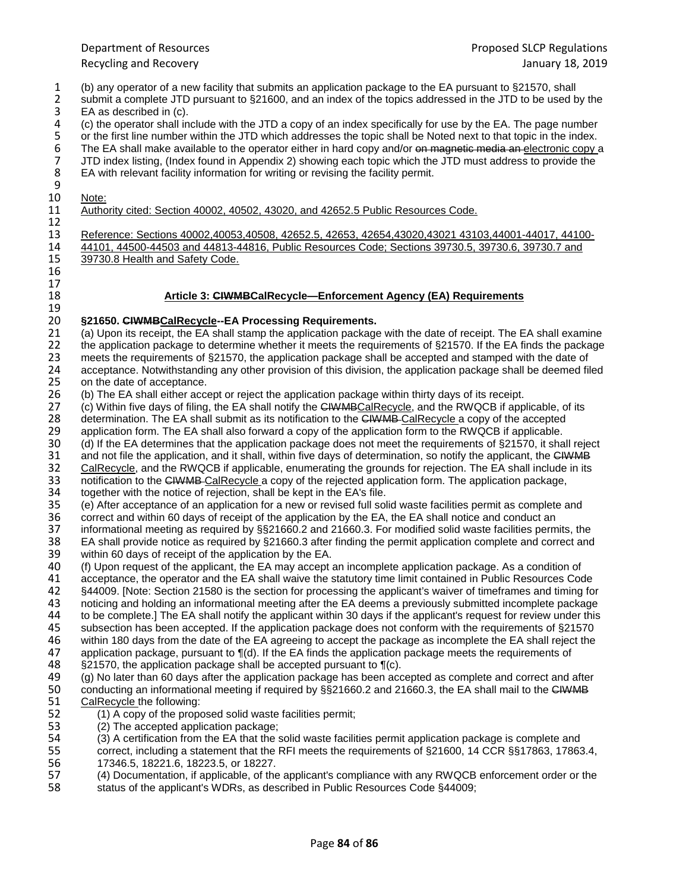- 1 (b) any operator of a new facility that submits an application package to the EA pursuant to §21570, shall 2 submit a complete JTD pursuant to §21600, and an index of the topics addressed in the JTD to be used by the EA as described in (c). 3 EA as described in (c).<br>4 (c) the operator shall in
- 4 (c) the operator shall include with the JTD a copy of an index specifically for use by the EA. The page number<br>5 or the first line number within the JTD which addresses the topic shall be Noted next to that topic in the 5 or the first line number within the JTD which addresses the topic shall be Noted next to that topic in the index.<br>5 The EA shall make available to the operator either in hard copy and/or on magnotic modia an electronic c The EA shall make available to the operator either in hard copy and/or on magnetic media an electronic copy a 7 JTD index listing, (Index found in Appendix 2) showing each topic which the JTD must address to provide the EA with relevant facility information for writing or revising the facility permit. EA with relevant facility information for writing or revising the facility permit.

 $\frac{9}{10}$ 10 Note:<br>11 Autho

Authority cited: Section 40002, 40502, 43020, and 42652.5 Public Resources Code.

 $\begin{array}{c} 12 \\ 13 \end{array}$ 

16  $\frac{17}{18}$ 

13 Reference: Sections 40002,40053,40508, 42652.5, 42653, 42654,43020,43021 43103,44001-44017, 44100-<br>14 44101, 44500-44503 and 44813-44816, Public Resources Code; Sections 39730.5, 39730.6, 39730.7 and 14 44101, 44500-44503 and 44813-44816, Public Resources Code; Sections 39730.5, 39730.6, 39730.7 and<br>15 39730.8 Health and Safety Code. 39730.8 Health and Safety Code.

### Article 3: CIWMBCalRecycle-Enforcement Agency (EA) Requirements

# 19<br>20

20 **§21650. CIWMBCalRecycle--EA Processing Requirements.** 21 (a) Upon its receipt, the EA shall stamp the application package with the date of receipt. The EA shall examine<br>22 the application package to determine whether it meets the requirements of §21570. If the EA finds the pa 22 the application package to determine whether it meets the requirements of §21570. If the EA finds the package<br>23 meets the requirements of §21570, the application package shall be accepted and stamped with the date of

23 meets the requirements of §21570, the application package shall be accepted and stamped with the date of 24 acceptance. Notwithstanding any other provision of this division, the application package shall be deemed fil 24 acceptance. Notwithstanding any other provision of this division, the application package shall be deemed filed<br>25 on the date of acceptance. on the date of acceptance.

26 (b) The EA shall either accept or reject the application package within thirty days of its receipt.<br>27 (c) Within five days of filing, the EA shall notify the CHWMBCalRecycle, and the RWQCB if app

(c) Within five days of filing, the EA shall notify the CIWMBCalRecycle, and the RWQCB if applicable, of its

28 determination. The EA shall submit as its notification to the CHWMB CalRecycle a copy of the accepted 29 applicable.

29 application form. The EA shall also forward a copy of the application form to the RWQCB if applicable.<br>20 (d) If the EA determines that the application package does not meet the requirements of §21570, it sha

(d) If the EA determines that the application package does not meet the requirements of §21570, it shall reject

31 and not file the application, and it shall, within five days of determination, so notify the applicant, the CHWMB<br>32 CalRecycle, and the RWQCB if applicable, enumerating the grounds for rejection. The EA shall include i

CalRecycle, and the RWQCB if applicable, enumerating the grounds for rejection. The EA shall include in its

33 notification to the CIWMB-CalRecycle a copy of the rejected application form. The application package, 34 together with the notice of rejection. shall be kept in the EA's file. together with the notice of rejection, shall be kept in the EA's file.

35 (e) After acceptance of an application for a new or revised full solid waste facilities permit as complete and<br>36 correct and within 60 days of receipt of the application by the EA, the EA shall notice and conduct an

36 correct and within 60 days of receipt of the application by the EA, the EA shall notice and conduct an 37 informational meeting as required by \$\$21660.2 and 21660.3. For modified solid waste facilities perm

37 informational meeting as required by §§21660.2 and 21660.3. For modified solid waste facilities permits, the<br>38 EA shall provide notice as required by §21660.3 after finding the permit application complete and correct a 38 EA shall provide notice as required by §21660.3 after finding the permit application complete and correct and

39 within 60 days of receipt of the application by the EA.<br>40 (f) Upon request of the applicant, the EA may accept

40 (f) Upon request of the applicant, the EA may accept an incomplete application package. As a condition of 41<br>41 acceptance, the operator and the EA shall waive the statutory time limit contained in Public Resources Coo 41 acceptance, the operator and the EA shall waive the statutory time limit contained in Public Resources Code

42 §44009. [Note: Section 21580 is the section for processing the applicant's waiver of timeframes and timing for

43 noticing and holding an informational meeting after the EA deems a previously submitted incomplete package<br>44 to be complete. The EA shall notify the applicant within 30 days if the applicant's request for review under

44 to be complete.] The EA shall notify the applicant within 30 days if the applicant's request for review under this<br>45 subsection has been accepted. If the application package does not conform with the requirements of §2

45 subsection has been accepted. If the application package does not conform with the requirements of §21570<br>46 within 180 days from the date of the EA agreeing to accept the package as incomplete the EA shall reject the

46 within 180 days from the date of the EA agreeing to accept the package as incomplete the EA shall reject the<br>47 application package, pursuant to ¶(d). If the EA finds the application package meets the requirements of 47 application package, pursuant to  $\P(d)$ . If the EA finds the application package meets the requirements of 48 <br>48 S21570, the application package shall be accepted pursuant to  $\P(c)$ .

- $\S21570$ , the application package shall be accepted pursuant to  $\P(c)$ .
- 49 (g) No later than 60 days after the application package has been accepted as complete and correct and after<br>50 conducting an informational meeting if required by §§21660.2 and 21660.3, the EA shall mail to the CHWMB 50 conducting an informational meeting if required by §§21660.2 and 21660.3, the EA shall mail to the CHWMB 51 CalRecycle the following: CalRecycle the following:
- 52 (1) A copy of the proposed solid waste facilities permit;<br>53 (2) The accepted application package:
	- (2) The accepted application package;
- 54 (3) A certification from the EA that the solid waste facilities permit application package is complete and

55 correct, including a statement that the RFI meets the requirements of §21600, 14 CCR §§17863, 17863.4, 56 17346.5, 18221.6, 18223.5, or 18227.<br>57 (4) Documentation, if applicable, of the

- 57 (4) Documentation, if applicable, of the applicant's compliance with any RWQCB enforcement order or the 58 status of the applicant's WDRs. as described in Public Resources Code §44009:
- 58 status of the applicant's WDRs, as described in Public Resources Code §44009;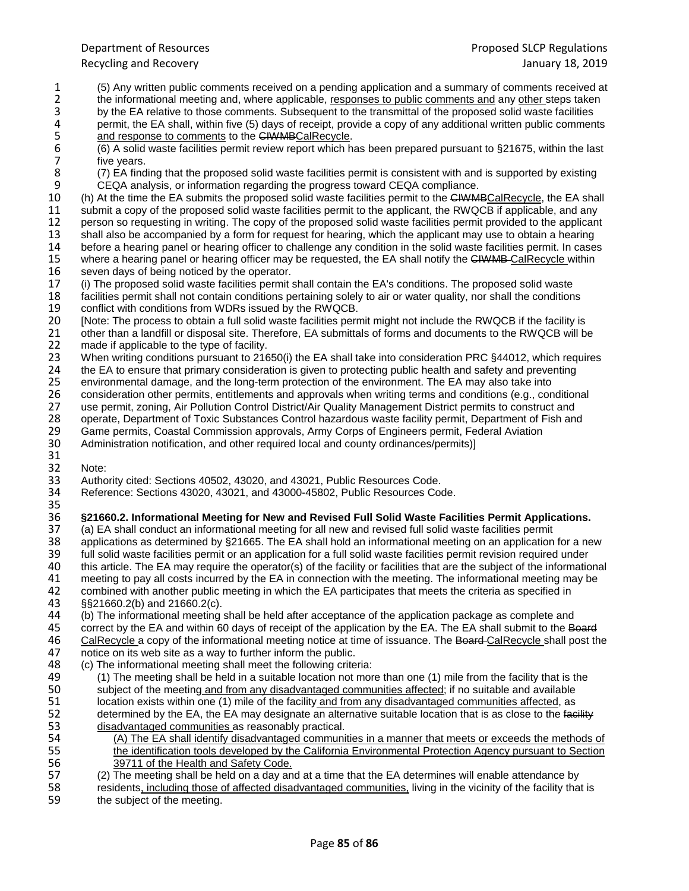- 1 (5) Any written public comments received on a pending application and a summary of comments received at
- 2 the informational meeting and, where applicable, responses to public comments and any other steps taken<br>3 by the EA relative to those comments. Subsequent to the transmittal of the proposed solid waste facilities
- 3 by the EA relative to those comments. Subsequent to the transmittal of the proposed solid waste facilities<br>4 permit, the EA shall, within five (5) days of receipt, provide a copy of any additional written public commen 4 permit, the EA shall, within five (5) days of receipt, provide a copy of any additional written public comments <br>5 and response to comments to the CIWMBCalRecycle.
- 5 and response to comments to the CIWMBCalRecycle.<br>
6 (6) A solid waste facilities permit review report which h<br>
7 five years. 6 (6) A solid waste facilities permit review report which has been prepared pursuant to §21675, within the last 7 five years.<br>8 (7) EA find
- 8 (7) EA finding that the proposed solid waste facilities permit is consistent with and is supported by existing <br>9 CEQA analysis, or information regarding the progress toward CEQA compliance.
- 9 CEQA analysis, or information regarding the progress toward CEQA compliance.<br>10 (h) At the time the EA submits the proposed solid waste facilities permit to the CHWM 10 (h) At the time the EA submits the proposed solid waste facilities permit to the CHWMBCalRecycle, the EA shall<br>11 submit a copy of the proposed solid waste facilities permit to the applicant, the RWQCB if applicable, an submit a copy of the proposed solid waste facilities permit to the applicant, the RWQCB if applicable, and any 12 person so requesting in writing. The copy of the proposed solid waste facilities permit provided to the applicant<br>13 shall also be accompanied by a form for request for hearing, which the applicant may use to obtain a h
- 13 shall also be accompanied by a form for request for hearing, which the applicant may use to obtain a hearing<br>14 before a hearing panel or hearing officer to challenge any condition in the solid waste facilities permit. 14 before a hearing panel or hearing officer to challenge any condition in the solid waste facilities permit. In cases<br>15 where a hearing panel or hearing officer may be requested, the EA shall notify the CIWMB CalRecycle 15 where a hearing panel or hearing officer may be requested, the EA shall notify the CIWMB CalRecycle within 16 seven days of being noticed by the operator.
- 16 seven days of being noticed by the operator.<br>17 (i) The proposed solid waste facilities permit to 17 (i) The proposed solid waste facilities permit shall contain the EA's conditions. The proposed solid waste<br>18 facilities permit shall not contain conditions pertaining solely to air or water quality, nor shall the condi
- 18 facilities permit shall not contain conditions pertaining solely to air or water quality, nor shall the conditions 19 conditions conditions from WDRs issued by the RWQCB.
- 19 conflict with conditions from WDRs issued by the RWQCB.<br>20 [Note: The process to obtain a full solid waste facilities pern 20 [Note: The process to obtain a full solid waste facilities permit might not include the RWQCB if the facility is<br>21 other than a landfill or disposal site. Therefore, EA submittals of forms and documents to the RWQCB wi
- 21 other than a landfill or disposal site. Therefore, EA submittals of forms and documents to the RWQCB will be 22 made if applicable to the type of facility.
- 22 made if applicable to the type of facility.<br>23 When writing conditions pursuant to 216 23 When writing conditions pursuant to 21650(i) the EA shall take into consideration PRC §44012, which requires 24 the EA to ensure that primary consideration is given to protecting public health and safety and preventing
- 24 the EA to ensure that primary consideration is given to protecting public health and safety and preventing<br>25 environmental damage, and the long-term protection of the environment. The EA may also take into
- 25 environmental damage, and the long-term protection of the environment. The EA may also take into
- 26 consideration other permits, entitlements and approvals when writing terms and conditions (e.g., conditional<br>27 use permit, zoning, Air Pollution Control District/Air Quality Management District permits to construct and
- 27 use permit, zoning, Air Pollution Control District/Air Quality Management District permits to construct and
- 28 operate, Department of Toxic Substances Control hazardous waste facility permit, Department of Fish and 29 Came permits, Coastal Commission approvals, Army Corps of Engineers permit, Federal Aviation
- 29 Game permits, Coastal Commission approvals, Army Corps of Engineers permit, Federal Aviation<br>30 Administration notification, and other required local and county ordinances/permits)]
- Administration notification, and other required local and county ordinances/permits)]
- 31<br>32 Note:
- 
- 33 Authority cited: Sections 40502, 43020, and 43021, Public Resources Code. 34 Reference: Sections 43020, 43021, and 43000-45802, Public Resources Code.

### 35<br>36 36 **§21660.2. Informational Meeting for New and Revised Full Solid Waste Facilities Permit Applications.**

- 37 (a) EA shall conduct an informational meeting for all new and revised full solid waste facilities permit<br>38 applications as determined by §21665. The EA shall hold an informational meeting on an application
- 38 applications as determined by §21665. The EA shall hold an informational meeting on an application for a new<br>39 full solid waste facilities permit or an application for a full solid waste facilities permit revision requ
- 39 full solid waste facilities permit or an application for a full solid waste facilities permit revision required under<br>40 this article. The EA may require the operator(s) of the facility or facilities that are the subiec
- 40 this article. The EA may require the operator(s) of the facility or facilities that are the subject of the informational<br>41 meeting to pay all costs incurred by the EA in connection with the meeting. The informational m
- 41 meeting to pay all costs incurred by the EA in connection with the meeting. The informational meeting may be
- 42 combined with another public meeting in which the EA participates that meets the criteria as specified in 43 (\$21660.2(b) and 21660.2(c).
- 43 §§21660.2(b) and 21660.2(c). 44 (b) The informational meeting shall be held after acceptance of the application package as complete and 45 correct by the EA and within 60 days of receipt of the application by the EA. The EA shall submit to the Board<br>46 CalRecycle a copy of the informational meeting notice at time of issuance. The Board-CalRecycle shall pos 46 CalRecycle a copy of the informational meeting notice at time of issuance. The Board CalRecycle shall post the 47 notice on its web site as a way to further inform the public.
- 47 notice on its web site as a way to further inform the public.<br>48 (c) The informational meeting shall meet the following crite (c) The informational meeting shall meet the following criteria:
- 49 (1) The meeting shall be held in a suitable location not more than one (1) mile from the facility that is the subject of the meeting and from any disadvantaged communities affected: if no suitable and available 50 subject of the meeting and from any disadvantaged communities affected; if no suitable and available<br>51 location exists within one (1) mile of the facility and from any disadvantaged communities affected, as location exists within one (1) mile of the facility and from any disadvantaged communities affected, as 52 determined by the EA, the EA may designate an alternative suitable location that is as close to the facility  $53$  disadvantaged communities as reasonably practical. disadvantaged communities as reasonably practical.
- 54 (A) The EA shall identify disadvantaged communities in a manner that meets or exceeds the methods of 55 the identification tools developed by the California Environmental Protection Agency pursuant to Section 56 39711 of the Health and Safety Code.<br>57 (2) The meeting shall be held on a day an
- 57 (2) The meeting shall be held on a day and at a time that the EA determines will enable attendance by<br>58 seconding the state of affected disadvantaged communities. Iiving in the vicinity of the facility that
- 58 residents, including those of affected disadvantaged communities, living in the vicinity of the facility that is<br>59 the subject of the meeting. the subject of the meeting.
-